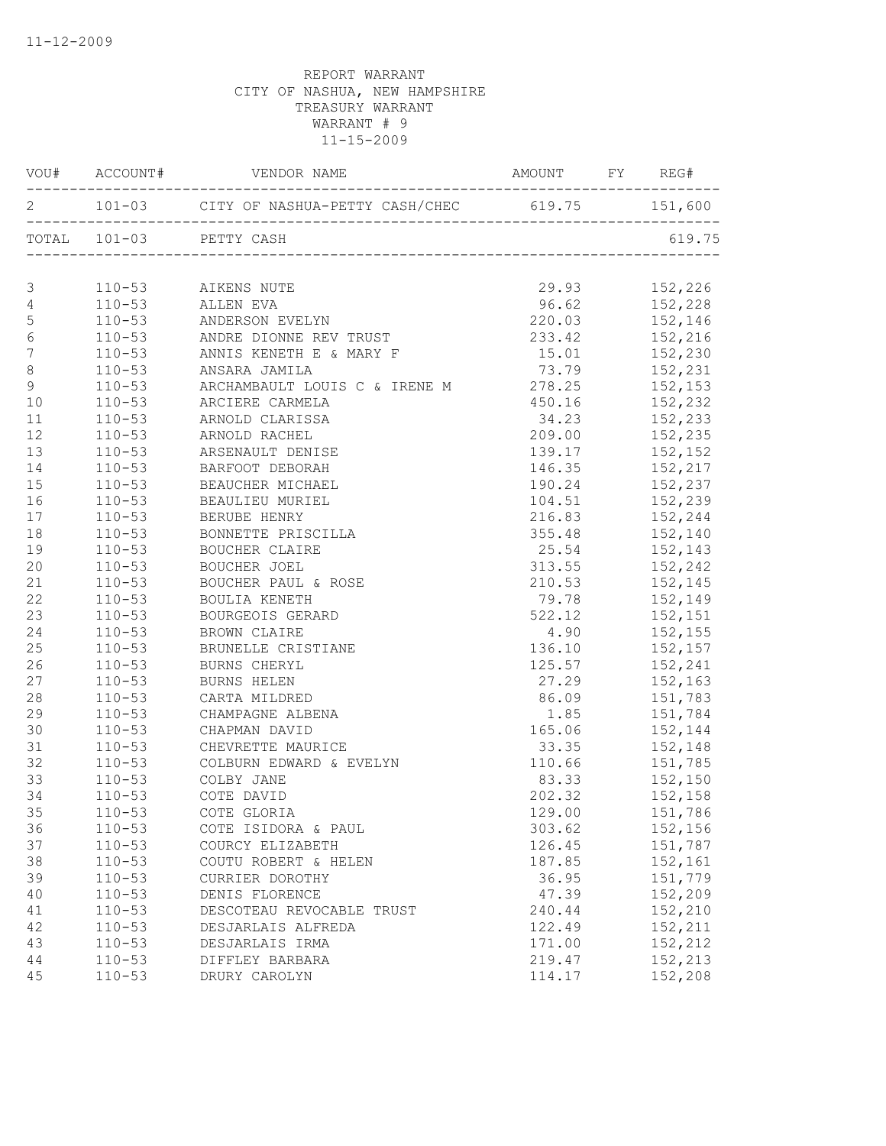|                  |            | VOU# ACCOUNT# VENDOR NAME AMOUNT FY REG#                                                            |                                                   |                                                                                                |
|------------------|------------|-----------------------------------------------------------------------------------------------------|---------------------------------------------------|------------------------------------------------------------------------------------------------|
|                  |            | 2 101-03 CITY OF NASHUA-PETTY CASH/CHEC 619.75 151,600                                              |                                                   |                                                                                                |
|                  |            | TOTAL 101-03 PETTY CASH                                                                             |                                                   | 619.75                                                                                         |
|                  |            |                                                                                                     |                                                   |                                                                                                |
| 3                |            | 110-53 AIKENS NUTE                                                                                  |                                                   | 29.93 152,226                                                                                  |
| $\overline{4}$   |            | $110-53$ ALLEN EVA                                                                                  |                                                   | 96.62 152,228                                                                                  |
| 5                |            | 110–53<br>110–53 ANDERSON EVELYN<br>110–53 ANDRE DIONNE REV TRUST<br>110–53 ANNIS KENETH E & MARY F | 220.03 152,146<br>233.42 152,216<br>15.01 152,230 |                                                                                                |
| $\epsilon$       |            |                                                                                                     |                                                   |                                                                                                |
| $\boldsymbol{7}$ |            |                                                                                                     |                                                   |                                                                                                |
| $\,8\,$          |            | 110-53 ANSARA JAMILA                                                                                |                                                   |                                                                                                |
| $\mathcal{G}$    |            | 110-53 ARCHAMBAULT LOUIS C & IRENE M 278.25 152,153                                                 |                                                   |                                                                                                |
| 10               |            | 110-53 ARCIERE CARMELA                                                                              | 450.16 152,232                                    |                                                                                                |
| 11               |            | 110-53 ARNOLD CLARISSA                                                                              |                                                   | 34.23 152,233                                                                                  |
| 12               |            | 110-53 ARNOLD RACHEL                                                                                |                                                   | 209.00 152,235                                                                                 |
| 13               | $110 - 53$ | ARSENAULT DENISE                                                                                    | 139.17                                            | 152,152                                                                                        |
| 14               | $110 - 53$ | BARFOOT DEBORAH                                                                                     | 146.35                                            | 152, 217                                                                                       |
| 15               | $110 - 53$ | BEAUCHER MICHAEL                                                                                    | 190.24                                            | 152,237<br>152,239                                                                             |
| 16               | $110 - 53$ | BEAULIEU MURIEL                                                                                     | 104.51                                            |                                                                                                |
| 17               | $110 - 53$ | BERUBE HENRY                                                                                        |                                                   | 216.83 152,244                                                                                 |
| 18               | $110 - 53$ | BONNETTE PRISCILLA                                                                                  |                                                   | 355.48 152,140                                                                                 |
| 19               |            | 110-53 BOUCHER CLAIRE                                                                               |                                                   | 25.54 152,143                                                                                  |
| 20               | $110 - 53$ | BOUCHER JOEL                                                                                        |                                                   | 313.55 152,242                                                                                 |
| 21               |            | 110-53 BOUCHER PAUL & ROSE                                                                          |                                                   | 210.53 152,145                                                                                 |
| 22               | $110 - 53$ | BOULIA KENETH                                                                                       |                                                   | 79.78 152,149                                                                                  |
| 23               | $110 - 53$ | BOURGEOIS GERARD                                                                                    |                                                   | 522.12 152,151                                                                                 |
| 24               | $110 - 53$ | BROWN CLAIRE                                                                                        | 4.90                                              | 152,155                                                                                        |
| 25               |            | 110-53 BRUNELLE CRISTIANE                                                                           |                                                   | $136.10$ $152,157$                                                                             |
| 26               |            | 110-53 BURNS CHERYL                                                                                 |                                                   | 125.57 152,241                                                                                 |
| 27               | $110 - 53$ | BURNS HELEN                                                                                         |                                                   | 27.29 152,163                                                                                  |
| 28               |            | 110-53 CARTA MILDRED                                                                                | 86.09                                             | 151,783                                                                                        |
| 29               | $110 - 53$ | CHAMPAGNE ALBENA                                                                                    | 1.85                                              | 151,784                                                                                        |
| 30               | $110 - 53$ | CHAPMAN DAVID                                                                                       | 165.06 152,144                                    |                                                                                                |
| 31               | $110 - 53$ | CHEVRETTE MAURICE                                                                                   |                                                   | 33.35 152,148                                                                                  |
| 32               | $110 - 53$ | COLBURN EDWARD & EVELYN<br>COLBURN TIME                                                             | 110.66                                            |                                                                                                |
| 33               | $110 - 53$ | COLBY JANE                                                                                          | 83.33                                             |                                                                                                |
| 34               | $110 - 53$ | COTE DAVID                                                                                          |                                                   | $\begin{array}{ccc} 110.66 & & 151,785 \\ 83.33 & & 152,150 \\ 202.32 & & 152,158 \end{array}$ |
| 35               | $110 - 53$ | COTE GLORIA                                                                                         | 129.00                                            | 151,786                                                                                        |
| 36               | $110 - 53$ | COTE ISIDORA & PAUL                                                                                 | 303.62                                            | 152,156                                                                                        |
| 37               | $110 - 53$ | COURCY ELIZABETH                                                                                    | 126.45                                            | 151,787                                                                                        |
| 38               | $110 - 53$ | COUTU ROBERT & HELEN                                                                                | 187.85                                            | 152,161                                                                                        |
| 39               | $110 - 53$ | CURRIER DOROTHY                                                                                     | 36.95                                             | 151,779                                                                                        |
| 40               | $110 - 53$ | DENIS FLORENCE                                                                                      | 47.39                                             | 152,209                                                                                        |
| 41               | $110 - 53$ | DESCOTEAU REVOCABLE TRUST                                                                           | 240.44                                            | 152,210                                                                                        |
| 42               | $110 - 53$ | DESJARLAIS ALFREDA                                                                                  | 122.49                                            | 152,211                                                                                        |
| 43               | $110 - 53$ | DESJARLAIS IRMA                                                                                     | 171.00                                            | 152,212                                                                                        |
| 44               | $110 - 53$ | DIFFLEY BARBARA                                                                                     | 219.47                                            | 152,213                                                                                        |
| 45               | $110 - 53$ | DRURY CAROLYN                                                                                       | 114.17                                            | 152,208                                                                                        |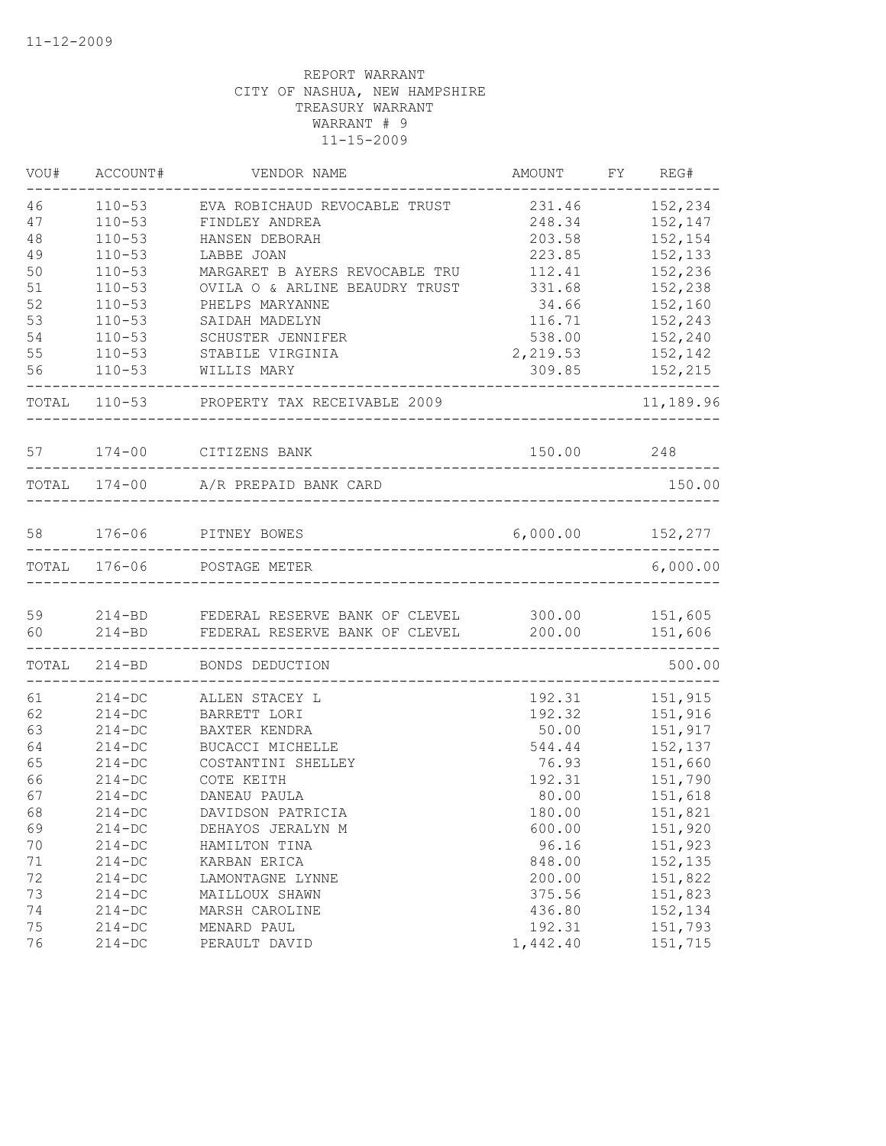| VOU# | ACCOUNT#                           | VENDOR NAME                                                                            | AMOUNT FY REG#             |           |
|------|------------------------------------|----------------------------------------------------------------------------------------|----------------------------|-----------|
| 46   | $110 - 53$                         | EVA ROBICHAUD REVOCABLE TRUST                                                          | 231.46                     | 152,234   |
| 47   | $110 - 53$                         | FINDLEY ANDREA                                                                         | 248.34                     | 152,147   |
| 48   | $110 - 53$                         | HANSEN DEBORAH                                                                         | 203.58                     | 152,154   |
| 49   | $110 - 53$                         | LABBE JOAN                                                                             | 223.85                     | 152,133   |
| 50   | $110 - 53$                         | MARGARET B AYERS REVOCABLE TRU                                                         | 112.41                     | 152,236   |
| 51   | $110 - 53$                         | OVILA O & ARLINE BEAUDRY TRUST                                                         | 331.68                     | 152,238   |
| 52   | $110 - 53$                         | PHELPS MARYANNE                                                                        | 34.66                      | 152,160   |
| 53   | $110 - 53$                         | SAIDAH MADELYN                                                                         | 116.71                     | 152,243   |
| 54   | $110 - 53$                         | SCHUSTER JENNIFER                                                                      | 538.00                     | 152,240   |
| 55   | $110 - 53$                         | STABILE VIRGINIA                                                                       | 2,219.53                   | 152,142   |
| 56   | $110 - 53$                         | WILLIS MARY                                                                            | 309.85                     | 152,215   |
|      |                                    | TOTAL 110-53 PROPERTY TAX RECEIVABLE 2009                                              |                            | 11,189.96 |
|      |                                    | 57 174-00 CITIZENS BANK                                                                | 150.00 248                 |           |
|      |                                    | TOTAL 174-00 A/R PREPAID BANK CARD                                                     |                            | 150.00    |
|      |                                    |                                                                                        |                            |           |
|      |                                    | 58 176-06 PITNEY BOWES<br>___________________________                                  | 6,000.00 152,277           |           |
|      |                                    | TOTAL 176-06 POSTAGE METER<br>-------------------------------------                    | __________________________ | 6,000.00  |
| 59   |                                    |                                                                                        |                            |           |
| 60   | $214 - BD$                         | 214-BD FEDERAL RESERVE BANK OF CLEVEL 300.00 151,605<br>FEDERAL RESERVE BANK OF CLEVEL | 200.00                     | 151,606   |
|      |                                    | _______________________<br>TOTAL 214-BD BONDS DEDUCTION                                |                            | 500.00    |
| 61   | ____________________<br>$214 - DC$ | ALLEN STACEY L                                                                         | 192.31                     | 151,915   |
| 62   | $214-DC$                           | BARRETT LORI                                                                           | 192.32                     | 151,916   |
| 63   | $214-DC$                           | BAXTER KENDRA                                                                          | 50.00                      | 151,917   |
| 64   | $214 - DC$                         | BUCACCI MICHELLE                                                                       | 544.44                     | 152,137   |
| 65   | $214-DC$                           | COSTANTINI SHELLEY                                                                     | 76.93                      | 151,660   |
| 66   | $214-DC$                           | COTE KEITH                                                                             | 192.31                     | 151,790   |
| 67   | $214 - DC$                         | DANEAU PAULA                                                                           | 80.00                      | 151,618   |
| 68   | $214 - DC$                         | DAVIDSON PATRICIA                                                                      | 180.00                     | 151,821   |
| 69   | $214 - DC$                         | DEHAYOS JERALYN M                                                                      | 600.00                     | 151,920   |
| 70   | $214-DC$                           | HAMILTON TINA                                                                          | 96.16                      | 151,923   |
| 71   | $214-DC$                           | KARBAN ERICA                                                                           | 848.00                     | 152,135   |
| 72   | $214 - DC$                         | LAMONTAGNE LYNNE                                                                       | 200.00                     | 151,822   |
| 73   | $214 - DC$                         | MAILLOUX SHAWN                                                                         | 375.56                     | 151,823   |
| 74   | $214 - DC$                         | MARSH CAROLINE                                                                         | 436.80                     | 152,134   |
| 75   | $214 - DC$                         | MENARD PAUL                                                                            | 192.31                     | 151,793   |
| 76   | $214-DC$                           | PERAULT DAVID                                                                          | 1,442.40                   | 151,715   |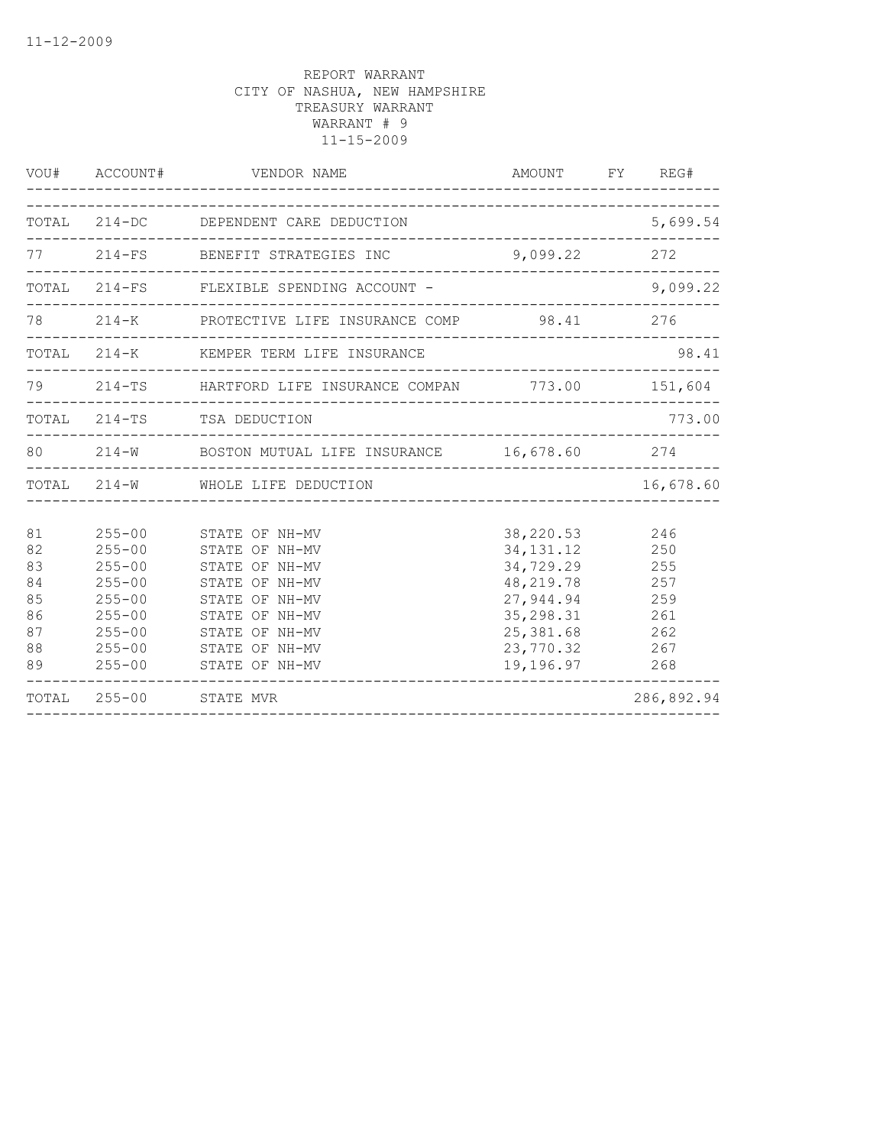|                                                    | VOU# ACCOUNT#                                                                                                              | VENDOR NAME                                                                                                                                                    | AMOUNT FY REG#                                                                                                         |                                                             |
|----------------------------------------------------|----------------------------------------------------------------------------------------------------------------------------|----------------------------------------------------------------------------------------------------------------------------------------------------------------|------------------------------------------------------------------------------------------------------------------------|-------------------------------------------------------------|
|                                                    |                                                                                                                            | TOTAL 214-DC DEPENDENT CARE DEDUCTION                                                                                                                          |                                                                                                                        | 5,699.54                                                    |
|                                                    |                                                                                                                            | 77 214-FS BENEFIT STRATEGIES INC                                                                                                                               | $9,099.22$ 272                                                                                                         |                                                             |
|                                                    |                                                                                                                            | TOTAL 214-FS FLEXIBLE SPENDING ACCOUNT -                                                                                                                       |                                                                                                                        | 9,099.22                                                    |
|                                                    |                                                                                                                            | 78   214-K   PROTECTIVE LIFE INSURANCE COMP   98.41   276                                                                                                      |                                                                                                                        |                                                             |
|                                                    |                                                                                                                            | TOTAL 214-K KEMPER TERM LIFE INSURANCE                                                                                                                         |                                                                                                                        | 98.41                                                       |
| 79                                                 |                                                                                                                            | 214-TS HARTFORD LIFE INSURANCE COMPAN 773.00 151,604                                                                                                           |                                                                                                                        |                                                             |
|                                                    |                                                                                                                            | TOTAL 214-TS TSA DEDUCTION                                                                                                                                     |                                                                                                                        | 773.00                                                      |
|                                                    |                                                                                                                            | 80   214-W   BOSTON MUTUAL LIFE INSURANCE   16,678.60   274                                                                                                    |                                                                                                                        |                                                             |
|                                                    |                                                                                                                            | TOTAL 214-W WHOLE LIFE DEDUCTION                                                                                                                               |                                                                                                                        | 16,678.60                                                   |
| 81<br>82<br>83<br>84<br>85<br>86<br>87<br>88<br>89 | $255 - 00$<br>$255 - 00$<br>$255 - 00$<br>$255 - 00$<br>$255 - 00$<br>$255 - 00$<br>$255 - 00$<br>$255 - 00$<br>$255 - 00$ | STATE OF NH-MV<br>STATE OF NH-MV<br>STATE OF NH-MV<br>STATE OF NH-MV<br>STATE OF NH-MV<br>STATE OF NH-MV<br>STATE OF NH-MV<br>STATE OF NH-MV<br>STATE OF NH-MV | 38,220.53<br>34, 131. 12<br>34,729.29<br>48, 219.78<br>27,944.94<br>35, 298.31<br>25, 381.68<br>23,770.32<br>19,196.97 | 246<br>250<br>255<br>257<br>259<br>261<br>262<br>267<br>268 |
|                                                    | TOTAL 255-00 STATE MVR                                                                                                     |                                                                                                                                                                |                                                                                                                        | 286,892.94                                                  |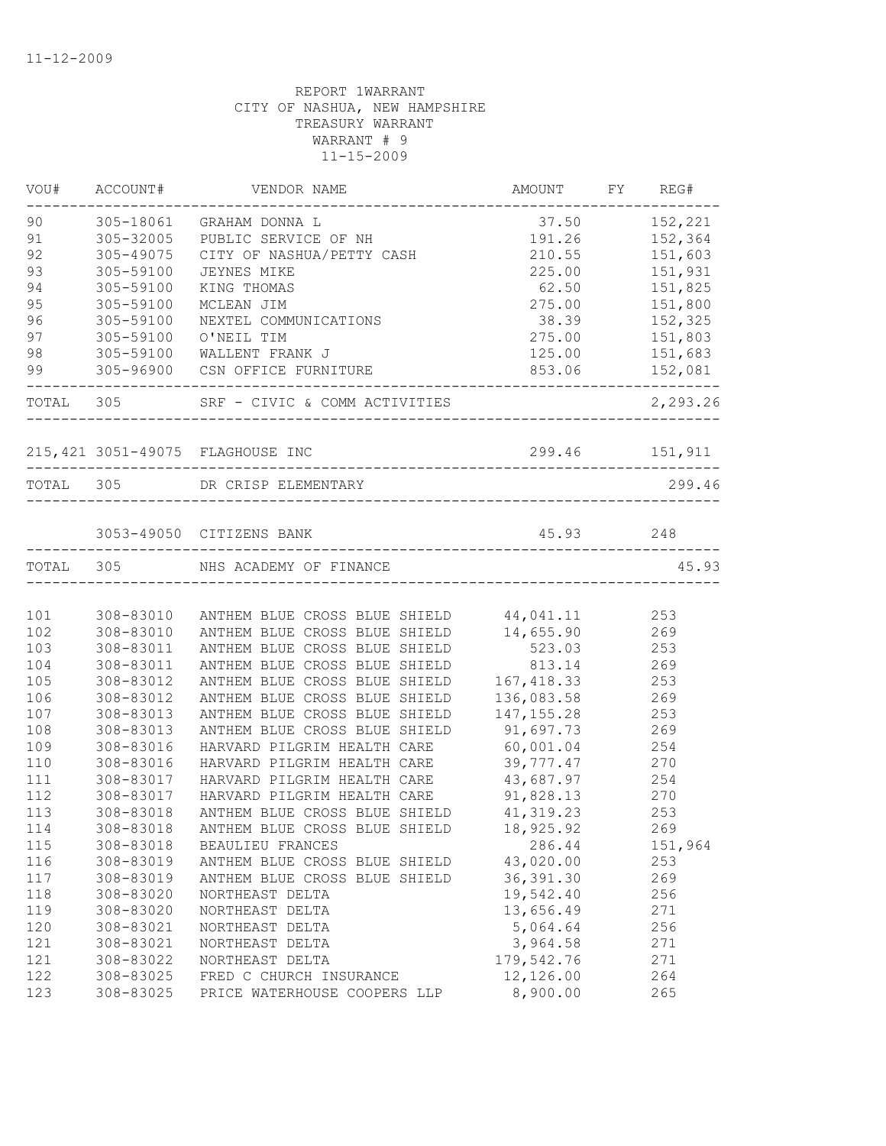|           | VOU# ACCOUNT# | VENDOR NAME                                       | AMOUNT FY REG#  |                 |
|-----------|---------------|---------------------------------------------------|-----------------|-----------------|
| 90        |               | 305-18061 GRAHAM DONNA L                          | 37.50           | 152,221         |
| 91        | 305-32005     | PUBLIC SERVICE OF NH                              | 191.26          | 152,364         |
| 92        | 305-49075     | CITY OF NASHUA/PETTY CASH                         | 210.55          | 151,603         |
| 93        | 305-59100     | JEYNES MIKE                                       | 225.00          | 151,931         |
| 94        | 305-59100     | KING THOMAS                                       | 62.50           | 151,825         |
| 95        | 305-59100     | MCLEAN JIM                                        | 275.00          | 151,800         |
| 96        | 305-59100     | NEXTEL COMMUNICATIONS                             | 38.39           | 152,325         |
| 97        | 305-59100     | O'NEIL TIM                                        | 275.00          | 151,803         |
| 98        | 305-59100     | WALLENT FRANK J                                   | 125.00 151,683  |                 |
| 99        |               | 305-96900 CSN OFFICE FURNITURE                    | 853.06 152,081  |                 |
| TOTAL 305 |               | SRF - CIVIC & COMM ACTIVITIES                     |                 | 2,293.26        |
|           |               |                                                   |                 |                 |
|           |               |                                                   |                 |                 |
|           |               | TOTAL 305 DR CRISP ELEMENTARY                     |                 | 299.46          |
|           |               | 3053-49050 CITIZENS BANK                          | 45.93 248       |                 |
|           |               |                                                   |                 |                 |
| TOTAL 305 |               | NHS ACADEMY OF FINANCE                            |                 | 45.93           |
| 101       |               | 308-83010 ANTHEM BLUE CROSS BLUE SHIELD 44,041.11 |                 | 253             |
| 102       | 308-83010     | ANTHEM BLUE CROSS BLUE SHIELD 14, 655.90 269      |                 |                 |
| 103       | 308-83011     | ANTHEM BLUE CROSS BLUE SHIELD                     | 523.03 253      |                 |
| 104       | 308-83011     | ANTHEM BLUE CROSS BLUE SHIELD                     | 813.14 269      |                 |
| 105       | 308-83012     | ANTHEM BLUE CROSS BLUE SHIELD                     | 167, 418.33 253 |                 |
| 106       | 308-83012     | ANTHEM BLUE CROSS BLUE SHIELD                     | 136,083.58 269  |                 |
| 107       | 308-83013     | ANTHEM BLUE CROSS BLUE SHIELD                     | 147, 155.28     | 253             |
| 108       | 308-83013     | ANTHEM BLUE CROSS BLUE SHIELD                     | 91,697.73       | 269             |
| 109       | 308-83016     | HARVARD PILGRIM HEALTH CARE                       | 60,001.04       | 254             |
| 110       | 308-83016     | HARVARD PILGRIM HEALTH CARE                       | 39,777.47       | $\frac{270}{1}$ |
| 111       | 308-83017     | HARVARD PILGRIM HEALTH CARE                       | 43,687.97       | 254             |
| 112       | 308-83017     | HARVARD PILGRIM HEALTH CARE                       | 91,828.13       | 270             |
| 113       | 308-83018     | ANTHEM BLUE CROSS BLUE SHIELD 41, 319.23 253      |                 |                 |
| 114       | 308-83018     | ANTHEM BLUE CROSS BLUE SHIELD                     | 18,925.92       | 269             |
| 115       | 308-83018     | BEAULIEU FRANCES                                  | 286.44          | 151,964         |
| 116       | 308-83019     | ANTHEM BLUE CROSS BLUE SHIELD                     | 43,020.00       | 253             |
| 117       | 308-83019     | ANTHEM BLUE CROSS BLUE SHIELD                     | 36, 391.30      | 269             |
| 118       | 308-83020     | NORTHEAST DELTA                                   | 19,542.40       | 256             |
| 119       | 308-83020     | NORTHEAST DELTA                                   | 13,656.49       | 271             |
| 120       | 308-83021     | NORTHEAST DELTA                                   | 5,064.64        | 256             |
| 121       | 308-83021     | NORTHEAST DELTA                                   | 3,964.58        | 271             |
| 121       | 308-83022     | NORTHEAST DELTA                                   | 179,542.76      | 271             |
| 122       | 308-83025     | FRED C CHURCH INSURANCE                           | 12,126.00       | 264             |
| 123       | 308-83025     | PRICE WATERHOUSE COOPERS LLP                      | 8,900.00        | 265             |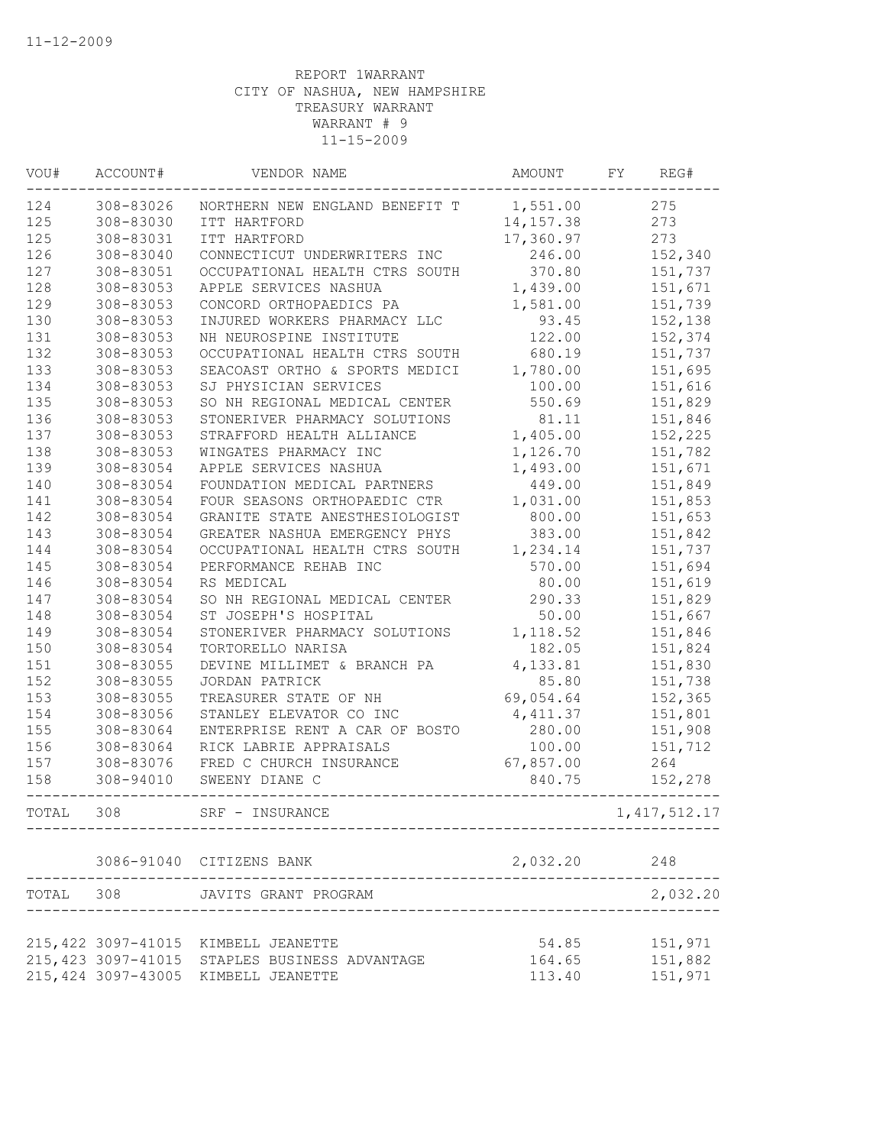| VOU#  | ACCOUNT#            | VENDOR NAME                                    | AMOUNT     | FY<br>REG#     |
|-------|---------------------|------------------------------------------------|------------|----------------|
| 124   | 308-83026           | NORTHERN NEW ENGLAND BENEFIT T                 | 1,551.00   | 275            |
| 125   | 308-83030           | ITT HARTFORD                                   | 14, 157.38 | 273            |
| 125   | 308-83031           | ITT HARTFORD                                   | 17,360.97  | 273            |
| 126   | 308-83040           | CONNECTICUT UNDERWRITERS INC                   | 246.00     | 152,340        |
| 127   | 308-83051           | OCCUPATIONAL HEALTH CTRS SOUTH                 | 370.80     | 151,737        |
| 128   | 308-83053           | APPLE SERVICES NASHUA                          | 1,439.00   | 151,671        |
| 129   | 308-83053           | CONCORD ORTHOPAEDICS PA                        | 1,581.00   | 151,739        |
| 130   | 308-83053           | INJURED WORKERS PHARMACY LLC                   | 93.45      | 152,138        |
| 131   | 308-83053           | NH NEUROSPINE INSTITUTE                        | 122.00     | 152,374        |
| 132   | 308-83053           | OCCUPATIONAL HEALTH CTRS SOUTH                 | 680.19     | 151,737        |
| 133   | 308-83053           | SEACOAST ORTHO & SPORTS MEDICI                 | 1,780.00   | 151,695        |
| 134   | 308-83053           | SJ PHYSICIAN SERVICES                          | 100.00     | 151,616        |
| 135   | 308-83053           | SO NH REGIONAL MEDICAL CENTER                  | 550.69     | 151,829        |
| 136   | 308-83053           | STONERIVER PHARMACY SOLUTIONS                  | 81.11      | 151,846        |
| 137   | 308-83053           | STRAFFORD HEALTH ALLIANCE                      | 1,405.00   | 152,225        |
| 138   | 308-83053           | WINGATES PHARMACY INC                          | 1,126.70   | 151,782        |
| 139   | 308-83054           | APPLE SERVICES NASHUA                          | 1,493.00   | 151,671        |
| 140   | 308-83054           | FOUNDATION MEDICAL PARTNERS                    | 449.00     | 151,849        |
| 141   | 308-83054           | FOUR SEASONS ORTHOPAEDIC CTR                   | 1,031.00   | 151,853        |
| 142   | 308-83054           | GRANITE STATE ANESTHESIOLOGIST                 | 800.00     | 151,653        |
| 143   | 308-83054           | GREATER NASHUA EMERGENCY PHYS                  | 383.00     | 151,842        |
| 144   | 308-83054           | OCCUPATIONAL HEALTH CTRS SOUTH                 | 1,234.14   | 151,737        |
| 145   | 308-83054           | PERFORMANCE REHAB INC                          | 570.00     | 151,694        |
| 146   | 308-83054           | RS MEDICAL                                     | 80.00      | 151,619        |
| 147   | 308-83054           | SO NH REGIONAL MEDICAL CENTER                  | 290.33     | 151,829        |
| 148   | 308-83054           | ST JOSEPH'S HOSPITAL                           | 50.00      | 151,667        |
| 149   | 308-83054           | STONERIVER PHARMACY SOLUTIONS                  | 1,118.52   | 151,846        |
| 150   | 308-83054           | TORTORELLO NARISA                              | 182.05     | 151,824        |
| 151   | 308-83055           | DEVINE MILLIMET & BRANCH PA                    | 4,133.81   | 151,830        |
| 152   | 308-83055           | JORDAN PATRICK                                 | 85.80      | 151,738        |
| 153   | 308-83055           | TREASURER STATE OF NH                          | 69,054.64  | 152,365        |
| 154   | 308-83056           | STANLEY ELEVATOR CO INC                        | 4, 411.37  | 151,801        |
| 155   | 308-83064           | ENTERPRISE RENT A CAR OF BOSTO                 | 280.00     | 151,908        |
| 156   | 308-83064           | RICK LABRIE APPRAISALS                         | 100.00     | 151,712        |
| 157   | 308-83076           | FRED C CHURCH INSURANCE                        | 67,857.00  | 264            |
| 158   | 308-94010           | SWEENY DIANE C                                 | 840.75     | 152,278        |
| TOTAL | 308                 | SRF - INSURANCE                                |            | 1, 417, 512.17 |
|       |                     | 3086-91040 CITIZENS BANK                       | 2,032.20   | 248            |
|       |                     | TOTAL 308 JAVITS GRANT PROGRAM                 |            | 2,032.20       |
|       |                     |                                                |            |                |
|       |                     | 215, 422 3097-41015 KIMBELL JEANETTE           | 54.85      | 151,971        |
|       |                     | 215, 423 3097-41015 STAPLES BUSINESS ADVANTAGE | 164.65     | 151,882        |
|       | 215, 424 3097-43005 | KIMBELL JEANETTE                               | 113.40     | 151,971        |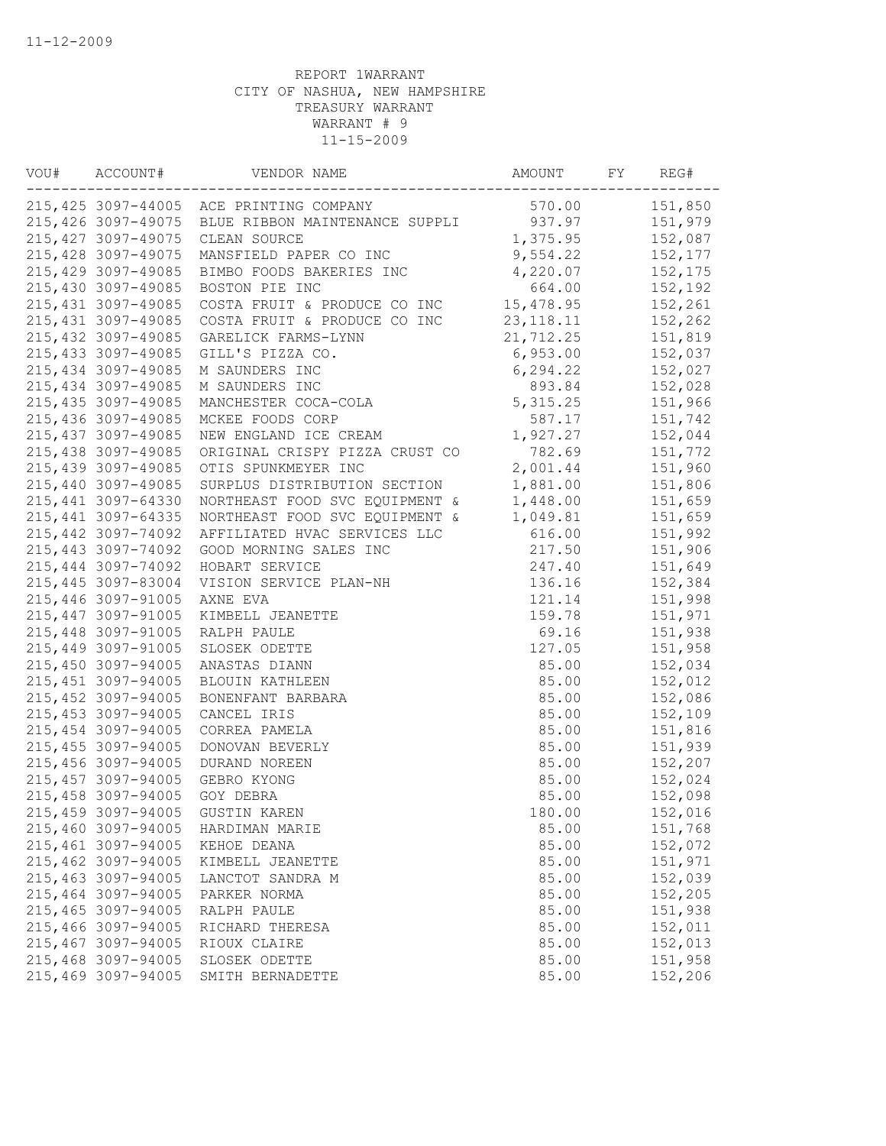| VOU# | ACCOUNT#            | VENDOR NAME                             | AMOUNT      | FY | REG#    |
|------|---------------------|-----------------------------------------|-------------|----|---------|
|      |                     | 215,425 3097-44005 ACE PRINTING COMPANY | 570.00      |    | 151,850 |
|      | 215,426 3097-49075  | BLUE RIBBON MAINTENANCE SUPPLI          | 937.97      |    | 151,979 |
|      | 215, 427 3097-49075 | CLEAN SOURCE                            | 1,375.95    |    | 152,087 |
|      | 215,428 3097-49075  | MANSFIELD PAPER CO INC                  | 9,554.22    |    | 152,177 |
|      | 215,429 3097-49085  | BIMBO FOODS BAKERIES INC                | 4,220.07    |    | 152,175 |
|      | 215,430 3097-49085  | BOSTON PIE INC                          | 664.00      |    | 152,192 |
|      | 215, 431 3097-49085 | COSTA FRUIT & PRODUCE CO INC            | 15,478.95   |    | 152,261 |
|      | 215, 431 3097-49085 | COSTA FRUIT & PRODUCE CO INC            | 23, 118. 11 |    | 152,262 |
|      | 215,432 3097-49085  | GARELICK FARMS-LYNN                     | 21,712.25   |    | 151,819 |
|      | 215, 433 3097-49085 | GILL'S PIZZA CO.                        | 6,953.00    |    | 152,037 |
|      | 215, 434 3097-49085 | M SAUNDERS INC                          | 6,294.22    |    | 152,027 |
|      | 215,434 3097-49085  | M SAUNDERS INC                          | 893.84      |    | 152,028 |
|      | 215, 435 3097-49085 | MANCHESTER COCA-COLA                    | 5, 315.25   |    | 151,966 |
|      | 215,436 3097-49085  | MCKEE FOODS CORP                        | 587.17      |    | 151,742 |
|      | 215, 437 3097-49085 | NEW ENGLAND ICE CREAM                   | 1,927.27    |    | 152,044 |
|      | 215,438 3097-49085  | ORIGINAL CRISPY PIZZA CRUST CO          | 782.69      |    | 151,772 |
|      | 215,439 3097-49085  | OTIS SPUNKMEYER INC                     | 2,001.44    |    | 151,960 |
|      | 215,440 3097-49085  | SURPLUS DISTRIBUTION SECTION            | 1,881.00    |    | 151,806 |
|      | 215,441 3097-64330  | NORTHEAST FOOD SVC EQUIPMENT &          | 1,448.00    |    | 151,659 |
|      | 215, 441 3097-64335 | NORTHEAST FOOD SVC EQUIPMENT &          | 1,049.81    |    | 151,659 |
|      | 215,442 3097-74092  | AFFILIATED HVAC SERVICES LLC            | 616.00      |    | 151,992 |
|      | 215,443 3097-74092  | GOOD MORNING SALES INC                  | 217.50      |    | 151,906 |
|      | 215,444 3097-74092  | HOBART SERVICE                          | 247.40      |    | 151,649 |
|      | 215,445 3097-83004  | VISION SERVICE PLAN-NH                  | 136.16      |    | 152,384 |
|      | 215,446 3097-91005  | AXNE EVA                                | 121.14      |    | 151,998 |
|      | 215,447 3097-91005  | KIMBELL JEANETTE                        | 159.78      |    | 151,971 |
|      | 215,448 3097-91005  | RALPH PAULE                             | 69.16       |    | 151,938 |
|      | 215,449 3097-91005  |                                         | 127.05      |    | 151,958 |
|      | 215,450 3097-94005  | SLOSEK ODETTE                           |             |    |         |
|      |                     | ANASTAS DIANN                           | 85.00       |    | 152,034 |
|      | 215,451 3097-94005  | BLOUIN KATHLEEN                         | 85.00       |    | 152,012 |
|      | 215,452 3097-94005  | BONENFANT BARBARA                       | 85.00       |    | 152,086 |
|      | 215,453 3097-94005  | CANCEL IRIS                             | 85.00       |    | 152,109 |
|      | 215,454 3097-94005  | CORREA PAMELA                           | 85.00       |    | 151,816 |
|      | 215,455 3097-94005  | DONOVAN BEVERLY                         | 85.00       |    | 151,939 |
|      | 215,456 3097-94005  | DURAND NOREEN                           | 85.00       |    | 152,207 |
|      | 215,457 3097-94005  | GEBRO KYONG                             | 85.00       |    | 152,024 |
|      | 215,458 3097-94005  | GOY DEBRA                               | 85.00       |    | 152,098 |
|      | 215,459 3097-94005  | <b>GUSTIN KAREN</b>                     | 180.00      |    | 152,016 |
|      | 215,460 3097-94005  | HARDIMAN MARIE                          | 85.00       |    | 151,768 |
|      | 215,461 3097-94005  | KEHOE DEANA                             | 85.00       |    | 152,072 |
|      | 215,462 3097-94005  | KIMBELL JEANETTE                        | 85.00       |    | 151,971 |
|      | 215,463 3097-94005  | LANCTOT SANDRA M                        | 85.00       |    | 152,039 |
|      | 215,464 3097-94005  | PARKER NORMA                            | 85.00       |    | 152,205 |
|      | 215,465 3097-94005  | RALPH PAULE                             | 85.00       |    | 151,938 |
|      | 215,466 3097-94005  | RICHARD THERESA                         | 85.00       |    | 152,011 |
|      | 215,467 3097-94005  | RIOUX CLAIRE                            | 85.00       |    | 152,013 |
|      | 215,468 3097-94005  | SLOSEK ODETTE                           | 85.00       |    | 151,958 |
|      | 215,469 3097-94005  | SMITH BERNADETTE                        | 85.00       |    | 152,206 |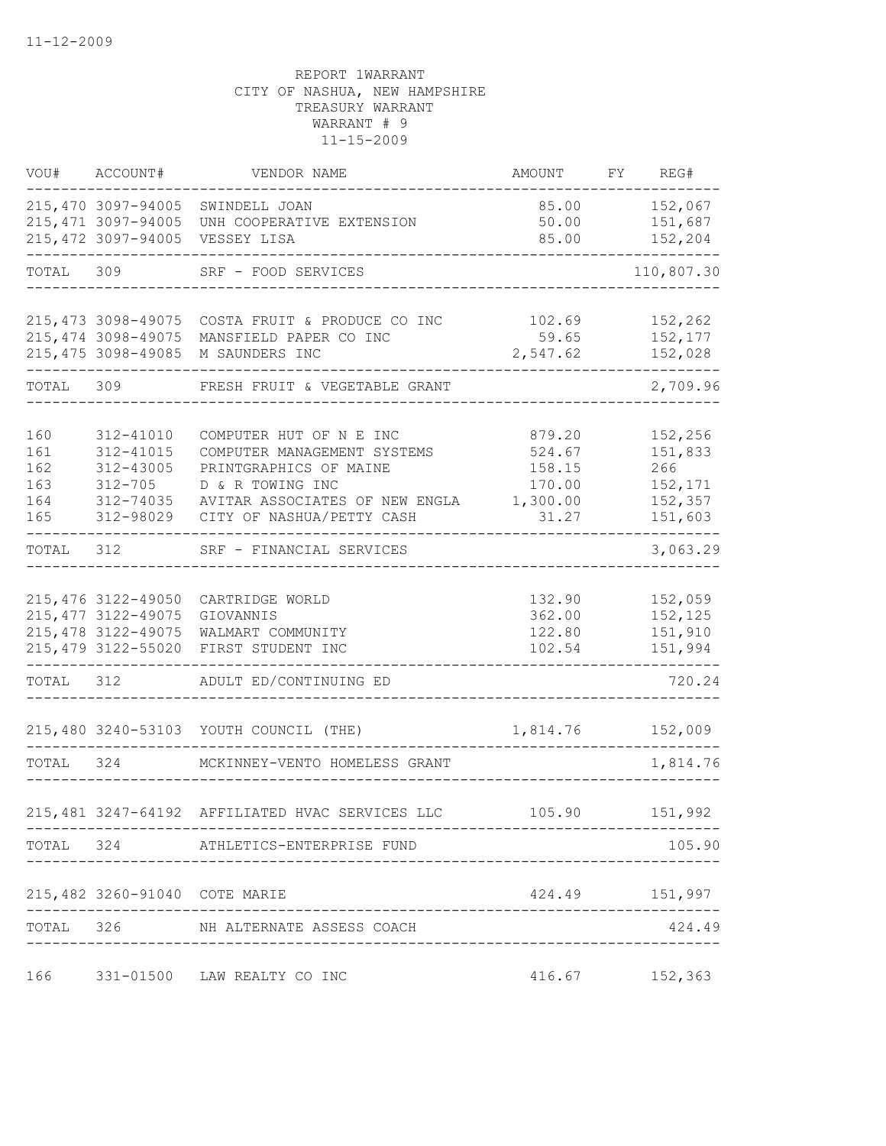|                                        | VOU# ACCOUNT#                                                                            | VENDOR NAME                                                                                                                                                         | AMOUNT                                                    | FY | REG#                                                       |
|----------------------------------------|------------------------------------------------------------------------------------------|---------------------------------------------------------------------------------------------------------------------------------------------------------------------|-----------------------------------------------------------|----|------------------------------------------------------------|
|                                        | 215,470 3097-94005<br>215, 471 3097-94005<br>215,472 3097-94005                          | SWINDELL JOAN<br>UNH COOPERATIVE EXTENSION<br>VESSEY LISA                                                                                                           | 85.00<br>50.00<br>85.00                                   |    | 152,067<br>151,687<br>152,204                              |
| TOTAL                                  | 309                                                                                      | SRF - FOOD SERVICES                                                                                                                                                 |                                                           |    | 110,807.30                                                 |
|                                        | 215, 474 3098-49075<br>215, 475 3098-49085                                               | 215,473 3098-49075 COSTA FRUIT & PRODUCE CO INC<br>MANSFIELD PAPER CO INC<br>M SAUNDERS INC                                                                         | 102.69<br>59.65<br>2,547.62                               |    | 152,262<br>152,177<br>152,028                              |
| TOTAL 309                              |                                                                                          | FRESH FRUIT & VEGETABLE GRANT                                                                                                                                       |                                                           |    | 2,709.96                                                   |
| 160<br>161<br>162<br>163<br>164<br>165 | 312-41010<br>312-41015<br>312-43005<br>$312 - 705$<br>312-74035<br>312-98029             | COMPUTER HUT OF N E INC<br>COMPUTER MANAGEMENT SYSTEMS<br>PRINTGRAPHICS OF MAINE<br>D & R TOWING INC<br>AVITAR ASSOCIATES OF NEW ENGLA<br>CITY OF NASHUA/PETTY CASH | 879.20<br>524.67<br>158.15<br>170.00<br>1,300.00<br>31.27 |    | 152,256<br>151,833<br>266<br>152,171<br>152,357<br>151,603 |
| TOTAL                                  | 312                                                                                      | SRF - FINANCIAL SERVICES                                                                                                                                            |                                                           |    | 3,063.29                                                   |
| TOTAL 312                              | 215, 476 3122-49050<br>215, 477 3122-49075<br>215, 478 3122-49075<br>215, 479 3122-55020 | CARTRIDGE WORLD<br>GIOVANNIS<br>WALMART COMMUNITY<br>FIRST STUDENT INC<br>ADULT ED/CONTINUING ED                                                                    | 132.90<br>362.00<br>122.80<br>102.54                      |    | 152,059<br>152,125<br>151,910<br>151,994<br>720.24         |
|                                        |                                                                                          | 215,480 3240-53103 YOUTH COUNCIL (THE)                                                                                                                              | 1,814.76                                                  |    | 152,009                                                    |
| TOTAL                                  | 324                                                                                      | MCKINNEY-VENTO HOMELESS GRANT                                                                                                                                       |                                                           |    | 1,814.76                                                   |
|                                        |                                                                                          | 215,481 3247-64192 AFFILIATED HVAC SERVICES LLC                                                                                                                     | 105.90                                                    |    | 151,992                                                    |
|                                        |                                                                                          | TOTAL 324 ATHLETICS-ENTERPRISE FUND                                                                                                                                 | --------------------------                                |    | 105.90                                                     |
|                                        | 215,482 3260-91040 COTE MARIE                                                            |                                                                                                                                                                     |                                                           |    | 424.49 151,997                                             |
|                                        |                                                                                          | TOTAL 326 NH ALTERNATE ASSESS COACH                                                                                                                                 |                                                           |    | 424.49                                                     |
| 166                                    |                                                                                          | 331-01500 LAW REALTY CO INC                                                                                                                                         | 416.67                                                    |    | 152,363                                                    |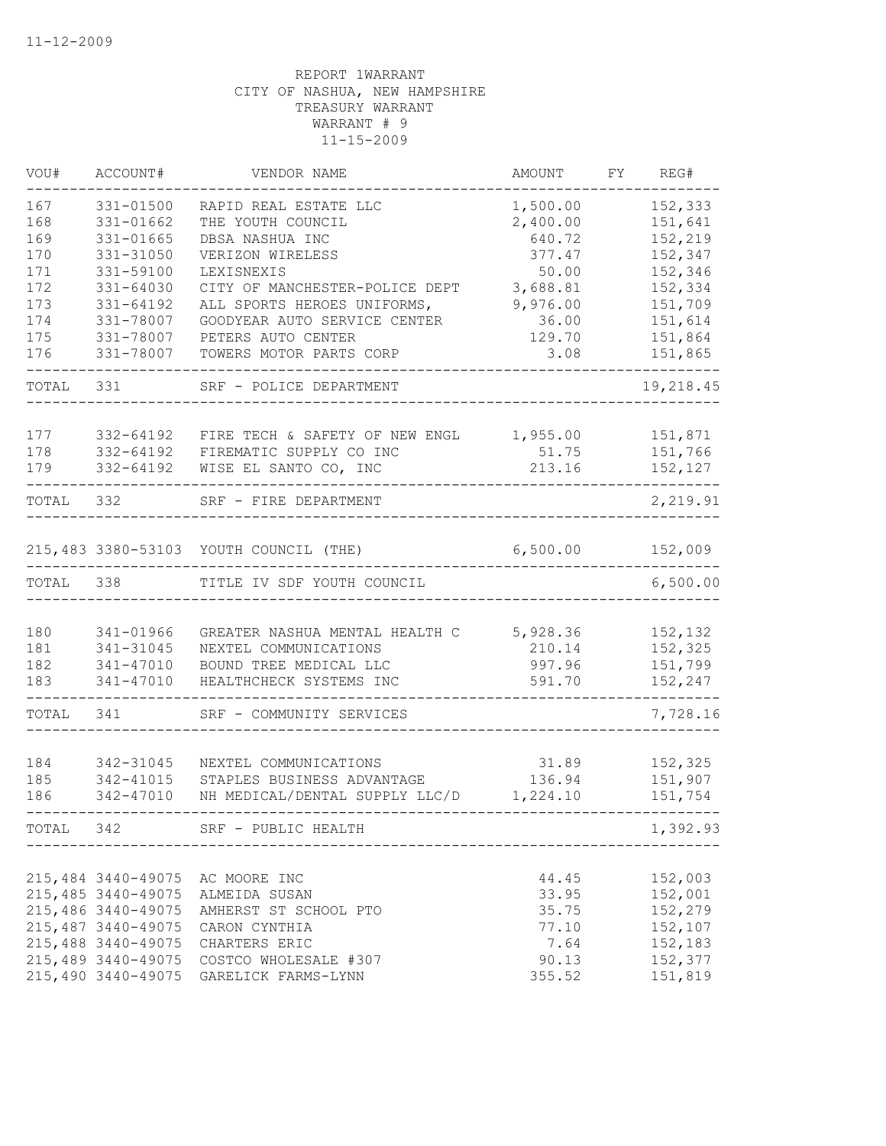| VOU#       | ACCOUNT#                                 | VENDOR NAME                                                 | AMOUNT            | FY | REG#               |
|------------|------------------------------------------|-------------------------------------------------------------|-------------------|----|--------------------|
| 167        | 331-01500                                | RAPID REAL ESTATE LLC                                       | 1,500.00          |    | 152,333            |
| 168        | 331-01662                                | THE YOUTH COUNCIL                                           | 2,400.00          |    | 151,641            |
| 169        | 331-01665                                | DBSA NASHUA INC                                             | 640.72            |    | 152,219            |
| 170        | 331-31050                                | VERIZON WIRELESS                                            | 377.47            |    | 152,347            |
| 171        | 331-59100                                | LEXISNEXIS                                                  | 50.00             |    | 152,346            |
| 172        | 331-64030                                | CITY OF MANCHESTER-POLICE DEPT                              | 3,688.81          |    | 152,334            |
| 173<br>174 | 331-64192<br>331-78007                   | ALL SPORTS HEROES UNIFORMS,<br>GOODYEAR AUTO SERVICE CENTER | 9,976.00<br>36.00 |    | 151,709<br>151,614 |
| 175        | 331-78007                                | PETERS AUTO CENTER                                          | 129.70            |    | 151,864            |
| 176        | 331-78007                                | TOWERS MOTOR PARTS CORP                                     | 3.08              |    | 151,865            |
| TOTAL      | 331                                      | SRF - POLICE DEPARTMENT                                     |                   |    | 19,218.45          |
| 177        | 332-64192                                | FIRE TECH & SAFETY OF NEW ENGL                              |                   |    | 151,871            |
| 178        | 332-64192                                | FIREMATIC SUPPLY CO INC                                     | 1,955.00<br>51.75 |    | 151,766            |
| 179        | 332-64192                                | WISE EL SANTO CO, INC                                       | 213.16            |    | 152,127            |
| TOTAL      | 332                                      | SRF - FIRE DEPARTMENT                                       |                   |    | 2,219.91           |
|            |                                          | 215,483 3380-53103 YOUTH COUNCIL (THE)                      | 6,500.00          |    | 152,009            |
| TOTAL      | 338                                      | TITLE IV SDF YOUTH COUNCIL                                  |                   |    | 6,500.00           |
|            |                                          |                                                             |                   |    |                    |
| 180        | 341-01966                                | GREATER NASHUA MENTAL HEALTH C                              | 5,928.36          |    | 152,132            |
| 181        | 341-31045                                | NEXTEL COMMUNICATIONS                                       | 210.14            |    | 152,325            |
| 182        | 341-47010                                | BOUND TREE MEDICAL LLC                                      | 997.96            |    | 151,799            |
| 183        | 341-47010                                | HEALTHCHECK SYSTEMS INC                                     | 591.70            |    | 152,247            |
| TOTAL      | 341                                      | SRF - COMMUNITY SERVICES                                    |                   |    | 7,728.16           |
|            |                                          |                                                             |                   |    |                    |
| 184        | 342-31045                                | NEXTEL COMMUNICATIONS                                       | 31.89             |    | 152,325            |
| 185        | 342-41015                                | STAPLES BUSINESS ADVANTAGE                                  | 136.94            |    | 151,907            |
| 186        | 342-47010                                | NH MEDICAL/DENTAL SUPPLY LLC/D                              | 1,224.10          |    | 151,754            |
| TOTAL      | 342                                      | SRF - PUBLIC HEALTH                                         |                   |    | 1,392.93           |
|            |                                          |                                                             |                   |    |                    |
|            | 215,484 3440-49075<br>215,485 3440-49075 | AC MOORE INC<br>ALMEIDA SUSAN                               | 44.45<br>33.95    |    | 152,003<br>152,001 |
|            | 215,486 3440-49075                       | AMHERST ST SCHOOL PTO                                       | 35.75             |    | 152,279            |
|            | 215, 487 3440-49075                      | CARON CYNTHIA                                               | 77.10             |    | 152,107            |
|            | 215,488 3440-49075                       | CHARTERS ERIC                                               | 7.64              |    | 152,183            |
|            | 215,489 3440-49075                       | COSTCO WHOLESALE #307                                       | 90.13             |    | 152,377            |
|            | 215,490 3440-49075                       | GARELICK FARMS-LYNN                                         | 355.52            |    | 151,819            |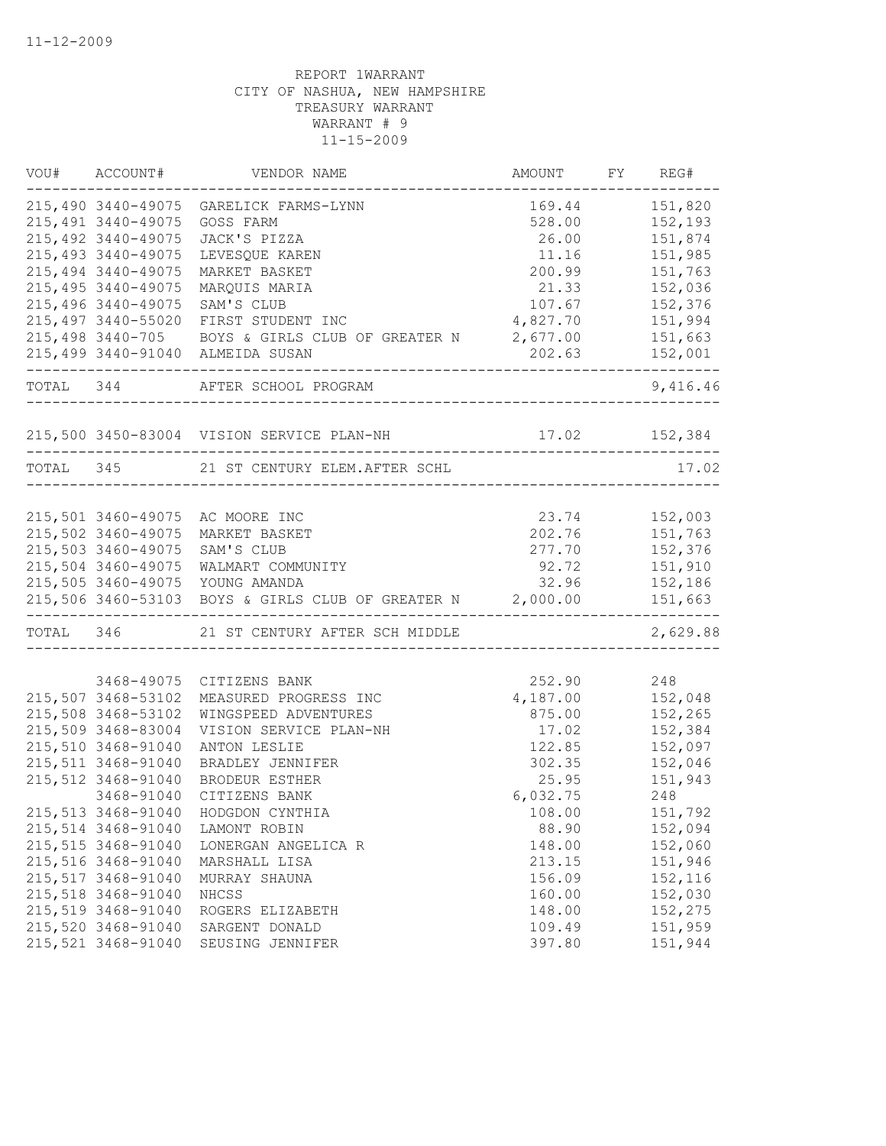| 151,820<br>215,490 3440-49075 GARELICK FARMS-LYNN<br>169.44<br>215, 491 3440-49075<br>528.00<br>152,193<br>GOSS FARM<br>215, 492 3440-49075<br>151,874<br>JACK'S PIZZA<br>26.00<br>215, 493 3440-49075<br>151,985<br>LEVESQUE KAREN<br>11.16<br>215, 494 3440-49075<br>200.99<br>MARKET BASKET<br>151,763<br>215, 495 3440-49075<br>21.33<br>152,036<br>MARQUIS MARIA<br>215,496 3440-49075<br>152,376<br>SAM'S CLUB<br>107.67<br>215,497 3440-55020 FIRST STUDENT INC<br>4,827.70<br>151,994<br>215,498 3440-705 BOYS & GIRLS CLUB OF GREATER N 2,677.00<br>151,663<br>215,499 3440-91040 ALMEIDA SUSAN<br>202.63<br>152,001<br>------------------------------<br>TOTAL 344 AFTER SCHOOL PROGRAM<br>9,416.46<br>215,500 3450-83004 VISION SERVICE PLAN-NH 17.02 152,384<br>TOTAL 345 21 ST CENTURY ELEM. AFTER SCHL<br>17.02<br>215,501 3460-49075 AC MOORE INC<br>23.74 152,003<br>215,502 3460-49075<br>202.76 151,763<br>MARKET BASKET<br>215,503 3460-49075<br>277.70<br>152,376<br>SAM'S CLUB<br>215,504 3460-49075<br>WALMART COMMUNITY<br>92.72<br>151,910<br>215,505 3460-49075 YOUNG AMANDA<br>32.96<br>152,186<br>215,506 3460-53103 BOYS & GIRLS CLUB OF GREATER N 2,000.00<br>151,663<br>TOTAL 346 21 ST CENTURY AFTER SCH MIDDLE<br>3468-49075<br>252.90<br>CITIZENS BANK<br>248<br>215,507 3468-53102<br>4,187.00<br>152,048<br>MEASURED PROGRESS INC<br>152,265<br>215,508 3468-53102<br>WINGSPEED ADVENTURES<br>875.00<br>215,509 3468-83004<br>17.02<br>152,384<br>VISION SERVICE PLAN-NH<br>215,510 3468-91040<br>122.85<br>152,097<br>ANTON LESLIE<br>215,511 3468-91040<br>302.35<br>152,046<br>BRADLEY JENNIFER<br>215,512 3468-91040<br><b>BRODEUR ESTHER</b><br>25.95<br>151,943<br>3468-91040<br>CITIZENS BANK<br>6,032.75<br>248<br>215,513 3468-91040<br>HODGDON CYNTHIA<br>108.00<br>151,792<br>215,514 3468-91040<br>88.90<br>152,094<br>LAMONT ROBIN<br>215,515 3468-91040<br>148.00<br>152,060<br>LONERGAN ANGELICA R<br>215,516 3468-91040<br>213.15<br>151,946<br>MARSHALL LISA<br>215,517 3468-91040<br>156.09<br>152,116<br>MURRAY SHAUNA<br>215,518 3468-91040<br>152,030<br>NHCSS<br>160.00<br>215,519 3468-91040<br>152,275<br>ROGERS ELIZABETH<br>148.00<br>215,520 3468-91040<br>109.49<br>151,959<br>SARGENT DONALD<br>215,521 3468-91040<br>397.80<br>151,944<br>SEUSING JENNIFER | VOU# | ACCOUNT# | VENDOR NAME | AMOUNT FY REG# |          |
|-----------------------------------------------------------------------------------------------------------------------------------------------------------------------------------------------------------------------------------------------------------------------------------------------------------------------------------------------------------------------------------------------------------------------------------------------------------------------------------------------------------------------------------------------------------------------------------------------------------------------------------------------------------------------------------------------------------------------------------------------------------------------------------------------------------------------------------------------------------------------------------------------------------------------------------------------------------------------------------------------------------------------------------------------------------------------------------------------------------------------------------------------------------------------------------------------------------------------------------------------------------------------------------------------------------------------------------------------------------------------------------------------------------------------------------------------------------------------------------------------------------------------------------------------------------------------------------------------------------------------------------------------------------------------------------------------------------------------------------------------------------------------------------------------------------------------------------------------------------------------------------------------------------------------------------------------------------------------------------------------------------------------------------------------------------------------------------------------------------------------------------------------------------------------------------------------------------------------------------------------------------------------------------------------------------------------------|------|----------|-------------|----------------|----------|
|                                                                                                                                                                                                                                                                                                                                                                                                                                                                                                                                                                                                                                                                                                                                                                                                                                                                                                                                                                                                                                                                                                                                                                                                                                                                                                                                                                                                                                                                                                                                                                                                                                                                                                                                                                                                                                                                                                                                                                                                                                                                                                                                                                                                                                                                                                                             |      |          |             |                |          |
|                                                                                                                                                                                                                                                                                                                                                                                                                                                                                                                                                                                                                                                                                                                                                                                                                                                                                                                                                                                                                                                                                                                                                                                                                                                                                                                                                                                                                                                                                                                                                                                                                                                                                                                                                                                                                                                                                                                                                                                                                                                                                                                                                                                                                                                                                                                             |      |          |             |                |          |
|                                                                                                                                                                                                                                                                                                                                                                                                                                                                                                                                                                                                                                                                                                                                                                                                                                                                                                                                                                                                                                                                                                                                                                                                                                                                                                                                                                                                                                                                                                                                                                                                                                                                                                                                                                                                                                                                                                                                                                                                                                                                                                                                                                                                                                                                                                                             |      |          |             |                |          |
|                                                                                                                                                                                                                                                                                                                                                                                                                                                                                                                                                                                                                                                                                                                                                                                                                                                                                                                                                                                                                                                                                                                                                                                                                                                                                                                                                                                                                                                                                                                                                                                                                                                                                                                                                                                                                                                                                                                                                                                                                                                                                                                                                                                                                                                                                                                             |      |          |             |                |          |
|                                                                                                                                                                                                                                                                                                                                                                                                                                                                                                                                                                                                                                                                                                                                                                                                                                                                                                                                                                                                                                                                                                                                                                                                                                                                                                                                                                                                                                                                                                                                                                                                                                                                                                                                                                                                                                                                                                                                                                                                                                                                                                                                                                                                                                                                                                                             |      |          |             |                |          |
|                                                                                                                                                                                                                                                                                                                                                                                                                                                                                                                                                                                                                                                                                                                                                                                                                                                                                                                                                                                                                                                                                                                                                                                                                                                                                                                                                                                                                                                                                                                                                                                                                                                                                                                                                                                                                                                                                                                                                                                                                                                                                                                                                                                                                                                                                                                             |      |          |             |                |          |
|                                                                                                                                                                                                                                                                                                                                                                                                                                                                                                                                                                                                                                                                                                                                                                                                                                                                                                                                                                                                                                                                                                                                                                                                                                                                                                                                                                                                                                                                                                                                                                                                                                                                                                                                                                                                                                                                                                                                                                                                                                                                                                                                                                                                                                                                                                                             |      |          |             |                |          |
|                                                                                                                                                                                                                                                                                                                                                                                                                                                                                                                                                                                                                                                                                                                                                                                                                                                                                                                                                                                                                                                                                                                                                                                                                                                                                                                                                                                                                                                                                                                                                                                                                                                                                                                                                                                                                                                                                                                                                                                                                                                                                                                                                                                                                                                                                                                             |      |          |             |                |          |
|                                                                                                                                                                                                                                                                                                                                                                                                                                                                                                                                                                                                                                                                                                                                                                                                                                                                                                                                                                                                                                                                                                                                                                                                                                                                                                                                                                                                                                                                                                                                                                                                                                                                                                                                                                                                                                                                                                                                                                                                                                                                                                                                                                                                                                                                                                                             |      |          |             |                |          |
|                                                                                                                                                                                                                                                                                                                                                                                                                                                                                                                                                                                                                                                                                                                                                                                                                                                                                                                                                                                                                                                                                                                                                                                                                                                                                                                                                                                                                                                                                                                                                                                                                                                                                                                                                                                                                                                                                                                                                                                                                                                                                                                                                                                                                                                                                                                             |      |          |             |                |          |
|                                                                                                                                                                                                                                                                                                                                                                                                                                                                                                                                                                                                                                                                                                                                                                                                                                                                                                                                                                                                                                                                                                                                                                                                                                                                                                                                                                                                                                                                                                                                                                                                                                                                                                                                                                                                                                                                                                                                                                                                                                                                                                                                                                                                                                                                                                                             |      |          |             |                |          |
|                                                                                                                                                                                                                                                                                                                                                                                                                                                                                                                                                                                                                                                                                                                                                                                                                                                                                                                                                                                                                                                                                                                                                                                                                                                                                                                                                                                                                                                                                                                                                                                                                                                                                                                                                                                                                                                                                                                                                                                                                                                                                                                                                                                                                                                                                                                             |      |          |             |                |          |
|                                                                                                                                                                                                                                                                                                                                                                                                                                                                                                                                                                                                                                                                                                                                                                                                                                                                                                                                                                                                                                                                                                                                                                                                                                                                                                                                                                                                                                                                                                                                                                                                                                                                                                                                                                                                                                                                                                                                                                                                                                                                                                                                                                                                                                                                                                                             |      |          |             |                |          |
|                                                                                                                                                                                                                                                                                                                                                                                                                                                                                                                                                                                                                                                                                                                                                                                                                                                                                                                                                                                                                                                                                                                                                                                                                                                                                                                                                                                                                                                                                                                                                                                                                                                                                                                                                                                                                                                                                                                                                                                                                                                                                                                                                                                                                                                                                                                             |      |          |             |                |          |
|                                                                                                                                                                                                                                                                                                                                                                                                                                                                                                                                                                                                                                                                                                                                                                                                                                                                                                                                                                                                                                                                                                                                                                                                                                                                                                                                                                                                                                                                                                                                                                                                                                                                                                                                                                                                                                                                                                                                                                                                                                                                                                                                                                                                                                                                                                                             |      |          |             |                |          |
|                                                                                                                                                                                                                                                                                                                                                                                                                                                                                                                                                                                                                                                                                                                                                                                                                                                                                                                                                                                                                                                                                                                                                                                                                                                                                                                                                                                                                                                                                                                                                                                                                                                                                                                                                                                                                                                                                                                                                                                                                                                                                                                                                                                                                                                                                                                             |      |          |             |                |          |
|                                                                                                                                                                                                                                                                                                                                                                                                                                                                                                                                                                                                                                                                                                                                                                                                                                                                                                                                                                                                                                                                                                                                                                                                                                                                                                                                                                                                                                                                                                                                                                                                                                                                                                                                                                                                                                                                                                                                                                                                                                                                                                                                                                                                                                                                                                                             |      |          |             |                |          |
|                                                                                                                                                                                                                                                                                                                                                                                                                                                                                                                                                                                                                                                                                                                                                                                                                                                                                                                                                                                                                                                                                                                                                                                                                                                                                                                                                                                                                                                                                                                                                                                                                                                                                                                                                                                                                                                                                                                                                                                                                                                                                                                                                                                                                                                                                                                             |      |          |             |                |          |
|                                                                                                                                                                                                                                                                                                                                                                                                                                                                                                                                                                                                                                                                                                                                                                                                                                                                                                                                                                                                                                                                                                                                                                                                                                                                                                                                                                                                                                                                                                                                                                                                                                                                                                                                                                                                                                                                                                                                                                                                                                                                                                                                                                                                                                                                                                                             |      |          |             |                |          |
|                                                                                                                                                                                                                                                                                                                                                                                                                                                                                                                                                                                                                                                                                                                                                                                                                                                                                                                                                                                                                                                                                                                                                                                                                                                                                                                                                                                                                                                                                                                                                                                                                                                                                                                                                                                                                                                                                                                                                                                                                                                                                                                                                                                                                                                                                                                             |      |          |             |                |          |
|                                                                                                                                                                                                                                                                                                                                                                                                                                                                                                                                                                                                                                                                                                                                                                                                                                                                                                                                                                                                                                                                                                                                                                                                                                                                                                                                                                                                                                                                                                                                                                                                                                                                                                                                                                                                                                                                                                                                                                                                                                                                                                                                                                                                                                                                                                                             |      |          |             |                | 2,629.88 |
|                                                                                                                                                                                                                                                                                                                                                                                                                                                                                                                                                                                                                                                                                                                                                                                                                                                                                                                                                                                                                                                                                                                                                                                                                                                                                                                                                                                                                                                                                                                                                                                                                                                                                                                                                                                                                                                                                                                                                                                                                                                                                                                                                                                                                                                                                                                             |      |          |             |                |          |
|                                                                                                                                                                                                                                                                                                                                                                                                                                                                                                                                                                                                                                                                                                                                                                                                                                                                                                                                                                                                                                                                                                                                                                                                                                                                                                                                                                                                                                                                                                                                                                                                                                                                                                                                                                                                                                                                                                                                                                                                                                                                                                                                                                                                                                                                                                                             |      |          |             |                |          |
|                                                                                                                                                                                                                                                                                                                                                                                                                                                                                                                                                                                                                                                                                                                                                                                                                                                                                                                                                                                                                                                                                                                                                                                                                                                                                                                                                                                                                                                                                                                                                                                                                                                                                                                                                                                                                                                                                                                                                                                                                                                                                                                                                                                                                                                                                                                             |      |          |             |                |          |
|                                                                                                                                                                                                                                                                                                                                                                                                                                                                                                                                                                                                                                                                                                                                                                                                                                                                                                                                                                                                                                                                                                                                                                                                                                                                                                                                                                                                                                                                                                                                                                                                                                                                                                                                                                                                                                                                                                                                                                                                                                                                                                                                                                                                                                                                                                                             |      |          |             |                |          |
|                                                                                                                                                                                                                                                                                                                                                                                                                                                                                                                                                                                                                                                                                                                                                                                                                                                                                                                                                                                                                                                                                                                                                                                                                                                                                                                                                                                                                                                                                                                                                                                                                                                                                                                                                                                                                                                                                                                                                                                                                                                                                                                                                                                                                                                                                                                             |      |          |             |                |          |
|                                                                                                                                                                                                                                                                                                                                                                                                                                                                                                                                                                                                                                                                                                                                                                                                                                                                                                                                                                                                                                                                                                                                                                                                                                                                                                                                                                                                                                                                                                                                                                                                                                                                                                                                                                                                                                                                                                                                                                                                                                                                                                                                                                                                                                                                                                                             |      |          |             |                |          |
|                                                                                                                                                                                                                                                                                                                                                                                                                                                                                                                                                                                                                                                                                                                                                                                                                                                                                                                                                                                                                                                                                                                                                                                                                                                                                                                                                                                                                                                                                                                                                                                                                                                                                                                                                                                                                                                                                                                                                                                                                                                                                                                                                                                                                                                                                                                             |      |          |             |                |          |
|                                                                                                                                                                                                                                                                                                                                                                                                                                                                                                                                                                                                                                                                                                                                                                                                                                                                                                                                                                                                                                                                                                                                                                                                                                                                                                                                                                                                                                                                                                                                                                                                                                                                                                                                                                                                                                                                                                                                                                                                                                                                                                                                                                                                                                                                                                                             |      |          |             |                |          |
|                                                                                                                                                                                                                                                                                                                                                                                                                                                                                                                                                                                                                                                                                                                                                                                                                                                                                                                                                                                                                                                                                                                                                                                                                                                                                                                                                                                                                                                                                                                                                                                                                                                                                                                                                                                                                                                                                                                                                                                                                                                                                                                                                                                                                                                                                                                             |      |          |             |                |          |
|                                                                                                                                                                                                                                                                                                                                                                                                                                                                                                                                                                                                                                                                                                                                                                                                                                                                                                                                                                                                                                                                                                                                                                                                                                                                                                                                                                                                                                                                                                                                                                                                                                                                                                                                                                                                                                                                                                                                                                                                                                                                                                                                                                                                                                                                                                                             |      |          |             |                |          |
|                                                                                                                                                                                                                                                                                                                                                                                                                                                                                                                                                                                                                                                                                                                                                                                                                                                                                                                                                                                                                                                                                                                                                                                                                                                                                                                                                                                                                                                                                                                                                                                                                                                                                                                                                                                                                                                                                                                                                                                                                                                                                                                                                                                                                                                                                                                             |      |          |             |                |          |
|                                                                                                                                                                                                                                                                                                                                                                                                                                                                                                                                                                                                                                                                                                                                                                                                                                                                                                                                                                                                                                                                                                                                                                                                                                                                                                                                                                                                                                                                                                                                                                                                                                                                                                                                                                                                                                                                                                                                                                                                                                                                                                                                                                                                                                                                                                                             |      |          |             |                |          |
|                                                                                                                                                                                                                                                                                                                                                                                                                                                                                                                                                                                                                                                                                                                                                                                                                                                                                                                                                                                                                                                                                                                                                                                                                                                                                                                                                                                                                                                                                                                                                                                                                                                                                                                                                                                                                                                                                                                                                                                                                                                                                                                                                                                                                                                                                                                             |      |          |             |                |          |
|                                                                                                                                                                                                                                                                                                                                                                                                                                                                                                                                                                                                                                                                                                                                                                                                                                                                                                                                                                                                                                                                                                                                                                                                                                                                                                                                                                                                                                                                                                                                                                                                                                                                                                                                                                                                                                                                                                                                                                                                                                                                                                                                                                                                                                                                                                                             |      |          |             |                |          |
|                                                                                                                                                                                                                                                                                                                                                                                                                                                                                                                                                                                                                                                                                                                                                                                                                                                                                                                                                                                                                                                                                                                                                                                                                                                                                                                                                                                                                                                                                                                                                                                                                                                                                                                                                                                                                                                                                                                                                                                                                                                                                                                                                                                                                                                                                                                             |      |          |             |                |          |
|                                                                                                                                                                                                                                                                                                                                                                                                                                                                                                                                                                                                                                                                                                                                                                                                                                                                                                                                                                                                                                                                                                                                                                                                                                                                                                                                                                                                                                                                                                                                                                                                                                                                                                                                                                                                                                                                                                                                                                                                                                                                                                                                                                                                                                                                                                                             |      |          |             |                |          |
|                                                                                                                                                                                                                                                                                                                                                                                                                                                                                                                                                                                                                                                                                                                                                                                                                                                                                                                                                                                                                                                                                                                                                                                                                                                                                                                                                                                                                                                                                                                                                                                                                                                                                                                                                                                                                                                                                                                                                                                                                                                                                                                                                                                                                                                                                                                             |      |          |             |                |          |
|                                                                                                                                                                                                                                                                                                                                                                                                                                                                                                                                                                                                                                                                                                                                                                                                                                                                                                                                                                                                                                                                                                                                                                                                                                                                                                                                                                                                                                                                                                                                                                                                                                                                                                                                                                                                                                                                                                                                                                                                                                                                                                                                                                                                                                                                                                                             |      |          |             |                |          |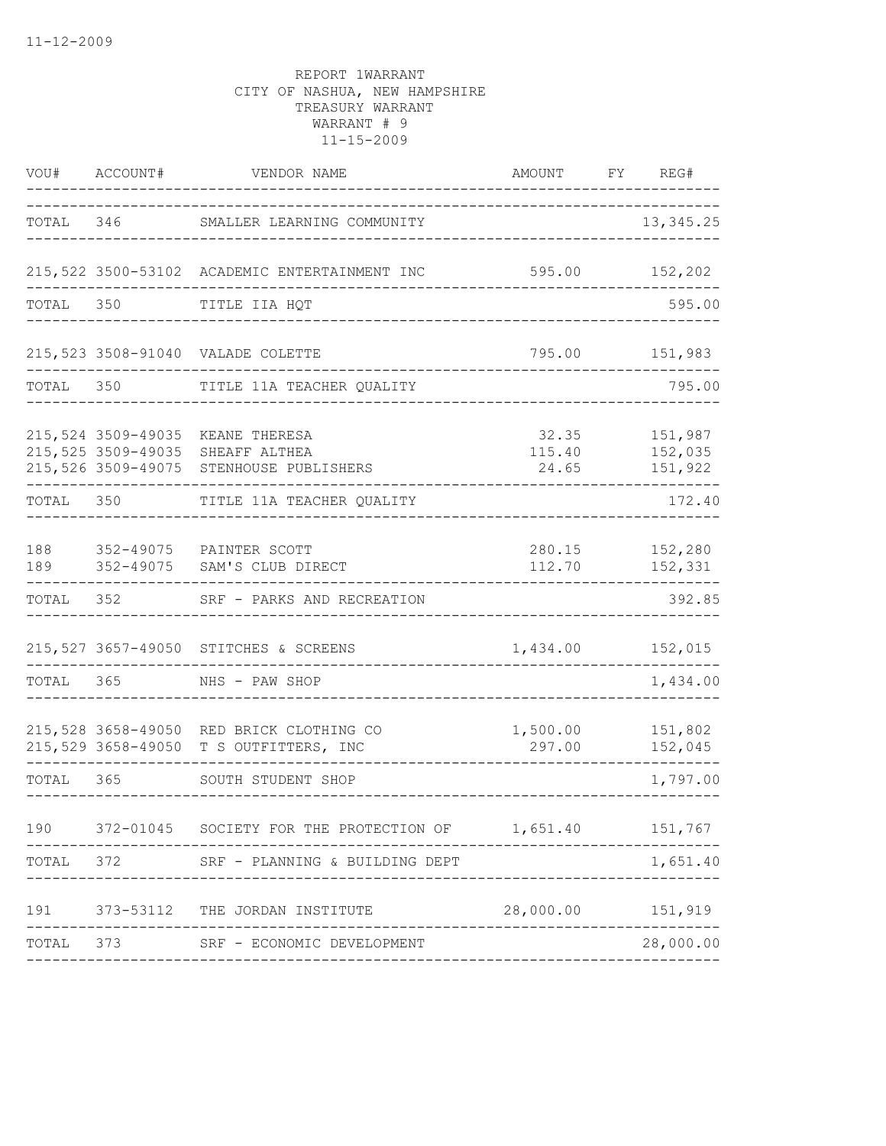| VOU#      | ACCOUNT#           | VENDOR NAME                                                                                  | AMOUNT                   | FY | REG#                          |
|-----------|--------------------|----------------------------------------------------------------------------------------------|--------------------------|----|-------------------------------|
| TOTAL     |                    | 346 SMALLER LEARNING COMMUNITY                                                               |                          |    | 13, 345.25                    |
|           |                    | 215,522 3500-53102 ACADEMIC ENTERTAINMENT INC                                                | 595.00 152,202           |    |                               |
| TOTAL     | 350                | TITLE IIA HQT                                                                                |                          |    | 595.00                        |
|           |                    | 215,523 3508-91040 VALADE COLETTE                                                            | 795.00                   |    | 151,983                       |
| TOTAL     | 350                | TITLE 11A TEACHER QUALITY                                                                    |                          |    | 795.00                        |
|           | 215,524 3509-49035 | KEANE THERESA<br>215,525 3509-49035 SHEAFF ALTHEA<br>215,526 3509-49075 STENHOUSE PUBLISHERS | 32.35<br>115.40<br>24.65 |    | 151,987<br>152,035<br>151,922 |
|           | TOTAL 350          | TITLE 11A TEACHER QUALITY                                                                    |                          |    | 172.40                        |
| 188       |                    | 352-49075 PAINTER SCOTT<br>189 352-49075 SAM'S CLUB DIRECT                                   | 112.70                   |    | 280.15 152,280<br>152,331     |
| TOTAL     |                    | 352 SRF - PARKS AND RECREATION                                                               |                          |    | 392.85                        |
|           |                    | 215,527 3657-49050 STITCHES & SCREENS                                                        | 1,434.00                 |    | 152,015                       |
| TOTAL 365 |                    | NHS - PAW SHOP                                                                               |                          |    | 1,434.00                      |
|           |                    | 215,528 3658-49050 RED BRICK CLOTHING CO<br>215,529 3658-49050 T S OUTFITTERS, INC           | 1,500.00<br>297.00       |    | 151,802<br>152,045            |
| TOTAL 365 |                    | SOUTH STUDENT SHOP                                                                           |                          |    | 1,797.00                      |
| 190       |                    | 372-01045 SOCIETY FOR THE PROTECTION OF 1,651.40                                             |                          |    | 151,767                       |
| TOTAL     |                    | 372 SRF - PLANNING & BUILDING DEPT                                                           |                          |    | 1,651.40                      |
|           |                    | 191 373-53112 THE JORDAN INSTITUTE                                                           | 28,000.00 151,919        |    |                               |
|           |                    | TOTAL 373 SRF - ECONOMIC DEVELOPMENT                                                         |                          |    | 28,000.00                     |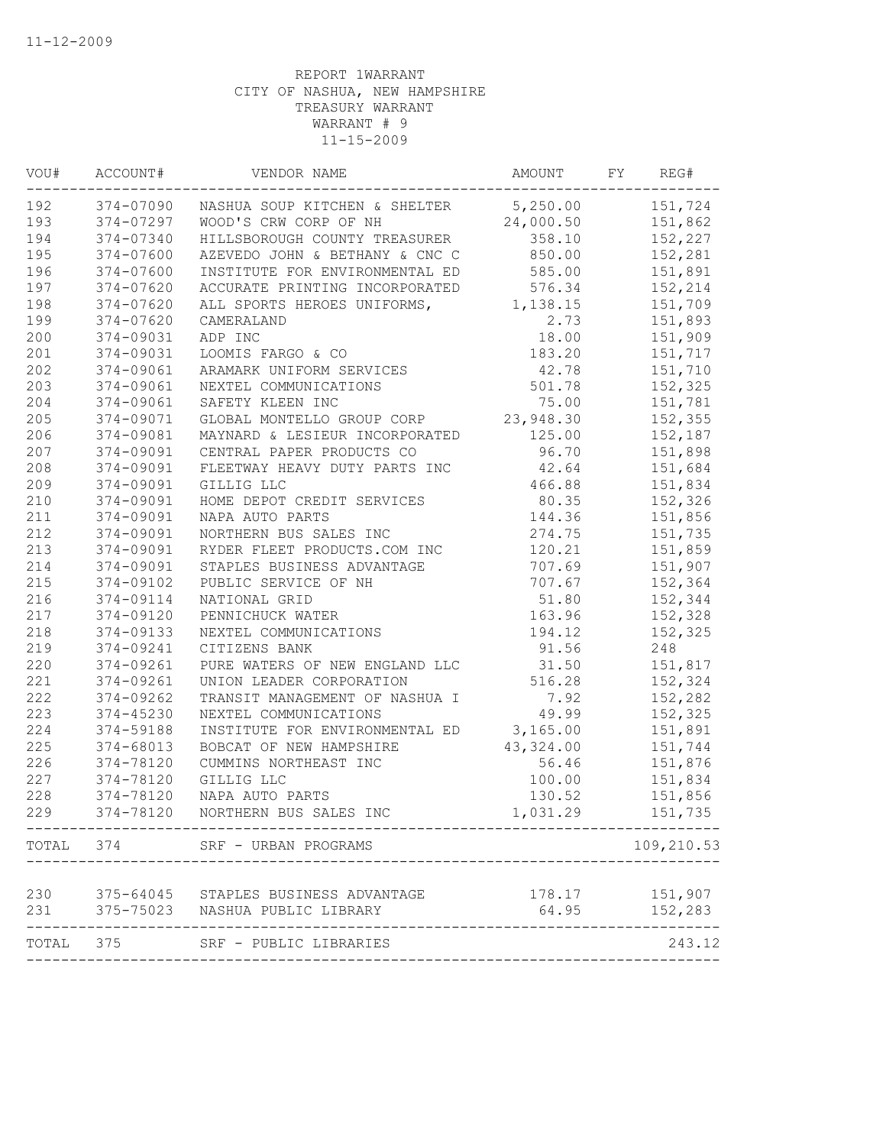| 192       | 374-07090 | NASHUA SOUP KITCHEN & SHELTER        | 5,250.00  | 151,724    |
|-----------|-----------|--------------------------------------|-----------|------------|
| 193       | 374-07297 | WOOD'S CRW CORP OF NH                | 24,000.50 | 151,862    |
| 194       | 374-07340 | HILLSBOROUGH COUNTY TREASURER        | 358.10    | 152,227    |
| 195       | 374-07600 | AZEVEDO JOHN & BETHANY & CNC C       | 850.00    | 152,281    |
| 196       | 374-07600 | INSTITUTE FOR ENVIRONMENTAL ED       | 585.00    | 151,891    |
| 197       | 374-07620 | ACCURATE PRINTING INCORPORATED       | 576.34    | 152,214    |
| 198       | 374-07620 | ALL SPORTS HEROES UNIFORMS,          | 1,138.15  | 151,709    |
| 199       | 374-07620 | CAMERALAND                           | 2.73      | 151,893    |
| 200       | 374-09031 | ADP INC                              | 18.00     | 151,909    |
| 201       | 374-09031 | LOOMIS FARGO & CO                    | 183.20    | 151,717    |
| 202       | 374-09061 | ARAMARK UNIFORM SERVICES             | 42.78     | 151,710    |
| 203       | 374-09061 | NEXTEL COMMUNICATIONS                | 501.78    | 152,325    |
| 204       | 374-09061 | SAFETY KLEEN INC                     | 75.00     | 151,781    |
| 205       | 374-09071 | GLOBAL MONTELLO GROUP CORP           | 23,948.30 | 152,355    |
| 206       | 374-09081 | MAYNARD & LESIEUR INCORPORATED       | 125.00    | 152,187    |
| 207       | 374-09091 | CENTRAL PAPER PRODUCTS CO            | 96.70     | 151,898    |
| 208       | 374-09091 | FLEETWAY HEAVY DUTY PARTS INC        | 42.64     | 151,684    |
| 209       | 374-09091 | GILLIG LLC                           | 466.88    | 151,834    |
| 210       | 374-09091 | HOME DEPOT CREDIT SERVICES           | 80.35     | 152,326    |
| 211       | 374-09091 | NAPA AUTO PARTS                      | 144.36    | 151,856    |
| 212       | 374-09091 | NORTHERN BUS SALES INC               | 274.75    | 151,735    |
| 213       | 374-09091 | RYDER FLEET PRODUCTS.COM INC         | 120.21    | 151,859    |
| 214       | 374-09091 | STAPLES BUSINESS ADVANTAGE           | 707.69    | 151,907    |
| 215       | 374-09102 | PUBLIC SERVICE OF NH                 | 707.67    | 152,364    |
| 216       | 374-09114 | NATIONAL GRID                        | 51.80     | 152,344    |
| 217       | 374-09120 | PENNICHUCK WATER                     | 163.96    | 152,328    |
| 218       | 374-09133 | NEXTEL COMMUNICATIONS                | 194.12    | 152,325    |
| 219       | 374-09241 | CITIZENS BANK                        | 91.56     | 248        |
| 220       | 374-09261 | PURE WATERS OF NEW ENGLAND LLC       | 31.50     | 151,817    |
| 221       | 374-09261 | UNION LEADER CORPORATION             | 516.28    | 152,324    |
| 222       | 374-09262 | TRANSIT MANAGEMENT OF NASHUA I       | 7.92      | 152,282    |
| 223       | 374-45230 | NEXTEL COMMUNICATIONS                | 49.99     | 152,325    |
| 224       | 374-59188 | INSTITUTE FOR ENVIRONMENTAL ED       | 3,165.00  | 151,891    |
| 225       | 374-68013 | BOBCAT OF NEW HAMPSHIRE              | 43,324.00 | 151,744    |
| 226       | 374-78120 | CUMMINS NORTHEAST INC                | 56.46     | 151,876    |
| 227       | 374-78120 | GILLIG LLC                           | 100.00    | 151,834    |
| 228       | 374-78120 | NAPA AUTO PARTS                      | 130.52    | 151,856    |
| 229       | 374-78120 | NORTHERN BUS SALES INC               | 1,031.29  | 151,735    |
|           |           | TOTAL 374 SRF - URBAN PROGRAMS       |           | 109,210.53 |
|           |           |                                      |           |            |
| 230       |           | 375-64045 STAPLES BUSINESS ADVANTAGE |           |            |
| 231       |           | 375-75023 NASHUA PUBLIC LIBRARY      | 64.95     | 152,283    |
| TOTAL 375 |           | SRF - PUBLIC LIBRARIES               |           | 243.12     |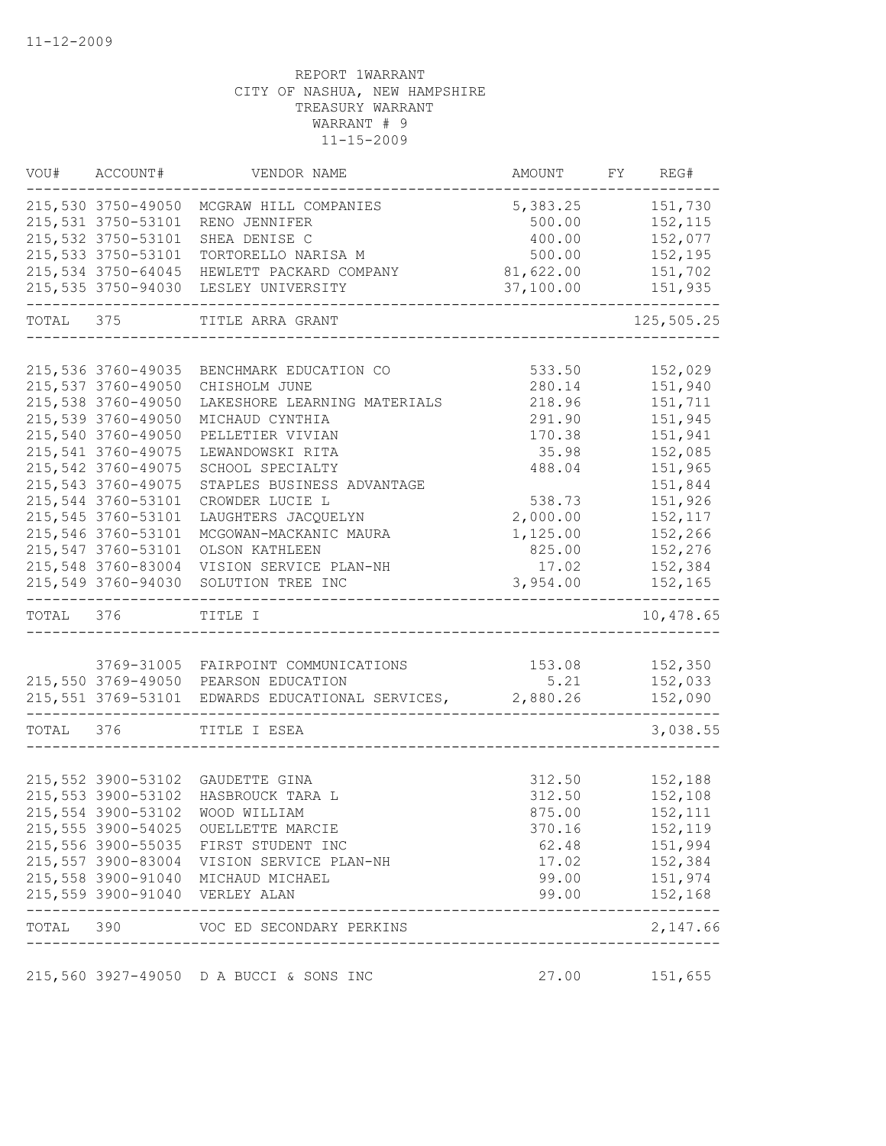|           | VOU# ACCOUNT#      | VENDOR NAME                                               | AMOUNT FY REG#                       |                |
|-----------|--------------------|-----------------------------------------------------------|--------------------------------------|----------------|
|           | 215,530 3750-49050 | MCGRAW HILL COMPANIES                                     | 5,383.25                             | 151,730        |
|           | 215,531 3750-53101 | RENO JENNIFER                                             | 500.00                               | 152,115        |
|           | 215,532 3750-53101 | SHEA DENISE C                                             | 400.00                               | 152,077        |
|           | 215,533 3750-53101 | TORTORELLO NARISA M                                       | 500.00                               | 152,195        |
|           | 215,534 3750-64045 | HEWLETT PACKARD COMPANY                                   | 81,622.00                            | 151,702        |
|           | 215,535 3750-94030 | LESLEY UNIVERSITY                                         | 37,100.00                            | 151,935        |
| TOTAL 375 |                    | TITLE ARRA GRANT                                          |                                      | 125,505.25     |
|           |                    |                                                           |                                      |                |
|           | 215,536 3760-49035 | BENCHMARK EDUCATION CO                                    | 533.50                               | 152,029        |
|           | 215,537 3760-49050 | CHISHOLM JUNE                                             | 280.14                               | 151,940        |
|           | 215,538 3760-49050 | LAKESHORE LEARNING MATERIALS                              | 218.96                               | 151,711        |
|           | 215,539 3760-49050 | MICHAUD CYNTHIA                                           | 291.90                               | 151,945        |
|           | 215,540 3760-49050 | PELLETIER VIVIAN                                          | 170.38                               | 151,941        |
|           | 215,541 3760-49075 | LEWANDOWSKI RITA                                          | 35.98                                | 152,085        |
|           | 215,542 3760-49075 | SCHOOL SPECIALTY                                          | 488.04                               | 151,965        |
|           | 215,543 3760-49075 | STAPLES BUSINESS ADVANTAGE                                |                                      | 151,844        |
|           | 215,544 3760-53101 | CROWDER LUCIE L                                           | 538.73                               | 151,926        |
|           | 215,545 3760-53101 | LAUGHTERS JACQUELYN                                       | 2,000.00                             | 152,117        |
|           | 215,546 3760-53101 | MCGOWAN-MACKANIC MAURA                                    | 1,125.00                             | 152,266        |
|           | 215,547 3760-53101 | OLSON KATHLEEN                                            | 825.00                               | 152,276        |
|           | 215,548 3760-83004 | VISION SERVICE PLAN-NH                                    | 17.02                                | 152,384        |
|           | 215,549 3760-94030 | SOLUTION TREE INC                                         | 3,954.00                             | 152,165        |
| TOTAL 376 |                    | TITLE I                                                   |                                      | 10,478.65      |
|           |                    |                                                           |                                      |                |
|           |                    | 3769-31005 FAIRPOINT COMMUNICATIONS                       |                                      | 153.08 152,350 |
|           |                    | 215,550 3769-49050 PEARSON EDUCATION                      | 5.21                                 | 152,033        |
|           |                    | 215,551 3769-53101 EDWARDS EDUCATIONAL SERVICES, 2,880.26 |                                      | 152,090        |
| TOTAL 376 |                    | TITLE I ESEA                                              |                                      | 3,038.55       |
|           |                    |                                                           |                                      |                |
|           | 215,552 3900-53102 | GAUDETTE GINA                                             | 312.50                               | 152,188        |
|           | 215,553 3900-53102 | HASBROUCK TARA L                                          | 312.50                               | 152,108        |
|           |                    | 215,554 3900-53102 WOOD WILLIAM                           | 875.00                               | 152,111        |
|           |                    | 215,555 3900-54025 OUELLETTE MARCIE                       | 370.16                               | 152,119        |
|           |                    | 215,556 3900-55035 FIRST STUDENT INC                      |                                      | 62.48 151,994  |
|           |                    | 215,557 3900-83004 VISION SERVICE PLAN-NH                 |                                      | 17.02 152,384  |
|           |                    | 215,558 3900-91040 MICHAUD MICHAEL                        |                                      | 99.00 151,974  |
|           |                    | 215,559 3900-91040 VERLEY ALAN                            |                                      | 99.00 152,168  |
|           |                    | TOTAL 390 VOC ED SECONDARY PERKINS                        | ------------------------------------ | 2,147.66       |
|           |                    | 215,560 3927-49050 D A BUCCI & SONS INC                   | 27.00 151,655                        |                |
|           |                    |                                                           |                                      |                |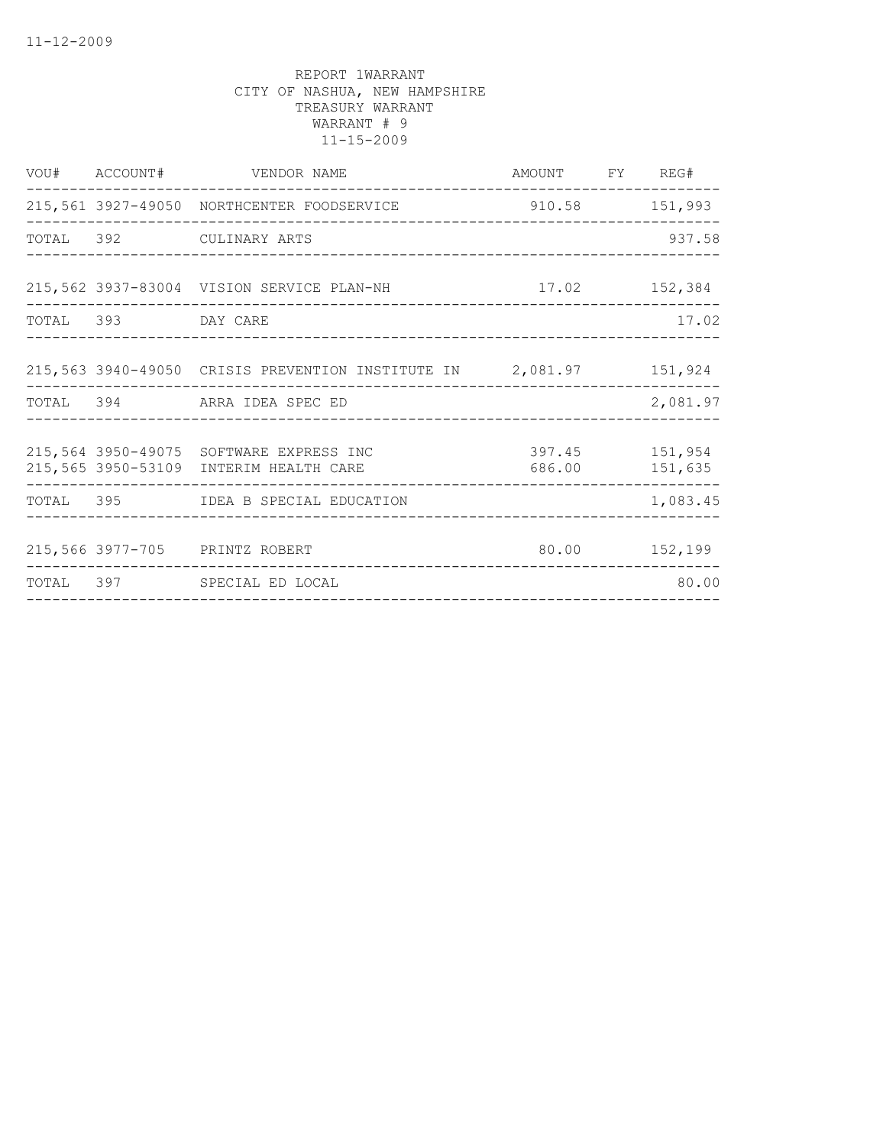|                    | VOU# ACCOUNT# VENDOR NAME                                                                                             | AMOUNT FY REG#<br>--------------- |          |
|--------------------|-----------------------------------------------------------------------------------------------------------------------|-----------------------------------|----------|
|                    | 215,561 3927-49050 NORTHCENTER FOODSERVICE 310.58 151,993                                                             |                                   |          |
|                    | TOTAL 392 CULINARY ARTS                                                                                               |                                   | 937.58   |
|                    | 215,562 3937-83004 VISION SERVICE PLAN-NH 17.02 152,384                                                               |                                   |          |
| TOTAL 393 DAY CARE |                                                                                                                       |                                   | 17.02    |
|                    | 215,563 3940-49050 CRISIS PREVENTION INSTITUTE IN 2,081.97 151,924                                                    |                                   |          |
|                    | TOTAL 394 ARRA IDEA SPEC ED                                                                                           |                                   | 2,081.97 |
|                    | 397.45 151,954<br>215,564 3950-49075 SOFTWARE EXPRESS INC<br>686.00 151,635<br>215,565 3950-53109 INTERIM HEALTH CARE |                                   |          |
|                    | TOTAL 395 IDEA B SPECIAL EDUCATION                                                                                    |                                   | 1,083.45 |
|                    | 215,566 3977-705 PRINTZ ROBERT                                                                                        | 80.00 152,199                     |          |
|                    | TOTAL 397 SPECIAL ED LOCAL                                                                                            |                                   | 80.00    |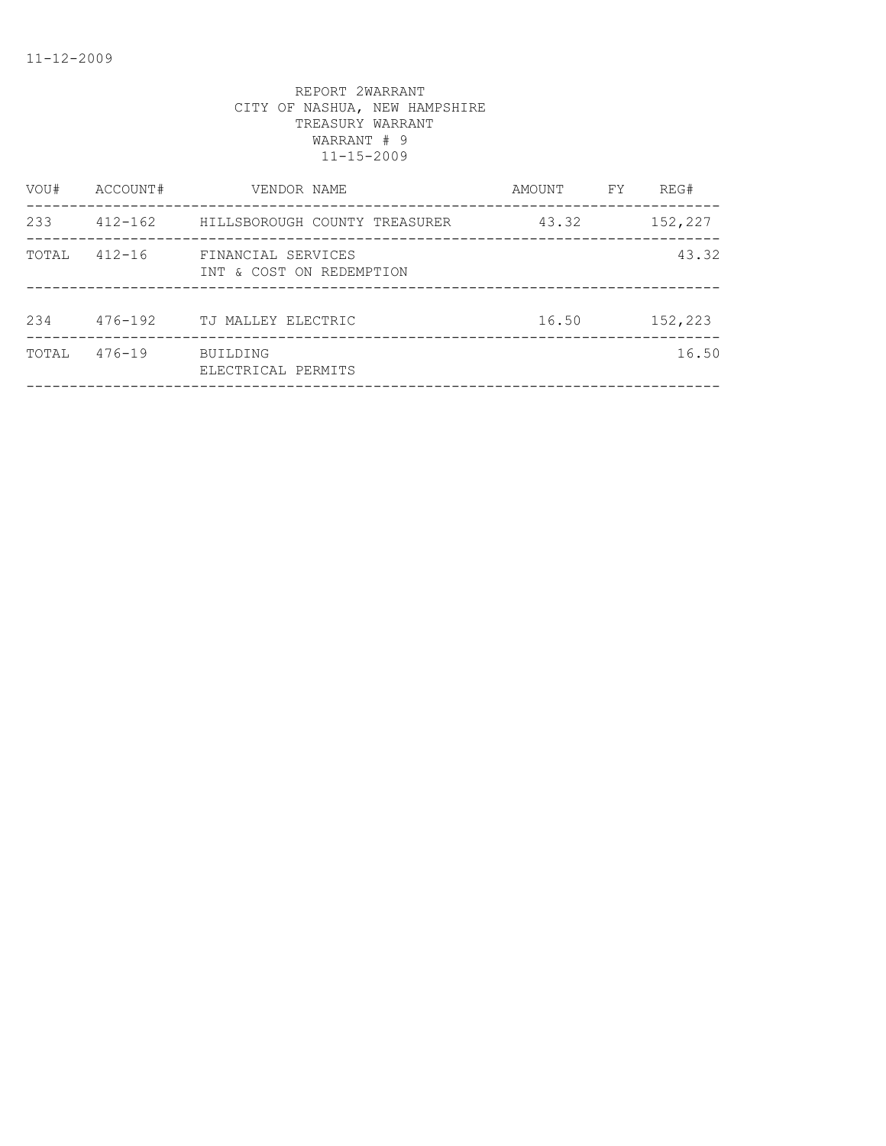| VOU#  | ACCOUNT#    | VENDOR NAME                                    | AMOUNT | FY | REG#    |
|-------|-------------|------------------------------------------------|--------|----|---------|
| 233   | $412 - 162$ | HILLSBOROUGH COUNTY TREASURER                  | 43.32  |    | 152,227 |
| TOTAL | $412 - 16$  | FINANCIAL SERVICES<br>INT & COST ON REDEMPTION |        |    | 43.32   |
| 234   | $476 - 192$ | TJ MALLEY ELECTRIC                             | 16.50  |    | 152,223 |
| TOTAL | $476 - 19$  | <b>BUILDING</b><br>ELECTRICAL PERMITS          |        |    | 16.50   |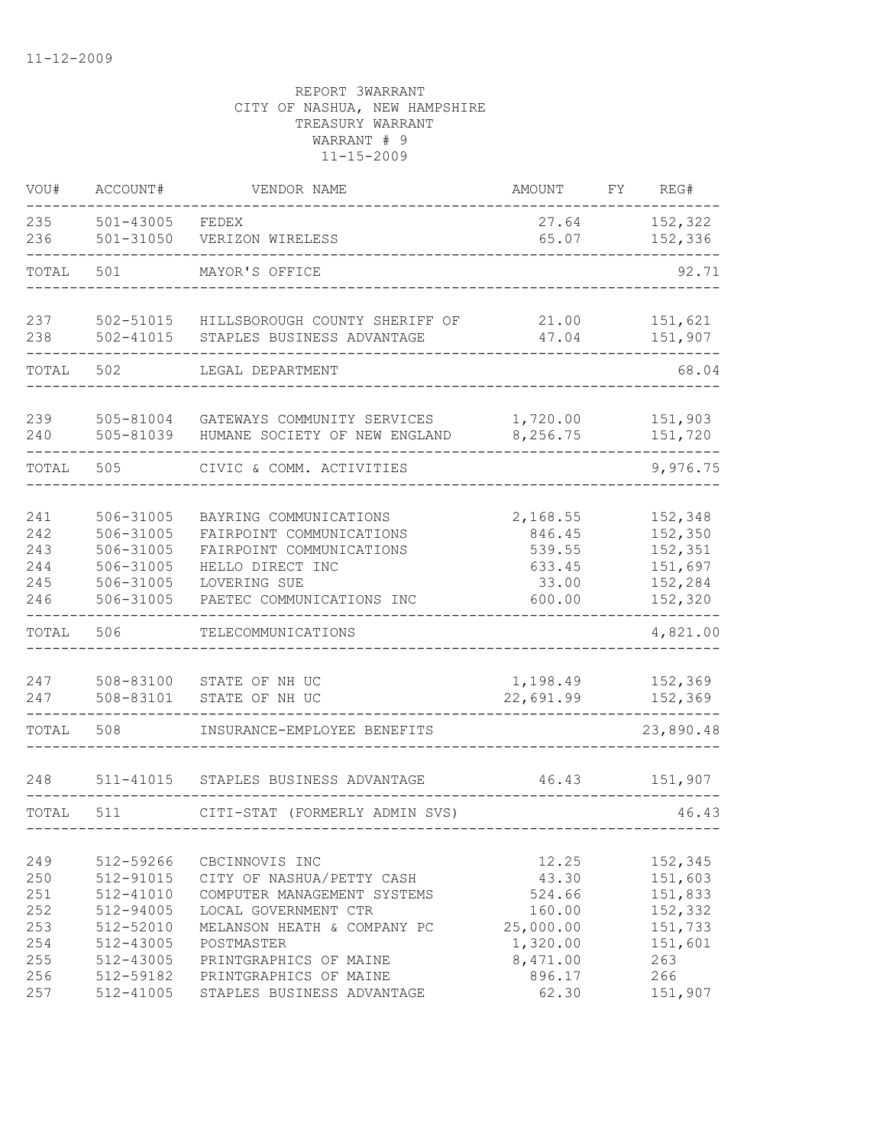| VOU#                                                 | ACCOUNT#                                                                                             | VENDOR NAME                                                                                                                                                                                         | <b>AMOUNT</b>                                                                     | FY | REG#                                                                         |
|------------------------------------------------------|------------------------------------------------------------------------------------------------------|-----------------------------------------------------------------------------------------------------------------------------------------------------------------------------------------------------|-----------------------------------------------------------------------------------|----|------------------------------------------------------------------------------|
| 235<br>236                                           | $501 - 43005$<br>$501 - 31050$                                                                       | FEDEX<br>VERIZON WIRELESS                                                                                                                                                                           | 27.64<br>65.07                                                                    |    | 152,322<br>152,336                                                           |
| TOTAL                                                | 501                                                                                                  | MAYOR'S OFFICE                                                                                                                                                                                      |                                                                                   |    | 92.71                                                                        |
|                                                      |                                                                                                      |                                                                                                                                                                                                     |                                                                                   |    |                                                                              |
| 237<br>238                                           | 502-51015<br>$502 - 41015$                                                                           | HILLSBOROUGH COUNTY SHERIFF OF<br>STAPLES BUSINESS ADVANTAGE                                                                                                                                        | 21.00<br>47.04                                                                    |    | 151,621<br>151,907                                                           |
| TOTAL                                                | 502                                                                                                  | LEGAL DEPARTMENT                                                                                                                                                                                    |                                                                                   |    | 68.04                                                                        |
|                                                      |                                                                                                      |                                                                                                                                                                                                     |                                                                                   |    |                                                                              |
| 239<br>240                                           | 505-81004<br>505-81039                                                                               | GATEWAYS COMMUNITY SERVICES<br>HUMANE SOCIETY OF NEW ENGLAND                                                                                                                                        | 1,720.00<br>8,256.75                                                              |    | 151,903<br>151,720                                                           |
| TOTAL                                                | 505                                                                                                  | CIVIC & COMM. ACTIVITIES                                                                                                                                                                            |                                                                                   |    | 9,976.75                                                                     |
| 241<br>242<br>243<br>244<br>245<br>246               | 506-31005<br>506-31005<br>506-31005<br>506-31005<br>506-31005<br>506-31005                           | BAYRING COMMUNICATIONS<br>FAIRPOINT COMMUNICATIONS<br>FAIRPOINT COMMUNICATIONS<br>HELLO DIRECT INC<br>LOVERING SUE<br>PAETEC COMMUNICATIONS INC                                                     | 2,168.55<br>846.45<br>539.55<br>633.45<br>33.00<br>600.00                         |    | 152,348<br>152,350<br>152,351<br>151,697<br>152,284<br>152,320               |
| TOTAL                                                | 506                                                                                                  | TELECOMMUNICATIONS                                                                                                                                                                                  |                                                                                   |    | 4,821.00                                                                     |
| 247<br>247                                           | 508-83100<br>508-83101                                                                               | STATE OF NH UC<br>STATE OF NH UC                                                                                                                                                                    | 1,198.49<br>22,691.99                                                             |    | 152,369<br>152,369                                                           |
| TOTAL                                                | 508                                                                                                  | INSURANCE-EMPLOYEE BENEFITS                                                                                                                                                                         |                                                                                   |    | 23,890.48                                                                    |
| 248                                                  | 511-41015                                                                                            | STAPLES BUSINESS ADVANTAGE                                                                                                                                                                          | 46.43                                                                             |    | 151,907                                                                      |
| TOTAL                                                | 511                                                                                                  | CITI-STAT (FORMERLY ADMIN SVS)                                                                                                                                                                      |                                                                                   |    | 46.43                                                                        |
| 249<br>250<br>251<br>252<br>253<br>254<br>255<br>256 | 512-59266<br>512-91015<br>512-41010<br>512-94005<br>512-52010<br>512-43005<br>512-43005<br>512-59182 | CBCINNOVIS INC<br>CITY OF NASHUA/PETTY CASH<br>COMPUTER MANAGEMENT SYSTEMS<br>LOCAL GOVERNMENT CTR<br>MELANSON HEATH & COMPANY PC<br>POSTMASTER<br>PRINTGRAPHICS OF MAINE<br>PRINTGRAPHICS OF MAINE | 12.25<br>43.30<br>524.66<br>160.00<br>25,000.00<br>1,320.00<br>8,471.00<br>896.17 |    | 152,345<br>151,603<br>151,833<br>152,332<br>151,733<br>151,601<br>263<br>266 |
| 257                                                  | 512-41005                                                                                            | STAPLES BUSINESS ADVANTAGE                                                                                                                                                                          | 62.30                                                                             |    | 151,907                                                                      |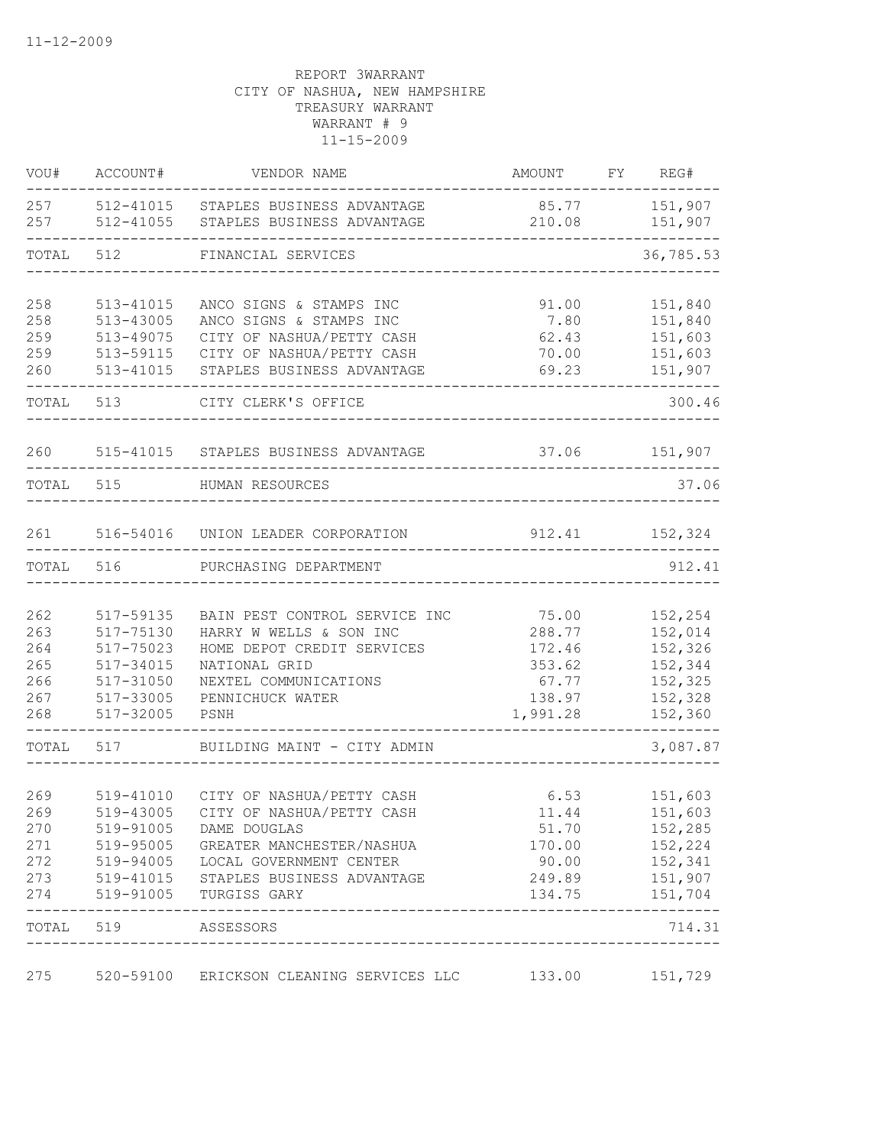| VOU#       | ACCOUNT#                             | VENDOR NAME                                                              | AMOUNT          | FY REG#                        |
|------------|--------------------------------------|--------------------------------------------------------------------------|-----------------|--------------------------------|
| 257<br>257 | 512-41015<br>512-41055               | STAPLES BUSINESS ADVANTAGE<br>STAPLES BUSINESS ADVANTAGE                 | 85.77<br>210.08 | 151,907<br>151,907<br>-------- |
| TOTAL      | 512                                  | FINANCIAL SERVICES                                                       |                 | 36,785.53                      |
| 258        | 513-41015                            | ANCO SIGNS & STAMPS INC                                                  | 91.00           | 151,840                        |
| 258        | 513-43005                            | ANCO SIGNS & STAMPS INC                                                  | 7.80            | 151,840                        |
| 259        | 513-49075                            | CITY OF NASHUA/PETTY CASH                                                | 62.43           | 151,603                        |
| 259        | 513-59115                            | CITY OF NASHUA/PETTY CASH                                                | 70.00           | 151,603                        |
| 260        | 513-41015                            | STAPLES BUSINESS ADVANTAGE                                               | 69.23           | 151,907                        |
| TOTAL      | 513                                  | CITY CLERK'S OFFICE                                                      |                 | 300.46                         |
| 260        |                                      | 515-41015 STAPLES BUSINESS ADVANTAGE                                     |                 | 37.06 151,907                  |
| TOTAL 515  |                                      | HUMAN RESOURCES                                                          |                 | 37.06                          |
|            |                                      |                                                                          |                 |                                |
| 261        |                                      | 516-54016 UNION LEADER CORPORATION                                       | 912.41          | 152,324                        |
| TOTAL      | 516                                  | PURCHASING DEPARTMENT                                                    |                 | 912.41                         |
|            |                                      |                                                                          |                 |                                |
| 262<br>263 | 517-59135<br>517-75130               | BAIN PEST CONTROL SERVICE INC<br>HARRY W WELLS & SON INC                 | 75.00<br>288.77 | 152,254<br>152,014             |
| 264        | 517-75023                            | HOME DEPOT CREDIT SERVICES                                               | 172.46          | 152,326                        |
| 265        | 517-34015                            | NATIONAL GRID                                                            | 353.62          | 152,344                        |
| 266        | 517-31050                            | NEXTEL COMMUNICATIONS                                                    | 67.77           | 152,325                        |
| 267        | 517-33005                            | PENNICHUCK WATER                                                         | 138.97          | 152,328                        |
| 268        | 517-32005                            | PSNH                                                                     | 1,991.28        | 152,360                        |
| TOTAL      | 517                                  | BUILDING MAINT - CITY ADMIN                                              |                 | 3,087.87                       |
|            |                                      |                                                                          |                 |                                |
| 269        | 519-41010                            | CITY OF NASHUA/PETTY CASH                                                | 6.53            | 151,603                        |
| 269        | 519-43005                            | CITY OF NASHUA/PETTY CASH                                                | 11.44           | 151,603                        |
| 270<br>271 |                                      | 519-91005 DAME DOUGLAS                                                   | 51.70           | 152,285<br>170.00   152,224    |
| 272        |                                      | 519-95005 GREATER MANCHESTER/NASHUA<br>519-94005 LOCAL GOVERNMENT CENTER | 90.00           | 152,341                        |
| 273        |                                      | 519-41015 STAPLES BUSINESS ADVANTAGE                                     | 249.89          | 151,907                        |
| 274        |                                      | 519-91005 TURGISS GARY                                                   |                 | 134.75 151,704                 |
|            | -------------<br>TOTAL 519 ASSESSORS |                                                                          |                 | --------------<br>714.31       |
|            |                                      |                                                                          |                 |                                |
| 275        |                                      | 520-59100 ERICKSON CLEANING SERVICES LLC                                 | 133.00          | 151,729                        |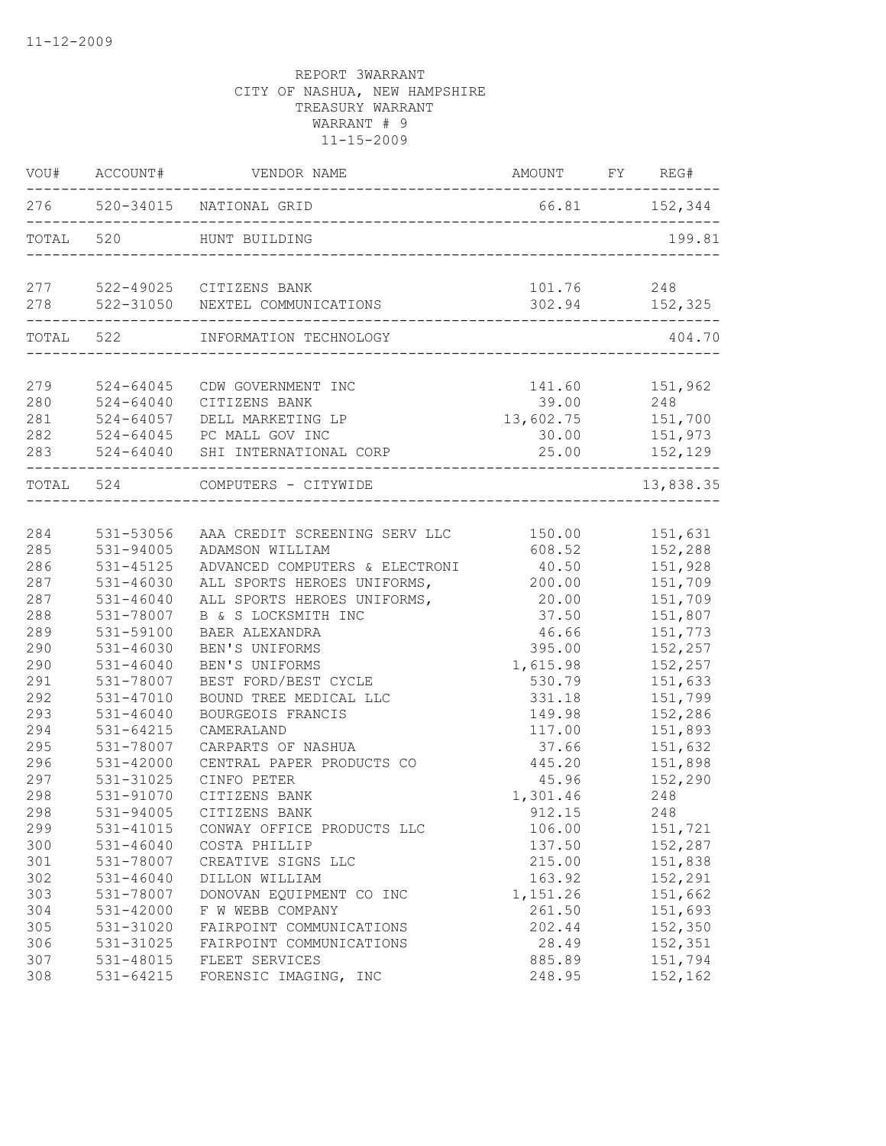|            | VOU# ACCOUNT# | VENDOR NAME                                                       | AMOUNT FY REG# |                    |
|------------|---------------|-------------------------------------------------------------------|----------------|--------------------|
|            |               | 276 520-34015 NATIONAL GRID<br>__________________________________ |                | 66.81 152,344      |
|            | TOTAL 520     | HUNT BUILDING                                                     |                | 199.81             |
|            |               | 277 522-49025 CITIZENS BANK                                       | 101.76         | 248                |
| 278        |               | 522-31050 NEXTEL COMMUNICATIONS                                   | 302.94         | 152,325            |
|            |               | TOTAL 522 INFORMATION TECHNOLOGY                                  |                | 404.70             |
|            |               |                                                                   |                |                    |
| 279        | $524 - 64045$ | CDW GOVERNMENT INC                                                |                | 141.60    151,962  |
| 280        | $524 - 64040$ | CITIZENS BANK                                                     |                | 39.00 248          |
| 281        | $524 - 64057$ | DELL MARKETING LP                                                 | 13,602.75      | 151,700            |
| 282<br>283 |               | 524-64045 PC MALL GOV INC<br>524-64040 SHI INTERNATIONAL CORP     | 30.00<br>25.00 | 151,973<br>152,129 |
|            |               |                                                                   |                |                    |
|            | TOTAL 524     | COMPUTERS - CITYWIDE                                              |                | 13,838.35          |
| 284        | 531-53056     | AAA CREDIT SCREENING SERV LLC 150.00 151,631                      |                |                    |
| 285        | 531-94005     | ADAMSON WILLIAM                                                   | 608.52         | 152,288            |
| 286        | 531-45125     | ADVANCED COMPUTERS & ELECTRONI                                    | 40.50          | 151,928            |
| 287        | $531 - 46030$ | ALL SPORTS HEROES UNIFORMS,                                       | 200.00         | 151,709            |
| 287        | $531 - 46040$ | ALL SPORTS HEROES UNIFORMS,                                       | 20.00          | 151,709            |
| 288        | 531-78007     | B & S LOCKSMITH INC                                               | 37.50          | 151,807            |
| 289        | 531-59100     | BAER ALEXANDRA                                                    | 46.66          | 151,773            |
| 290        | $531 - 46030$ | BEN'S UNIFORMS                                                    | 395.00         | 152,257            |
| 290        | $531 - 46040$ | BEN'S UNIFORMS                                                    | 1,615.98       | 152,257            |
| 291        | 531-78007     | BEST FORD/BEST CYCLE                                              | 530.79         | 151,633            |
| 292        | 531-47010     | BOUND TREE MEDICAL LLC                                            | 331.18         | 151,799            |
| 293        | $531 - 46040$ | BOURGEOIS FRANCIS                                                 | 149.98         | 152,286            |
| 294        | 531-64215     | CAMERALAND                                                        | 117.00         | 151,893            |
| 295        | 531-78007     | CARPARTS OF NASHUA                                                | 37.66          | 151,632            |
| 296        | 531-42000     | CENTRAL PAPER PRODUCTS CO                                         | 445.20         | 151,898            |
| 297        | 531-31025     | CINFO PETER                                                       | 45.96          | 152,290            |
| 298        | 531-91070     | CITIZENS BANK                                                     | 1,301.46       | 248                |
| 298        | 531-94005     | CITIZENS BANK                                                     | 912.15         | 248                |
| 299        | 531-41015     | CONWAY OFFICE PRODUCTS LLC                                        | 106.00         | 151,721            |
| 300        | $531 - 46040$ | COSTA PHILLIP                                                     | 137.50         | 152,287            |
| 301        | 531-78007     | CREATIVE SIGNS LLC                                                | 215.00         | 151,838            |
| 302        | $531 - 46040$ | DILLON WILLIAM                                                    | 163.92         | 152,291            |
| 303        | 531-78007     | DONOVAN EQUIPMENT CO INC                                          | 1,151.26       | 151,662            |
| 304        | 531-42000     | F W WEBB COMPANY                                                  | 261.50         | 151,693            |
| 305        | 531-31020     | FAIRPOINT COMMUNICATIONS                                          | 202.44         | 152,350            |
| 306        | 531-31025     | FAIRPOINT COMMUNICATIONS                                          | 28.49          | 152,351            |
| 307        | 531-48015     | FLEET SERVICES                                                    | 885.89         | 151,794            |
| 308        | $531 - 64215$ | FORENSIC IMAGING, INC                                             | 248.95         | 152,162            |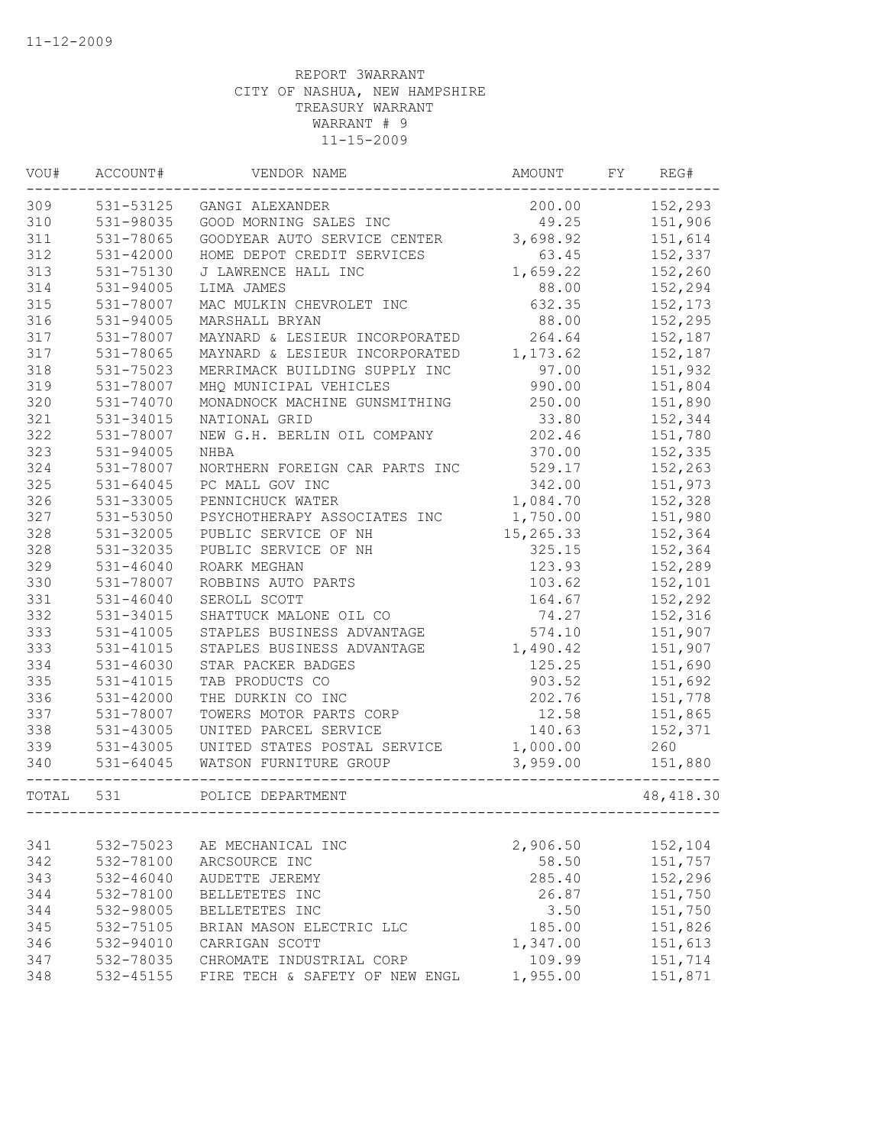| VOU#      | ACCOUNT#       | VENDOR NAME                                          | AMOUNT    | FY | REG#                           |
|-----------|----------------|------------------------------------------------------|-----------|----|--------------------------------|
| 309       |                | 531-53125 GANGI ALEXANDER                            | 200.00    |    | 152,293                        |
| 310       | 531-98035      | GOOD MORNING SALES INC                               | 49.25     |    | 151,906                        |
| 311       | 531-78065      | GOODYEAR AUTO SERVICE CENTER                         | 3,698.92  |    | 151,614                        |
| 312       | $531 - 42000$  | HOME DEPOT CREDIT SERVICES                           | 63.45     |    | 152,337                        |
| 313       | 531-75130      | J LAWRENCE HALL INC                                  | 1,659.22  |    | 152,260                        |
| 314       | 531-94005      | LIMA JAMES                                           | 88.00     |    | 152,294                        |
| 315       | 531-78007      | MAC MULKIN CHEVROLET INC                             | 632.35    |    | 152,173                        |
| 316       | 531-94005      | MARSHALL BRYAN                                       | 88.00     |    | 152,295                        |
| 317       | 531-78007      | MAYNARD & LESIEUR INCORPORATED                       | 264.64    |    | 152,187                        |
| 317       | 531-78065      | MAYNARD & LESIEUR INCORPORATED                       | 1,173.62  |    | 152,187                        |
| 318       | 531-75023      | MERRIMACK BUILDING SUPPLY INC                        | 97.00     |    | 151,932                        |
| 319       | 531-78007      | MHQ MUNICIPAL VEHICLES                               | 990.00    |    | 151,804                        |
| 320       | $531 - 74070$  | MONADNOCK MACHINE GUNSMITHING                        | 250.00    |    | 151,890                        |
| 321       | 531-34015      | NATIONAL GRID                                        | 33.80     |    | 152,344                        |
| 322       | 531-78007      | NEW G.H. BERLIN OIL COMPANY                          | 202.46    |    | 151,780                        |
| 323       | 531-94005      | <b>NHBA</b>                                          | 370.00    |    | 152,335                        |
| 324       | 531-78007      | NORTHERN FOREIGN CAR PARTS INC                       | 529.17    |    | 152,263                        |
| 325       | $531 - 64045$  | PC MALL GOV INC                                      | 342.00    |    | 151,973                        |
| 326       | 531-33005      | PENNICHUCK WATER                                     | 1,084.70  |    | 152,328                        |
| 327       | 531-53050      | PSYCHOTHERAPY ASSOCIATES INC                         | 1,750.00  |    | 151,980                        |
| 328       | 531-32005      | PUBLIC SERVICE OF NH                                 | 15,265.33 |    | 152,364                        |
| 328       | 531-32035      | PUBLIC SERVICE OF NH                                 | 325.15    |    | 152,364                        |
| 329       | $531 - 46040$  | ROARK MEGHAN                                         | 123.93    |    | 152,289                        |
| 330       | 531-78007      | ROBBINS AUTO PARTS                                   | 103.62    |    | 152,101                        |
| 331       | $531 - 46040$  | SEROLL SCOTT                                         | 164.67    |    | 152,292                        |
| 332       | 531-34015      | SHATTUCK MALONE OIL CO                               | 74.27     |    | 152,316                        |
| 333       | 531-41005      | STAPLES BUSINESS ADVANTAGE                           | 574.10    |    | 151,907                        |
| 333       | 531-41015      | STAPLES BUSINESS ADVANTAGE                           | 1,490.42  |    | 151,907                        |
| 334       | 531-46030      | STAR PACKER BADGES                                   | 125.25    |    | 151,690                        |
| 335       | 531-41015      | TAB PRODUCTS CO                                      | 903.52    |    | 151,692                        |
| 336       | 531-42000      | THE DURKIN CO INC                                    | 202.76    |    | 151,778                        |
| 337       | 531-78007      | TOWERS MOTOR PARTS CORP                              | 12.58     |    | 151,865                        |
| 338       | 531-43005      | UNITED PARCEL SERVICE                                | 140.63    |    | 152,371                        |
| 339       | 531-43005      | UNITED STATES POSTAL SERVICE                         | 1,000.00  |    | 260                            |
| 340       | $531 - 64045$  | WATSON FURNITURE GROUP<br>__________________________ | 3,959.00  |    | 151,880                        |
| TOTAL 531 | -------------- | POLICE DEPARTMENT<br>------------------              |           |    | 48, 418.30<br>---------------- |
|           |                |                                                      |           |    |                                |
| 341       | 532-75023      | AE MECHANICAL INC                                    | 2,906.50  |    | 152,104                        |
| 342       | 532-78100      | ARCSOURCE INC                                        | 58.50     |    | 151,757                        |
| 343       | $532 - 46040$  | AUDETTE JEREMY                                       | 285.40    |    | 152,296                        |
| 344       | 532-78100      | BELLETETES INC                                       | 26.87     |    | 151,750                        |
| 344       | 532-98005      | BELLETETES INC                                       | 3.50      |    | 151,750                        |
| 345       | 532-75105      | BRIAN MASON ELECTRIC LLC                             | 185.00    |    | 151,826                        |
| 346       | 532-94010      | CARRIGAN SCOTT                                       | 1,347.00  |    | 151,613                        |
| 347       | 532-78035      | CHROMATE INDUSTRIAL CORP                             | 109.99    |    | 151,714                        |
| 348       | 532-45155      | FIRE TECH & SAFETY OF NEW ENGL                       | 1,955.00  |    | 151,871                        |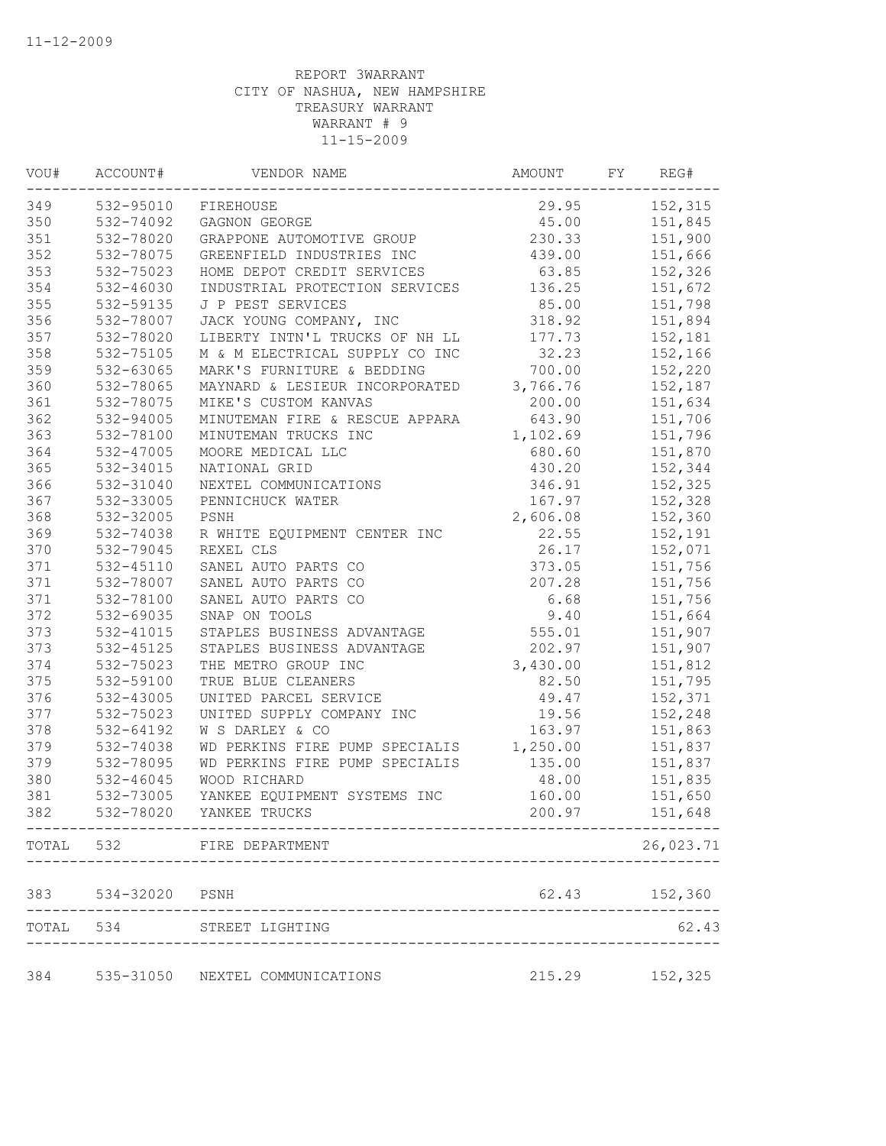| VOU# | ACCOUNT#       | VENDOR NAME                     | AMOUNT   | FY | REG#          |
|------|----------------|---------------------------------|----------|----|---------------|
| 349  |                | 532-95010 FIREHOUSE             | 29.95    |    | 152,315       |
| 350  | 532-74092      | GAGNON GEORGE                   | 45.00    |    | 151,845       |
| 351  | 532-78020      | GRAPPONE AUTOMOTIVE GROUP       | 230.33   |    | 151,900       |
| 352  | 532-78075      | GREENFIELD INDUSTRIES INC       | 439.00   |    | 151,666       |
| 353  | 532-75023      | HOME DEPOT CREDIT SERVICES      | 63.85    |    | 152,326       |
| 354  | 532-46030      | INDUSTRIAL PROTECTION SERVICES  | 136.25   |    | 151,672       |
| 355  | 532-59135      | J P PEST SERVICES               | 85.00    |    | 151,798       |
| 356  | 532-78007      | JACK YOUNG COMPANY, INC         | 318.92   |    | 151,894       |
| 357  | 532-78020      | LIBERTY INTN'L TRUCKS OF NH LL  | 177.73   |    | 152,181       |
| 358  | 532-75105      | M & M ELECTRICAL SUPPLY CO INC  | 32.23    |    | 152,166       |
| 359  | 532-63065      | MARK'S FURNITURE & BEDDING      | 700.00   |    | 152,220       |
| 360  | 532-78065      | MAYNARD & LESIEUR INCORPORATED  | 3,766.76 |    | 152,187       |
| 361  | 532-78075      | MIKE'S CUSTOM KANVAS            | 200.00   |    | 151,634       |
| 362  | 532-94005      | MINUTEMAN FIRE & RESCUE APPARA  | 643.90   |    | 151,706       |
| 363  | 532-78100      | MINUTEMAN TRUCKS INC            | 1,102.69 |    | 151,796       |
| 364  | 532-47005      | MOORE MEDICAL LLC               | 680.60   |    | 151,870       |
| 365  | 532-34015      | NATIONAL GRID                   | 430.20   |    | 152,344       |
| 366  | 532-31040      | NEXTEL COMMUNICATIONS           | 346.91   |    | 152,325       |
| 367  | 532-33005      | PENNICHUCK WATER                | 167.97   |    | 152,328       |
| 368  | 532-32005      | PSNH                            | 2,606.08 |    | 152,360       |
| 369  | 532-74038      | R WHITE EQUIPMENT CENTER INC    | 22.55    |    | 152,191       |
| 370  | 532-79045      | REXEL CLS                       | 26.17    |    | 152,071       |
| 371  | 532-45110      | SANEL AUTO PARTS CO             | 373.05   |    | 151,756       |
| 371  | 532-78007      | SANEL AUTO PARTS CO             | 207.28   |    | 151,756       |
| 371  | 532-78100      | SANEL AUTO PARTS CO             | 6.68     |    | 151,756       |
| 372  | 532-69035      | SNAP ON TOOLS                   | 9.40     |    | 151,664       |
| 373  | 532-41015      | STAPLES BUSINESS ADVANTAGE      | 555.01   |    | 151,907       |
| 373  | 532-45125      | STAPLES BUSINESS ADVANTAGE      | 202.97   |    | 151,907       |
| 374  | 532-75023      | THE METRO GROUP INC             | 3,430.00 |    | 151,812       |
| 375  | 532-59100      | TRUE BLUE CLEANERS              | 82.50    |    | 151,795       |
| 376  | 532-43005      | UNITED PARCEL SERVICE           | 49.47    |    | 152,371       |
| 377  | 532-75023      | UNITED SUPPLY COMPANY INC       | 19.56    |    | 152,248       |
| 378  | 532-64192      | W S DARLEY & CO                 | 163.97   |    | 151,863       |
| 379  | 532-74038      | WD PERKINS FIRE PUMP SPECIALIS  | 1,250.00 |    | 151,837       |
| 379  | 532-78095      | WD PERKINS FIRE PUMP SPECIALIS  | 135.00   |    | 151,837       |
| 380  | $532 - 46045$  | WOOD RICHARD                    | 48.00    |    | 151,835       |
| 381  | 532-73005      | YANKEE EQUIPMENT SYSTEMS INC    | 160.00   |    | 151,650       |
| 382  |                | 532-78020 YANKEE TRUCKS         | 200.97   |    | 151,648       |
|      |                |                                 |          |    |               |
|      |                | TOTAL 532 FIRE DEPARTMENT       |          |    | 26,023.71     |
| 383  | 534-32020 PSNH |                                 |          |    | 62.43 152,360 |
|      |                | TOTAL 534 STREET LIGHTING       |          |    | 62.43         |
|      |                |                                 |          |    |               |
| 384  |                | 535-31050 NEXTEL COMMUNICATIONS | 215.29   |    | 152,325       |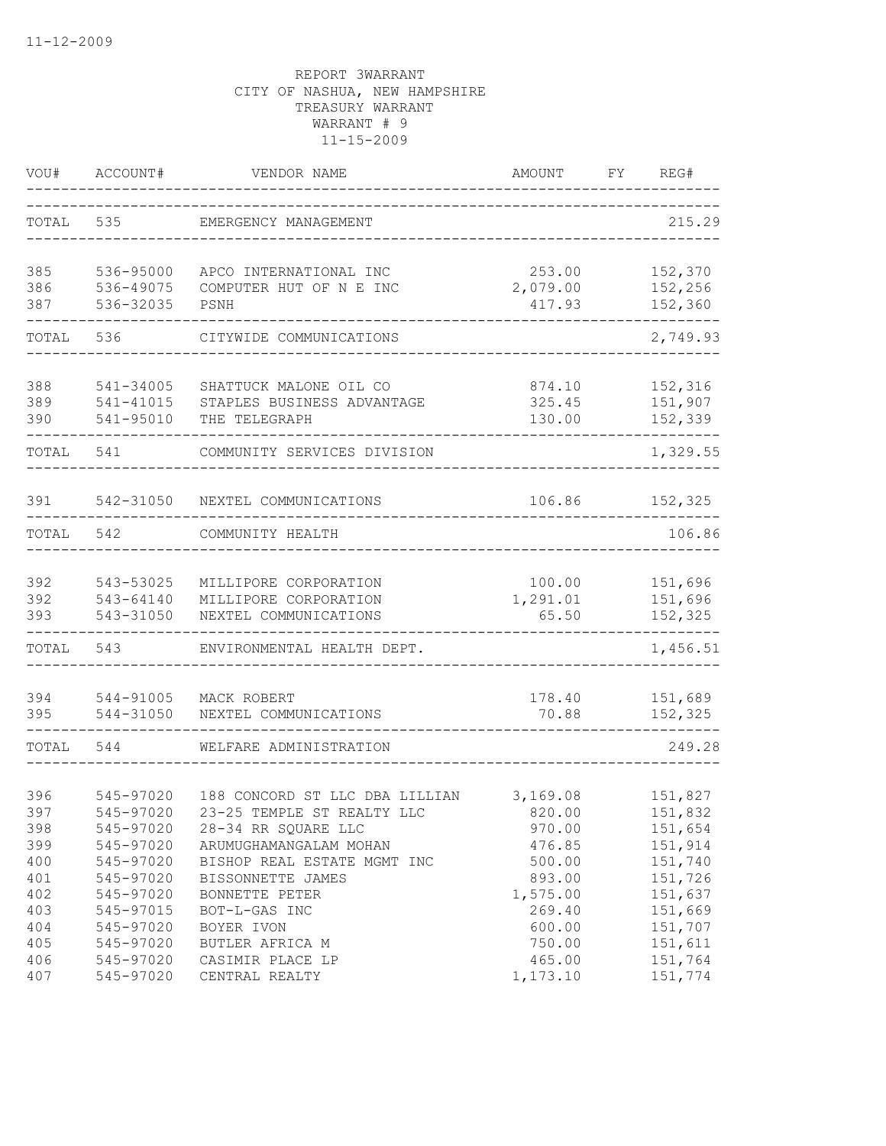| VOU#                     | ACCOUNT#                                         | VENDOR NAME                                                                                                   | AMOUNT                                 | FY. | REG#                                     |
|--------------------------|--------------------------------------------------|---------------------------------------------------------------------------------------------------------------|----------------------------------------|-----|------------------------------------------|
| TOTAL                    | 535                                              | EMERGENCY MANAGEMENT                                                                                          |                                        |     | 215.29                                   |
| 385<br>386<br>387        | 536-95000<br>536-49075<br>536-32035              | APCO INTERNATIONAL INC<br>COMPUTER HUT OF N E INC<br>PSNH                                                     | 253.00<br>2,079.00<br>417.93           |     | 152,370<br>152,256<br>152,360            |
| TOTAL                    | 536                                              | CITYWIDE COMMUNICATIONS                                                                                       |                                        |     | 2,749.93                                 |
| 388<br>389<br>390        | 541-34005<br>541-41015<br>541-95010              | SHATTUCK MALONE OIL CO<br>STAPLES BUSINESS ADVANTAGE<br>THE TELEGRAPH                                         | 874.10<br>325.45<br>130.00             |     | 152,316<br>151,907<br>152,339            |
| TOTAL                    | 541                                              | COMMUNITY SERVICES DIVISION                                                                                   |                                        |     | 1,329.55                                 |
| 391                      | 542-31050                                        | NEXTEL COMMUNICATIONS                                                                                         | 106.86                                 |     | 152,325                                  |
| TOTAL                    | 542                                              | COMMUNITY HEALTH                                                                                              |                                        |     | 106.86                                   |
| 392<br>392<br>393        | 543-53025<br>543-64140<br>543-31050              | MILLIPORE CORPORATION<br>MILLIPORE CORPORATION<br>NEXTEL COMMUNICATIONS                                       | 100.00<br>1,291.01<br>65.50            |     | 151,696<br>151,696<br>152,325            |
| TOTAL                    | 543                                              | ENVIRONMENTAL HEALTH DEPT.                                                                                    |                                        |     | 1,456.51                                 |
| 394<br>395               | 544-91005<br>544-31050                           | MACK ROBERT<br>NEXTEL COMMUNICATIONS                                                                          | 178.40<br>70.88                        |     | 151,689<br>152,325                       |
| TOTAL                    | 544                                              | WELFARE ADMINISTRATION                                                                                        |                                        |     | 249.28                                   |
| 396<br>397<br>398<br>399 | 545-97020<br>545-97020<br>545-97020<br>545-97020 | 188 CONCORD ST LLC DBA LILLIAN<br>23-25 TEMPLE ST REALTY LLC<br>28-34 RR SQUARE LLC<br>ARUMUGHAMANGALAM MOHAN | 3,169.08<br>820.00<br>970.00<br>476.85 |     | 151,827<br>151,832<br>151,654<br>151,914 |
| 400<br>401<br>402<br>403 | 545-97020<br>545-97020<br>545-97020<br>545-97015 | BISHOP REAL ESTATE MGMT INC<br>BISSONNETTE JAMES<br>BONNETTE PETER<br>BOT-L-GAS INC                           | 500.00<br>893.00<br>1,575.00<br>269.40 |     | 151,740<br>151,726<br>151,637<br>151,669 |
| 404<br>405<br>406<br>407 | 545-97020<br>545-97020<br>545-97020<br>545-97020 | BOYER IVON<br>BUTLER AFRICA M<br>CASIMIR PLACE LP<br>CENTRAL REALTY                                           | 600.00<br>750.00<br>465.00<br>1,173.10 |     | 151,707<br>151,611<br>151,764<br>151,774 |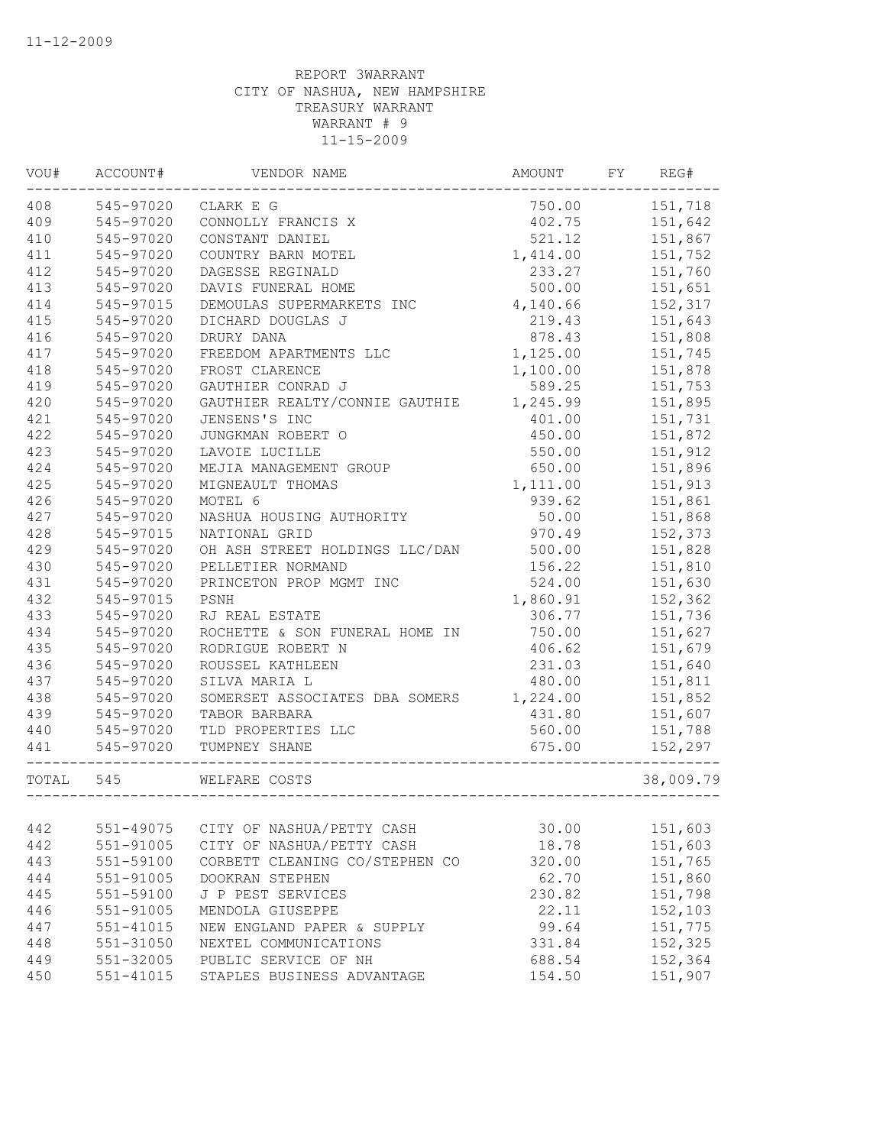| WOU#      | ACCOUNT#      | VENDOR NAME                    | AMOUNT   | FY | REG#      |
|-----------|---------------|--------------------------------|----------|----|-----------|
| 408       | 545-97020     | CLARK E G                      | 750.00   |    | 151,718   |
| 409       | 545-97020     | CONNOLLY FRANCIS X             | 402.75   |    | 151,642   |
| 410       | 545-97020     | CONSTANT DANIEL                | 521.12   |    | 151,867   |
| 411       | 545-97020     | COUNTRY BARN MOTEL             | 1,414.00 |    | 151,752   |
| 412       | 545-97020     | DAGESSE REGINALD               | 233.27   |    | 151,760   |
| 413       | 545-97020     | DAVIS FUNERAL HOME             | 500.00   |    | 151,651   |
| 414       | 545-97015     | DEMOULAS SUPERMARKETS INC      | 4,140.66 |    | 152,317   |
| 415       | 545-97020     | DICHARD DOUGLAS J              | 219.43   |    | 151,643   |
| 416       | 545-97020     | DRURY DANA                     | 878.43   |    | 151,808   |
| 417       | 545-97020     | FREEDOM APARTMENTS LLC         | 1,125.00 |    | 151,745   |
| 418       | 545-97020     | FROST CLARENCE                 | 1,100.00 |    | 151,878   |
| 419       | 545-97020     | GAUTHIER CONRAD J              | 589.25   |    | 151,753   |
| 420       | 545-97020     | GAUTHIER REALTY/CONNIE GAUTHIE | 1,245.99 |    | 151,895   |
| 421       | 545-97020     | JENSENS'S INC                  | 401.00   |    | 151,731   |
| 422       | 545-97020     | JUNGKMAN ROBERT O              | 450.00   |    | 151,872   |
| 423       | 545-97020     | LAVOIE LUCILLE                 | 550.00   |    | 151,912   |
| 424       | 545-97020     | MEJIA MANAGEMENT GROUP         | 650.00   |    | 151,896   |
| 425       | 545-97020     | MIGNEAULT THOMAS               | 1,111.00 |    | 151,913   |
| 426       | 545-97020     | MOTEL 6                        | 939.62   |    | 151,861   |
| 427       | 545-97020     | NASHUA HOUSING AUTHORITY       | 50.00    |    | 151,868   |
| 428       | 545-97015     | NATIONAL GRID                  | 970.49   |    | 152,373   |
| 429       | 545-97020     | OH ASH STREET HOLDINGS LLC/DAN | 500.00   |    | 151,828   |
| 430       | 545-97020     | PELLETIER NORMAND              | 156.22   |    | 151,810   |
| 431       | 545-97020     | PRINCETON PROP MGMT INC        | 524.00   |    | 151,630   |
| 432       | 545-97015     | PSNH                           | 1,860.91 |    | 152,362   |
| 433       | 545-97020     | RJ REAL ESTATE                 | 306.77   |    | 151,736   |
| 434       | 545-97020     | ROCHETTE & SON FUNERAL HOME IN | 750.00   |    | 151,627   |
| 435       | 545-97020     | RODRIGUE ROBERT N              | 406.62   |    | 151,679   |
| 436       | 545-97020     | ROUSSEL KATHLEEN               | 231.03   |    | 151,640   |
| 437       | 545-97020     | SILVA MARIA L                  | 480.00   |    | 151,811   |
| 438       | 545-97020     | SOMERSET ASSOCIATES DBA SOMERS | 1,224.00 |    | 151,852   |
| 439       | 545-97020     | TABOR BARBARA                  | 431.80   |    | 151,607   |
| 440       | 545-97020     | TLD PROPERTIES LLC             | 560.00   |    | 151,788   |
| 441       | 545-97020     | TUMPNEY SHANE                  | 675.00   |    | 152,297   |
| TOTAL 545 |               | WELFARE COSTS                  |          |    | 38,009.79 |
|           |               |                                |          |    |           |
| 442       | 551-49075     | CITY OF NASHUA/PETTY CASH      | 30.00    |    | 151,603   |
| 442       | 551-91005     | CITY OF NASHUA/PETTY CASH      | 18.78    |    | 151,603   |
| 443       | 551-59100     | CORBETT CLEANING CO/STEPHEN CO | 320.00   |    | 151,765   |
| 444       | 551-91005     | DOOKRAN STEPHEN                | 62.70    |    | 151,860   |
| 445       | 551-59100     | J P PEST SERVICES              | 230.82   |    | 151,798   |
| 446       | 551-91005     | MENDOLA GIUSEPPE               | 22.11    |    | 152,103   |
| 447       | $551 - 41015$ | NEW ENGLAND PAPER & SUPPLY     | 99.64    |    | 151,775   |
| 448       | 551-31050     | NEXTEL COMMUNICATIONS          | 331.84   |    | 152,325   |
| 449       | 551-32005     | PUBLIC SERVICE OF NH           | 688.54   |    | 152,364   |
| 450       | $551 - 41015$ | STAPLES BUSINESS ADVANTAGE     | 154.50   |    | 151,907   |
|           |               |                                |          |    |           |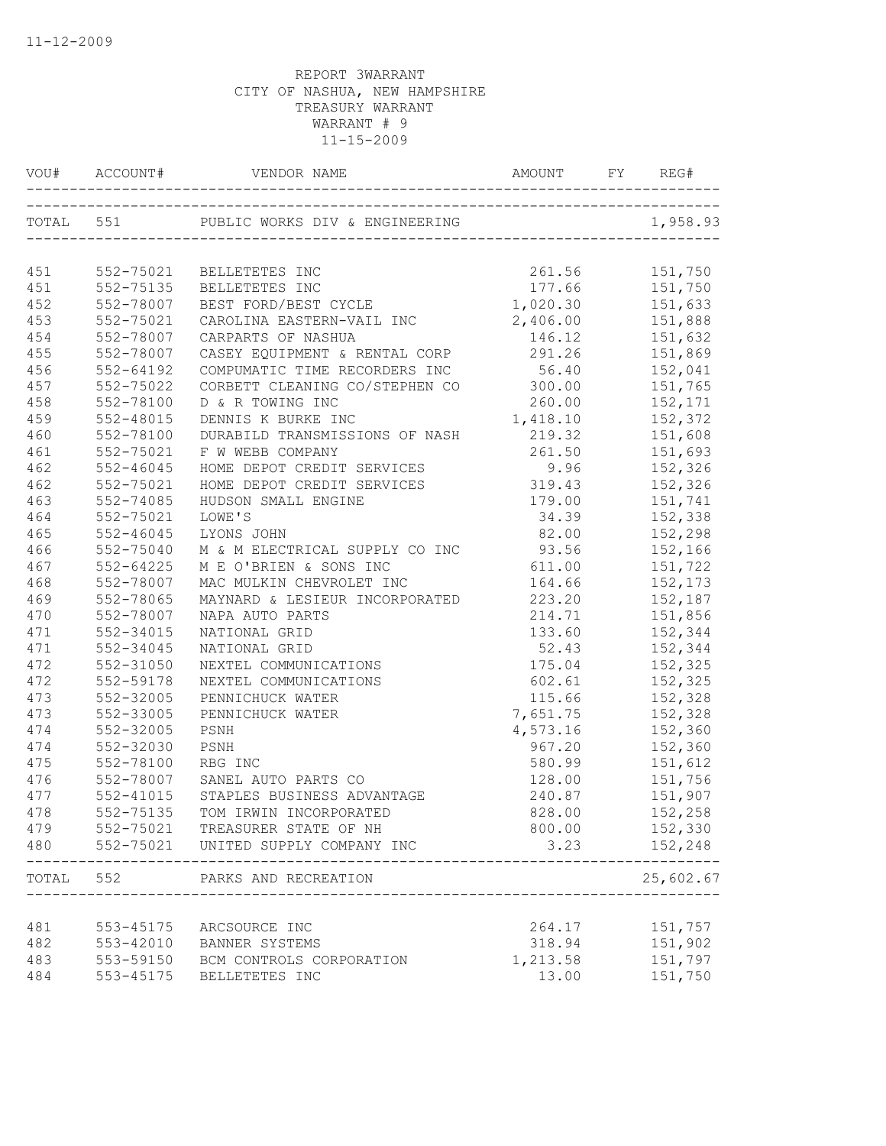| VOU# |               |                                        |          | REG#      |
|------|---------------|----------------------------------------|----------|-----------|
|      | TOTAL 551     |                                        |          | 1,958.93  |
|      |               |                                        |          |           |
| 451  | 552-75021     | BELLETETES INC                         | 261.56   | 151,750   |
| 451  | 552-75135     | BELLETETES INC                         | 177.66   | 151,750   |
| 452  | 552-78007     | BEST FORD/BEST CYCLE                   | 1,020.30 | 151,633   |
| 453  | 552-75021     | CAROLINA EASTERN-VAIL INC              | 2,406.00 | 151,888   |
| 454  | 552-78007     | CARPARTS OF NASHUA                     | 146.12   | 151,632   |
| 455  | 552-78007     | CASEY EQUIPMENT & RENTAL CORP          | 291.26   | 151,869   |
| 456  | 552-64192     | COMPUMATIC TIME RECORDERS INC 56.40    |          | 152,041   |
| 457  | 552-75022     | CORBETT CLEANING CO/STEPHEN CO 300.00  |          | 151,765   |
| 458  | 552-78100     | D & R TOWING INC                       | 260.00   | 152,171   |
| 459  | 552-48015     | DENNIS K BURKE INC                     | 1,418.10 | 152,372   |
| 460  | 552-78100     | DURABILD TRANSMISSIONS OF NASH         | 219.32   | 151,608   |
| 461  | 552-75021     | F W WEBB COMPANY                       | 261.50   | 151,693   |
| 462  | $552 - 46045$ | HOME DEPOT CREDIT SERVICES             | 9.96     | 152,326   |
| 462  | 552-75021     | HOME DEPOT CREDIT SERVICES             | 319.43   | 152,326   |
| 463  | 552-74085     | HUDSON SMALL ENGINE                    | 179.00   | 151,741   |
| 464  | 552-75021     | LOWE'S                                 | 34.39    | 152,338   |
| 465  | $552 - 46045$ | LYONS JOHN                             | 82.00    | 152,298   |
| 466  | 552-75040     | M & M ELECTRICAL SUPPLY CO INC         | 93.56    | 152,166   |
| 467  | 552-64225     | M E O'BRIEN & SONS INC                 | 611.00   | 151,722   |
| 468  | 552-78007     | MAC MULKIN CHEVROLET INC               | 164.66   | 152,173   |
| 469  | 552-78065     | MAYNARD & LESIEUR INCORPORATED         | 223.20   | 152,187   |
| 470  | 552-78007     | NAPA AUTO PARTS                        | 214.71   | 151,856   |
| 471  | 552-34015     | NATIONAL GRID                          | 133.60   | 152,344   |
| 471  | 552-34045     | NATIONAL GRID                          | 52.43    | 152,344   |
| 472  | 552-31050     | NEXTEL COMMUNICATIONS                  | 175.04   | 152,325   |
| 472  | 552-59178     | NEXTEL COMMUNICATIONS                  | 602.61   | 152,325   |
| 473  | 552-32005     | PENNICHUCK WATER                       | 115.66   | 152,328   |
| 473  | 552-33005     | PENNICHUCK WATER                       | 7,651.75 | 152,328   |
| 474  | 552-32005     | PSNH                                   | 4,573.16 | 152,360   |
| 474  | 552-32030     | PSNH                                   | 967.20   | 152,360   |
| 475  | 552-78100     | RBG INC                                | 580.99   | 151,612   |
| 476  | 552-78007     | SANEL AUTO PARTS CO                    | 128.00   | 151,756   |
| 477  | $552 - 41015$ | STAPLES BUSINESS ADVANTAGE             | 240.87   | 151,907   |
| 478  |               | 552-75135 TOM IRWIN INCORPORATED       | 828.00   | 152,258   |
| 479  |               | 552-75021 TREASURER STATE OF NH        | 800.00   | 152,330   |
| 480  |               | 552-75021 UNITED SUPPLY COMPANY INC    | 3.23     | 152,248   |
|      | TOTAL 552     | PARKS AND RECREATION<br>______________ |          | 25,602.67 |
|      |               |                                        |          |           |
| 481  |               | 553-45175 ARCSOURCE INC                | 264.17   | 151,757   |
| 482  |               | 553-42010 BANNER SYSTEMS               | 318.94   | 151,902   |
| 483  |               | 553-59150 BCM CONTROLS CORPORATION     | 1,213.58 | 151,797   |
| 484  | 553-45175     | BELLETETES INC                         | 13.00    | 151,750   |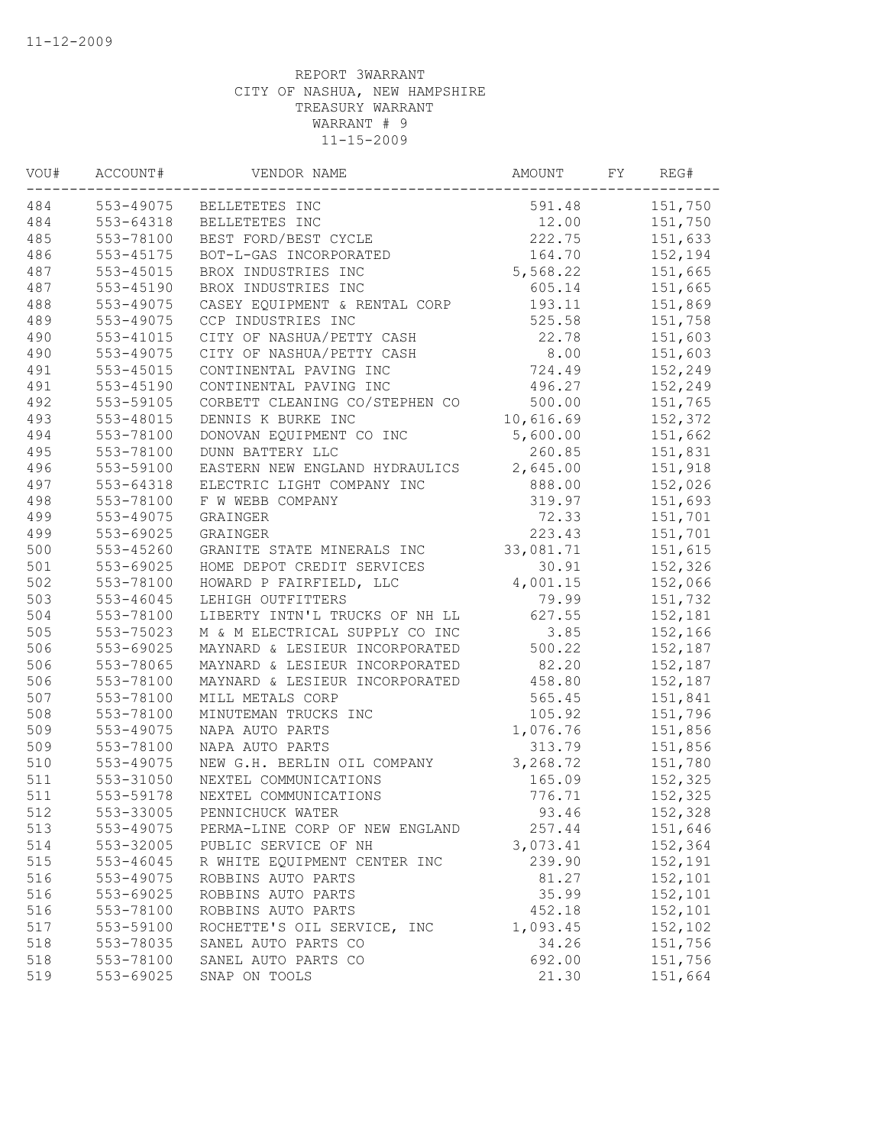| 553-49075<br>151,750<br>591.48<br>BELLETETES INC<br>553-64318<br>12.00<br>151,750<br>BELLETETES INC<br>553-78100<br>222.75<br>151,633<br>BEST FORD/BEST CYCLE<br>553-45175<br>164.70<br>BOT-L-GAS INCORPORATED<br>152,194<br>$553 - 45015$<br>5,568.22<br>151,665<br>BROX INDUSTRIES INC<br>$553 - 45190$<br>BROX INDUSTRIES INC<br>605.14<br>151,665<br>553-49075<br>CASEY EQUIPMENT & RENTAL CORP<br>193.11<br>151,869<br>525.58<br>553-49075<br>CCP INDUSTRIES INC<br>151,758<br>22.78<br>151,603<br>553-41015<br>CITY OF NASHUA/PETTY CASH<br>8.00<br>553-49075<br>151,603<br>CITY OF NASHUA/PETTY CASH<br>$553 - 45015$<br>CONTINENTAL PAVING INC<br>724.49<br>152,249<br>$553 - 45190$<br>496.27<br>CONTINENTAL PAVING INC<br>152,249<br>553-59105<br>CORBETT CLEANING CO/STEPHEN CO<br>500.00<br>151,765<br>553-48015<br>10,616.69<br>152,372<br>DENNIS K BURKE INC<br>151,662<br>553-78100<br>DONOVAN EQUIPMENT CO INC<br>5,600.00<br>553-78100<br>DUNN BATTERY LLC<br>260.85<br>151,831<br>2,645.00<br>553-59100<br>151,918<br>EASTERN NEW ENGLAND HYDRAULICS<br>888.00<br>553-64318<br>ELECTRIC LIGHT COMPANY INC<br>152,026<br>553-78100<br>319.97<br>151,693<br>F W WEBB COMPANY<br>553-49075<br>72.33<br>151,701<br>GRAINGER<br>553-69025<br>223.43<br>GRAINGER<br>151,701<br>553-45260<br>33,081.71<br>GRANITE STATE MINERALS INC<br>151,615<br>553-69025<br>HOME DEPOT CREDIT SERVICES<br>30.91<br>152,326<br>553-78100<br>4,001.15<br>152,066<br>HOWARD P FAIRFIELD, LLC<br>553-46045<br>79.99<br>151,732<br>LEHIGH OUTFITTERS<br>LIBERTY INTN'L TRUCKS OF NH LL<br>627.55<br>152,181<br>553-78100<br>3.85<br>553-75023<br>M & M ELECTRICAL SUPPLY CO INC<br>152,166<br>553-69025<br>500.22<br>MAYNARD & LESIEUR INCORPORATED<br>152,187<br>553-78065<br>MAYNARD & LESIEUR INCORPORATED<br>82.20<br>152,187<br>553-78100<br>458.80<br>152,187<br>MAYNARD & LESIEUR INCORPORATED<br>553-78100<br>MILL METALS CORP<br>565.45<br>151,841<br>553-78100<br>151,796<br>MINUTEMAN TRUCKS INC<br>105.92<br>553-49075<br>NAPA AUTO PARTS<br>1,076.76<br>151,856<br>313.79<br>553-78100<br>NAPA AUTO PARTS<br>151,856<br>553-49075<br>NEW G.H. BERLIN OIL COMPANY<br>3,268.72<br>151,780<br>165.09<br>553-31050<br>NEXTEL COMMUNICATIONS<br>152,325<br>553-59178<br>NEXTEL COMMUNICATIONS<br>776.71<br>152,325<br>553-33005<br>PENNICHUCK WATER<br>93.46<br>152,328<br>513<br>257.44<br>151,646<br>553-49075<br>PERMA-LINE CORP OF NEW ENGLAND<br>514<br>553-32005<br>3,073.41<br>152,364<br>PUBLIC SERVICE OF NH<br>553-46045<br>R WHITE EQUIPMENT CENTER INC<br>239.90<br>152,191<br>152,101<br>553-49075<br>ROBBINS AUTO PARTS<br>81.27<br>152,101<br>516<br>553-69025<br>ROBBINS AUTO PARTS<br>35.99<br>152,101<br>516<br>553-78100<br>ROBBINS AUTO PARTS<br>452.18<br>517<br>553-59100<br>ROCHETTE'S OIL SERVICE, INC<br>1,093.45<br>152,102<br>553-78035<br>SANEL AUTO PARTS CO<br>34.26<br>151,756<br>553-78100<br>SANEL AUTO PARTS CO<br>692.00<br>151,756<br>553-69025<br>SNAP ON TOOLS<br>21.30<br>151,664 | VOU# | ACCOUNT# | VENDOR NAME | AMOUNT | FY | REG# |
|----------------------------------------------------------------------------------------------------------------------------------------------------------------------------------------------------------------------------------------------------------------------------------------------------------------------------------------------------------------------------------------------------------------------------------------------------------------------------------------------------------------------------------------------------------------------------------------------------------------------------------------------------------------------------------------------------------------------------------------------------------------------------------------------------------------------------------------------------------------------------------------------------------------------------------------------------------------------------------------------------------------------------------------------------------------------------------------------------------------------------------------------------------------------------------------------------------------------------------------------------------------------------------------------------------------------------------------------------------------------------------------------------------------------------------------------------------------------------------------------------------------------------------------------------------------------------------------------------------------------------------------------------------------------------------------------------------------------------------------------------------------------------------------------------------------------------------------------------------------------------------------------------------------------------------------------------------------------------------------------------------------------------------------------------------------------------------------------------------------------------------------------------------------------------------------------------------------------------------------------------------------------------------------------------------------------------------------------------------------------------------------------------------------------------------------------------------------------------------------------------------------------------------------------------------------------------------------------------------------------------------------------------------------------------------------------------------------------------------------------------------------------------------------------------------------------------------------------------------------------------------------------------------------------------------------------------------------------------------------------------------------------------|------|----------|-------------|--------|----|------|
|                                                                                                                                                                                                                                                                                                                                                                                                                                                                                                                                                                                                                                                                                                                                                                                                                                                                                                                                                                                                                                                                                                                                                                                                                                                                                                                                                                                                                                                                                                                                                                                                                                                                                                                                                                                                                                                                                                                                                                                                                                                                                                                                                                                                                                                                                                                                                                                                                                                                                                                                                                                                                                                                                                                                                                                                                                                                                                                                                                                                                            | 484  |          |             |        |    |      |
|                                                                                                                                                                                                                                                                                                                                                                                                                                                                                                                                                                                                                                                                                                                                                                                                                                                                                                                                                                                                                                                                                                                                                                                                                                                                                                                                                                                                                                                                                                                                                                                                                                                                                                                                                                                                                                                                                                                                                                                                                                                                                                                                                                                                                                                                                                                                                                                                                                                                                                                                                                                                                                                                                                                                                                                                                                                                                                                                                                                                                            | 484  |          |             |        |    |      |
|                                                                                                                                                                                                                                                                                                                                                                                                                                                                                                                                                                                                                                                                                                                                                                                                                                                                                                                                                                                                                                                                                                                                                                                                                                                                                                                                                                                                                                                                                                                                                                                                                                                                                                                                                                                                                                                                                                                                                                                                                                                                                                                                                                                                                                                                                                                                                                                                                                                                                                                                                                                                                                                                                                                                                                                                                                                                                                                                                                                                                            | 485  |          |             |        |    |      |
|                                                                                                                                                                                                                                                                                                                                                                                                                                                                                                                                                                                                                                                                                                                                                                                                                                                                                                                                                                                                                                                                                                                                                                                                                                                                                                                                                                                                                                                                                                                                                                                                                                                                                                                                                                                                                                                                                                                                                                                                                                                                                                                                                                                                                                                                                                                                                                                                                                                                                                                                                                                                                                                                                                                                                                                                                                                                                                                                                                                                                            | 486  |          |             |        |    |      |
|                                                                                                                                                                                                                                                                                                                                                                                                                                                                                                                                                                                                                                                                                                                                                                                                                                                                                                                                                                                                                                                                                                                                                                                                                                                                                                                                                                                                                                                                                                                                                                                                                                                                                                                                                                                                                                                                                                                                                                                                                                                                                                                                                                                                                                                                                                                                                                                                                                                                                                                                                                                                                                                                                                                                                                                                                                                                                                                                                                                                                            | 487  |          |             |        |    |      |
|                                                                                                                                                                                                                                                                                                                                                                                                                                                                                                                                                                                                                                                                                                                                                                                                                                                                                                                                                                                                                                                                                                                                                                                                                                                                                                                                                                                                                                                                                                                                                                                                                                                                                                                                                                                                                                                                                                                                                                                                                                                                                                                                                                                                                                                                                                                                                                                                                                                                                                                                                                                                                                                                                                                                                                                                                                                                                                                                                                                                                            | 487  |          |             |        |    |      |
|                                                                                                                                                                                                                                                                                                                                                                                                                                                                                                                                                                                                                                                                                                                                                                                                                                                                                                                                                                                                                                                                                                                                                                                                                                                                                                                                                                                                                                                                                                                                                                                                                                                                                                                                                                                                                                                                                                                                                                                                                                                                                                                                                                                                                                                                                                                                                                                                                                                                                                                                                                                                                                                                                                                                                                                                                                                                                                                                                                                                                            | 488  |          |             |        |    |      |
|                                                                                                                                                                                                                                                                                                                                                                                                                                                                                                                                                                                                                                                                                                                                                                                                                                                                                                                                                                                                                                                                                                                                                                                                                                                                                                                                                                                                                                                                                                                                                                                                                                                                                                                                                                                                                                                                                                                                                                                                                                                                                                                                                                                                                                                                                                                                                                                                                                                                                                                                                                                                                                                                                                                                                                                                                                                                                                                                                                                                                            | 489  |          |             |        |    |      |
|                                                                                                                                                                                                                                                                                                                                                                                                                                                                                                                                                                                                                                                                                                                                                                                                                                                                                                                                                                                                                                                                                                                                                                                                                                                                                                                                                                                                                                                                                                                                                                                                                                                                                                                                                                                                                                                                                                                                                                                                                                                                                                                                                                                                                                                                                                                                                                                                                                                                                                                                                                                                                                                                                                                                                                                                                                                                                                                                                                                                                            | 490  |          |             |        |    |      |
|                                                                                                                                                                                                                                                                                                                                                                                                                                                                                                                                                                                                                                                                                                                                                                                                                                                                                                                                                                                                                                                                                                                                                                                                                                                                                                                                                                                                                                                                                                                                                                                                                                                                                                                                                                                                                                                                                                                                                                                                                                                                                                                                                                                                                                                                                                                                                                                                                                                                                                                                                                                                                                                                                                                                                                                                                                                                                                                                                                                                                            | 490  |          |             |        |    |      |
|                                                                                                                                                                                                                                                                                                                                                                                                                                                                                                                                                                                                                                                                                                                                                                                                                                                                                                                                                                                                                                                                                                                                                                                                                                                                                                                                                                                                                                                                                                                                                                                                                                                                                                                                                                                                                                                                                                                                                                                                                                                                                                                                                                                                                                                                                                                                                                                                                                                                                                                                                                                                                                                                                                                                                                                                                                                                                                                                                                                                                            | 491  |          |             |        |    |      |
|                                                                                                                                                                                                                                                                                                                                                                                                                                                                                                                                                                                                                                                                                                                                                                                                                                                                                                                                                                                                                                                                                                                                                                                                                                                                                                                                                                                                                                                                                                                                                                                                                                                                                                                                                                                                                                                                                                                                                                                                                                                                                                                                                                                                                                                                                                                                                                                                                                                                                                                                                                                                                                                                                                                                                                                                                                                                                                                                                                                                                            | 491  |          |             |        |    |      |
|                                                                                                                                                                                                                                                                                                                                                                                                                                                                                                                                                                                                                                                                                                                                                                                                                                                                                                                                                                                                                                                                                                                                                                                                                                                                                                                                                                                                                                                                                                                                                                                                                                                                                                                                                                                                                                                                                                                                                                                                                                                                                                                                                                                                                                                                                                                                                                                                                                                                                                                                                                                                                                                                                                                                                                                                                                                                                                                                                                                                                            | 492  |          |             |        |    |      |
|                                                                                                                                                                                                                                                                                                                                                                                                                                                                                                                                                                                                                                                                                                                                                                                                                                                                                                                                                                                                                                                                                                                                                                                                                                                                                                                                                                                                                                                                                                                                                                                                                                                                                                                                                                                                                                                                                                                                                                                                                                                                                                                                                                                                                                                                                                                                                                                                                                                                                                                                                                                                                                                                                                                                                                                                                                                                                                                                                                                                                            | 493  |          |             |        |    |      |
|                                                                                                                                                                                                                                                                                                                                                                                                                                                                                                                                                                                                                                                                                                                                                                                                                                                                                                                                                                                                                                                                                                                                                                                                                                                                                                                                                                                                                                                                                                                                                                                                                                                                                                                                                                                                                                                                                                                                                                                                                                                                                                                                                                                                                                                                                                                                                                                                                                                                                                                                                                                                                                                                                                                                                                                                                                                                                                                                                                                                                            | 494  |          |             |        |    |      |
|                                                                                                                                                                                                                                                                                                                                                                                                                                                                                                                                                                                                                                                                                                                                                                                                                                                                                                                                                                                                                                                                                                                                                                                                                                                                                                                                                                                                                                                                                                                                                                                                                                                                                                                                                                                                                                                                                                                                                                                                                                                                                                                                                                                                                                                                                                                                                                                                                                                                                                                                                                                                                                                                                                                                                                                                                                                                                                                                                                                                                            | 495  |          |             |        |    |      |
|                                                                                                                                                                                                                                                                                                                                                                                                                                                                                                                                                                                                                                                                                                                                                                                                                                                                                                                                                                                                                                                                                                                                                                                                                                                                                                                                                                                                                                                                                                                                                                                                                                                                                                                                                                                                                                                                                                                                                                                                                                                                                                                                                                                                                                                                                                                                                                                                                                                                                                                                                                                                                                                                                                                                                                                                                                                                                                                                                                                                                            | 496  |          |             |        |    |      |
|                                                                                                                                                                                                                                                                                                                                                                                                                                                                                                                                                                                                                                                                                                                                                                                                                                                                                                                                                                                                                                                                                                                                                                                                                                                                                                                                                                                                                                                                                                                                                                                                                                                                                                                                                                                                                                                                                                                                                                                                                                                                                                                                                                                                                                                                                                                                                                                                                                                                                                                                                                                                                                                                                                                                                                                                                                                                                                                                                                                                                            | 497  |          |             |        |    |      |
|                                                                                                                                                                                                                                                                                                                                                                                                                                                                                                                                                                                                                                                                                                                                                                                                                                                                                                                                                                                                                                                                                                                                                                                                                                                                                                                                                                                                                                                                                                                                                                                                                                                                                                                                                                                                                                                                                                                                                                                                                                                                                                                                                                                                                                                                                                                                                                                                                                                                                                                                                                                                                                                                                                                                                                                                                                                                                                                                                                                                                            | 498  |          |             |        |    |      |
|                                                                                                                                                                                                                                                                                                                                                                                                                                                                                                                                                                                                                                                                                                                                                                                                                                                                                                                                                                                                                                                                                                                                                                                                                                                                                                                                                                                                                                                                                                                                                                                                                                                                                                                                                                                                                                                                                                                                                                                                                                                                                                                                                                                                                                                                                                                                                                                                                                                                                                                                                                                                                                                                                                                                                                                                                                                                                                                                                                                                                            | 499  |          |             |        |    |      |
|                                                                                                                                                                                                                                                                                                                                                                                                                                                                                                                                                                                                                                                                                                                                                                                                                                                                                                                                                                                                                                                                                                                                                                                                                                                                                                                                                                                                                                                                                                                                                                                                                                                                                                                                                                                                                                                                                                                                                                                                                                                                                                                                                                                                                                                                                                                                                                                                                                                                                                                                                                                                                                                                                                                                                                                                                                                                                                                                                                                                                            | 499  |          |             |        |    |      |
|                                                                                                                                                                                                                                                                                                                                                                                                                                                                                                                                                                                                                                                                                                                                                                                                                                                                                                                                                                                                                                                                                                                                                                                                                                                                                                                                                                                                                                                                                                                                                                                                                                                                                                                                                                                                                                                                                                                                                                                                                                                                                                                                                                                                                                                                                                                                                                                                                                                                                                                                                                                                                                                                                                                                                                                                                                                                                                                                                                                                                            | 500  |          |             |        |    |      |
|                                                                                                                                                                                                                                                                                                                                                                                                                                                                                                                                                                                                                                                                                                                                                                                                                                                                                                                                                                                                                                                                                                                                                                                                                                                                                                                                                                                                                                                                                                                                                                                                                                                                                                                                                                                                                                                                                                                                                                                                                                                                                                                                                                                                                                                                                                                                                                                                                                                                                                                                                                                                                                                                                                                                                                                                                                                                                                                                                                                                                            | 501  |          |             |        |    |      |
|                                                                                                                                                                                                                                                                                                                                                                                                                                                                                                                                                                                                                                                                                                                                                                                                                                                                                                                                                                                                                                                                                                                                                                                                                                                                                                                                                                                                                                                                                                                                                                                                                                                                                                                                                                                                                                                                                                                                                                                                                                                                                                                                                                                                                                                                                                                                                                                                                                                                                                                                                                                                                                                                                                                                                                                                                                                                                                                                                                                                                            | 502  |          |             |        |    |      |
|                                                                                                                                                                                                                                                                                                                                                                                                                                                                                                                                                                                                                                                                                                                                                                                                                                                                                                                                                                                                                                                                                                                                                                                                                                                                                                                                                                                                                                                                                                                                                                                                                                                                                                                                                                                                                                                                                                                                                                                                                                                                                                                                                                                                                                                                                                                                                                                                                                                                                                                                                                                                                                                                                                                                                                                                                                                                                                                                                                                                                            | 503  |          |             |        |    |      |
|                                                                                                                                                                                                                                                                                                                                                                                                                                                                                                                                                                                                                                                                                                                                                                                                                                                                                                                                                                                                                                                                                                                                                                                                                                                                                                                                                                                                                                                                                                                                                                                                                                                                                                                                                                                                                                                                                                                                                                                                                                                                                                                                                                                                                                                                                                                                                                                                                                                                                                                                                                                                                                                                                                                                                                                                                                                                                                                                                                                                                            | 504  |          |             |        |    |      |
|                                                                                                                                                                                                                                                                                                                                                                                                                                                                                                                                                                                                                                                                                                                                                                                                                                                                                                                                                                                                                                                                                                                                                                                                                                                                                                                                                                                                                                                                                                                                                                                                                                                                                                                                                                                                                                                                                                                                                                                                                                                                                                                                                                                                                                                                                                                                                                                                                                                                                                                                                                                                                                                                                                                                                                                                                                                                                                                                                                                                                            | 505  |          |             |        |    |      |
|                                                                                                                                                                                                                                                                                                                                                                                                                                                                                                                                                                                                                                                                                                                                                                                                                                                                                                                                                                                                                                                                                                                                                                                                                                                                                                                                                                                                                                                                                                                                                                                                                                                                                                                                                                                                                                                                                                                                                                                                                                                                                                                                                                                                                                                                                                                                                                                                                                                                                                                                                                                                                                                                                                                                                                                                                                                                                                                                                                                                                            | 506  |          |             |        |    |      |
|                                                                                                                                                                                                                                                                                                                                                                                                                                                                                                                                                                                                                                                                                                                                                                                                                                                                                                                                                                                                                                                                                                                                                                                                                                                                                                                                                                                                                                                                                                                                                                                                                                                                                                                                                                                                                                                                                                                                                                                                                                                                                                                                                                                                                                                                                                                                                                                                                                                                                                                                                                                                                                                                                                                                                                                                                                                                                                                                                                                                                            | 506  |          |             |        |    |      |
|                                                                                                                                                                                                                                                                                                                                                                                                                                                                                                                                                                                                                                                                                                                                                                                                                                                                                                                                                                                                                                                                                                                                                                                                                                                                                                                                                                                                                                                                                                                                                                                                                                                                                                                                                                                                                                                                                                                                                                                                                                                                                                                                                                                                                                                                                                                                                                                                                                                                                                                                                                                                                                                                                                                                                                                                                                                                                                                                                                                                                            | 506  |          |             |        |    |      |
|                                                                                                                                                                                                                                                                                                                                                                                                                                                                                                                                                                                                                                                                                                                                                                                                                                                                                                                                                                                                                                                                                                                                                                                                                                                                                                                                                                                                                                                                                                                                                                                                                                                                                                                                                                                                                                                                                                                                                                                                                                                                                                                                                                                                                                                                                                                                                                                                                                                                                                                                                                                                                                                                                                                                                                                                                                                                                                                                                                                                                            | 507  |          |             |        |    |      |
|                                                                                                                                                                                                                                                                                                                                                                                                                                                                                                                                                                                                                                                                                                                                                                                                                                                                                                                                                                                                                                                                                                                                                                                                                                                                                                                                                                                                                                                                                                                                                                                                                                                                                                                                                                                                                                                                                                                                                                                                                                                                                                                                                                                                                                                                                                                                                                                                                                                                                                                                                                                                                                                                                                                                                                                                                                                                                                                                                                                                                            | 508  |          |             |        |    |      |
|                                                                                                                                                                                                                                                                                                                                                                                                                                                                                                                                                                                                                                                                                                                                                                                                                                                                                                                                                                                                                                                                                                                                                                                                                                                                                                                                                                                                                                                                                                                                                                                                                                                                                                                                                                                                                                                                                                                                                                                                                                                                                                                                                                                                                                                                                                                                                                                                                                                                                                                                                                                                                                                                                                                                                                                                                                                                                                                                                                                                                            | 509  |          |             |        |    |      |
|                                                                                                                                                                                                                                                                                                                                                                                                                                                                                                                                                                                                                                                                                                                                                                                                                                                                                                                                                                                                                                                                                                                                                                                                                                                                                                                                                                                                                                                                                                                                                                                                                                                                                                                                                                                                                                                                                                                                                                                                                                                                                                                                                                                                                                                                                                                                                                                                                                                                                                                                                                                                                                                                                                                                                                                                                                                                                                                                                                                                                            | 509  |          |             |        |    |      |
|                                                                                                                                                                                                                                                                                                                                                                                                                                                                                                                                                                                                                                                                                                                                                                                                                                                                                                                                                                                                                                                                                                                                                                                                                                                                                                                                                                                                                                                                                                                                                                                                                                                                                                                                                                                                                                                                                                                                                                                                                                                                                                                                                                                                                                                                                                                                                                                                                                                                                                                                                                                                                                                                                                                                                                                                                                                                                                                                                                                                                            | 510  |          |             |        |    |      |
|                                                                                                                                                                                                                                                                                                                                                                                                                                                                                                                                                                                                                                                                                                                                                                                                                                                                                                                                                                                                                                                                                                                                                                                                                                                                                                                                                                                                                                                                                                                                                                                                                                                                                                                                                                                                                                                                                                                                                                                                                                                                                                                                                                                                                                                                                                                                                                                                                                                                                                                                                                                                                                                                                                                                                                                                                                                                                                                                                                                                                            | 511  |          |             |        |    |      |
|                                                                                                                                                                                                                                                                                                                                                                                                                                                                                                                                                                                                                                                                                                                                                                                                                                                                                                                                                                                                                                                                                                                                                                                                                                                                                                                                                                                                                                                                                                                                                                                                                                                                                                                                                                                                                                                                                                                                                                                                                                                                                                                                                                                                                                                                                                                                                                                                                                                                                                                                                                                                                                                                                                                                                                                                                                                                                                                                                                                                                            | 511  |          |             |        |    |      |
|                                                                                                                                                                                                                                                                                                                                                                                                                                                                                                                                                                                                                                                                                                                                                                                                                                                                                                                                                                                                                                                                                                                                                                                                                                                                                                                                                                                                                                                                                                                                                                                                                                                                                                                                                                                                                                                                                                                                                                                                                                                                                                                                                                                                                                                                                                                                                                                                                                                                                                                                                                                                                                                                                                                                                                                                                                                                                                                                                                                                                            | 512  |          |             |        |    |      |
|                                                                                                                                                                                                                                                                                                                                                                                                                                                                                                                                                                                                                                                                                                                                                                                                                                                                                                                                                                                                                                                                                                                                                                                                                                                                                                                                                                                                                                                                                                                                                                                                                                                                                                                                                                                                                                                                                                                                                                                                                                                                                                                                                                                                                                                                                                                                                                                                                                                                                                                                                                                                                                                                                                                                                                                                                                                                                                                                                                                                                            |      |          |             |        |    |      |
|                                                                                                                                                                                                                                                                                                                                                                                                                                                                                                                                                                                                                                                                                                                                                                                                                                                                                                                                                                                                                                                                                                                                                                                                                                                                                                                                                                                                                                                                                                                                                                                                                                                                                                                                                                                                                                                                                                                                                                                                                                                                                                                                                                                                                                                                                                                                                                                                                                                                                                                                                                                                                                                                                                                                                                                                                                                                                                                                                                                                                            |      |          |             |        |    |      |
|                                                                                                                                                                                                                                                                                                                                                                                                                                                                                                                                                                                                                                                                                                                                                                                                                                                                                                                                                                                                                                                                                                                                                                                                                                                                                                                                                                                                                                                                                                                                                                                                                                                                                                                                                                                                                                                                                                                                                                                                                                                                                                                                                                                                                                                                                                                                                                                                                                                                                                                                                                                                                                                                                                                                                                                                                                                                                                                                                                                                                            | 515  |          |             |        |    |      |
|                                                                                                                                                                                                                                                                                                                                                                                                                                                                                                                                                                                                                                                                                                                                                                                                                                                                                                                                                                                                                                                                                                                                                                                                                                                                                                                                                                                                                                                                                                                                                                                                                                                                                                                                                                                                                                                                                                                                                                                                                                                                                                                                                                                                                                                                                                                                                                                                                                                                                                                                                                                                                                                                                                                                                                                                                                                                                                                                                                                                                            | 516  |          |             |        |    |      |
|                                                                                                                                                                                                                                                                                                                                                                                                                                                                                                                                                                                                                                                                                                                                                                                                                                                                                                                                                                                                                                                                                                                                                                                                                                                                                                                                                                                                                                                                                                                                                                                                                                                                                                                                                                                                                                                                                                                                                                                                                                                                                                                                                                                                                                                                                                                                                                                                                                                                                                                                                                                                                                                                                                                                                                                                                                                                                                                                                                                                                            |      |          |             |        |    |      |
|                                                                                                                                                                                                                                                                                                                                                                                                                                                                                                                                                                                                                                                                                                                                                                                                                                                                                                                                                                                                                                                                                                                                                                                                                                                                                                                                                                                                                                                                                                                                                                                                                                                                                                                                                                                                                                                                                                                                                                                                                                                                                                                                                                                                                                                                                                                                                                                                                                                                                                                                                                                                                                                                                                                                                                                                                                                                                                                                                                                                                            |      |          |             |        |    |      |
|                                                                                                                                                                                                                                                                                                                                                                                                                                                                                                                                                                                                                                                                                                                                                                                                                                                                                                                                                                                                                                                                                                                                                                                                                                                                                                                                                                                                                                                                                                                                                                                                                                                                                                                                                                                                                                                                                                                                                                                                                                                                                                                                                                                                                                                                                                                                                                                                                                                                                                                                                                                                                                                                                                                                                                                                                                                                                                                                                                                                                            |      |          |             |        |    |      |
|                                                                                                                                                                                                                                                                                                                                                                                                                                                                                                                                                                                                                                                                                                                                                                                                                                                                                                                                                                                                                                                                                                                                                                                                                                                                                                                                                                                                                                                                                                                                                                                                                                                                                                                                                                                                                                                                                                                                                                                                                                                                                                                                                                                                                                                                                                                                                                                                                                                                                                                                                                                                                                                                                                                                                                                                                                                                                                                                                                                                                            | 518  |          |             |        |    |      |
|                                                                                                                                                                                                                                                                                                                                                                                                                                                                                                                                                                                                                                                                                                                                                                                                                                                                                                                                                                                                                                                                                                                                                                                                                                                                                                                                                                                                                                                                                                                                                                                                                                                                                                                                                                                                                                                                                                                                                                                                                                                                                                                                                                                                                                                                                                                                                                                                                                                                                                                                                                                                                                                                                                                                                                                                                                                                                                                                                                                                                            | 518  |          |             |        |    |      |
|                                                                                                                                                                                                                                                                                                                                                                                                                                                                                                                                                                                                                                                                                                                                                                                                                                                                                                                                                                                                                                                                                                                                                                                                                                                                                                                                                                                                                                                                                                                                                                                                                                                                                                                                                                                                                                                                                                                                                                                                                                                                                                                                                                                                                                                                                                                                                                                                                                                                                                                                                                                                                                                                                                                                                                                                                                                                                                                                                                                                                            | 519  |          |             |        |    |      |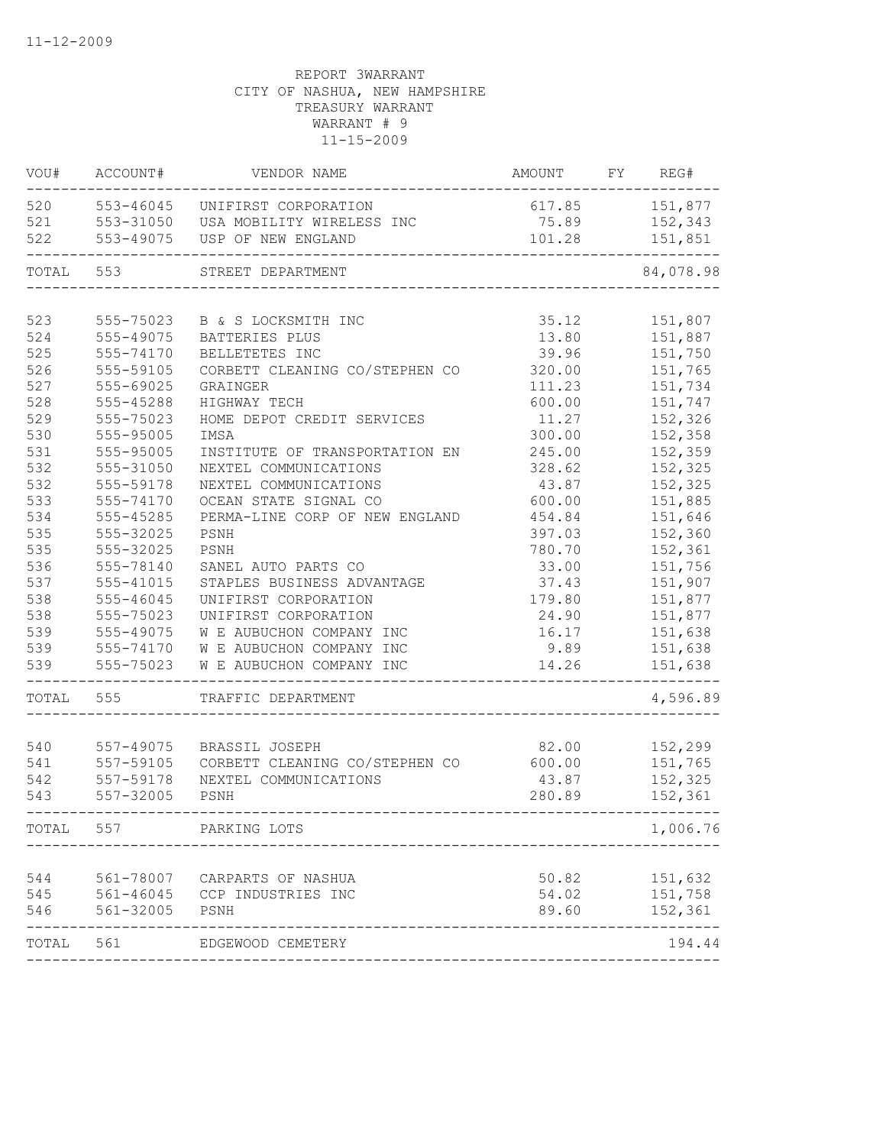| VOU#       | ACCOUNT#               | VENDOR NAME                                             | AMOUNT           | FY | REG#               |
|------------|------------------------|---------------------------------------------------------|------------------|----|--------------------|
| 520        |                        | 553-46045 UNIFIRST CORPORATION                          | 617.85           |    | 151,877            |
| 521        | 553-31050              | USA MOBILITY WIRELESS INC                               | 75.89            |    | 152,343            |
| 522        | 553-49075              | USP OF NEW ENGLAND                                      | 101.28           |    | 151,851            |
| TOTAL      | 553                    | STREET DEPARTMENT                                       |                  |    | 84,078.98          |
|            |                        |                                                         |                  |    |                    |
| 523        | 555-75023              | B & S LOCKSMITH INC                                     | 35.12            |    | 151,807            |
| 524        | 555-49075              | BATTERIES PLUS                                          | 13.80            |    | 151,887            |
| 525        | 555-74170              | BELLETETES INC                                          | 39.96            |    | 151,750            |
| 526        | 555-59105              | CORBETT CLEANING CO/STEPHEN CO                          | 320.00           |    | 151,765            |
| 527<br>528 | 555-69025              | GRAINGER                                                | 111.23           |    | 151,734            |
|            | 555-45288              | HIGHWAY TECH                                            | 600.00           |    | 151,747            |
| 529        | 555-75023              | HOME DEPOT CREDIT SERVICES                              | 11.27            |    | 152,326            |
| 530        | 555-95005<br>555-95005 | IMSA                                                    | 300.00<br>245.00 |    | 152,358            |
| 531<br>532 | 555-31050              | INSTITUTE OF TRANSPORTATION EN<br>NEXTEL COMMUNICATIONS |                  |    | 152,359<br>152,325 |
| 532        | 555-59178              |                                                         | 328.62<br>43.87  |    | 152,325            |
| 533        | 555-74170              | NEXTEL COMMUNICATIONS<br>OCEAN STATE SIGNAL CO          | 600.00           |    | 151,885            |
| 534        | 555-45285              | PERMA-LINE CORP OF NEW ENGLAND                          | 454.84           |    | 151,646            |
| 535        | 555-32025              | PSNH                                                    | 397.03           |    | 152,360            |
| 535        | 555-32025              | PSNH                                                    | 780.70           |    | 152,361            |
| 536        | 555-78140              | SANEL AUTO PARTS CO                                     | 33.00            |    | 151,756            |
| 537        | 555-41015              | STAPLES BUSINESS ADVANTAGE                              | 37.43            |    | 151,907            |
| 538        | $555 - 46045$          | UNIFIRST CORPORATION                                    | 179.80           |    | 151,877            |
| 538        | 555-75023              | UNIFIRST CORPORATION                                    | 24.90            |    | 151,877            |
| 539        | 555-49075              | W E AUBUCHON COMPANY INC                                | 16.17            |    | 151,638            |
| 539        | 555-74170              | W E AUBUCHON COMPANY INC                                | 9.89             |    | 151,638            |
| 539        | 555-75023              | W E AUBUCHON COMPANY INC                                | 14.26            |    | 151,638            |
|            |                        |                                                         |                  |    |                    |
| TOTAL      | 555                    | TRAFFIC DEPARTMENT                                      |                  |    | 4,596.89           |
| 540        | 557-49075              | BRASSIL JOSEPH                                          | 82.00            |    | 152,299            |
| 541        | 557-59105              | CORBETT CLEANING CO/STEPHEN CO                          | 600.00           |    | 151,765            |
| 542        | 557-59178              | NEXTEL COMMUNICATIONS                                   | 43.87            |    | 152,325            |
| 543        | 557-32005              | PSNH                                                    | 280.89           |    | 152,361            |
| TOTAL      | 557                    | PARKING LOTS                                            |                  |    | 1,006.76           |
|            |                        |                                                         |                  |    |                    |
| 544        | 561-78007              | CARPARTS OF NASHUA                                      | 50.82            |    | 151,632            |
| 545        |                        | 561-46045 CCP INDUSTRIES INC                            | 54.02            |    | 151,758            |
| 546        | 561-32005              | PSNH                                                    | 89.60            |    | 152,361            |
| TOTAL 561  |                        | EDGEWOOD CEMETERY                                       |                  |    | 194.44             |
|            |                        |                                                         |                  |    |                    |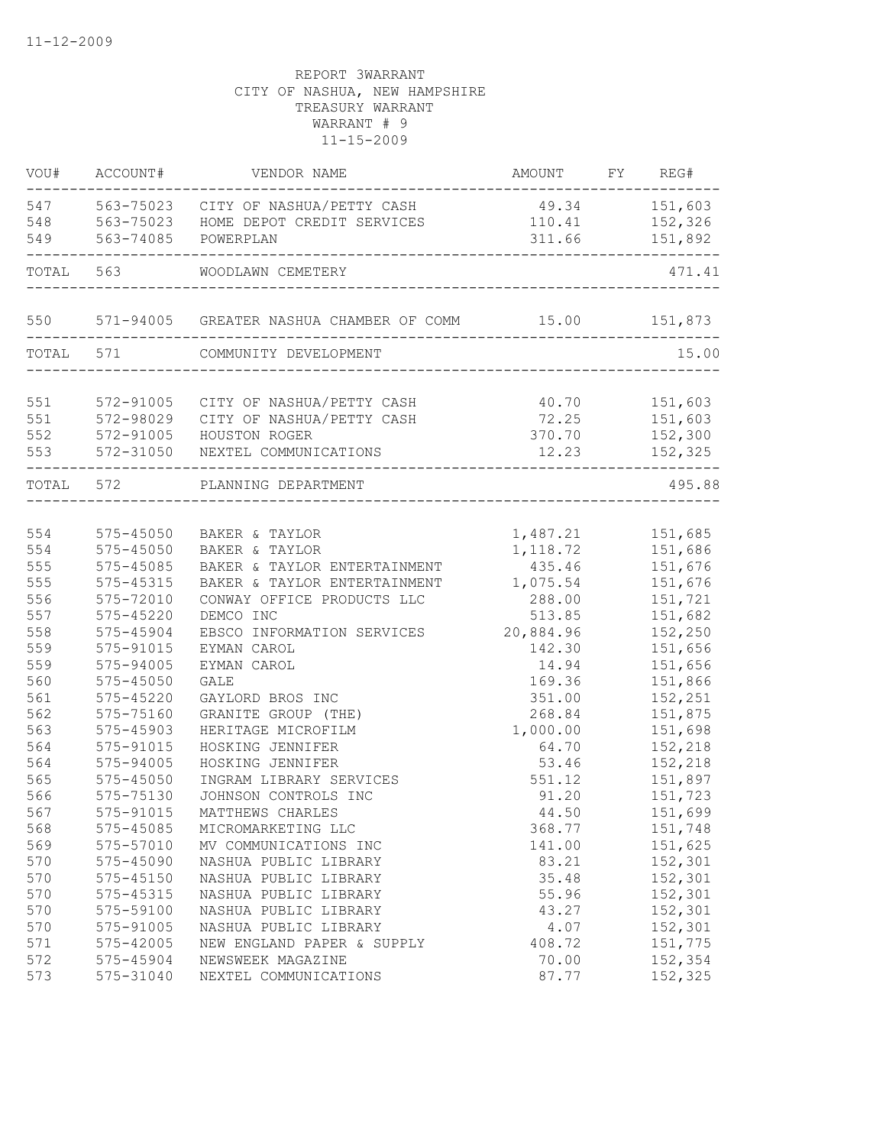| 547<br>49.34 151,603<br>563-75023 CITY OF NASHUA/PETTY CASH<br>110.41<br>563-75023 HOME DEPOT CREDIT SERVICES<br>152,326<br>549<br>311.66<br>151,892<br>563-74085<br>POWERPLAN<br>TOTAL<br>563<br>WOODLAWN CEMETERY<br>571-94005 GREATER NASHUA CHAMBER OF COMM 15.00 151,873<br>550<br>TOTAL 571<br>COMMUNITY DEVELOPMENT<br>572-91005<br>40.70 151,603<br>CITY OF NASHUA/PETTY CASH<br>72.25 151,603<br>572-98029<br>CITY OF NASHUA/PETTY CASH<br>572-91005<br>370.70<br>152,300<br>HOUSTON ROGER<br>572-31050 NEXTEL COMMUNICATIONS<br>12.23<br>152,325<br>__________<br>TOTAL 572<br>PLANNING DEPARTMENT<br>554<br>1,487.21 151,685<br>575-45050<br>BAKER & TAYLOR<br>554<br>$575 - 45050$<br>1, 118.72<br>151,686<br>BAKER & TAYLOR<br>555<br>575-45085<br>435.46<br>BAKER & TAYLOR ENTERTAINMENT<br>151,676<br>555<br>575-45315<br>1,075.54<br>151,676<br>BAKER & TAYLOR ENTERTAINMENT<br>556<br>575-72010<br>CONWAY OFFICE PRODUCTS LLC<br>288.00<br>151,721<br>557<br>513.85<br>151,682<br>575-45220<br>DEMCO INC<br>20,884.96<br>558<br>152,250<br>575-45904<br>EBSCO INFORMATION SERVICES<br>559<br>575-91015<br>142.30<br>151,656<br>EYMAN CAROL<br>559<br>575-94005<br>14.94<br>151,656<br>EYMAN CAROL<br>560<br>$575 - 45050$<br>151,866<br>GALE<br>169.36<br>561<br>575-45220<br>152,251<br>GAYLORD BROS INC<br>351.00<br>562<br>575-75160<br>GRANITE GROUP (THE)<br>268.84<br>151,875<br>563<br>1,000.00<br>575-45903<br>HERITAGE MICROFILM<br>151,698<br>564<br>HOSKING JENNIFER<br>152,218<br>575-91015<br>64.70<br>564<br>53.46<br>152,218<br>575-94005<br>HOSKING JENNIFER<br>565<br>151,897<br>575-45050<br>INGRAM LIBRARY SERVICES<br>551.12<br>566<br>91.20<br>575-75130<br>JOHNSON CONTROLS INC<br>151,723<br>151,699<br>567<br>575-91015<br>MATTHEWS CHARLES<br>44.50<br>568<br>151,748<br>575-45085<br>MICROMARKETING LLC<br>368.77<br>569<br>575-57010<br>151,625<br>MV COMMUNICATIONS INC<br>141.00<br>575-45090<br>570<br>NASHUA PUBLIC LIBRARY<br>83.21<br>152,301<br>570<br>35.48<br>$575 - 45150$<br>NASHUA PUBLIC LIBRARY<br>152,301<br>570<br>575-45315<br>55.96<br>152,301<br>NASHUA PUBLIC LIBRARY<br>570<br>575-59100<br>43.27<br>152,301<br>NASHUA PUBLIC LIBRARY<br>152,301<br>570<br>575-91005<br>NASHUA PUBLIC LIBRARY<br>4.07<br>151,775<br>571<br>575-42005<br>NEW ENGLAND PAPER & SUPPLY<br>408.72<br>572<br>70.00<br>152,354<br>575-45904<br>NEWSWEEK MAGAZINE<br>152,325<br>573<br>575-31040<br>NEXTEL COMMUNICATIONS<br>87.77 | VOU# | ACCOUNT# | VENDOR NAME | AMOUNT FY REG# |        |
|-----------------------------------------------------------------------------------------------------------------------------------------------------------------------------------------------------------------------------------------------------------------------------------------------------------------------------------------------------------------------------------------------------------------------------------------------------------------------------------------------------------------------------------------------------------------------------------------------------------------------------------------------------------------------------------------------------------------------------------------------------------------------------------------------------------------------------------------------------------------------------------------------------------------------------------------------------------------------------------------------------------------------------------------------------------------------------------------------------------------------------------------------------------------------------------------------------------------------------------------------------------------------------------------------------------------------------------------------------------------------------------------------------------------------------------------------------------------------------------------------------------------------------------------------------------------------------------------------------------------------------------------------------------------------------------------------------------------------------------------------------------------------------------------------------------------------------------------------------------------------------------------------------------------------------------------------------------------------------------------------------------------------------------------------------------------------------------------------------------------------------------------------------------------------------------------------------------------------------------------------------------------------------------------------------------------------------------------------------------------------------------------------------------------------------------------------------------------------------|------|----------|-------------|----------------|--------|
|                                                                                                                                                                                                                                                                                                                                                                                                                                                                                                                                                                                                                                                                                                                                                                                                                                                                                                                                                                                                                                                                                                                                                                                                                                                                                                                                                                                                                                                                                                                                                                                                                                                                                                                                                                                                                                                                                                                                                                                                                                                                                                                                                                                                                                                                                                                                                                                                                                                                             |      |          |             |                |        |
|                                                                                                                                                                                                                                                                                                                                                                                                                                                                                                                                                                                                                                                                                                                                                                                                                                                                                                                                                                                                                                                                                                                                                                                                                                                                                                                                                                                                                                                                                                                                                                                                                                                                                                                                                                                                                                                                                                                                                                                                                                                                                                                                                                                                                                                                                                                                                                                                                                                                             | 548  |          |             |                |        |
|                                                                                                                                                                                                                                                                                                                                                                                                                                                                                                                                                                                                                                                                                                                                                                                                                                                                                                                                                                                                                                                                                                                                                                                                                                                                                                                                                                                                                                                                                                                                                                                                                                                                                                                                                                                                                                                                                                                                                                                                                                                                                                                                                                                                                                                                                                                                                                                                                                                                             |      |          |             |                |        |
|                                                                                                                                                                                                                                                                                                                                                                                                                                                                                                                                                                                                                                                                                                                                                                                                                                                                                                                                                                                                                                                                                                                                                                                                                                                                                                                                                                                                                                                                                                                                                                                                                                                                                                                                                                                                                                                                                                                                                                                                                                                                                                                                                                                                                                                                                                                                                                                                                                                                             |      |          |             |                | 471.41 |
|                                                                                                                                                                                                                                                                                                                                                                                                                                                                                                                                                                                                                                                                                                                                                                                                                                                                                                                                                                                                                                                                                                                                                                                                                                                                                                                                                                                                                                                                                                                                                                                                                                                                                                                                                                                                                                                                                                                                                                                                                                                                                                                                                                                                                                                                                                                                                                                                                                                                             |      |          |             |                |        |
|                                                                                                                                                                                                                                                                                                                                                                                                                                                                                                                                                                                                                                                                                                                                                                                                                                                                                                                                                                                                                                                                                                                                                                                                                                                                                                                                                                                                                                                                                                                                                                                                                                                                                                                                                                                                                                                                                                                                                                                                                                                                                                                                                                                                                                                                                                                                                                                                                                                                             |      |          |             |                | 15.00  |
|                                                                                                                                                                                                                                                                                                                                                                                                                                                                                                                                                                                                                                                                                                                                                                                                                                                                                                                                                                                                                                                                                                                                                                                                                                                                                                                                                                                                                                                                                                                                                                                                                                                                                                                                                                                                                                                                                                                                                                                                                                                                                                                                                                                                                                                                                                                                                                                                                                                                             |      |          |             |                |        |
|                                                                                                                                                                                                                                                                                                                                                                                                                                                                                                                                                                                                                                                                                                                                                                                                                                                                                                                                                                                                                                                                                                                                                                                                                                                                                                                                                                                                                                                                                                                                                                                                                                                                                                                                                                                                                                                                                                                                                                                                                                                                                                                                                                                                                                                                                                                                                                                                                                                                             | 551  |          |             |                |        |
|                                                                                                                                                                                                                                                                                                                                                                                                                                                                                                                                                                                                                                                                                                                                                                                                                                                                                                                                                                                                                                                                                                                                                                                                                                                                                                                                                                                                                                                                                                                                                                                                                                                                                                                                                                                                                                                                                                                                                                                                                                                                                                                                                                                                                                                                                                                                                                                                                                                                             | 551  |          |             |                |        |
|                                                                                                                                                                                                                                                                                                                                                                                                                                                                                                                                                                                                                                                                                                                                                                                                                                                                                                                                                                                                                                                                                                                                                                                                                                                                                                                                                                                                                                                                                                                                                                                                                                                                                                                                                                                                                                                                                                                                                                                                                                                                                                                                                                                                                                                                                                                                                                                                                                                                             | 552  |          |             |                |        |
|                                                                                                                                                                                                                                                                                                                                                                                                                                                                                                                                                                                                                                                                                                                                                                                                                                                                                                                                                                                                                                                                                                                                                                                                                                                                                                                                                                                                                                                                                                                                                                                                                                                                                                                                                                                                                                                                                                                                                                                                                                                                                                                                                                                                                                                                                                                                                                                                                                                                             | 553  |          |             |                |        |
|                                                                                                                                                                                                                                                                                                                                                                                                                                                                                                                                                                                                                                                                                                                                                                                                                                                                                                                                                                                                                                                                                                                                                                                                                                                                                                                                                                                                                                                                                                                                                                                                                                                                                                                                                                                                                                                                                                                                                                                                                                                                                                                                                                                                                                                                                                                                                                                                                                                                             |      |          |             |                | 495.88 |
|                                                                                                                                                                                                                                                                                                                                                                                                                                                                                                                                                                                                                                                                                                                                                                                                                                                                                                                                                                                                                                                                                                                                                                                                                                                                                                                                                                                                                                                                                                                                                                                                                                                                                                                                                                                                                                                                                                                                                                                                                                                                                                                                                                                                                                                                                                                                                                                                                                                                             |      |          |             |                |        |
|                                                                                                                                                                                                                                                                                                                                                                                                                                                                                                                                                                                                                                                                                                                                                                                                                                                                                                                                                                                                                                                                                                                                                                                                                                                                                                                                                                                                                                                                                                                                                                                                                                                                                                                                                                                                                                                                                                                                                                                                                                                                                                                                                                                                                                                                                                                                                                                                                                                                             |      |          |             |                |        |
|                                                                                                                                                                                                                                                                                                                                                                                                                                                                                                                                                                                                                                                                                                                                                                                                                                                                                                                                                                                                                                                                                                                                                                                                                                                                                                                                                                                                                                                                                                                                                                                                                                                                                                                                                                                                                                                                                                                                                                                                                                                                                                                                                                                                                                                                                                                                                                                                                                                                             |      |          |             |                |        |
|                                                                                                                                                                                                                                                                                                                                                                                                                                                                                                                                                                                                                                                                                                                                                                                                                                                                                                                                                                                                                                                                                                                                                                                                                                                                                                                                                                                                                                                                                                                                                                                                                                                                                                                                                                                                                                                                                                                                                                                                                                                                                                                                                                                                                                                                                                                                                                                                                                                                             |      |          |             |                |        |
|                                                                                                                                                                                                                                                                                                                                                                                                                                                                                                                                                                                                                                                                                                                                                                                                                                                                                                                                                                                                                                                                                                                                                                                                                                                                                                                                                                                                                                                                                                                                                                                                                                                                                                                                                                                                                                                                                                                                                                                                                                                                                                                                                                                                                                                                                                                                                                                                                                                                             |      |          |             |                |        |
|                                                                                                                                                                                                                                                                                                                                                                                                                                                                                                                                                                                                                                                                                                                                                                                                                                                                                                                                                                                                                                                                                                                                                                                                                                                                                                                                                                                                                                                                                                                                                                                                                                                                                                                                                                                                                                                                                                                                                                                                                                                                                                                                                                                                                                                                                                                                                                                                                                                                             |      |          |             |                |        |
|                                                                                                                                                                                                                                                                                                                                                                                                                                                                                                                                                                                                                                                                                                                                                                                                                                                                                                                                                                                                                                                                                                                                                                                                                                                                                                                                                                                                                                                                                                                                                                                                                                                                                                                                                                                                                                                                                                                                                                                                                                                                                                                                                                                                                                                                                                                                                                                                                                                                             |      |          |             |                |        |
|                                                                                                                                                                                                                                                                                                                                                                                                                                                                                                                                                                                                                                                                                                                                                                                                                                                                                                                                                                                                                                                                                                                                                                                                                                                                                                                                                                                                                                                                                                                                                                                                                                                                                                                                                                                                                                                                                                                                                                                                                                                                                                                                                                                                                                                                                                                                                                                                                                                                             |      |          |             |                |        |
|                                                                                                                                                                                                                                                                                                                                                                                                                                                                                                                                                                                                                                                                                                                                                                                                                                                                                                                                                                                                                                                                                                                                                                                                                                                                                                                                                                                                                                                                                                                                                                                                                                                                                                                                                                                                                                                                                                                                                                                                                                                                                                                                                                                                                                                                                                                                                                                                                                                                             |      |          |             |                |        |
|                                                                                                                                                                                                                                                                                                                                                                                                                                                                                                                                                                                                                                                                                                                                                                                                                                                                                                                                                                                                                                                                                                                                                                                                                                                                                                                                                                                                                                                                                                                                                                                                                                                                                                                                                                                                                                                                                                                                                                                                                                                                                                                                                                                                                                                                                                                                                                                                                                                                             |      |          |             |                |        |
|                                                                                                                                                                                                                                                                                                                                                                                                                                                                                                                                                                                                                                                                                                                                                                                                                                                                                                                                                                                                                                                                                                                                                                                                                                                                                                                                                                                                                                                                                                                                                                                                                                                                                                                                                                                                                                                                                                                                                                                                                                                                                                                                                                                                                                                                                                                                                                                                                                                                             |      |          |             |                |        |
|                                                                                                                                                                                                                                                                                                                                                                                                                                                                                                                                                                                                                                                                                                                                                                                                                                                                                                                                                                                                                                                                                                                                                                                                                                                                                                                                                                                                                                                                                                                                                                                                                                                                                                                                                                                                                                                                                                                                                                                                                                                                                                                                                                                                                                                                                                                                                                                                                                                                             |      |          |             |                |        |
|                                                                                                                                                                                                                                                                                                                                                                                                                                                                                                                                                                                                                                                                                                                                                                                                                                                                                                                                                                                                                                                                                                                                                                                                                                                                                                                                                                                                                                                                                                                                                                                                                                                                                                                                                                                                                                                                                                                                                                                                                                                                                                                                                                                                                                                                                                                                                                                                                                                                             |      |          |             |                |        |
|                                                                                                                                                                                                                                                                                                                                                                                                                                                                                                                                                                                                                                                                                                                                                                                                                                                                                                                                                                                                                                                                                                                                                                                                                                                                                                                                                                                                                                                                                                                                                                                                                                                                                                                                                                                                                                                                                                                                                                                                                                                                                                                                                                                                                                                                                                                                                                                                                                                                             |      |          |             |                |        |
|                                                                                                                                                                                                                                                                                                                                                                                                                                                                                                                                                                                                                                                                                                                                                                                                                                                                                                                                                                                                                                                                                                                                                                                                                                                                                                                                                                                                                                                                                                                                                                                                                                                                                                                                                                                                                                                                                                                                                                                                                                                                                                                                                                                                                                                                                                                                                                                                                                                                             |      |          |             |                |        |
|                                                                                                                                                                                                                                                                                                                                                                                                                                                                                                                                                                                                                                                                                                                                                                                                                                                                                                                                                                                                                                                                                                                                                                                                                                                                                                                                                                                                                                                                                                                                                                                                                                                                                                                                                                                                                                                                                                                                                                                                                                                                                                                                                                                                                                                                                                                                                                                                                                                                             |      |          |             |                |        |
|                                                                                                                                                                                                                                                                                                                                                                                                                                                                                                                                                                                                                                                                                                                                                                                                                                                                                                                                                                                                                                                                                                                                                                                                                                                                                                                                                                                                                                                                                                                                                                                                                                                                                                                                                                                                                                                                                                                                                                                                                                                                                                                                                                                                                                                                                                                                                                                                                                                                             |      |          |             |                |        |
|                                                                                                                                                                                                                                                                                                                                                                                                                                                                                                                                                                                                                                                                                                                                                                                                                                                                                                                                                                                                                                                                                                                                                                                                                                                                                                                                                                                                                                                                                                                                                                                                                                                                                                                                                                                                                                                                                                                                                                                                                                                                                                                                                                                                                                                                                                                                                                                                                                                                             |      |          |             |                |        |
|                                                                                                                                                                                                                                                                                                                                                                                                                                                                                                                                                                                                                                                                                                                                                                                                                                                                                                                                                                                                                                                                                                                                                                                                                                                                                                                                                                                                                                                                                                                                                                                                                                                                                                                                                                                                                                                                                                                                                                                                                                                                                                                                                                                                                                                                                                                                                                                                                                                                             |      |          |             |                |        |
|                                                                                                                                                                                                                                                                                                                                                                                                                                                                                                                                                                                                                                                                                                                                                                                                                                                                                                                                                                                                                                                                                                                                                                                                                                                                                                                                                                                                                                                                                                                                                                                                                                                                                                                                                                                                                                                                                                                                                                                                                                                                                                                                                                                                                                                                                                                                                                                                                                                                             |      |          |             |                |        |
|                                                                                                                                                                                                                                                                                                                                                                                                                                                                                                                                                                                                                                                                                                                                                                                                                                                                                                                                                                                                                                                                                                                                                                                                                                                                                                                                                                                                                                                                                                                                                                                                                                                                                                                                                                                                                                                                                                                                                                                                                                                                                                                                                                                                                                                                                                                                                                                                                                                                             |      |          |             |                |        |
|                                                                                                                                                                                                                                                                                                                                                                                                                                                                                                                                                                                                                                                                                                                                                                                                                                                                                                                                                                                                                                                                                                                                                                                                                                                                                                                                                                                                                                                                                                                                                                                                                                                                                                                                                                                                                                                                                                                                                                                                                                                                                                                                                                                                                                                                                                                                                                                                                                                                             |      |          |             |                |        |
|                                                                                                                                                                                                                                                                                                                                                                                                                                                                                                                                                                                                                                                                                                                                                                                                                                                                                                                                                                                                                                                                                                                                                                                                                                                                                                                                                                                                                                                                                                                                                                                                                                                                                                                                                                                                                                                                                                                                                                                                                                                                                                                                                                                                                                                                                                                                                                                                                                                                             |      |          |             |                |        |
|                                                                                                                                                                                                                                                                                                                                                                                                                                                                                                                                                                                                                                                                                                                                                                                                                                                                                                                                                                                                                                                                                                                                                                                                                                                                                                                                                                                                                                                                                                                                                                                                                                                                                                                                                                                                                                                                                                                                                                                                                                                                                                                                                                                                                                                                                                                                                                                                                                                                             |      |          |             |                |        |
|                                                                                                                                                                                                                                                                                                                                                                                                                                                                                                                                                                                                                                                                                                                                                                                                                                                                                                                                                                                                                                                                                                                                                                                                                                                                                                                                                                                                                                                                                                                                                                                                                                                                                                                                                                                                                                                                                                                                                                                                                                                                                                                                                                                                                                                                                                                                                                                                                                                                             |      |          |             |                |        |
|                                                                                                                                                                                                                                                                                                                                                                                                                                                                                                                                                                                                                                                                                                                                                                                                                                                                                                                                                                                                                                                                                                                                                                                                                                                                                                                                                                                                                                                                                                                                                                                                                                                                                                                                                                                                                                                                                                                                                                                                                                                                                                                                                                                                                                                                                                                                                                                                                                                                             |      |          |             |                |        |
|                                                                                                                                                                                                                                                                                                                                                                                                                                                                                                                                                                                                                                                                                                                                                                                                                                                                                                                                                                                                                                                                                                                                                                                                                                                                                                                                                                                                                                                                                                                                                                                                                                                                                                                                                                                                                                                                                                                                                                                                                                                                                                                                                                                                                                                                                                                                                                                                                                                                             |      |          |             |                |        |
|                                                                                                                                                                                                                                                                                                                                                                                                                                                                                                                                                                                                                                                                                                                                                                                                                                                                                                                                                                                                                                                                                                                                                                                                                                                                                                                                                                                                                                                                                                                                                                                                                                                                                                                                                                                                                                                                                                                                                                                                                                                                                                                                                                                                                                                                                                                                                                                                                                                                             |      |          |             |                |        |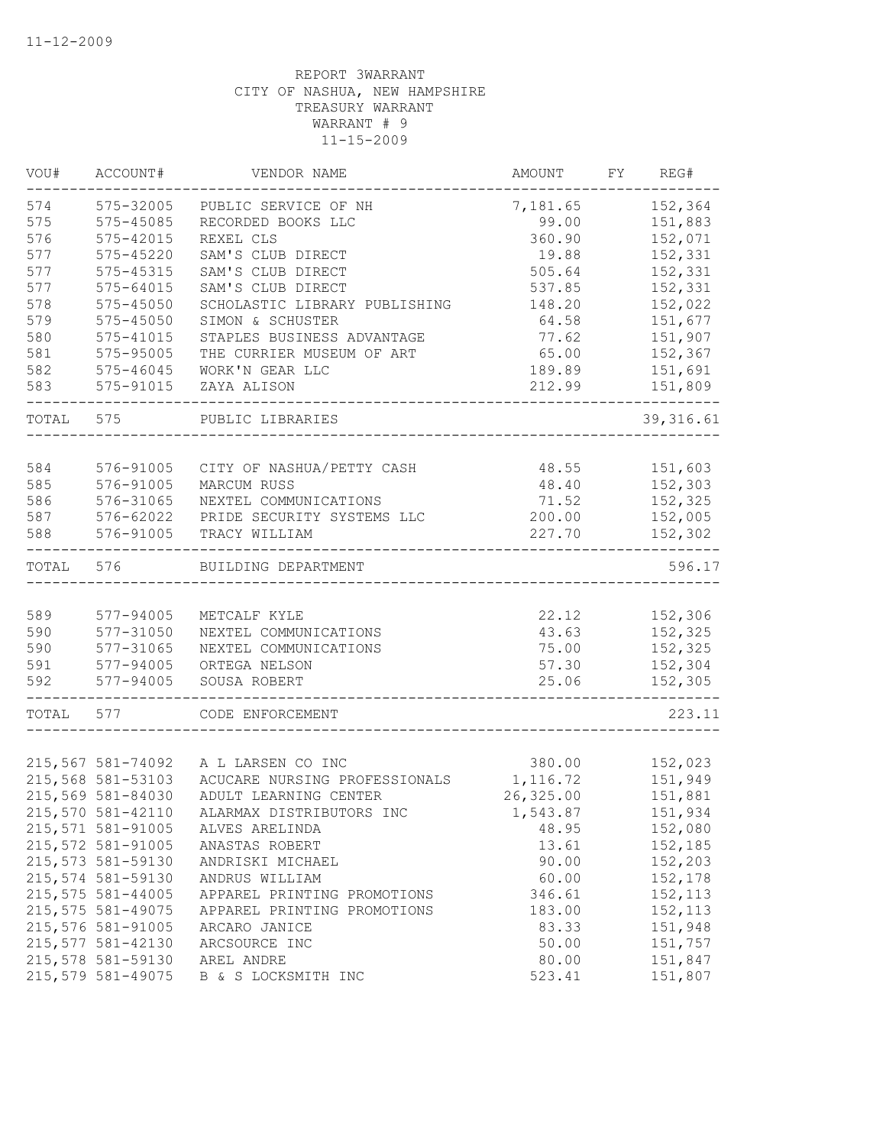| VOU#  | ACCOUNT#           | VENDOR NAME                   | AMOUNT    | FY | REG#       |
|-------|--------------------|-------------------------------|-----------|----|------------|
| 574   | 575-32005          | PUBLIC SERVICE OF NH          | 7,181.65  |    | 152,364    |
| 575   | 575-45085          | RECORDED BOOKS LLC            | 99.00     |    | 151,883    |
| 576   | 575-42015          | REXEL CLS                     | 360.90    |    | 152,071    |
| 577   | 575-45220          | SAM'S CLUB DIRECT             | 19.88     |    | 152,331    |
| 577   | 575-45315          | SAM'S CLUB DIRECT             | 505.64    |    | 152,331    |
| 577   | $575 - 64015$      | SAM'S CLUB DIRECT             | 537.85    |    | 152,331    |
| 578   | 575-45050          | SCHOLASTIC LIBRARY PUBLISHING | 148.20    |    | 152,022    |
| 579   | 575-45050          | SIMON & SCHUSTER              | 64.58     |    | 151,677    |
| 580   | 575-41015          | STAPLES BUSINESS ADVANTAGE    | 77.62     |    | 151,907    |
| 581   | 575-95005          | THE CURRIER MUSEUM OF ART     | 65.00     |    | 152,367    |
| 582   | 575-46045          | WORK'N GEAR LLC               | 189.89    |    | 151,691    |
| 583   | 575-91015          | ZAYA ALISON                   | 212.99    |    | 151,809    |
| TOTAL | 575                | PUBLIC LIBRARIES              |           |    | 39, 316.61 |
|       |                    |                               |           |    |            |
| 584   | 576-91005          | CITY OF NASHUA/PETTY CASH     | 48.55     |    | 151,603    |
| 585   | 576-91005          | MARCUM RUSS                   | 48.40     |    | 152,303    |
| 586   | 576-31065          | NEXTEL COMMUNICATIONS         | 71.52     |    | 152,325    |
| 587   | 576-62022          | PRIDE SECURITY SYSTEMS LLC    | 200.00    |    | 152,005    |
| 588   | 576-91005          | TRACY WILLIAM                 | 227.70    |    | 152,302    |
| TOTAL | 576                | BUILDING DEPARTMENT           |           |    | 596.17     |
|       |                    |                               |           |    |            |
| 589   | 577-94005          | METCALF KYLE                  | 22.12     |    | 152,306    |
| 590   | 577-31050          | NEXTEL COMMUNICATIONS         | 43.63     |    | 152,325    |
| 590   | 577-31065          | NEXTEL COMMUNICATIONS         | 75.00     |    | 152,325    |
| 591   | $577 - 94005$      | ORTEGA NELSON                 | 57.30     |    | 152,304    |
| 592   | 577-94005          | SOUSA ROBERT                  | 25.06     |    | 152,305    |
| TOTAL | 577                | CODE ENFORCEMENT              |           |    | 223.11     |
|       |                    |                               |           |    |            |
|       | 215,567 581-74092  | A L LARSEN CO INC             | 380.00    |    | 152,023    |
|       | 215,568 581-53103  | ACUCARE NURSING PROFESSIONALS | 1,116.72  |    | 151,949    |
|       | 215,569 581-84030  | ADULT LEARNING CENTER         | 26,325.00 |    | 151,881    |
|       | 215,570 581-42110  | ALARMAX DISTRIBUTORS INC      | 1,543.87  |    | 151,934    |
|       | 215,571 581-91005  | ALVES ARELINDA                | 48.95     |    | 152,080    |
|       | 215,572 581-91005  | ANASTAS ROBERT                | 13.61     |    | 152,185    |
|       | 215,573 581-59130  | ANDRISKI MICHAEL              | 90.00     |    | 152,203    |
|       | 215,574 581-59130  | ANDRUS WILLIAM                | 60.00     |    | 152,178    |
|       | 215,575 581-44005  | APPAREL PRINTING PROMOTIONS   | 346.61    |    | 152, 113   |
|       | 215, 575 581-49075 | APPAREL PRINTING PROMOTIONS   | 183.00    |    | 152, 113   |
|       | 215,576 581-91005  | ARCARO JANICE                 | 83.33     |    | 151,948    |
|       | 215,577 581-42130  | ARCSOURCE INC                 | 50.00     |    | 151,757    |
|       | 215,578 581-59130  | AREL ANDRE                    | 80.00     |    | 151,847    |
|       | 215,579 581-49075  | B & S LOCKSMITH INC           | 523.41    |    | 151,807    |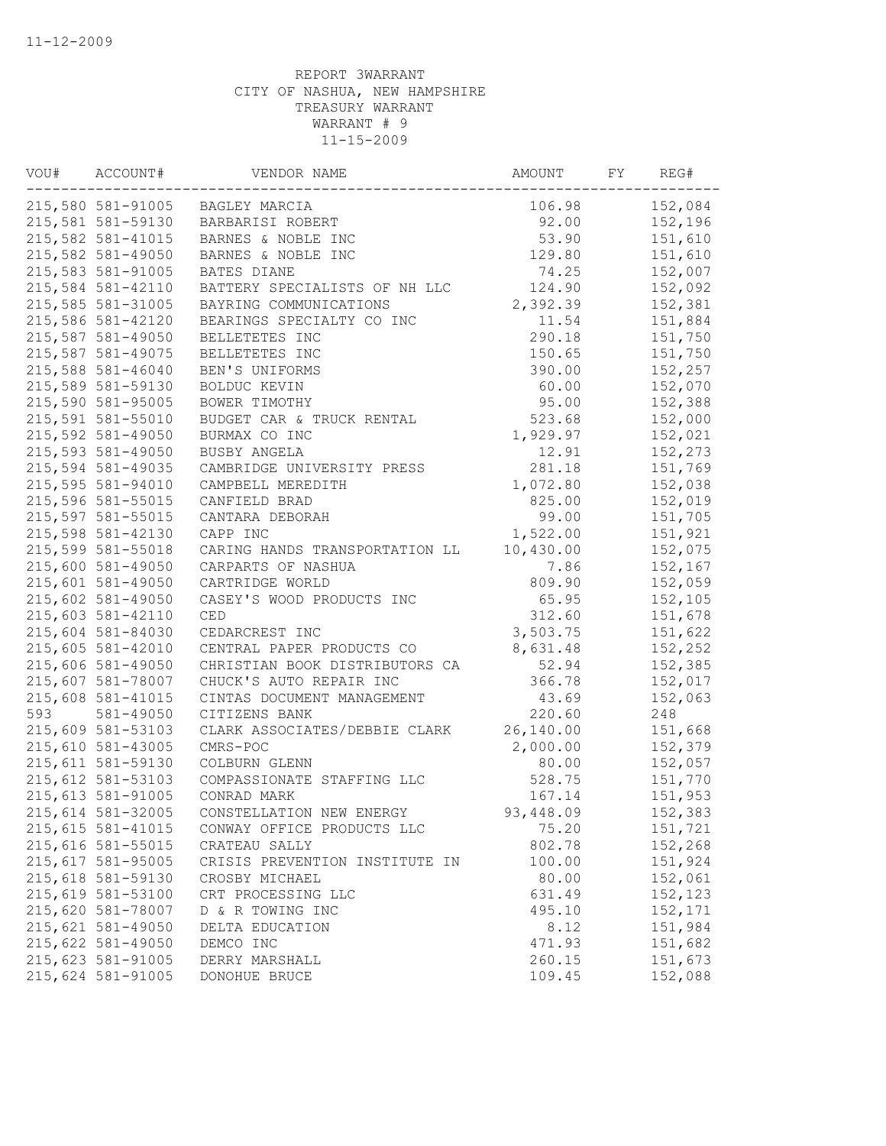| VOU# | ACCOUNT#           | VENDOR NAME                    | AMOUNT    | FY | REG#    |
|------|--------------------|--------------------------------|-----------|----|---------|
|      | 215,580 581-91005  | BAGLEY MARCIA                  | 106.98    |    | 152,084 |
|      | 215,581 581-59130  | BARBARISI ROBERT               | 92.00     |    | 152,196 |
|      | 215,582 581-41015  | BARNES & NOBLE INC             | 53.90     |    | 151,610 |
|      | 215,582 581-49050  | BARNES & NOBLE INC             | 129.80    |    | 151,610 |
|      | 215,583 581-91005  | BATES DIANE                    | 74.25     |    | 152,007 |
|      | 215,584 581-42110  | BATTERY SPECIALISTS OF NH LLC  | 124.90    |    | 152,092 |
|      | 215,585 581-31005  | BAYRING COMMUNICATIONS         | 2,392.39  |    | 152,381 |
|      | 215,586 581-42120  | BEARINGS SPECIALTY CO INC      | 11.54     |    | 151,884 |
|      | 215,587 581-49050  | BELLETETES INC                 | 290.18    |    | 151,750 |
|      | 215,587 581-49075  | BELLETETES INC                 | 150.65    |    | 151,750 |
|      | 215,588 581-46040  | BEN'S UNIFORMS                 | 390.00    |    | 152,257 |
|      | 215,589 581-59130  | BOLDUC KEVIN                   | 60.00     |    | 152,070 |
|      | 215,590 581-95005  | BOWER TIMOTHY                  | 95.00     |    | 152,388 |
|      | 215,591 581-55010  | BUDGET CAR & TRUCK RENTAL      | 523.68    |    | 152,000 |
|      | 215,592 581-49050  | BURMAX CO INC                  | 1,929.97  |    | 152,021 |
|      | 215,593 581-49050  | BUSBY ANGELA                   | 12.91     |    | 152,273 |
|      | 215,594 581-49035  | CAMBRIDGE UNIVERSITY PRESS     | 281.18    |    | 151,769 |
|      | 215,595 581-94010  | CAMPBELL MEREDITH              | 1,072.80  |    | 152,038 |
|      | 215,596 581-55015  | CANFIELD BRAD                  | 825.00    |    | 152,019 |
|      | 215,597 581-55015  | CANTARA DEBORAH                | 99.00     |    | 151,705 |
|      | 215,598 581-42130  | CAPP INC                       | 1,522.00  |    | 151,921 |
|      | 215,599 581-55018  | CARING HANDS TRANSPORTATION LL | 10,430.00 |    | 152,075 |
|      | 215,600 581-49050  | CARPARTS OF NASHUA             | 7.86      |    | 152,167 |
|      | 215,601 581-49050  | CARTRIDGE WORLD                | 809.90    |    | 152,059 |
|      | 215,602 581-49050  | CASEY'S WOOD PRODUCTS INC      | 65.95     |    | 152,105 |
|      | 215,603 581-42110  | CED                            | 312.60    |    | 151,678 |
|      | 215,604 581-84030  | CEDARCREST INC                 | 3,503.75  |    | 151,622 |
|      | 215,605 581-42010  | CENTRAL PAPER PRODUCTS CO      | 8,631.48  |    | 152,252 |
|      | 215,606 581-49050  | CHRISTIAN BOOK DISTRIBUTORS CA | 52.94     |    | 152,385 |
|      | 215,607 581-78007  | CHUCK'S AUTO REPAIR INC        | 366.78    |    | 152,017 |
|      | 215,608 581-41015  | CINTAS DOCUMENT MANAGEMENT     | 43.69     |    | 152,063 |
| 593  | 581-49050          | CITIZENS BANK                  | 220.60    |    | 248     |
|      | 215,609 581-53103  | CLARK ASSOCIATES/DEBBIE CLARK  | 26,140.00 |    | 151,668 |
|      | 215,610 581-43005  | CMRS-POC                       | 2,000.00  |    | 152,379 |
|      | 215,611 581-59130  | COLBURN GLENN                  | 80.00     |    | 152,057 |
|      | 215,612 581-53103  | COMPASSIONATE STAFFING LLC     | 528.75    |    | 151,770 |
|      | 215, 613 581-91005 | CONRAD MARK                    | 167.14    |    | 151,953 |
|      | 215,614 581-32005  | CONSTELLATION NEW ENERGY       | 93,448.09 |    | 152,383 |
|      | 215, 615 581-41015 | CONWAY OFFICE PRODUCTS LLC     | 75.20     |    | 151,721 |
|      | 215,616 581-55015  | CRATEAU SALLY                  | 802.78    |    | 152,268 |
|      | 215,617 581-95005  | CRISIS PREVENTION INSTITUTE IN | 100.00    |    | 151,924 |
|      | 215,618 581-59130  | CROSBY MICHAEL                 | 80.00     |    | 152,061 |
|      | 215,619 581-53100  | CRT PROCESSING LLC             | 631.49    |    | 152,123 |
|      | 215,620 581-78007  | D & R TOWING INC               | 495.10    |    | 152,171 |
|      | 215,621 581-49050  | DELTA EDUCATION                | 8.12      |    | 151,984 |
|      | 215,622 581-49050  | DEMCO INC                      | 471.93    |    | 151,682 |
|      | 215,623 581-91005  | DERRY MARSHALL                 | 260.15    |    | 151,673 |
|      | 215,624 581-91005  | DONOHUE BRUCE                  | 109.45    |    | 152,088 |
|      |                    |                                |           |    |         |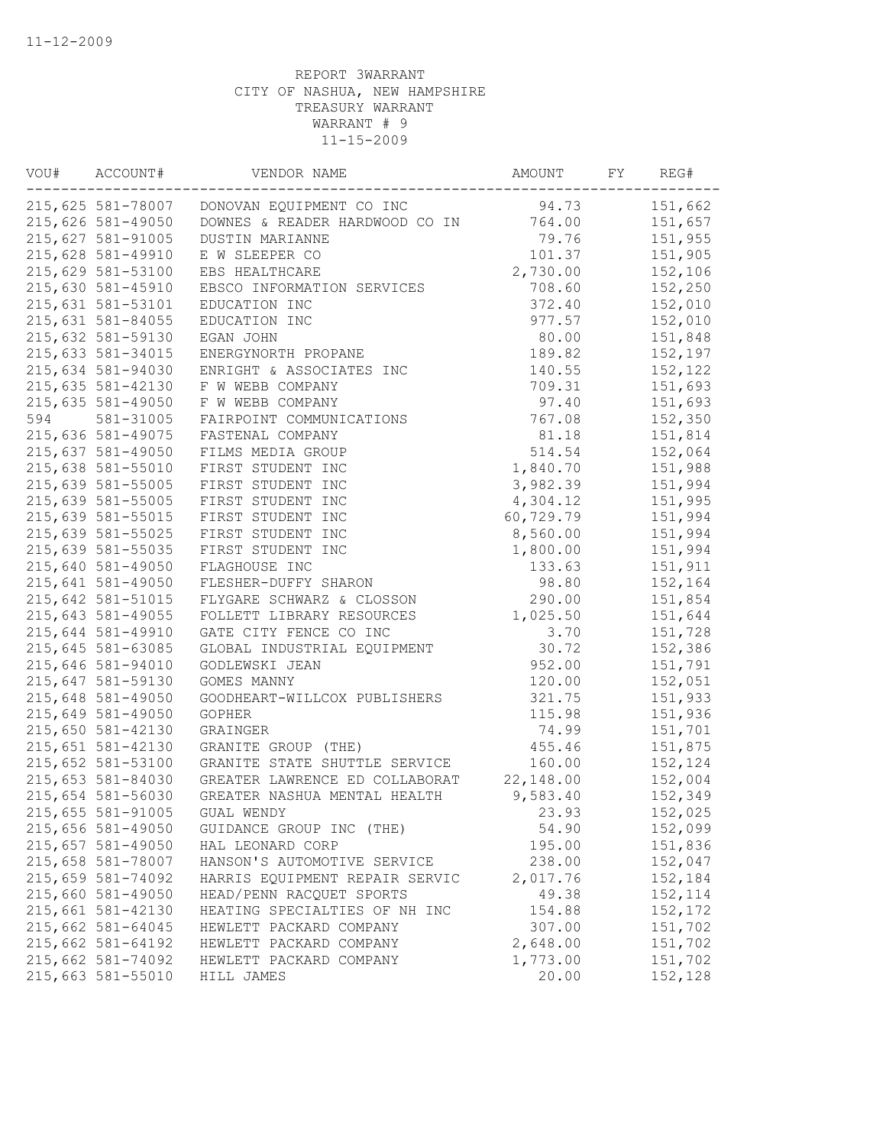| VOU# | ACCOUNT#          | VENDOR NAME                              | AMOUNT    | FY | REG#    |
|------|-------------------|------------------------------------------|-----------|----|---------|
|      | 215,625 581-78007 | DONOVAN EQUIPMENT CO INC                 | 94.73     |    | 151,662 |
|      | 215,626 581-49050 | DOWNES & READER HARDWOOD CO IN           | 764.00    |    | 151,657 |
|      | 215,627 581-91005 | DUSTIN MARIANNE                          | 79.76     |    | 151,955 |
|      | 215,628 581-49910 | E W SLEEPER CO                           | 101.37    |    | 151,905 |
|      | 215,629 581-53100 | EBS HEALTHCARE                           | 2,730.00  |    | 152,106 |
|      | 215,630 581-45910 | EBSCO INFORMATION SERVICES               | 708.60    |    | 152,250 |
|      | 215,631 581-53101 | EDUCATION INC                            | 372.40    |    | 152,010 |
|      | 215,631 581-84055 | EDUCATION INC                            | 977.57    |    | 152,010 |
|      | 215,632 581-59130 | EGAN JOHN                                | 80.00     |    | 151,848 |
|      | 215,633 581-34015 | ENERGYNORTH PROPANE                      | 189.82    |    | 152,197 |
|      | 215,634 581-94030 | ENRIGHT & ASSOCIATES INC                 | 140.55    |    | 152,122 |
|      | 215,635 581-42130 | F W WEBB COMPANY                         | 709.31    |    | 151,693 |
|      | 215,635 581-49050 | F W WEBB COMPANY                         | 97.40     |    | 151,693 |
| 594  | 581-31005         | FAIRPOINT COMMUNICATIONS                 | 767.08    |    | 152,350 |
|      | 215,636 581-49075 | FASTENAL COMPANY                         | 81.18     |    | 151,814 |
|      | 215,637 581-49050 | FILMS MEDIA GROUP                        | 514.54    |    | 152,064 |
|      | 215,638 581-55010 | FIRST STUDENT INC                        | 1,840.70  |    | 151,988 |
|      | 215,639 581-55005 | FIRST STUDENT INC                        | 3,982.39  |    | 151,994 |
|      | 215,639 581-55005 | FIRST STUDENT INC                        | 4,304.12  |    | 151,995 |
|      | 215,639 581-55015 | FIRST STUDENT INC                        | 60,729.79 |    | 151,994 |
|      | 215,639 581-55025 | FIRST STUDENT INC                        | 8,560.00  |    | 151,994 |
|      | 215,639 581-55035 | FIRST STUDENT INC                        | 1,800.00  |    | 151,994 |
|      | 215,640 581-49050 | FLAGHOUSE INC                            | 133.63    |    | 151,911 |
|      | 215,641 581-49050 | FLESHER-DUFFY SHARON                     | 98.80     |    | 152,164 |
|      | 215,642 581-51015 | FLYGARE SCHWARZ & CLOSSON                | 290.00    |    | 151,854 |
|      | 215,643 581-49055 | FOLLETT LIBRARY RESOURCES                | 1,025.50  |    | 151,644 |
|      | 215,644 581-49910 | GATE CITY FENCE CO INC                   | 3.70      |    | 151,728 |
|      | 215,645 581-63085 | GLOBAL INDUSTRIAL EQUIPMENT              | 30.72     |    | 152,386 |
|      | 215,646 581-94010 | GODLEWSKI JEAN                           | 952.00    |    | 151,791 |
|      | 215,647 581-59130 | GOMES MANNY                              | 120.00    |    | 152,051 |
|      | 215,648 581-49050 | GOODHEART-WILLCOX PUBLISHERS             | 321.75    |    | 151,933 |
|      |                   |                                          | 115.98    |    | 151,936 |
|      | 215,649 581-49050 | <b>GOPHER</b>                            | 74.99     |    |         |
|      | 215,650 581-42130 | GRAINGER                                 |           |    | 151,701 |
|      | 215,651 581-42130 | GRANITE GROUP (THE)                      | 455.46    |    | 151,875 |
|      | 215,652 581-53100 | GRANITE STATE SHUTTLE SERVICE            | 160.00    |    | 152,124 |
|      | 215,653 581-84030 | GREATER LAWRENCE ED COLLABORAT 22,148.00 |           |    | 152,004 |
|      | 215,654 581-56030 | GREATER NASHUA MENTAL HEALTH             | 9,583.40  |    | 152,349 |
|      | 215,655 581-91005 | GUAL WENDY                               | 23.93     |    | 152,025 |
|      | 215,656 581-49050 | GUIDANCE GROUP INC (THE)                 | 54.90     |    | 152,099 |
|      | 215,657 581-49050 | HAL LEONARD CORP                         | 195.00    |    | 151,836 |
|      | 215,658 581-78007 | HANSON'S AUTOMOTIVE SERVICE              | 238.00    |    | 152,047 |
|      | 215,659 581-74092 | HARRIS EQUIPMENT REPAIR SERVIC           | 2,017.76  |    | 152,184 |
|      | 215,660 581-49050 | HEAD/PENN RACQUET SPORTS                 | 49.38     |    | 152,114 |
|      | 215,661 581-42130 | HEATING SPECIALTIES OF NH INC            | 154.88    |    | 152,172 |
|      | 215,662 581-64045 | HEWLETT PACKARD COMPANY                  | 307.00    |    | 151,702 |
|      | 215,662 581-64192 | HEWLETT PACKARD COMPANY                  | 2,648.00  |    | 151,702 |
|      | 215,662 581-74092 | HEWLETT PACKARD COMPANY                  | 1,773.00  |    | 151,702 |
|      | 215,663 581-55010 | HILL JAMES                               | 20.00     |    | 152,128 |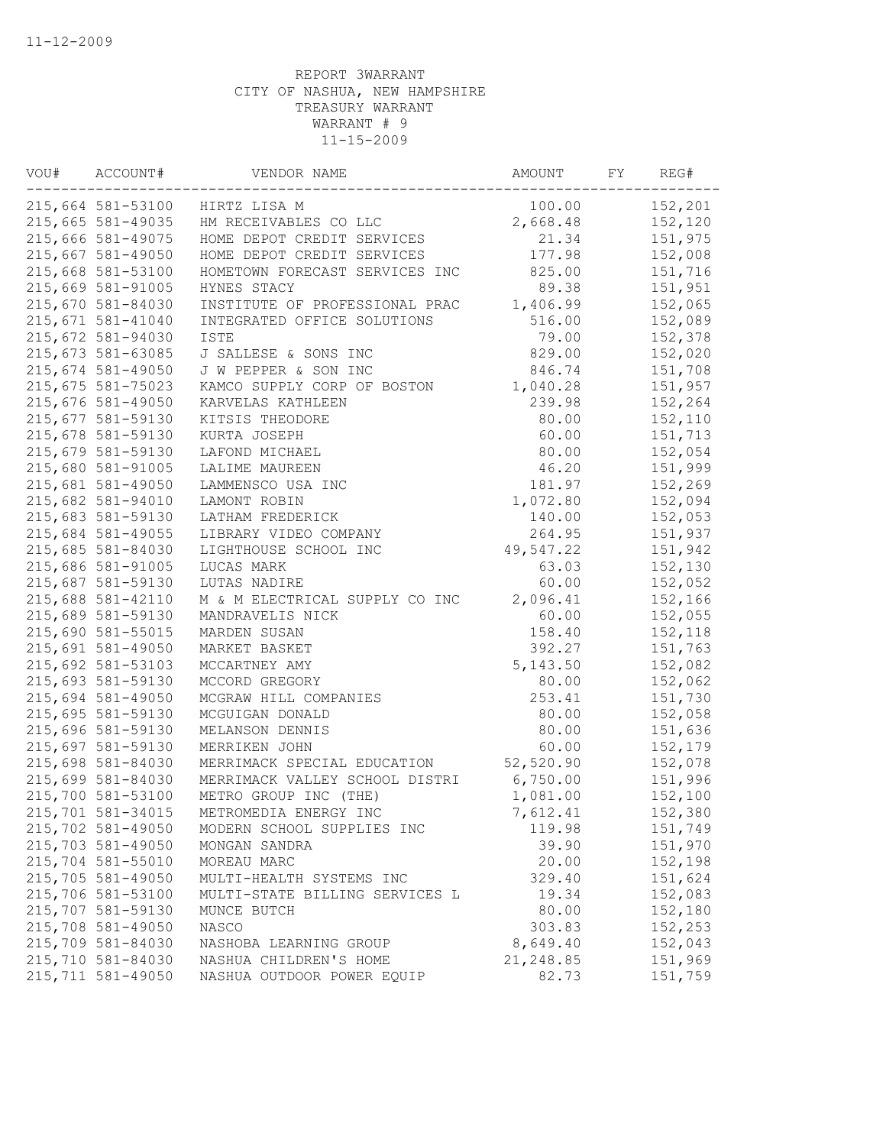| VOU# | ACCOUNT#          | VENDOR NAME                    | AMOUNT     | FY | REG#    |
|------|-------------------|--------------------------------|------------|----|---------|
|      | 215,664 581-53100 | HIRTZ LISA M                   | 100.00     |    | 152,201 |
|      | 215,665 581-49035 | HM RECEIVABLES CO LLC          | 2,668.48   |    | 152,120 |
|      | 215,666 581-49075 | HOME DEPOT CREDIT SERVICES     | 21.34      |    | 151,975 |
|      | 215,667 581-49050 | HOME DEPOT CREDIT SERVICES     | 177.98     |    | 152,008 |
|      | 215,668 581-53100 | HOMETOWN FORECAST SERVICES INC | 825.00     |    | 151,716 |
|      | 215,669 581-91005 | HYNES STACY                    | 89.38      |    | 151,951 |
|      | 215,670 581-84030 | INSTITUTE OF PROFESSIONAL PRAC | 1,406.99   |    | 152,065 |
|      | 215,671 581-41040 | INTEGRATED OFFICE SOLUTIONS    | 516.00     |    | 152,089 |
|      | 215,672 581-94030 | <b>ISTE</b>                    | 79.00      |    | 152,378 |
|      | 215,673 581-63085 | J SALLESE & SONS INC           | 829.00     |    | 152,020 |
|      | 215,674 581-49050 | J W PEPPER & SON INC           | 846.74     |    | 151,708 |
|      | 215,675 581-75023 | KAMCO SUPPLY CORP OF BOSTON    | 1,040.28   |    | 151,957 |
|      | 215,676 581-49050 | KARVELAS KATHLEEN              | 239.98     |    | 152,264 |
|      | 215,677 581-59130 | KITSIS THEODORE                | 80.00      |    | 152,110 |
|      | 215,678 581-59130 | KURTA JOSEPH                   | 60.00      |    | 151,713 |
|      | 215,679 581-59130 | LAFOND MICHAEL                 | 80.00      |    | 152,054 |
|      | 215,680 581-91005 | LALIME MAUREEN                 | 46.20      |    | 151,999 |
|      | 215,681 581-49050 | LAMMENSCO USA INC              | 181.97     |    | 152,269 |
|      | 215,682 581-94010 | LAMONT ROBIN                   | 1,072.80   |    | 152,094 |
|      | 215,683 581-59130 | LATHAM FREDERICK               | 140.00     |    | 152,053 |
|      | 215,684 581-49055 | LIBRARY VIDEO COMPANY          | 264.95     |    | 151,937 |
|      | 215,685 581-84030 | LIGHTHOUSE SCHOOL INC          | 49,547.22  |    | 151,942 |
|      | 215,686 581-91005 | LUCAS MARK                     | 63.03      |    | 152,130 |
|      | 215,687 581-59130 | LUTAS NADIRE                   | 60.00      |    | 152,052 |
|      | 215,688 581-42110 | M & M ELECTRICAL SUPPLY CO INC | 2,096.41   |    | 152,166 |
|      | 215,689 581-59130 | MANDRAVELIS NICK               | 60.00      |    | 152,055 |
|      | 215,690 581-55015 | MARDEN SUSAN                   | 158.40     |    | 152,118 |
|      | 215,691 581-49050 | MARKET BASKET                  | 392.27     |    | 151,763 |
|      |                   |                                |            |    |         |
|      | 215,692 581-53103 | MCCARTNEY AMY                  | 5, 143.50  |    | 152,082 |
|      | 215,693 581-59130 | MCCORD GREGORY                 | 80.00      |    | 152,062 |
|      | 215,694 581-49050 | MCGRAW HILL COMPANIES          | 253.41     |    | 151,730 |
|      | 215,695 581-59130 | MCGUIGAN DONALD                | 80.00      |    | 152,058 |
|      | 215,696 581-59130 | MELANSON DENNIS                | 80.00      |    | 151,636 |
|      | 215,697 581-59130 | MERRIKEN JOHN                  | 60.00      |    | 152,179 |
|      | 215,698 581-84030 | MERRIMACK SPECIAL EDUCATION    | 52, 520.90 |    | 152,078 |
|      | 215,699 581-84030 | MERRIMACK VALLEY SCHOOL DISTRI | 6,750.00   |    | 151,996 |
|      | 215,700 581-53100 | METRO GROUP INC (THE)          | 1,081.00   |    | 152,100 |
|      | 215,701 581-34015 | METROMEDIA ENERGY INC          | 7,612.41   |    | 152,380 |
|      | 215,702 581-49050 | MODERN SCHOOL SUPPLIES INC     | 119.98     |    | 151,749 |
|      | 215,703 581-49050 | MONGAN SANDRA                  | 39.90      |    | 151,970 |
|      | 215,704 581-55010 | MOREAU MARC                    | 20.00      |    | 152,198 |
|      | 215,705 581-49050 | MULTI-HEALTH SYSTEMS INC       | 329.40     |    | 151,624 |
|      | 215,706 581-53100 | MULTI-STATE BILLING SERVICES L | 19.34      |    | 152,083 |
|      | 215,707 581-59130 | MUNCE BUTCH                    | 80.00      |    | 152,180 |
|      | 215,708 581-49050 | <b>NASCO</b>                   | 303.83     |    | 152,253 |
|      | 215,709 581-84030 | NASHOBA LEARNING GROUP         | 8,649.40   |    | 152,043 |
|      | 215,710 581-84030 | NASHUA CHILDREN'S HOME         | 21,248.85  |    | 151,969 |
|      | 215,711 581-49050 | NASHUA OUTDOOR POWER EQUIP     | 82.73      |    | 151,759 |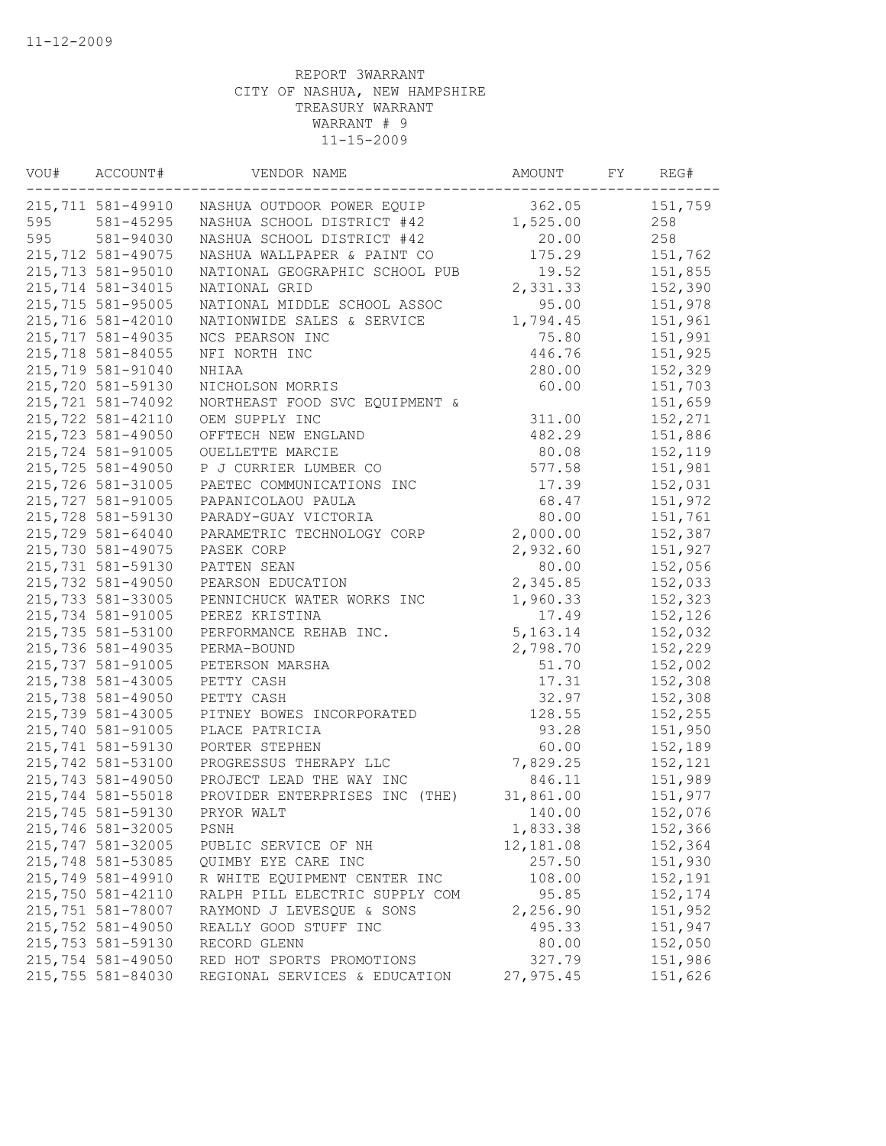| VOU# | ACCOUNT#           | VENDOR NAME                       | AMOUNT     | FY | REG#    |
|------|--------------------|-----------------------------------|------------|----|---------|
|      | 215,711 581-49910  | NASHUA OUTDOOR POWER EQUIP        | 362.05     |    | 151,759 |
| 595  | 581-45295          | NASHUA SCHOOL DISTRICT #42        | 1,525.00   |    | 258     |
| 595  | 581-94030          | NASHUA SCHOOL DISTRICT #42        | 20.00      |    | 258     |
|      | 215,712 581-49075  | NASHUA WALLPAPER & PAINT CO       | 175.29     |    | 151,762 |
|      | 215,713 581-95010  | NATIONAL GEOGRAPHIC SCHOOL PUB    | 19.52      |    | 151,855 |
|      | 215,714 581-34015  | NATIONAL GRID                     | 2,331.33   |    | 152,390 |
|      | 215,715 581-95005  | NATIONAL MIDDLE SCHOOL ASSOC      | 95.00      |    | 151,978 |
|      | 215,716 581-42010  | NATIONWIDE SALES & SERVICE        | 1,794.45   |    | 151,961 |
|      | 215,717 581-49035  | NCS PEARSON INC                   | 75.80      |    | 151,991 |
|      | 215,718 581-84055  | NFI NORTH INC                     | 446.76     |    | 151,925 |
|      | 215,719 581-91040  | NHIAA                             | 280.00     |    | 152,329 |
|      | 215,720 581-59130  | NICHOLSON MORRIS                  | 60.00      |    | 151,703 |
|      | 215,721 581-74092  | NORTHEAST FOOD SVC EQUIPMENT &    |            |    | 151,659 |
|      | 215, 722 581-42110 | OEM SUPPLY INC                    | 311.00     |    | 152,271 |
|      | 215,723 581-49050  | OFFTECH NEW ENGLAND               | 482.29     |    | 151,886 |
|      | 215,724 581-91005  | OUELLETTE MARCIE                  | 80.08      |    | 152,119 |
|      | 215,725 581-49050  | P J CURRIER LUMBER CO             | 577.58     |    | 151,981 |
|      | 215,726 581-31005  | PAETEC COMMUNICATIONS INC         | 17.39      |    | 152,031 |
|      | 215,727 581-91005  | PAPANICOLAOU PAULA                | 68.47      |    | 151,972 |
|      | 215,728 581-59130  | PARADY-GUAY VICTORIA              | 80.00      |    | 151,761 |
|      | 215,729 581-64040  | PARAMETRIC TECHNOLOGY CORP        | 2,000.00   |    | 152,387 |
|      | 215,730 581-49075  | PASEK CORP                        | 2,932.60   |    | 151,927 |
|      | 215,731 581-59130  | PATTEN SEAN                       | 80.00      |    | 152,056 |
|      | 215,732 581-49050  | PEARSON EDUCATION                 | 2,345.85   |    | 152,033 |
|      | 215,733 581-33005  | PENNICHUCK WATER WORKS INC        | 1,960.33   |    | 152,323 |
|      | 215,734 581-91005  | PEREZ KRISTINA                    | 17.49      |    | 152,126 |
|      | 215,735 581-53100  | PERFORMANCE REHAB INC.            | 5, 163. 14 |    | 152,032 |
|      | 215,736 581-49035  | PERMA-BOUND                       | 2,798.70   |    | 152,229 |
|      | 215,737 581-91005  | PETERSON MARSHA                   | 51.70      |    | 152,002 |
|      | 215,738 581-43005  | PETTY CASH                        | 17.31      |    | 152,308 |
|      | 215,738 581-49050  | PETTY CASH                        | 32.97      |    | 152,308 |
|      | 215,739 581-43005  | PITNEY BOWES INCORPORATED         | 128.55     |    | 152,255 |
|      | 215,740 581-91005  | PLACE PATRICIA                    | 93.28      |    | 151,950 |
|      | 215,741 581-59130  | PORTER STEPHEN                    | 60.00      |    | 152,189 |
|      | 215,742 581-53100  | PROGRESSUS THERAPY LLC            | 7,829.25   |    | 152,121 |
|      | 215,743 581-49050  | PROJECT LEAD THE WAY INC          | 846.11     |    | 151,989 |
|      | 215,744 581-55018  | PROVIDER ENTERPRISES INC<br>(THE) | 31,861.00  |    | 151,977 |
|      | 215,745 581-59130  | PRYOR WALT                        | 140.00     |    | 152,076 |
|      | 215,746 581-32005  | PSNH                              | 1,833.38   |    | 152,366 |
|      | 215,747 581-32005  | PUBLIC SERVICE OF NH              | 12,181.08  |    | 152,364 |
|      | 215,748 581-53085  | QUIMBY EYE CARE INC               | 257.50     |    | 151,930 |
|      | 215,749 581-49910  | R WHITE EQUIPMENT CENTER INC      | 108.00     |    | 152,191 |
|      | 215,750 581-42110  | RALPH PILL ELECTRIC SUPPLY COM    | 95.85      |    | 152,174 |
|      | 215,751 581-78007  | RAYMOND J LEVESQUE & SONS         | 2,256.90   |    | 151,952 |
|      | 215,752 581-49050  | REALLY GOOD STUFF INC             | 495.33     |    | 151,947 |
|      | 215,753 581-59130  | RECORD GLENN                      | 80.00      |    | 152,050 |
|      | 215,754 581-49050  | RED HOT SPORTS PROMOTIONS         | 327.79     |    | 151,986 |
|      | 215,755 581-84030  | REGIONAL SERVICES & EDUCATION     | 27,975.45  |    | 151,626 |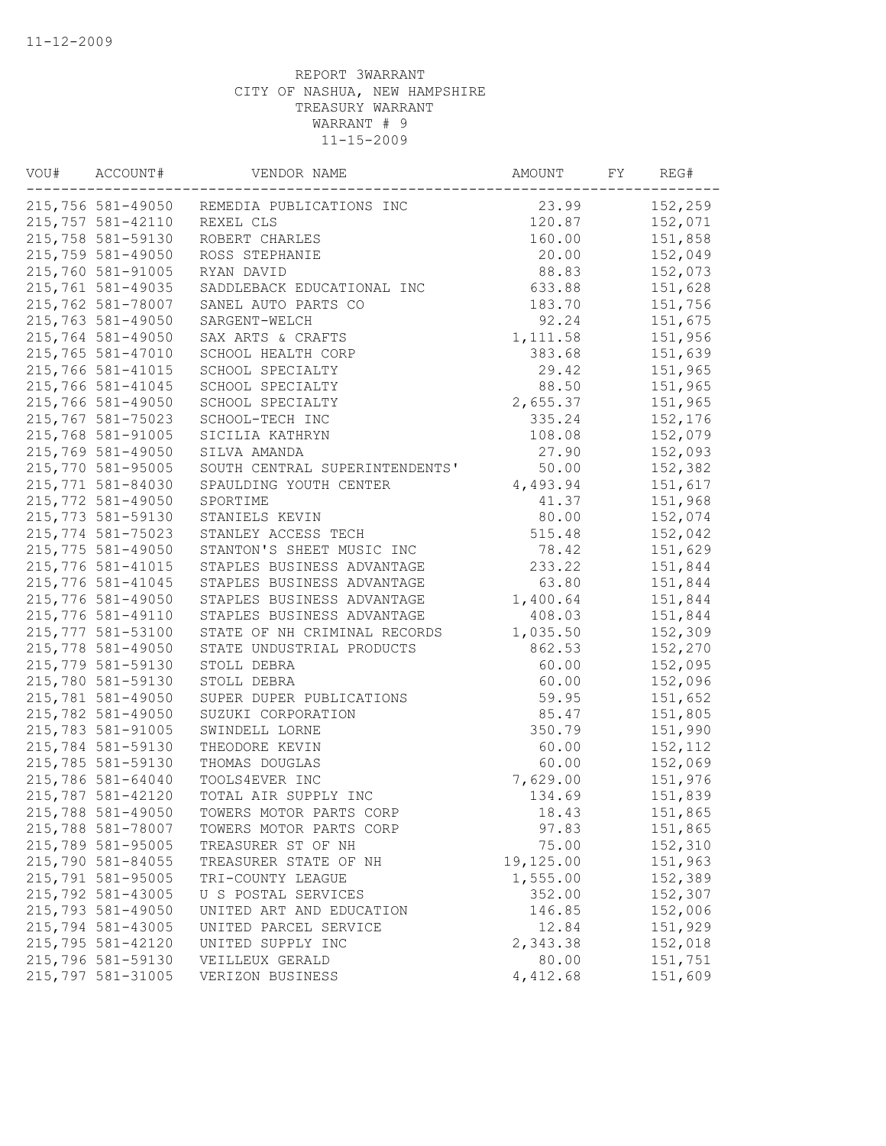| VOU# | ACCOUNT#          | VENDOR NAME                                | AMOUNT    | FY | REG#    |
|------|-------------------|--------------------------------------------|-----------|----|---------|
|      |                   | 215,756 581-49050 REMEDIA PUBLICATIONS INC | 23.99     |    | 152,259 |
|      | 215,757 581-42110 | REXEL CLS                                  | 120.87    |    | 152,071 |
|      | 215,758 581-59130 | ROBERT CHARLES                             | 160.00    |    | 151,858 |
|      | 215,759 581-49050 | ROSS STEPHANIE                             | 20.00     |    | 152,049 |
|      | 215,760 581-91005 | RYAN DAVID                                 | 88.83     |    | 152,073 |
|      | 215,761 581-49035 | SADDLEBACK EDUCATIONAL INC                 | 633.88    |    | 151,628 |
|      | 215,762 581-78007 | SANEL AUTO PARTS CO                        | 183.70    |    | 151,756 |
|      | 215,763 581-49050 | SARGENT-WELCH                              | 92.24     |    | 151,675 |
|      | 215,764 581-49050 | SAX ARTS & CRAFTS                          | 1,111.58  |    | 151,956 |
|      | 215,765 581-47010 | SCHOOL HEALTH CORP                         | 383.68    |    | 151,639 |
|      | 215,766 581-41015 | SCHOOL SPECIALTY                           | 29.42     |    | 151,965 |
|      | 215,766 581-41045 | SCHOOL SPECIALTY                           | 88.50     |    | 151,965 |
|      | 215,766 581-49050 | SCHOOL SPECIALTY                           | 2,655.37  |    | 151,965 |
|      | 215,767 581-75023 | SCHOOL-TECH INC                            | 335.24    |    | 152,176 |
|      | 215,768 581-91005 | SICILIA KATHRYN                            | 108.08    |    | 152,079 |
|      | 215,769 581-49050 | SILVA AMANDA                               | 27.90     |    | 152,093 |
|      | 215,770 581-95005 | SOUTH CENTRAL SUPERINTENDENTS'             | 50.00     |    | 152,382 |
|      | 215,771 581-84030 | SPAULDING YOUTH CENTER                     | 4,493.94  |    | 151,617 |
|      | 215,772 581-49050 | SPORTIME                                   | 41.37     |    | 151,968 |
|      | 215,773 581-59130 | STANIELS KEVIN                             | 80.00     |    | 152,074 |
|      | 215,774 581-75023 | STANLEY ACCESS TECH                        | 515.48    |    | 152,042 |
|      | 215,775 581-49050 | STANTON'S SHEET MUSIC INC                  | 78.42     |    | 151,629 |
|      | 215,776 581-41015 | STAPLES BUSINESS ADVANTAGE                 | 233.22    |    | 151,844 |
|      | 215,776 581-41045 | STAPLES BUSINESS ADVANTAGE                 | 63.80     |    | 151,844 |
|      | 215,776 581-49050 | STAPLES BUSINESS ADVANTAGE                 | 1,400.64  |    | 151,844 |
|      | 215,776 581-49110 | STAPLES BUSINESS ADVANTAGE                 | 408.03    |    | 151,844 |
|      | 215,777 581-53100 | STATE OF NH CRIMINAL RECORDS               | 1,035.50  |    | 152,309 |
|      | 215,778 581-49050 | STATE UNDUSTRIAL PRODUCTS                  | 862.53    |    | 152,270 |
|      | 215,779 581-59130 | STOLL DEBRA                                | 60.00     |    | 152,095 |
|      | 215,780 581-59130 | STOLL DEBRA                                | 60.00     |    | 152,096 |
|      | 215,781 581-49050 | SUPER DUPER PUBLICATIONS                   | 59.95     |    | 151,652 |
|      | 215,782 581-49050 | SUZUKI CORPORATION                         | 85.47     |    | 151,805 |
|      | 215,783 581-91005 |                                            | 350.79    |    | 151,990 |
|      | 215,784 581-59130 | SWINDELL LORNE                             |           |    |         |
|      |                   | THEODORE KEVIN                             | 60.00     |    | 152,112 |
|      | 215,785 581-59130 | THOMAS DOUGLAS                             | 60.00     |    | 152,069 |
|      | 215,786 581-64040 | TOOLS4EVER INC                             | 7,629.00  |    | 151,976 |
|      | 215,787 581-42120 | TOTAL AIR SUPPLY INC                       | 134.69    |    | 151,839 |
|      | 215,788 581-49050 | TOWERS MOTOR PARTS CORP                    | 18.43     |    | 151,865 |
|      | 215,788 581-78007 | TOWERS MOTOR PARTS CORP                    | 97.83     |    | 151,865 |
|      | 215,789 581-95005 | TREASURER ST OF NH                         | 75.00     |    | 152,310 |
|      | 215,790 581-84055 | TREASURER STATE OF NH                      | 19,125.00 |    | 151,963 |
|      | 215,791 581-95005 | TRI-COUNTY LEAGUE                          | 1,555.00  |    | 152,389 |
|      | 215,792 581-43005 | U S POSTAL SERVICES                        | 352.00    |    | 152,307 |
|      | 215,793 581-49050 | UNITED ART AND EDUCATION                   | 146.85    |    | 152,006 |
|      | 215,794 581-43005 | UNITED PARCEL SERVICE                      | 12.84     |    | 151,929 |
|      | 215,795 581-42120 | UNITED SUPPLY INC                          | 2,343.38  |    | 152,018 |
|      | 215,796 581-59130 | VEILLEUX GERALD                            | 80.00     |    | 151,751 |
|      | 215,797 581-31005 | VERIZON BUSINESS                           | 4,412.68  |    | 151,609 |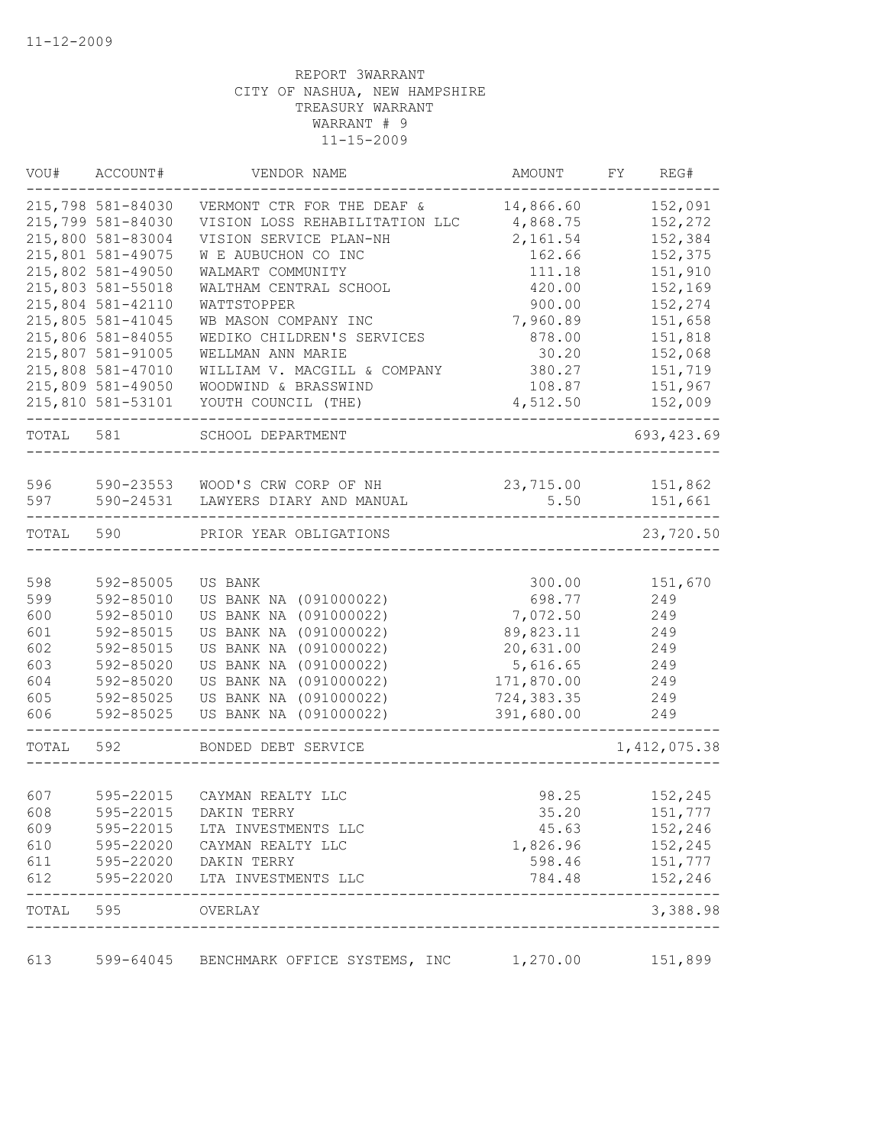| VOU#      | ACCOUNT#          | VENDOR NAME                                 | AMOUNT      | FY<br>REG#             |  |
|-----------|-------------------|---------------------------------------------|-------------|------------------------|--|
|           | 215,798 581-84030 | VERMONT CTR FOR THE DEAF &                  | 14,866.60   | 152,091                |  |
|           | 215,799 581-84030 | VISION LOSS REHABILITATION LLC              | 4,868.75    | 152,272                |  |
|           | 215,800 581-83004 | VISION SERVICE PLAN-NH                      | 2,161.54    | 152,384                |  |
|           | 215,801 581-49075 | W E AUBUCHON CO INC                         | 162.66      | 152,375                |  |
|           | 215,802 581-49050 | WALMART COMMUNITY                           | 111.18      | 151,910                |  |
|           | 215,803 581-55018 | WALTHAM CENTRAL SCHOOL                      | 420.00      | 152,169                |  |
|           | 215,804 581-42110 | WATTSTOPPER                                 | 900.00      | 152,274                |  |
|           | 215,805 581-41045 | WB MASON COMPANY INC                        | 7,960.89    | 151,658                |  |
|           | 215,806 581-84055 | WEDIKO CHILDREN'S SERVICES                  | 878.00      | 151,818                |  |
|           | 215,807 581-91005 | WELLMAN ANN MARIE                           | 30.20       | 152,068                |  |
|           | 215,808 581-47010 | WILLIAM V. MACGILL & COMPANY                | 380.27      | 151,719                |  |
|           | 215,809 581-49050 | WOODWIND & BRASSWIND                        | 108.87      | 151,967                |  |
|           | 215,810 581-53101 | YOUTH COUNCIL (THE)                         | 4,512.50    | 152,009                |  |
| TOTAL     | 581               | SCHOOL DEPARTMENT                           |             | 693, 423.69            |  |
|           |                   |                                             |             |                        |  |
| 596       | 590-23553         | WOOD'S CRW CORP OF NH                       | 23,715.00   | 151,862                |  |
| 597       | 590-24531         | LAWYERS DIARY AND MANUAL                    | 5.50        | 151,661                |  |
| TOTAL     | 590               | PRIOR YEAR OBLIGATIONS                      |             | 23,720.50              |  |
|           |                   |                                             |             |                        |  |
| 598       | 592-85005         | US BANK                                     | 300.00      | 151,670                |  |
| 599       | 592-85010         | US BANK NA (091000022)                      | 698.77      | 249                    |  |
| 600       | 592-85010         | US BANK NA (091000022)                      | 7,072.50    | 249                    |  |
| 601       | 592-85015         | US BANK NA (091000022)                      | 89,823.11   | 249                    |  |
| 602       | 592-85015         | US BANK NA (091000022)                      | 20,631.00   | 249                    |  |
| 603       | 592-85020         | US BANK NA (091000022)                      | 5,616.65    | 249                    |  |
| 604       | 592-85020         | US BANK NA (091000022)                      | 171,870.00  | 249                    |  |
| 605       | 592-85025         | US BANK NA (091000022)                      | 724, 383.35 | 249                    |  |
| 606       | 592-85025         | US BANK NA (091000022)                      | 391,680.00  | 249                    |  |
| TOTAL     | 592               | BONDED DEBT SERVICE                         |             | 1, 412, 075.38         |  |
|           | 595-22015         |                                             |             |                        |  |
| 607       |                   | CAYMAN REALTY LLC                           | 98.25       | 152,245                |  |
| 608       | 595-22015         | DAKIN TERRY                                 | 35.20       | 151,777                |  |
| 609       | 595-22015         | LTA INVESTMENTS LLC                         | 45.63       | 152,246                |  |
| 610       | 595-22020         | CAYMAN REALTY LLC                           | 1,826.96    | 152,245                |  |
| 611       |                   | 595-22020 DAKIN TERRY                       | 598.46      | 151,777                |  |
| 612       | 595-22020         | LTA INVESTMENTS LLC                         | 784.48      | 152,246<br>$- - - - -$ |  |
| TOTAL 595 |                   | OVERLAY<br>________________________________ |             | 3,388.98               |  |
| 613       |                   | 599-64045 BENCHMARK OFFICE SYSTEMS, INC     | 1,270.00    | 151,899                |  |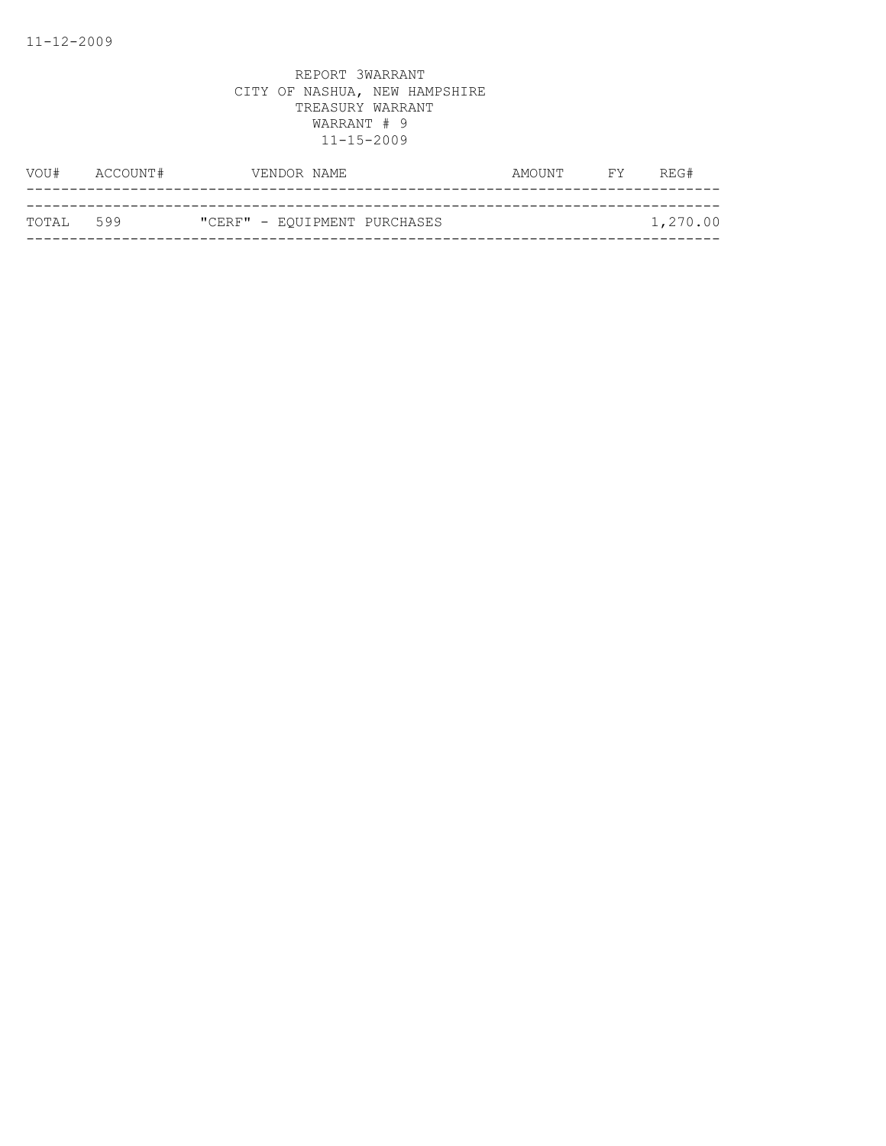| VOU#       | ACCOUNT# | VENDOR NAME                  | AMOUNT | FY | REG#     |
|------------|----------|------------------------------|--------|----|----------|
|            |          |                              |        |    |          |
| ТОТАІ. 599 |          | "CERF" - EQUIPMENT PURCHASES |        |    | 1,270.00 |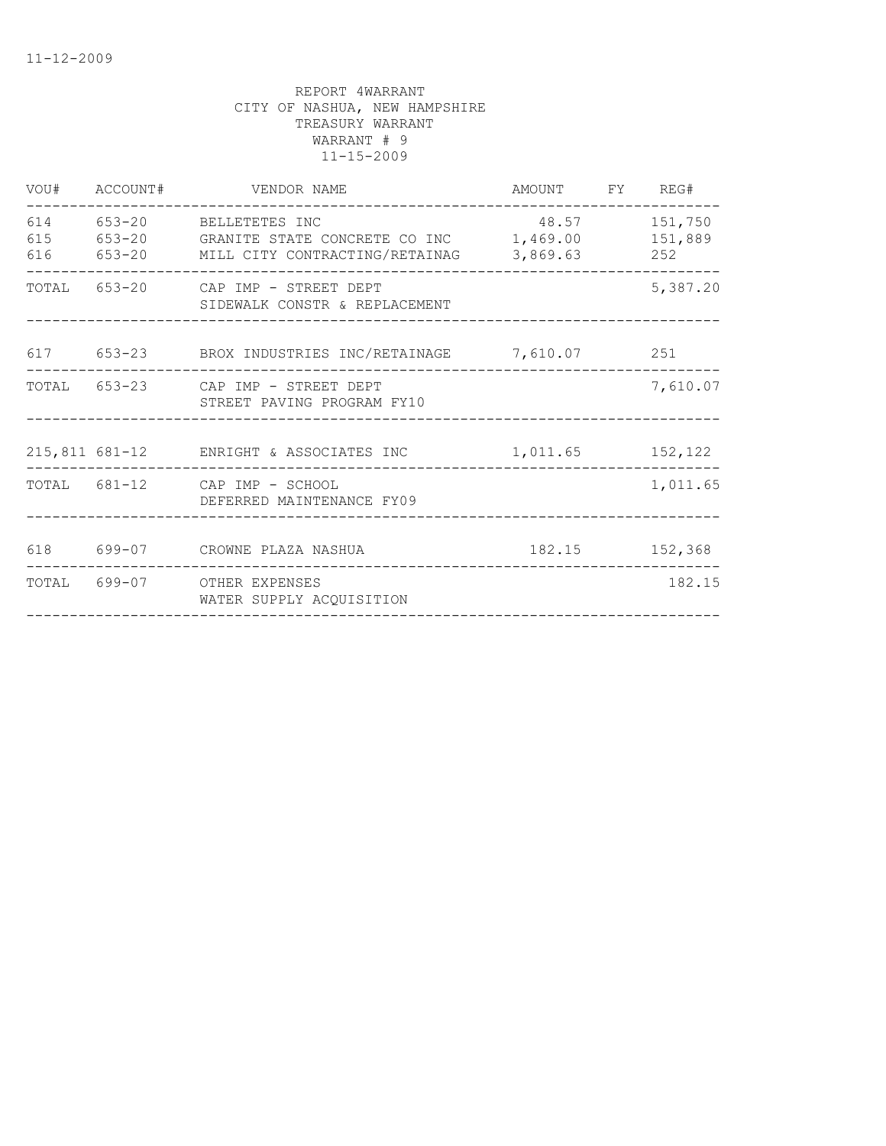| VOU#              | ACCOUNT# | VENDOR NAME                                                                                            | AMOUNT FY REG#                        |                |
|-------------------|----------|--------------------------------------------------------------------------------------------------------|---------------------------------------|----------------|
| 614<br>615<br>616 |          | 653-20 BELLETETES INC<br>653-20 GRANITE STATE CONCRETE CO INC<br>653-20 MILL CITY CONTRACTING/RETAINAG | 48.57<br>1,469.00 151,889<br>3,869.63 | 151,750<br>252 |
|                   |          | TOTAL 653-20 CAP IMP - STREET DEPT<br>SIDEWALK CONSTR & REPLACEMENT                                    |                                       | 5,387.20       |
|                   |          | 617 653-23 BROX INDUSTRIES INC/RETAINAGE 7,610.07 251                                                  |                                       |                |
|                   |          | TOTAL 653-23 CAP IMP - STREET DEPT<br>STREET PAVING PROGRAM FY10                                       |                                       | 7,610.07       |
|                   |          | 215,811 681-12 ENRIGHT & ASSOCIATES INC                                                                | 1,011.65 152,122                      |                |
|                   |          | TOTAL 681-12 CAP IMP - SCHOOL<br>DEFERRED MAINTENANCE FY09                                             |                                       | 1,011.65       |
| 618               |          |                                                                                                        |                                       | 182.15 152,368 |
|                   |          | TOTAL 699-07 OTHER EXPENSES<br>WATER SUPPLY ACQUISITION                                                |                                       | 182.15         |
|                   |          |                                                                                                        |                                       |                |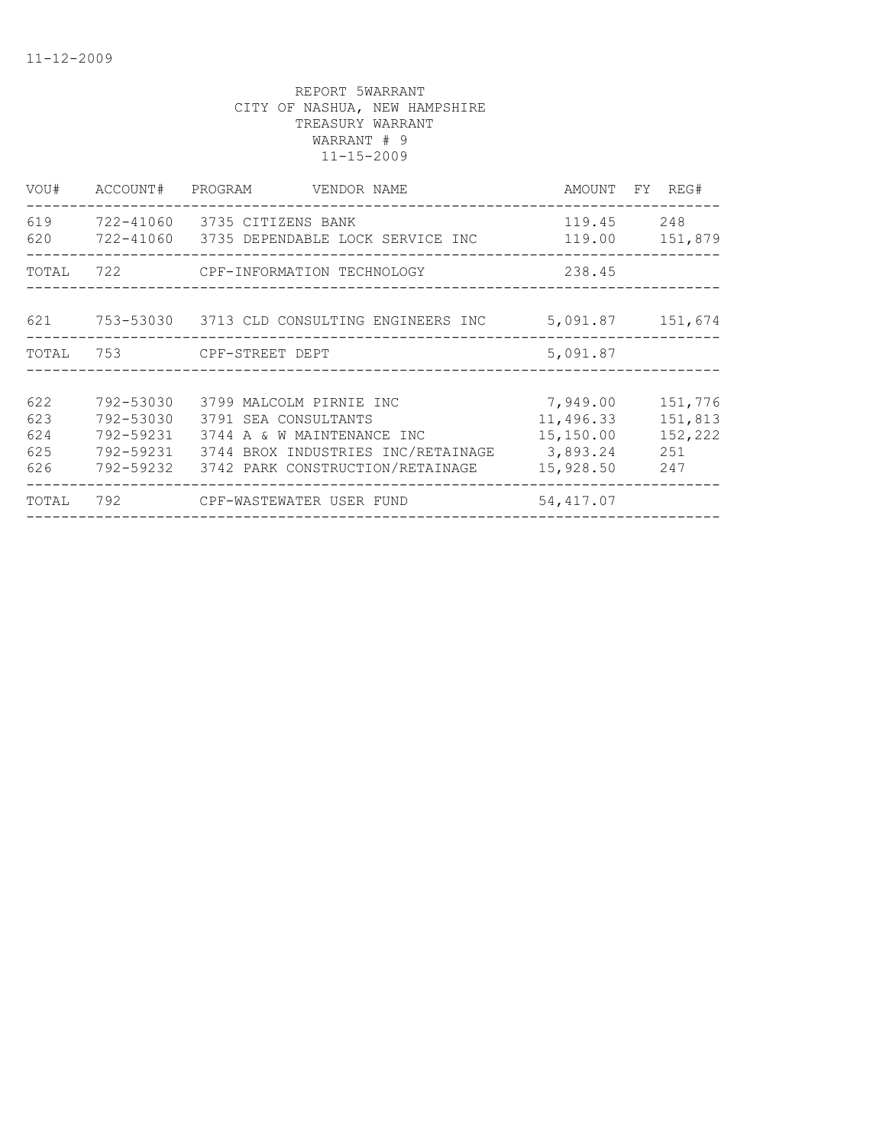| VOU#                            |                                                  | ACCOUNT# PROGRAM VENDOR NAME                                                                                                                                               |                                                 | AMOUNT FY REG#                              |
|---------------------------------|--------------------------------------------------|----------------------------------------------------------------------------------------------------------------------------------------------------------------------------|-------------------------------------------------|---------------------------------------------|
| 620                             |                                                  | 619 722-41060 3735 CITIZENS BANK<br>722-41060    3735 DEPENDABLE LOCK SERVICE INC                                                                                          | ____________________________                    | 119.45 248<br>119.00 151,879                |
|                                 |                                                  | TOTAL 722 CPF-INFORMATION TECHNOLOGY                                                                                                                                       | 238.45                                          |                                             |
|                                 |                                                  | 621 753-53030 3713 CLD CONSULTING ENGINEERS INC                                                                                                                            |                                                 | 5,091.87 151,674                            |
|                                 |                                                  | TOTAL 753 CPF-STREET DEPT                                                                                                                                                  | 5,091.87                                        |                                             |
| 622<br>623<br>624<br>625<br>626 | 792-53030<br>792-53030<br>792-59231<br>792-59232 | 3799 MALCOLM PIRNIE INC<br>3791 SEA CONSULTANTS<br>3744 A & W MAINTENANCE INC<br>792-59231 3744 BROX INDUSTRIES INC/RETAINAGE 3,893.24<br>3742 PARK CONSTRUCTION/RETAINAGE | 7,949.00<br>11,496.33<br>15,150.00<br>15,928.50 | 151,776<br>151,813<br>152,222<br>251<br>247 |
| TOTAL                           |                                                  |                                                                                                                                                                            | 54,417.07                                       |                                             |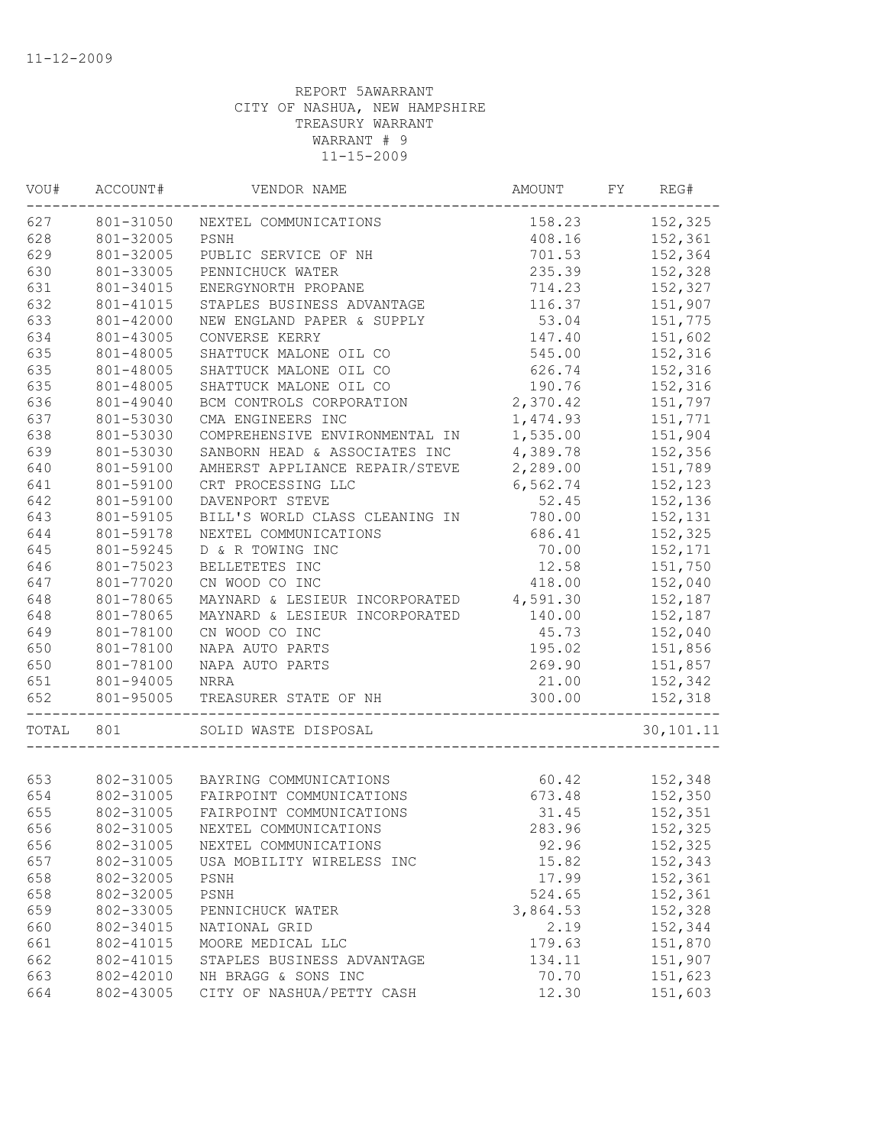| VOU#  | ACCOUNT#  | VENDOR NAME                      | AMOUNT   | FY | REG#      |
|-------|-----------|----------------------------------|----------|----|-----------|
| 627   | 801-31050 | NEXTEL COMMUNICATIONS            | 158.23   |    | 152,325   |
| 628   | 801-32005 | PSNH                             | 408.16   |    | 152,361   |
| 629   | 801-32005 | PUBLIC SERVICE OF NH             | 701.53   |    | 152,364   |
| 630   | 801-33005 | PENNICHUCK WATER                 | 235.39   |    | 152,328   |
| 631   | 801-34015 | ENERGYNORTH PROPANE              | 714.23   |    | 152,327   |
| 632   | 801-41015 | STAPLES BUSINESS ADVANTAGE       | 116.37   |    | 151,907   |
| 633   | 801-42000 | NEW ENGLAND PAPER & SUPPLY       | 53.04    |    | 151,775   |
| 634   | 801-43005 | CONVERSE KERRY                   | 147.40   |    | 151,602   |
| 635   | 801-48005 | SHATTUCK MALONE OIL CO           | 545.00   |    | 152,316   |
| 635   | 801-48005 | SHATTUCK MALONE OIL CO           | 626.74   |    | 152,316   |
| 635   | 801-48005 | SHATTUCK MALONE OIL CO           | 190.76   |    | 152,316   |
| 636   | 801-49040 | BCM CONTROLS CORPORATION         | 2,370.42 |    | 151,797   |
| 637   | 801-53030 | CMA ENGINEERS INC                | 1,474.93 |    | 151,771   |
| 638   | 801-53030 | COMPREHENSIVE ENVIRONMENTAL IN   | 1,535.00 |    | 151,904   |
| 639   | 801-53030 | SANBORN HEAD & ASSOCIATES INC    | 4,389.78 |    | 152,356   |
| 640   | 801-59100 | AMHERST APPLIANCE REPAIR/STEVE   | 2,289.00 |    | 151,789   |
| 641   | 801-59100 | CRT PROCESSING LLC               | 6,562.74 |    | 152,123   |
| 642   | 801-59100 | DAVENPORT STEVE                  | 52.45    |    | 152,136   |
| 643   | 801-59105 | BILL'S WORLD CLASS CLEANING IN   | 780.00   |    | 152,131   |
| 644   | 801-59178 | NEXTEL COMMUNICATIONS            | 686.41   |    | 152,325   |
| 645   | 801-59245 | D & R TOWING INC                 | 70.00    |    | 152,171   |
| 646   | 801-75023 | BELLETETES INC                   | 12.58    |    | 151,750   |
| 647   | 801-77020 | CN WOOD CO INC                   | 418.00   |    | 152,040   |
| 648   | 801-78065 | MAYNARD & LESIEUR INCORPORATED   | 4,591.30 |    | 152,187   |
| 648   | 801-78065 | MAYNARD & LESIEUR INCORPORATED   | 140.00   |    | 152,187   |
| 649   | 801-78100 | CN WOOD CO INC                   | 45.73    |    | 152,040   |
| 650   | 801-78100 | NAPA AUTO PARTS                  | 195.02   |    | 151,856   |
| 650   | 801-78100 | NAPA AUTO PARTS                  | 269.90   |    | 151,857   |
| 651   | 801-94005 | NRRA                             | 21.00    |    | 152,342   |
| 652   | 801-95005 | TREASURER STATE OF NH            | 300.00   |    | 152,318   |
| TOTAL | 801       | SOLID WASTE DISPOSAL             |          |    | 30,101.11 |
| 653   |           | 802-31005 BAYRING COMMUNICATIONS | 60.42    |    | 152,348   |
| 654   | 802-31005 | FAIRPOINT COMMUNICATIONS         | 673.48   |    | 152,350   |
| 655   | 802-31005 | FAIRPOINT COMMUNICATIONS         | 31.45    |    | 152,351   |
| 656   | 802-31005 |                                  | 283.96   |    |           |
|       |           | NEXTEL COMMUNICATIONS            |          |    | 152,325   |
| 656   | 802-31005 | NEXTEL COMMUNICATIONS            | 92.96    |    | 152,325   |
| 657   | 802-31005 | USA MOBILITY WIRELESS INC        | 15.82    |    | 152,343   |
| 658   | 802-32005 | PSNH                             | 17.99    |    | 152,361   |
| 658   | 802-32005 | PSNH                             | 524.65   |    | 152,361   |
| 659   | 802-33005 | PENNICHUCK WATER                 | 3,864.53 |    | 152,328   |
| 660   | 802-34015 | NATIONAL GRID                    | 2.19     |    | 152,344   |
| 661   | 802-41015 | MOORE MEDICAL LLC                | 179.63   |    | 151,870   |
| 662   | 802-41015 | STAPLES BUSINESS ADVANTAGE       | 134.11   |    | 151,907   |
| 663   | 802-42010 | NH BRAGG & SONS INC              | 70.70    |    | 151,623   |
| 664   | 802-43005 | CITY OF NASHUA/PETTY CASH        | 12.30    |    | 151,603   |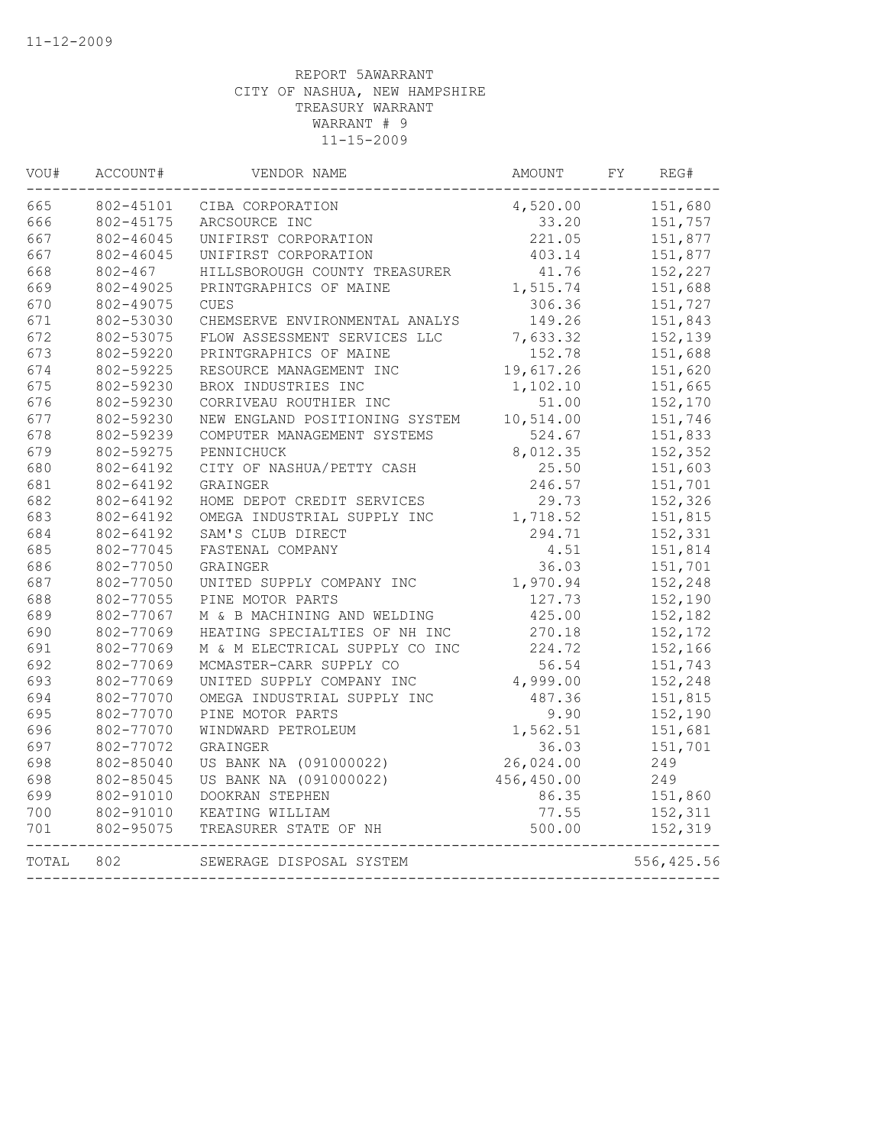| VOU#  | ACCOUNT#    | VENDOR NAME                    | AMOUNT     | FY | REG#       |
|-------|-------------|--------------------------------|------------|----|------------|
| 665   | 802-45101   | CIBA CORPORATION               | 4,520.00   |    | 151,680    |
| 666   | 802-45175   | ARCSOURCE INC                  | 33.20      |    | 151,757    |
| 667   | 802-46045   | UNIFIRST CORPORATION           | 221.05     |    | 151,877    |
| 667   | 802-46045   | UNIFIRST CORPORATION           | 403.14     |    | 151,877    |
| 668   | $802 - 467$ | HILLSBOROUGH COUNTY TREASURER  | 41.76      |    | 152,227    |
| 669   | 802-49025   | PRINTGRAPHICS OF MAINE         | 1,515.74   |    | 151,688    |
| 670   | 802-49075   | <b>CUES</b>                    | 306.36     |    | 151,727    |
| 671   | 802-53030   | CHEMSERVE ENVIRONMENTAL ANALYS | 149.26     |    | 151,843    |
| 672   | 802-53075   | FLOW ASSESSMENT SERVICES LLC   | 7,633.32   |    | 152,139    |
| 673   | 802-59220   | PRINTGRAPHICS OF MAINE         | 152.78     |    | 151,688    |
| 674   | 802-59225   | RESOURCE MANAGEMENT INC        | 19,617.26  |    | 151,620    |
| 675   | 802-59230   | BROX INDUSTRIES INC            | 1,102.10   |    | 151,665    |
| 676   | 802-59230   | CORRIVEAU ROUTHIER INC         | 51.00      |    | 152,170    |
| 677   | 802-59230   | NEW ENGLAND POSITIONING SYSTEM | 10,514.00  |    | 151,746    |
| 678   | 802-59239   | COMPUTER MANAGEMENT SYSTEMS    | 524.67     |    | 151,833    |
| 679   | 802-59275   | PENNICHUCK                     | 8,012.35   |    | 152,352    |
| 680   | 802-64192   | CITY OF NASHUA/PETTY CASH      | 25.50      |    | 151,603    |
| 681   | 802-64192   | GRAINGER                       | 246.57     |    | 151,701    |
| 682   | 802-64192   | HOME DEPOT CREDIT SERVICES     | 29.73      |    | 152,326    |
| 683   | 802-64192   | OMEGA INDUSTRIAL SUPPLY INC    | 1,718.52   |    | 151,815    |
| 684   | 802-64192   | SAM'S CLUB DIRECT              | 294.71     |    | 152,331    |
| 685   | 802-77045   | FASTENAL COMPANY               | 4.51       |    | 151,814    |
| 686   | 802-77050   | GRAINGER                       | 36.03      |    | 151,701    |
| 687   | 802-77050   | UNITED SUPPLY COMPANY INC      | 1,970.94   |    | 152,248    |
| 688   | 802-77055   | PINE MOTOR PARTS               | 127.73     |    | 152,190    |
| 689   | 802-77067   | M & B MACHINING AND WELDING    | 425.00     |    | 152,182    |
| 690   | 802-77069   | HEATING SPECIALTIES OF NH INC  | 270.18     |    | 152,172    |
| 691   | 802-77069   | M & M ELECTRICAL SUPPLY CO INC | 224.72     |    | 152,166    |
| 692   | 802-77069   | MCMASTER-CARR SUPPLY CO        | 56.54      |    | 151,743    |
| 693   | 802-77069   | UNITED SUPPLY COMPANY INC      | 4,999.00   |    | 152,248    |
| 694   | 802-77070   | OMEGA INDUSTRIAL SUPPLY INC    | 487.36     |    | 151,815    |
| 695   | 802-77070   | PINE MOTOR PARTS               | 9.90       |    | 152,190    |
| 696   | 802-77070   | WINDWARD PETROLEUM             | 1,562.51   |    | 151,681    |
| 697   | 802-77072   | GRAINGER                       | 36.03      |    | 151,701    |
| 698   | 802-85040   | US BANK NA (091000022)         | 26,024.00  |    | 249        |
| 698   | 802-85045   | US BANK NA (091000022)         | 456,450.00 |    | 249        |
| 699   | 802-91010   | DOOKRAN STEPHEN                | 86.35      |    | 151,860    |
| 700   | 802-91010   | KEATING WILLIAM                | 77.55      |    | 152,311    |
| 701   | 802-95075   | TREASURER STATE OF NH          | 500.00     |    | 152,319    |
|       |             |                                |            |    |            |
| TOTAL | 802         | SEWERAGE DISPOSAL SYSTEM       |            |    | 556,425.56 |
|       |             |                                |            |    |            |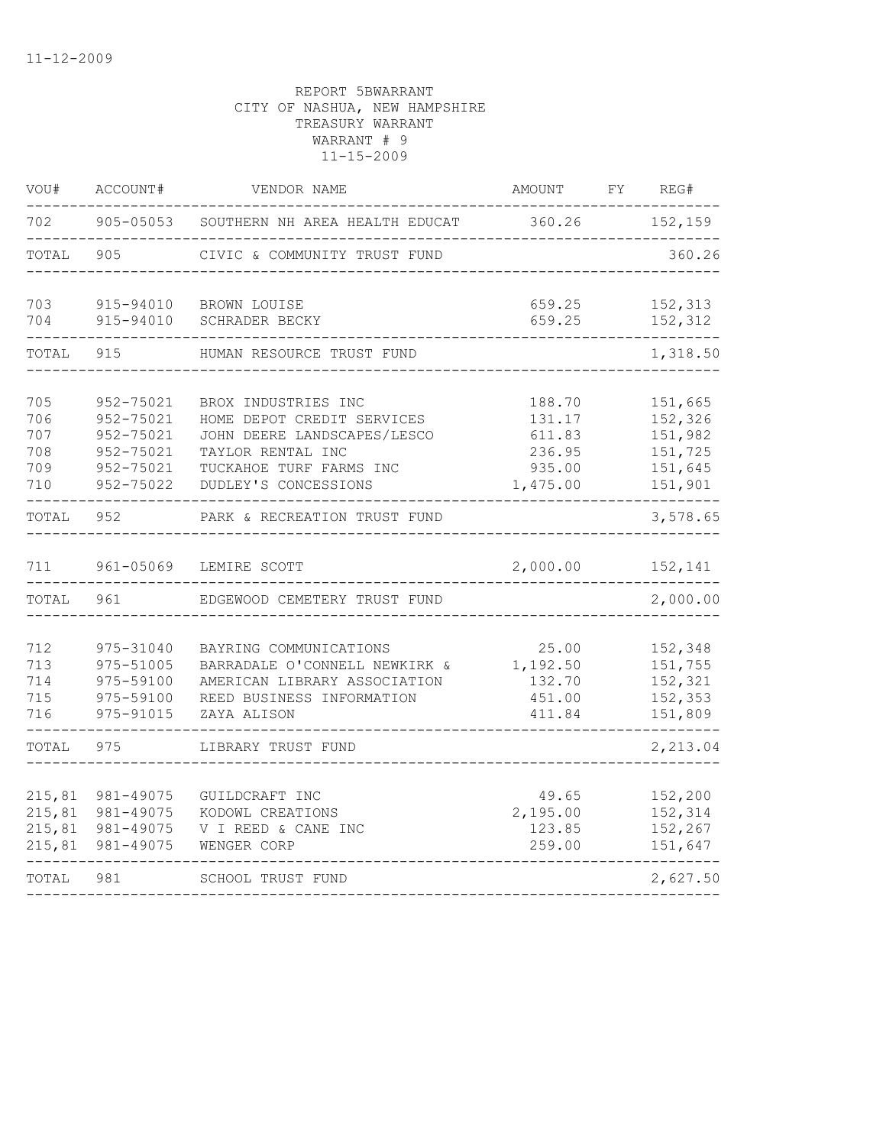| VOU#                                   | ACCOUNT#                                                                   | VENDOR NAME                                                                                                                                              | AMOUNT                                                     | FY | REG#                                                           |
|----------------------------------------|----------------------------------------------------------------------------|----------------------------------------------------------------------------------------------------------------------------------------------------------|------------------------------------------------------------|----|----------------------------------------------------------------|
| 702                                    | $905 - 05053$                                                              | SOUTHERN NH AREA HEALTH EDUCAT                                                                                                                           | 360.26                                                     |    | 152,159                                                        |
| TOTAL                                  | 905                                                                        | CIVIC & COMMUNITY TRUST FUND                                                                                                                             |                                                            |    | 360.26                                                         |
| 703<br>704                             | 915-94010<br>915-94010                                                     | BROWN LOUISE<br>SCHRADER BECKY                                                                                                                           | 659.25<br>659.25                                           |    | 152,313<br>152,312                                             |
| TOTAL                                  | 915                                                                        | HUMAN RESOURCE TRUST FUND                                                                                                                                |                                                            |    | 1,318.50                                                       |
| 705<br>706<br>707<br>708<br>709<br>710 | 952-75021<br>952-75021<br>952-75021<br>952-75021<br>952-75021<br>952-75022 | BROX INDUSTRIES INC<br>HOME DEPOT CREDIT SERVICES<br>JOHN DEERE LANDSCAPES/LESCO<br>TAYLOR RENTAL INC<br>TUCKAHOE TURF FARMS INC<br>DUDLEY'S CONCESSIONS | 188.70<br>131.17<br>611.83<br>236.95<br>935.00<br>1,475.00 |    | 151,665<br>152,326<br>151,982<br>151,725<br>151,645<br>151,901 |
| TOTAL                                  | 952                                                                        | PARK & RECREATION TRUST FUND                                                                                                                             |                                                            |    | 3,578.65                                                       |
| 711                                    | 961-05069                                                                  | LEMIRE SCOTT                                                                                                                                             | 2,000.00                                                   |    | 152,141                                                        |
| TOTAL                                  | 961                                                                        | EDGEWOOD CEMETERY TRUST FUND                                                                                                                             |                                                            |    | 2,000.00                                                       |
| 712<br>713<br>714<br>715<br>716        | 975-31040<br>975-51005<br>975-59100<br>975-59100<br>975-91015              | BAYRING COMMUNICATIONS<br>BARRADALE O'CONNELL NEWKIRK &<br>AMERICAN LIBRARY ASSOCIATION<br>REED BUSINESS INFORMATION<br>ZAYA ALISON                      | 25.00<br>1,192.50<br>132.70<br>451.00<br>411.84            |    | 152,348<br>151,755<br>152,321<br>152,353<br>151,809            |
| TOTAL                                  | 975                                                                        | LIBRARY TRUST FUND                                                                                                                                       |                                                            |    | 2,213.04                                                       |
| 215,81<br>215,81<br>215,81<br>215,81   | 981-49075<br>981-49075<br>981-49075<br>981-49075                           | GUILDCRAFT INC<br>KODOWL CREATIONS<br>V I REED & CANE INC<br>WENGER CORP                                                                                 | 49.65<br>2,195.00<br>123.85<br>259.00                      |    | 152,200<br>152,314<br>152,267<br>151,647                       |
| TOTAL                                  | 981                                                                        | SCHOOL TRUST FUND                                                                                                                                        |                                                            |    | 2,627.50                                                       |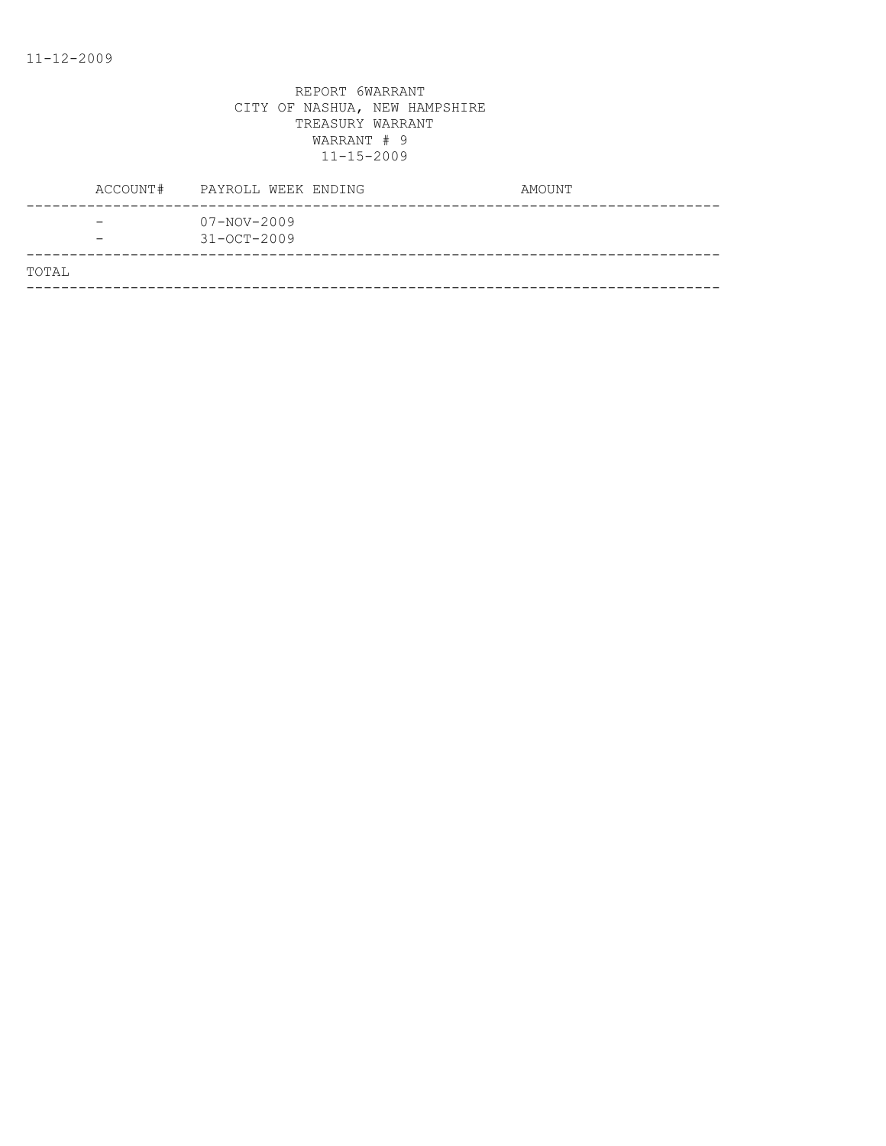|       | ACCOUNT# | PAYROLL WEEK ENDING                    | AMOUNT |
|-------|----------|----------------------------------------|--------|
|       |          | $07 - NOV - 2009$<br>$31 - OCT - 2009$ |        |
| TOTAL |          |                                        |        |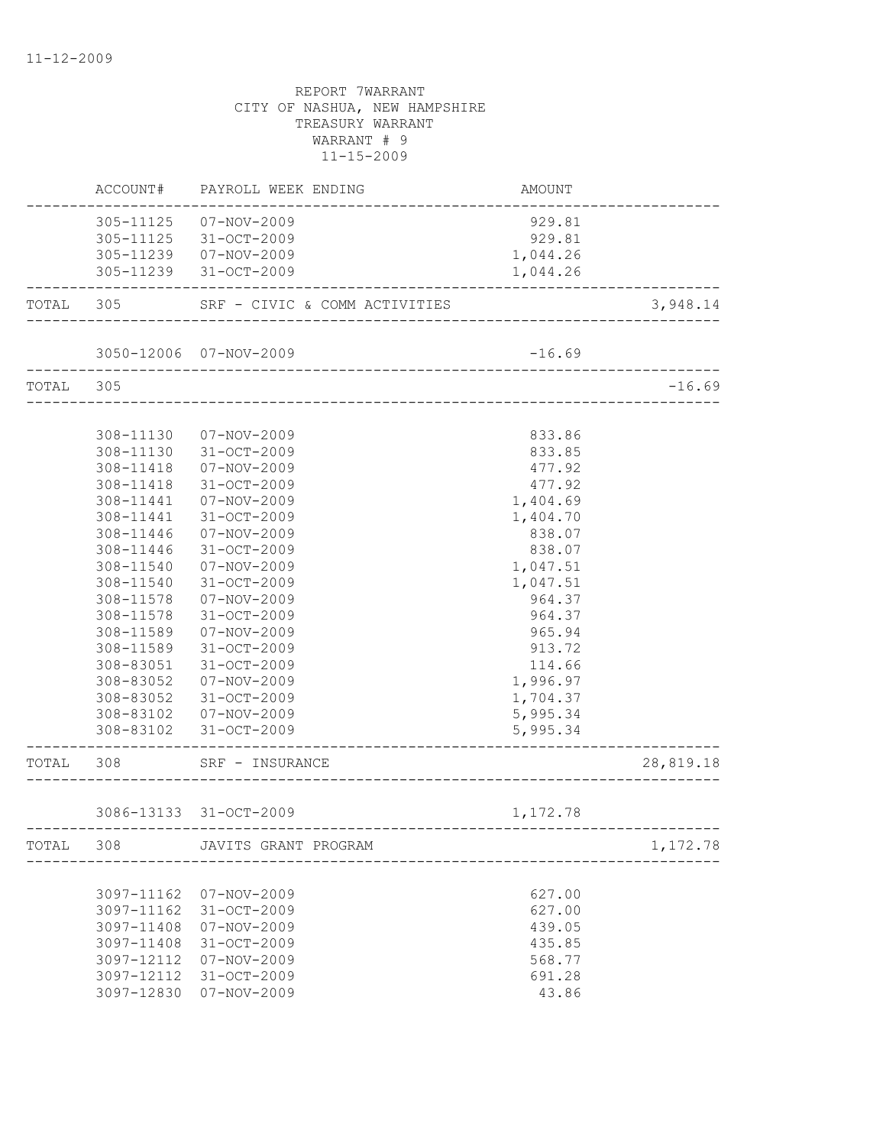|           |            | ACCOUNT# PAYROLL WEEK ENDING    | AMOUNT   |           |
|-----------|------------|---------------------------------|----------|-----------|
|           |            | 305-11125  07-NOV-2009          | 929.81   |           |
|           |            | 305-11125 31-OCT-2009           | 929.81   |           |
|           |            | 305-11239  07-NOV-2009          | 1,044.26 |           |
|           |            | 305-11239 31-OCT-2009           | 1,044.26 |           |
| TOTAL 305 |            | SRF - CIVIC & COMM ACTIVITIES   |          | 3,948.14  |
|           |            | 3050-12006 07-NOV-2009          | $-16.69$ |           |
|           |            |                                 |          |           |
| TOTAL 305 |            | _______________________________ |          | $-16.69$  |
|           |            |                                 |          |           |
|           |            | 308-11130  07-NOV-2009          | 833.86   |           |
|           |            | 308-11130 31-OCT-2009           | 833.85   |           |
|           | 308-11418  | $07 - NOV - 2009$               | 477.92   |           |
|           | 308-11418  | 31-OCT-2009                     | 477.92   |           |
|           | 308-11441  | 07-NOV-2009                     | 1,404.69 |           |
|           | 308-11441  | 31-OCT-2009                     | 1,404.70 |           |
|           | 308-11446  | 07-NOV-2009                     | 838.07   |           |
|           | 308-11446  | $31 - OCT - 2009$               | 838.07   |           |
|           | 308-11540  | 07-NOV-2009                     | 1,047.51 |           |
|           | 308-11540  | 31-OCT-2009                     | 1,047.51 |           |
|           | 308-11578  | 07-NOV-2009                     | 964.37   |           |
|           | 308-11578  | 31-OCT-2009                     | 964.37   |           |
|           | 308-11589  | 07-NOV-2009                     | 965.94   |           |
|           | 308-11589  | 31-OCT-2009                     | 913.72   |           |
|           | 308-83051  | 31-OCT-2009                     | 114.66   |           |
|           | 308-83052  | 07-NOV-2009                     | 1,996.97 |           |
|           | 308-83052  | 31-OCT-2009                     | 1,704.37 |           |
|           |            | 308-83102  07-NOV-2009          | 5,995.34 |           |
|           |            | 308-83102 31-OCT-2009           | 5,995.34 |           |
|           | TOTAL 308  | SRF - INSURANCE                 |          | 28,819.18 |
|           |            |                                 |          |           |
|           |            | 3086-13133 31-OCT-2009          | 1,172.78 |           |
| TOTAL     | 308        | JAVITS GRANT PROGRAM            |          | 1,172.78  |
|           |            |                                 |          |           |
|           | 3097-11162 | 07-NOV-2009                     | 627.00   |           |
|           | 3097-11162 | 31-OCT-2009                     | 627.00   |           |
|           | 3097-11408 | $07 - NOV - 2009$               | 439.05   |           |
|           | 3097-11408 | 31-OCT-2009                     | 435.85   |           |
|           | 3097-12112 | $07 - NOV - 2009$               | 568.77   |           |
|           | 3097-12112 | 31-OCT-2009                     | 691.28   |           |
|           | 3097-12830 | $07 - NOV - 2009$               | 43.86    |           |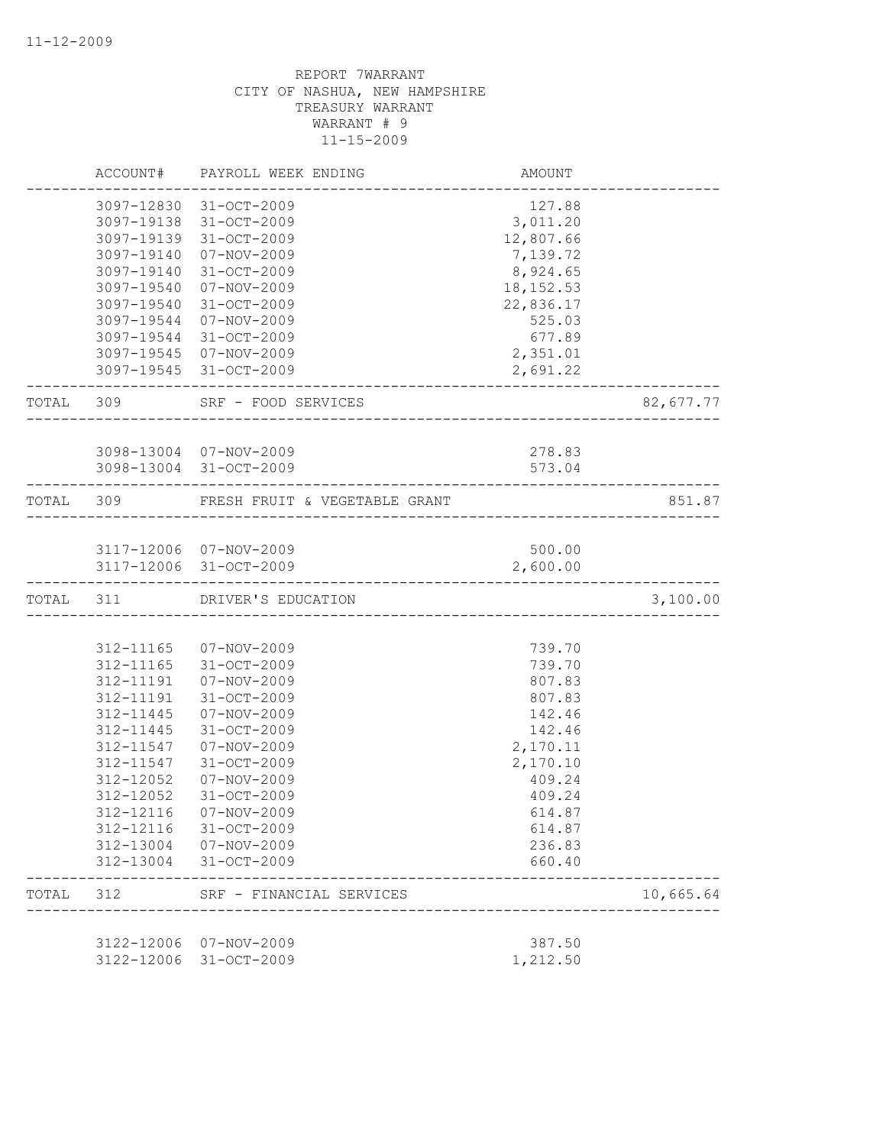|           | ACCOUNT#   | PAYROLL WEEK ENDING                              | AMOUNT           |           |
|-----------|------------|--------------------------------------------------|------------------|-----------|
|           |            | 3097-12830 31-OCT-2009                           | 127.88           |           |
|           |            | 3097-19138 31-OCT-2009                           | 3,011.20         |           |
|           |            | 3097-19139 31-OCT-2009                           | 12,807.66        |           |
|           | 3097-19140 | 07-NOV-2009                                      | 7,139.72         |           |
|           | 3097-19140 | 31-OCT-2009                                      | 8,924.65         |           |
|           | 3097-19540 | 07-NOV-2009                                      | 18, 152.53       |           |
|           | 3097-19540 | 31-OCT-2009                                      | 22,836.17        |           |
|           | 3097-19544 | 07-NOV-2009                                      | 525.03           |           |
|           |            | 3097-19544 31-OCT-2009                           | 677.89           |           |
|           |            | 3097-19545 07-NOV-2009                           | 2,351.01         |           |
|           |            | 3097-19545 31-OCT-2009                           | 2,691.22         |           |
| TOTAL 309 |            | SRF - FOOD SERVICES<br>____________________      |                  | 82,677.77 |
|           |            |                                                  |                  |           |
|           |            | 3098-13004 07-NOV-2009<br>3098-13004 31-OCT-2009 | 278.83<br>573.04 |           |
|           |            |                                                  |                  |           |
| TOTAL 309 |            | FRESH FRUIT & VEGETABLE GRANT                    |                  | 851.87    |
|           |            |                                                  |                  |           |
|           |            | 3117-12006 07-NOV-2009                           | 500.00           |           |
|           |            | 3117-12006 31-OCT-2009                           | 2,600.00         |           |
| TOTAL 311 |            | DRIVER'S EDUCATION                               |                  | 3,100.00  |
|           |            |                                                  |                  |           |
|           |            | 312-11165 07-NOV-2009                            | 739.70           |           |
|           | 312-11165  | 31-OCT-2009                                      | 739.70           |           |
|           | 312-11191  | 07-NOV-2009                                      | 807.83           |           |
|           | 312-11191  | $31 - OCT - 2009$                                | 807.83           |           |
|           | 312-11445  | 07-NOV-2009                                      | 142.46           |           |
|           | 312-11445  | $31 - OCT - 2009$                                | 142.46           |           |
|           | 312-11547  | 07-NOV-2009                                      | 2,170.11         |           |
|           | 312-11547  | 31-OCT-2009                                      | 2,170.10         |           |
|           | 312-12052  | 07-NOV-2009                                      | 409.24           |           |
|           | 312-12052  | 31-OCT-2009                                      | 409.24           |           |
|           | 312-12116  | $07 - NOV - 2009$                                | 614.87           |           |
|           | 312-12116  | 31-OCT-2009                                      | 614.87           |           |
|           | 312-13004  | 07-NOV-2009                                      | 236.83           |           |
|           | 312-13004  | 31-OCT-2009                                      | 660.40           |           |
| TOTAL     | 312        | SRF - FINANCIAL SERVICES                         |                  | 10,665.64 |
|           |            |                                                  |                  |           |
|           |            | 3122-12006 07-NOV-2009<br>31-OCT-2009            | 387.50           |           |
|           | 3122-12006 |                                                  | 1,212.50         |           |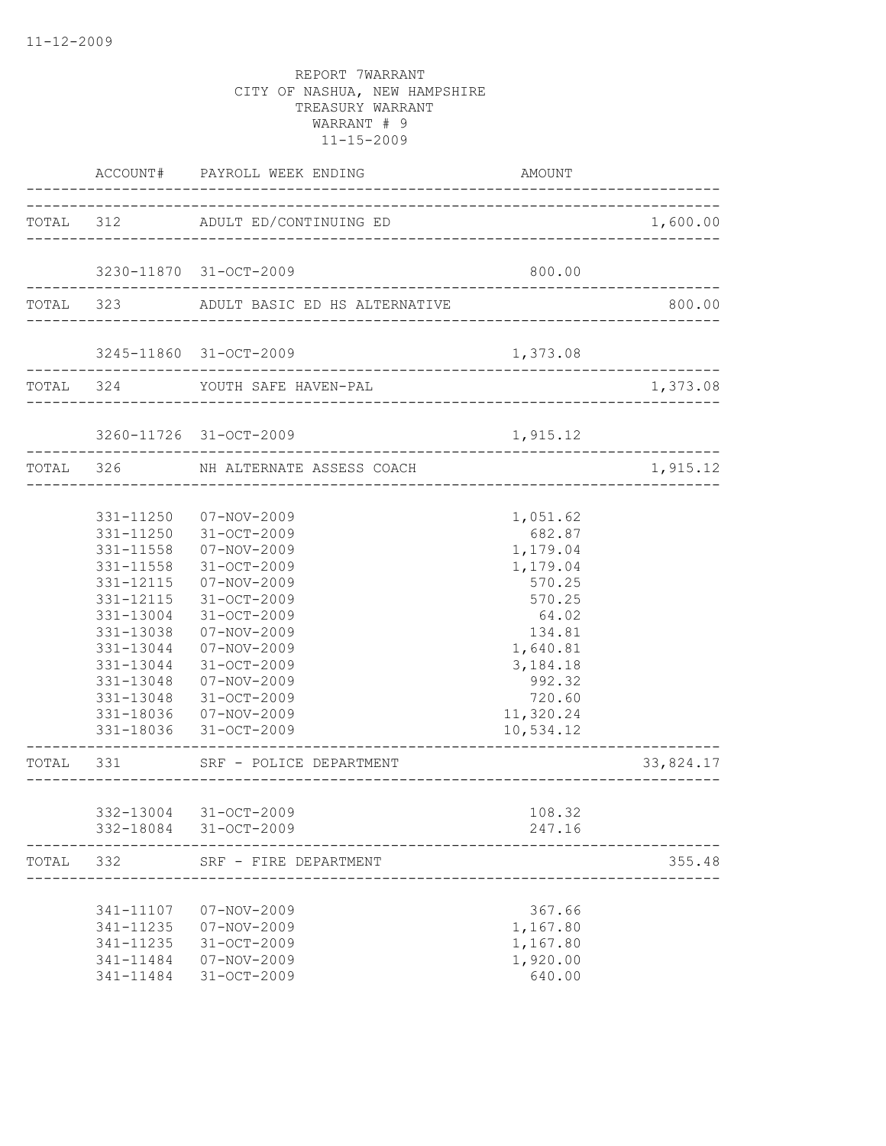|           |                                                                                                      | ACCOUNT# PAYROLL WEEK ENDING                                                                                                                                                                                                                                                  | AMOUNT                                                                                                                                                    |           |
|-----------|------------------------------------------------------------------------------------------------------|-------------------------------------------------------------------------------------------------------------------------------------------------------------------------------------------------------------------------------------------------------------------------------|-----------------------------------------------------------------------------------------------------------------------------------------------------------|-----------|
|           |                                                                                                      | TOTAL 312 ADULT ED/CONTINUING ED                                                                                                                                                                                                                                              |                                                                                                                                                           | 1,600.00  |
|           |                                                                                                      | 3230-11870 31-OCT-2009                                                                                                                                                                                                                                                        | 800.00                                                                                                                                                    |           |
|           |                                                                                                      | TOTAL 323 ADULT BASIC ED HS ALTERNATIVE                                                                                                                                                                                                                                       |                                                                                                                                                           | 800.00    |
|           |                                                                                                      | 3245-11860 31-OCT-2009                                                                                                                                                                                                                                                        | 1,373.08                                                                                                                                                  |           |
|           |                                                                                                      | TOTAL 324 YOUTH SAFE HAVEN-PAL                                                                                                                                                                                                                                                |                                                                                                                                                           | 1,373.08  |
|           |                                                                                                      | 3260-11726 31-OCT-2009                                                                                                                                                                                                                                                        | 1,915.12                                                                                                                                                  |           |
|           | TOTAL 326                                                                                            | NH ALTERNATE ASSESS COACH                                                                                                                                                                                                                                                     |                                                                                                                                                           | 1,915.12  |
|           | 331-11558<br>331-12115<br>331-12115<br>331-13004<br>331-13038<br>331-13044<br>331-13044<br>331-13048 | 331-11250  07-NOV-2009<br>331-11250 31-OCT-2009<br>331-11558  07-NOV-2009<br>31-OCT-2009<br>07-NOV-2009<br>31-OCT-2009<br>31-OCT-2009<br>07-NOV-2009<br>07-NOV-2009<br>31-OCT-2009<br>07-NOV-2009<br>331-13048 31-OCT-2009<br>331-18036  07-NOV-2009<br>331-18036 31-OCT-2009 | 1,051.62<br>682.87<br>1,179.04<br>1,179.04<br>570.25<br>570.25<br>64.02<br>134.81<br>1,640.81<br>3, 184. 18<br>992.32<br>720.60<br>11,320.24<br>10,534.12 |           |
| TOTAL 331 |                                                                                                      | SRF - POLICE DEPARTMENT<br>____________________                                                                                                                                                                                                                               |                                                                                                                                                           | 33,824.17 |
|           |                                                                                                      | 332-13004 31-OCT-2009<br>332-18084 31-OCT-2009                                                                                                                                                                                                                                | 108.32<br>247.16                                                                                                                                          |           |
|           |                                                                                                      | TOTAL 332 SRF - FIRE DEPARTMENT                                                                                                                                                                                                                                               |                                                                                                                                                           | 355.48    |
|           | 341-11235<br>341-11235<br>341-11484                                                                  | 341-11107  07-NOV-2009<br>$07 - NOV - 2009$<br>31-OCT-2009<br>341-11484  07-NOV-2009<br>31-OCT-2009                                                                                                                                                                           | 367.66<br>1,167.80<br>1,167.80<br>1,920.00<br>640.00                                                                                                      |           |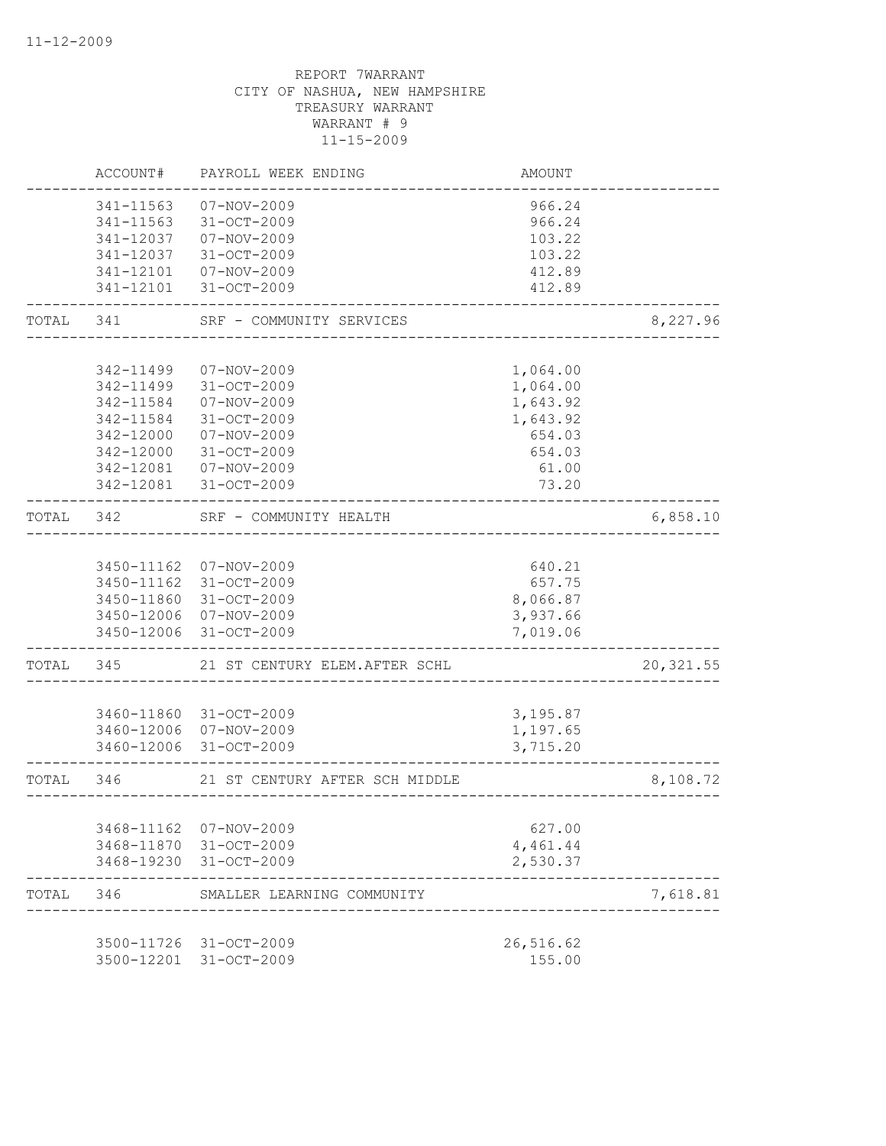|           | ACCOUNT#   | PAYROLL WEEK ENDING            | <b>AMOUNT</b> |            |
|-----------|------------|--------------------------------|---------------|------------|
|           | 341-11563  | $07 - NOV - 2009$              | 966.24        |            |
|           | 341-11563  | 31-OCT-2009                    | 966.24        |            |
|           | 341-12037  | 07-NOV-2009                    | 103.22        |            |
|           | 341-12037  | 31-OCT-2009                    | 103.22        |            |
|           | 341-12101  | 07-NOV-2009                    | 412.89        |            |
|           | 341-12101  | 31-OCT-2009                    | 412.89        |            |
| TOTAL     | 341        | SRF - COMMUNITY SERVICES       |               | 8,227.96   |
|           |            |                                |               |            |
|           | 342-11499  | $07 - NOV - 2009$              | 1,064.00      |            |
|           | 342-11499  | 31-OCT-2009                    | 1,064.00      |            |
|           | 342-11584  | $07 - NOV - 2009$              | 1,643.92      |            |
|           | 342-11584  | 31-OCT-2009                    | 1,643.92      |            |
|           | 342-12000  | 07-NOV-2009                    | 654.03        |            |
|           | 342-12000  | 31-OCT-2009                    | 654.03        |            |
|           | 342-12081  | 07-NOV-2009                    | 61.00         |            |
|           | 342-12081  | 31-OCT-2009                    | 73.20         |            |
| TOTAL     | 342        | SRF - COMMUNITY HEALTH         |               | 6,858.10   |
|           |            |                                |               |            |
|           |            | 3450-11162 07-NOV-2009         | 640.21        |            |
|           |            | 3450-11162 31-OCT-2009         | 657.75        |            |
|           |            | 3450-11860 31-OCT-2009         | 8,066.87      |            |
|           |            | 3450-12006 07-NOV-2009         | 3,937.66      |            |
|           |            | 3450-12006 31-OCT-2009         | 7,019.06      |            |
| TOTAL     | 345        | 21 ST CENTURY ELEM.AFTER SCHL  |               | 20, 321.55 |
|           |            |                                |               |            |
|           |            | 3460-11860 31-OCT-2009         | 3,195.87      |            |
|           |            | 3460-12006 07-NOV-2009         | 1,197.65      |            |
|           |            | 3460-12006 31-OCT-2009         | 3,715.20      |            |
| TOTAL 346 |            | 21 ST CENTURY AFTER SCH MIDDLE |               | 8,108.72   |
|           |            |                                |               |            |
|           | 3468-11162 | 07-NOV-2009                    | 627.00        |            |
|           |            | 3468-11870 31-OCT-2009         | 4,461.44      |            |
|           |            | 3468-19230 31-OCT-2009         | 2,530.37      |            |
| TOTAL     | 346        | SMALLER LEARNING COMMUNITY     |               | 7,618.81   |
|           |            | 3500-11726 31-OCT-2009         | 26,516.62     |            |
|           | 3500-12201 | 31-OCT-2009                    | 155.00        |            |
|           |            |                                |               |            |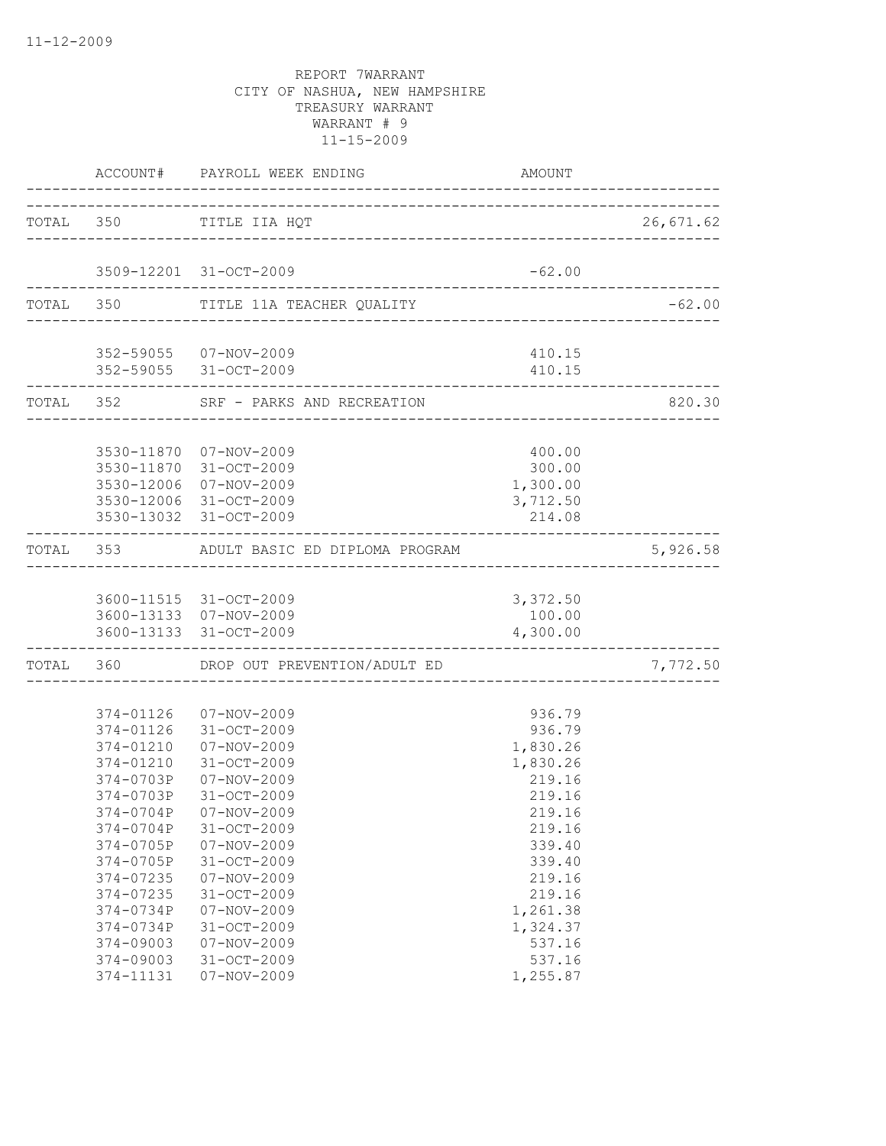|                         | ACCOUNT# PAYROLL WEEK ENDING                     | AMOUNT             |           |
|-------------------------|--------------------------------------------------|--------------------|-----------|
|                         | TOTAL 350 TITLE IIA HQT                          |                    | 26,671.62 |
|                         |                                                  |                    |           |
|                         | 3509-12201 31-OCT-2009                           | $-62.00$           |           |
|                         | TOTAL 350 TITLE 11A TEACHER QUALITY              |                    | $-62.00$  |
|                         | 352-59055 07-NOV-2009                            | 410.15             |           |
|                         | 352-59055 31-OCT-2009                            | 410.15             |           |
| ----------------------- | TOTAL 352 SRF - PARKS AND RECREATION             |                    | 820.30    |
|                         |                                                  |                    |           |
|                         | 3530-11870 07-NOV-2009                           | 400.00             |           |
|                         | 3530-11870 31-OCT-2009                           | 300.00             |           |
|                         | 3530-12006 07-NOV-2009                           | 1,300.00           |           |
|                         | 3530-12006 31-OCT-2009<br>3530-13032 31-OCT-2009 | 3,712.50<br>214.08 |           |
|                         |                                                  |                    |           |
|                         | TOTAL 353 ADULT BASIC ED DIPLOMA PROGRAM         |                    | 5,926.58  |
|                         | 3600-11515 31-OCT-2009                           | 3,372.50           |           |
|                         | 3600-13133 07-NOV-2009                           | 100.00             |           |
|                         | 3600-13133 31-OCT-2009                           | 4,300.00           |           |
|                         | TOTAL 360 DROP OUT PREVENTION/ADULT ED           |                    | 7,772.50  |
|                         |                                                  |                    |           |
|                         | 374-01126  07-NOV-2009<br>374-01126 31-OCT-2009  | 936.79<br>936.79   |           |
|                         | 374-01210  07-NOV-2009                           | 1,830.26           |           |
| 374-01210               | 31-OCT-2009                                      | 1,830.26           |           |
| 374-0703P               | 07-NOV-2009                                      | 219.16             |           |
| 374-0703P               | 31-OCT-2009                                      | 219.16             |           |
|                         | 374-0704P 07-NOV-2009                            | 219.16             |           |
| 374-0704P               | 31-OCT-2009                                      | 219.16             |           |
| 374-0705P               | $07 - NOV - 2009$                                | 339.40             |           |
| 374-0705P               | 31-OCT-2009                                      | 339.40             |           |
| 374-07235               | $07 - NOV - 2009$                                | 219.16             |           |
| 374-07235               | 31-OCT-2009                                      | 219.16             |           |
| 374-0734P               | $07 - NOV - 2009$                                | 1,261.38           |           |
| 374-0734P               | 31-OCT-2009                                      | 1,324.37           |           |
| 374-09003               | $07 - NOV - 2009$                                | 537.16             |           |
| 374-09003               | 31-OCT-2009                                      | 537.16             |           |
| 374-11131               | $07 - NOV - 2009$                                | 1,255.87           |           |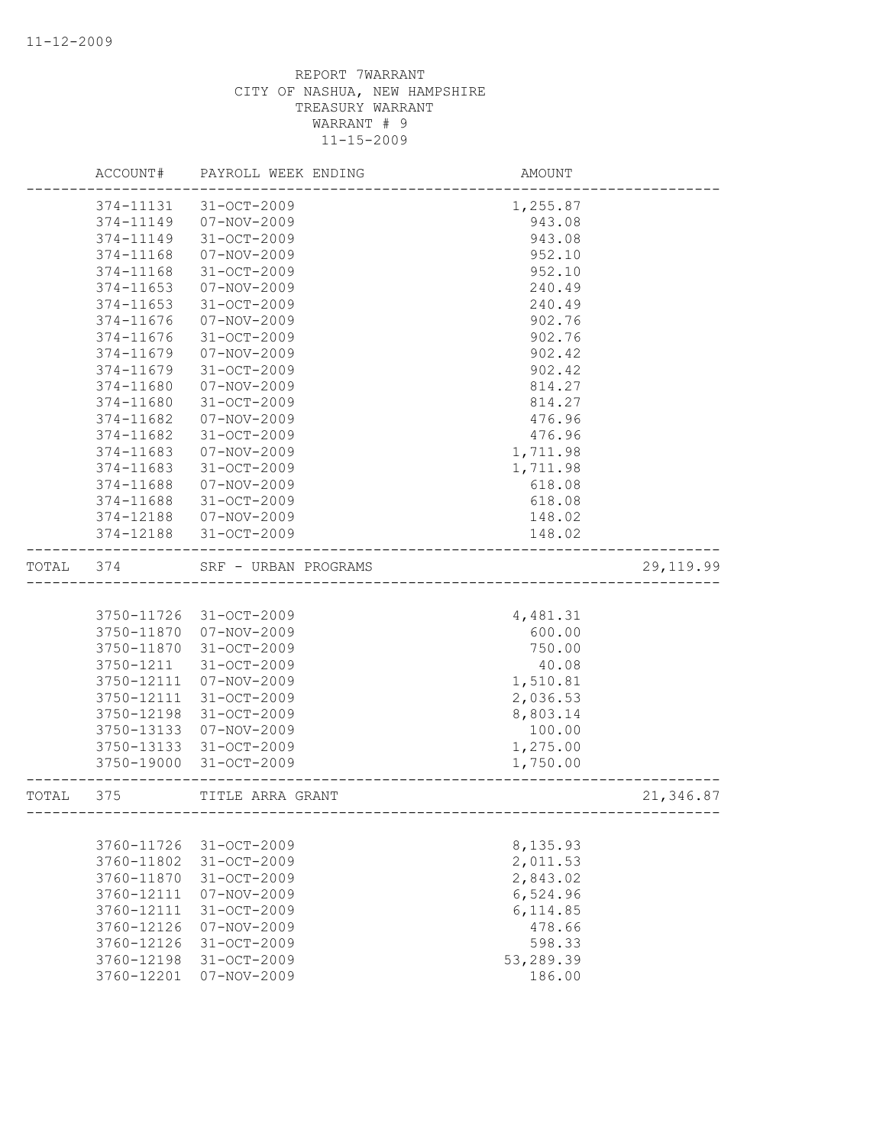|       | ACCOUNT#               | PAYROLL WEEK ENDING    | AMOUNT                               |            |
|-------|------------------------|------------------------|--------------------------------------|------------|
|       | 374-11131              | $31 - OCT - 2009$      | 1,255.87                             |            |
|       | 374-11149              | 07-NOV-2009            | 943.08                               |            |
|       | 374-11149              | $31 - OCT - 2009$      | 943.08                               |            |
|       | 374-11168              | $07 - NOV - 2009$      | 952.10                               |            |
|       | 374-11168              | 31-OCT-2009            | 952.10                               |            |
|       | 374-11653              | 07-NOV-2009            | 240.49                               |            |
|       | 374-11653              | $31 - OCT - 2009$      | 240.49                               |            |
|       | 374-11676              | $07 - NOV - 2009$      | 902.76                               |            |
|       | 374-11676              | 31-OCT-2009            | 902.76                               |            |
|       | 374-11679              | 07-NOV-2009            | 902.42                               |            |
|       | 374-11679              | $31 - OCT - 2009$      | 902.42                               |            |
|       | 374-11680              | 07-NOV-2009            | 814.27                               |            |
|       | 374-11680              | 31-OCT-2009            | 814.27                               |            |
|       | 374-11682              | $07 - NOV - 2009$      | 476.96                               |            |
|       | 374-11682              | $31 - OCT - 2009$      | 476.96                               |            |
|       | 374-11683              | $07 - NOV - 2009$      | 1,711.98                             |            |
|       | 374-11683              | 31-OCT-2009            | 1,711.98                             |            |
|       | 374-11688              | $07 - NOV - 2009$      | 618.08                               |            |
|       | 374-11688              | 31-OCT-2009            | 618.08                               |            |
|       | 374-12188<br>374-12188 | 07-NOV-2009            | 148.02                               |            |
|       |                        | 31-OCT-2009            | 148.02                               |            |
| TOTAL | 374                    | SRF - URBAN PROGRAMS   |                                      | 29, 119.99 |
|       |                        |                        |                                      |            |
|       |                        | 3750-11726 31-OCT-2009 | 4,481.31                             |            |
|       | 3750-11870             | $07 - NOV - 2009$      | 600.00                               |            |
|       | 3750-11870             | 31-OCT-2009            | 750.00                               |            |
|       | 3750-1211              | $31 - OCT - 2009$      | 40.08                                |            |
|       | 3750-12111             | 07-NOV-2009            | 1,510.81                             |            |
|       | 3750-12111             | 31-OCT-2009            | 2,036.53                             |            |
|       | 3750-12198             | 31-OCT-2009            | 8,803.14                             |            |
|       | 3750-13133             | 07-NOV-2009            | 100.00                               |            |
|       | 3750-13133             | 31-OCT-2009            | 1,275.00                             |            |
|       | 3750-19000             | 31-OCT-2009            | 1,750.00                             |            |
| TOTAL | 375                    | TITLE ARRA GRANT       | ------------------------------------ | 21,346.87  |
|       |                        |                        |                                      |            |
|       | 3760-11726             | 31-OCT-2009            | 8,135.93                             |            |
|       | 3760-11802             | $31 - OCT - 2009$      | 2,011.53                             |            |
|       | 3760-11870             | 31-OCT-2009            | 2,843.02                             |            |
|       | 3760-12111             | $07 - NOV - 2009$      | 6,524.96                             |            |
|       | 3760-12111             | 31-OCT-2009            | 6,114.85                             |            |
|       | 3760-12126             | $07 - NOV - 2009$      | 478.66                               |            |
|       | 3760-12126             | $31 - OCT - 2009$      | 598.33                               |            |
|       | 3760-12198             | $31 - OCT - 2009$      | 53,289.39                            |            |
|       | 3760-12201             | $07 - NOV - 2009$      | 186.00                               |            |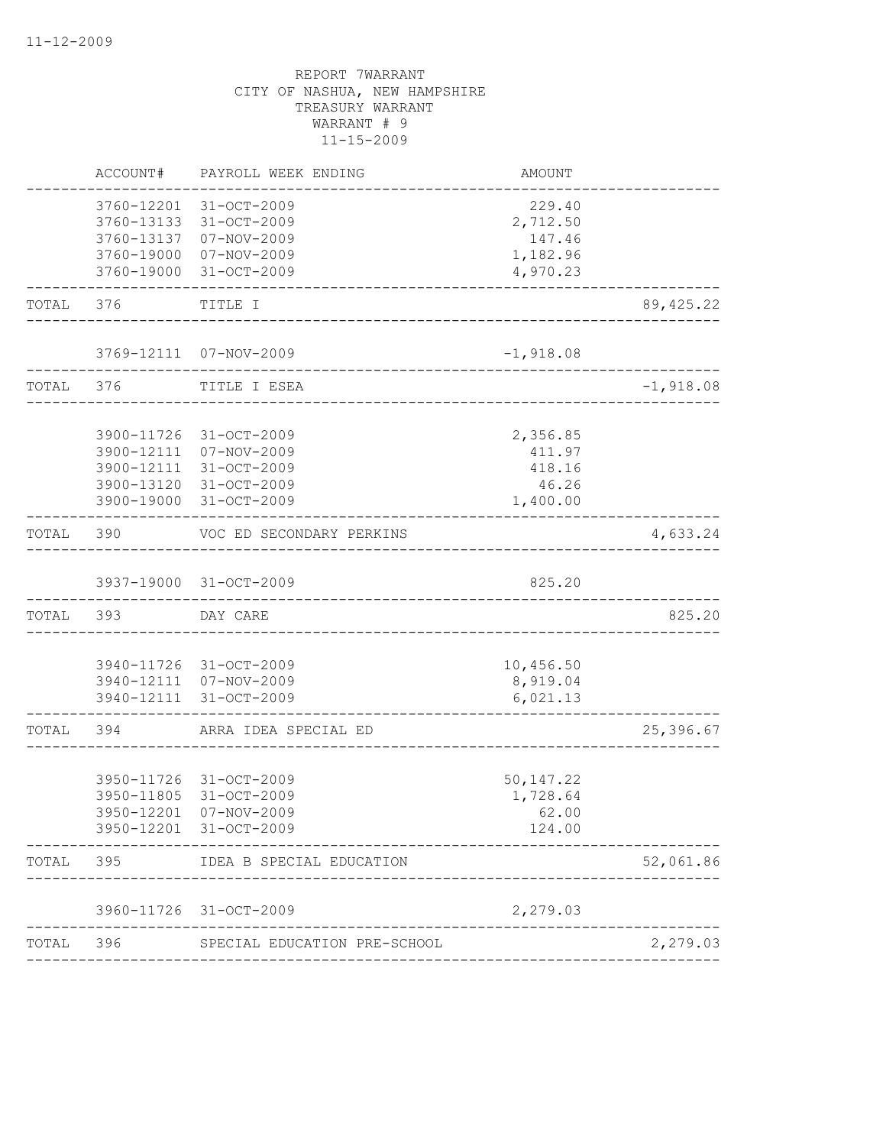|           | ACCOUNT# | PAYROLL WEEK ENDING                                                                                                            | AMOUNT                                            |             |
|-----------|----------|--------------------------------------------------------------------------------------------------------------------------------|---------------------------------------------------|-------------|
|           |          | 3760-12201 31-OCT-2009<br>3760-13133 31-OCT-2009<br>3760-13137 07-NOV-2009<br>3760-19000 07-NOV-2009                           | 229.40<br>2,712.50<br>147.46<br>1,182.96          |             |
|           |          | 3760-19000 31-OCT-2009                                                                                                         | 4,970.23                                          |             |
| TOTAL     | 376      | TITLE I<br>____________________________                                                                                        |                                                   | 89, 425.22  |
|           |          | 3769-12111 07-NOV-2009<br>----------------------------                                                                         | $-1,918.08$                                       |             |
| TOTAL 376 |          | TITLE I ESEA                                                                                                                   |                                                   | $-1,918.08$ |
|           |          | 3900-11726 31-OCT-2009<br>3900-12111 07-NOV-2009<br>3900-12111 31-OCT-2009<br>3900-13120 31-OCT-2009<br>3900-19000 31-OCT-2009 | 2,356.85<br>411.97<br>418.16<br>46.26<br>1,400.00 |             |
| TOTAL     | 390      | VOC ED SECONDARY PERKINS                                                                                                       | --------------------------------------            | 4,633.24    |
|           |          | 3937-19000 31-OCT-2009<br>____________________________                                                                         | 825.20                                            |             |
| TOTAL 393 |          | DAY CARE                                                                                                                       |                                                   | 825.20      |
|           |          | 3940-11726 31-OCT-2009<br>3940-12111 07-NOV-2009<br>3940-12111 31-OCT-2009                                                     | 10,456.50<br>8,919.04<br>6,021.13                 |             |
| TOTAL     | 394      | ARRA IDEA SPECIAL ED                                                                                                           |                                                   | 25,396.67   |
|           |          | 3950-11726 31-OCT-2009<br>3950-11805 31-OCT-2009<br>3950-12201 07-NOV-2009<br>3950-12201 31-OCT-2009                           | 50, 147.22<br>1,728.64<br>62.00<br>124.00         |             |
| TOTAL     |          | 395 IDEA B SPECIAL EDUCATION                                                                                                   |                                                   | 52,061.86   |
|           |          | 3960-11726 31-OCT-2009                                                                                                         | 2,279.03                                          |             |
| TOTAL     |          | 396 SPECIAL EDUCATION PRE-SCHOOL                                                                                               |                                                   | 2,279.03    |
|           |          |                                                                                                                                |                                                   |             |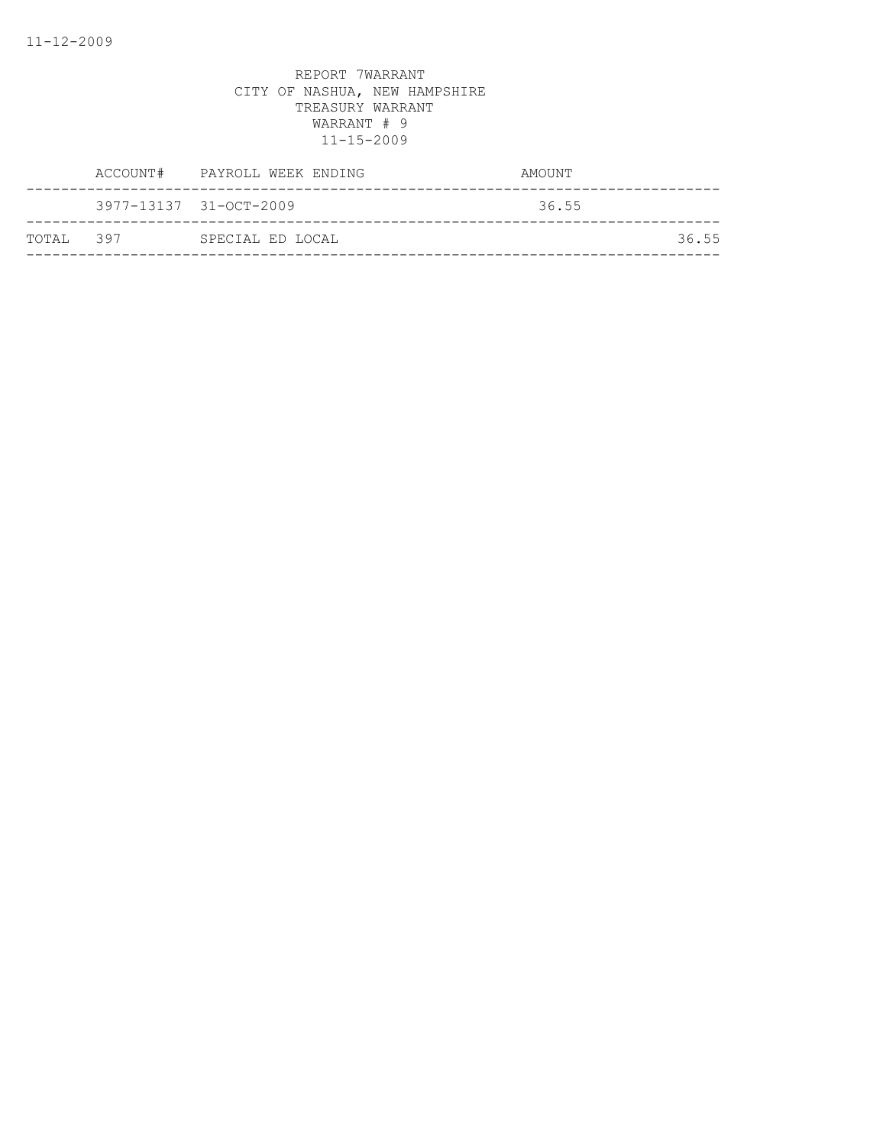|            | ACCOUNT# PAYROLL WEEK ENDING | AMOUNT |
|------------|------------------------------|--------|
|            | 3977-13137 31-OCT-2009       | 36.55  |
| ТОТАІ. 397 | SPECIAL ED LOCAL             | 36.55  |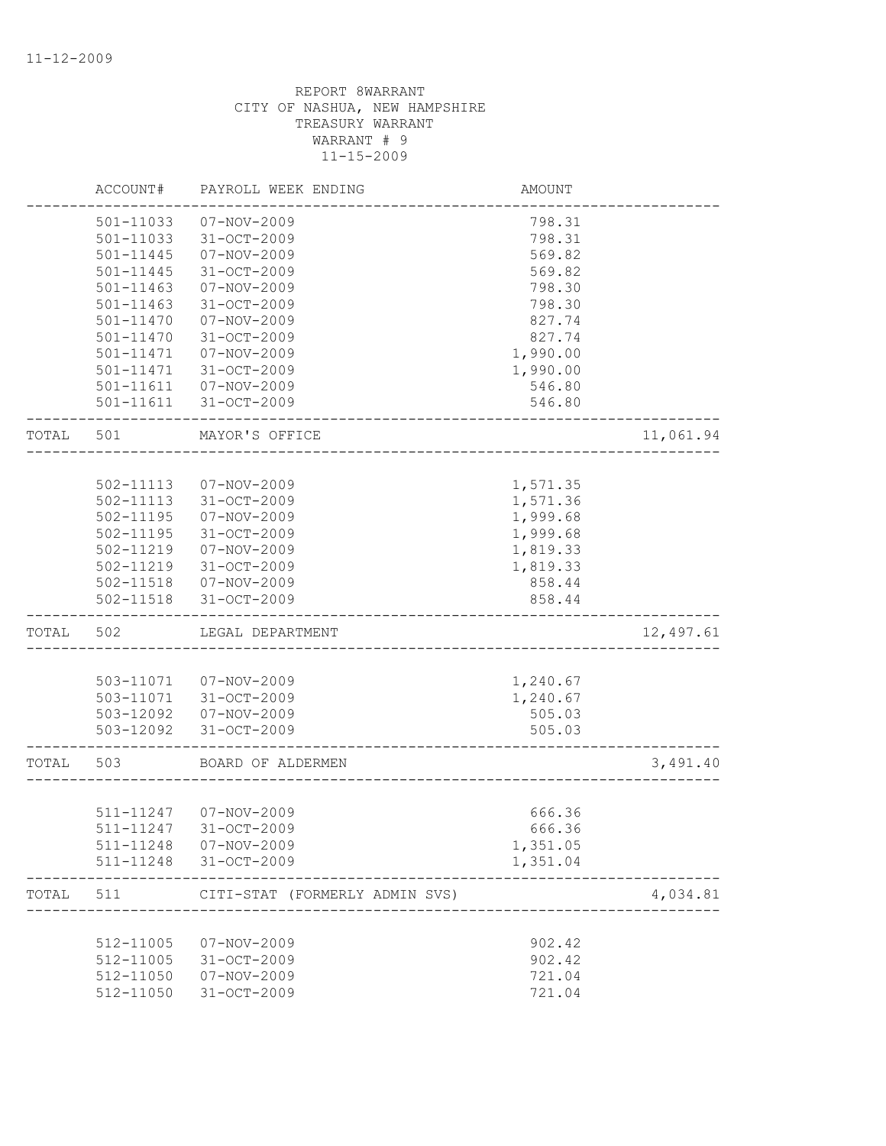|       | ACCOUNT#      | PAYROLL WEEK ENDING            | AMOUNT   |           |
|-------|---------------|--------------------------------|----------|-----------|
|       | 501-11033     | 07-NOV-2009                    | 798.31   |           |
|       | 501-11033     | 31-OCT-2009                    | 798.31   |           |
|       | 501-11445     | $07 - NOV - 2009$              | 569.82   |           |
|       | $501 - 11445$ | 31-OCT-2009                    | 569.82   |           |
|       | 501-11463     | $07 - NOV - 2009$              | 798.30   |           |
|       | $501 - 11463$ | 31-OCT-2009                    | 798.30   |           |
|       | 501-11470     | 07-NOV-2009                    | 827.74   |           |
|       | 501-11470     | 31-OCT-2009                    | 827.74   |           |
|       | 501-11471     | $07 - NOV - 2009$              | 1,990.00 |           |
|       | 501-11471     | $31 - OCT - 2009$              | 1,990.00 |           |
|       | 501-11611     | 07-NOV-2009                    | 546.80   |           |
|       | 501-11611     | 31-OCT-2009                    | 546.80   |           |
| TOTAL | 501           | MAYOR'S OFFICE                 |          | 11,061.94 |
|       |               |                                |          |           |
|       | 502-11113     | 07-NOV-2009                    | 1,571.35 |           |
|       | 502-11113     | 31-OCT-2009                    | 1,571.36 |           |
|       | 502-11195     | 07-NOV-2009                    | 1,999.68 |           |
|       | 502-11195     | 31-OCT-2009                    | 1,999.68 |           |
|       | 502-11219     | 07-NOV-2009                    | 1,819.33 |           |
|       | 502-11219     | 31-OCT-2009                    | 1,819.33 |           |
|       | 502-11518     | 07-NOV-2009                    | 858.44   |           |
|       | 502-11518     | 31-OCT-2009                    | 858.44   |           |
| TOTAL | 502           | LEGAL DEPARTMENT               |          | 12,497.61 |
|       |               |                                |          |           |
|       | 503-11071     | 07-NOV-2009                    | 1,240.67 |           |
|       | 503-11071     | 31-OCT-2009                    | 1,240.67 |           |
|       | 503-12092     | 07-NOV-2009                    | 505.03   |           |
|       | 503-12092     | 31-OCT-2009                    | 505.03   |           |
| TOTAL | 503           | BOARD OF ALDERMEN              |          | 3,491.40  |
|       |               |                                |          |           |
|       | 511-11247     | 07-NOV-2009                    | 666.36   |           |
|       |               | 511-11247 31-OCT-2009          | 666.36   |           |
|       | 511-11248     | 07-NOV-2009                    | 1,351.05 |           |
|       | 511-11248     | 31-OCT-2009                    | 1,351.04 |           |
| TOTAL | 511           | CITI-STAT (FORMERLY ADMIN SVS) |          | 4,034.81  |
|       |               |                                |          |           |
|       | 512-11005     | $07 - NOV - 2009$              | 902.42   |           |
|       | 512-11005     | 31-OCT-2009                    | 902.42   |           |
|       | 512-11050     | $07 - NOV - 2009$              | 721.04   |           |
|       | 512-11050     | 31-OCT-2009                    | 721.04   |           |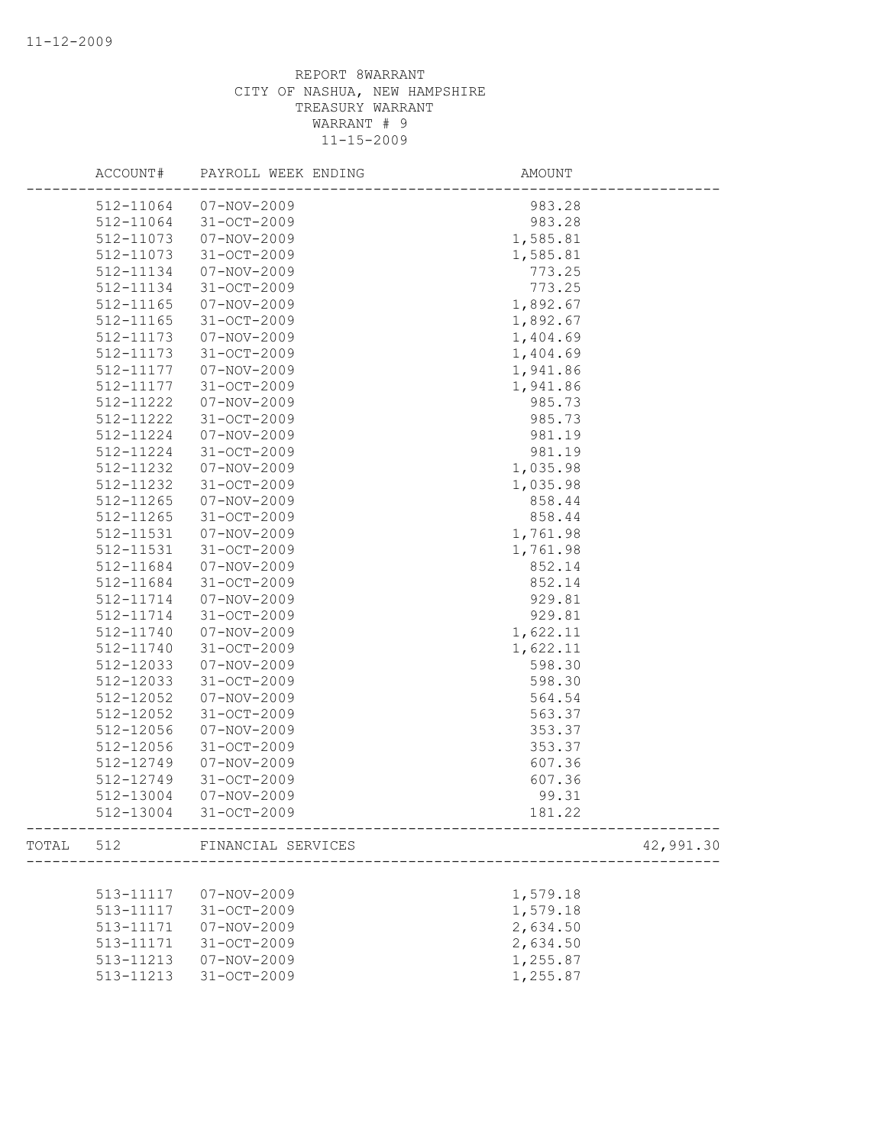| ACCOUNT#  | PAYROLL WEEK ENDING          | AMOUNT                                          |
|-----------|------------------------------|-------------------------------------------------|
| 512-11064 | 07-NOV-2009                  | 983.28                                          |
| 512-11064 | 31-OCT-2009                  | 983.28                                          |
| 512-11073 | 07-NOV-2009                  | 1,585.81                                        |
| 512-11073 | $31 - OCT - 2009$            | 1,585.81                                        |
| 512-11134 | 07-NOV-2009                  | 773.25                                          |
| 512-11134 | 31-OCT-2009                  | 773.25                                          |
| 512-11165 | $07 - NOV - 2009$            | 1,892.67                                        |
| 512-11165 | $31 - OCT - 2009$            | 1,892.67                                        |
| 512-11173 | 07-NOV-2009                  | 1,404.69                                        |
| 512-11173 | 31-OCT-2009                  | 1,404.69                                        |
| 512-11177 | 07-NOV-2009                  | 1,941.86                                        |
| 512-11177 | $31 - OCT - 2009$            | 1,941.86                                        |
| 512-11222 | 07-NOV-2009                  | 985.73                                          |
| 512-11222 | $31 - OCT - 2009$            | 985.73                                          |
| 512-11224 | $07 - NOV - 2009$            | 981.19                                          |
| 512-11224 | 31-OCT-2009                  | 981.19                                          |
| 512-11232 | $07 - NOV - 2009$            | 1,035.98                                        |
| 512-11232 | 31-OCT-2009                  | 1,035.98                                        |
| 512-11265 | $07 - NOV - 2009$            | 858.44                                          |
| 512-11265 | $31 - OCT - 2009$            | 858.44                                          |
| 512-11531 | 07-NOV-2009                  | 1,761.98                                        |
| 512-11531 | $31 - OCT - 2009$            | 1,761.98                                        |
| 512-11684 | 07-NOV-2009                  | 852.14                                          |
| 512-11684 | 31-OCT-2009                  | 852.14                                          |
| 512-11714 | $07 - NOV - 2009$            | 929.81                                          |
| 512-11714 | $31 - OCT - 2009$            | 929.81                                          |
| 512-11740 | 07-NOV-2009                  | 1,622.11                                        |
| 512-11740 | 31-OCT-2009                  | 1,622.11                                        |
| 512-12033 | $07 - NOV - 2009$            | 598.30                                          |
| 512-12033 | $31 - OCT - 2009$            | 598.30                                          |
| 512-12052 | 07-NOV-2009                  | 564.54                                          |
| 512-12052 | $31 - OCT - 2009$            | 563.37                                          |
| 512-12056 | $07 - NOV - 2009$            | 353.37                                          |
| 512-12056 | 31-OCT-2009                  | 353.37                                          |
| 512-12749 | $07 - NOV - 2009$            | 607.36                                          |
| 512-12749 | 31-OCT-2009                  | 607.36                                          |
| 512-13004 | 07-NOV-2009                  | 99.31                                           |
| 512-13004 | 31-OCT-2009                  | 181.22                                          |
|           | TOTAL 512 FINANCIAL SERVICES | ----------------------------------<br>42,991.30 |
|           |                              |                                                 |
| 513-11117 | 07-NOV-2009                  | 1,579.18                                        |
| 513-11117 | $31 - OCT - 2009$            | 1,579.18                                        |
| 513-11171 | $07 - NOV - 2009$            | 2,634.50                                        |
| 513-11171 | 31-OCT-2009                  | 2,634.50                                        |
| 513-11213 | $07 - NOV - 2009$            | 1,255.87                                        |
| 513-11213 | 31-OCT-2009                  | 1,255.87                                        |
|           |                              |                                                 |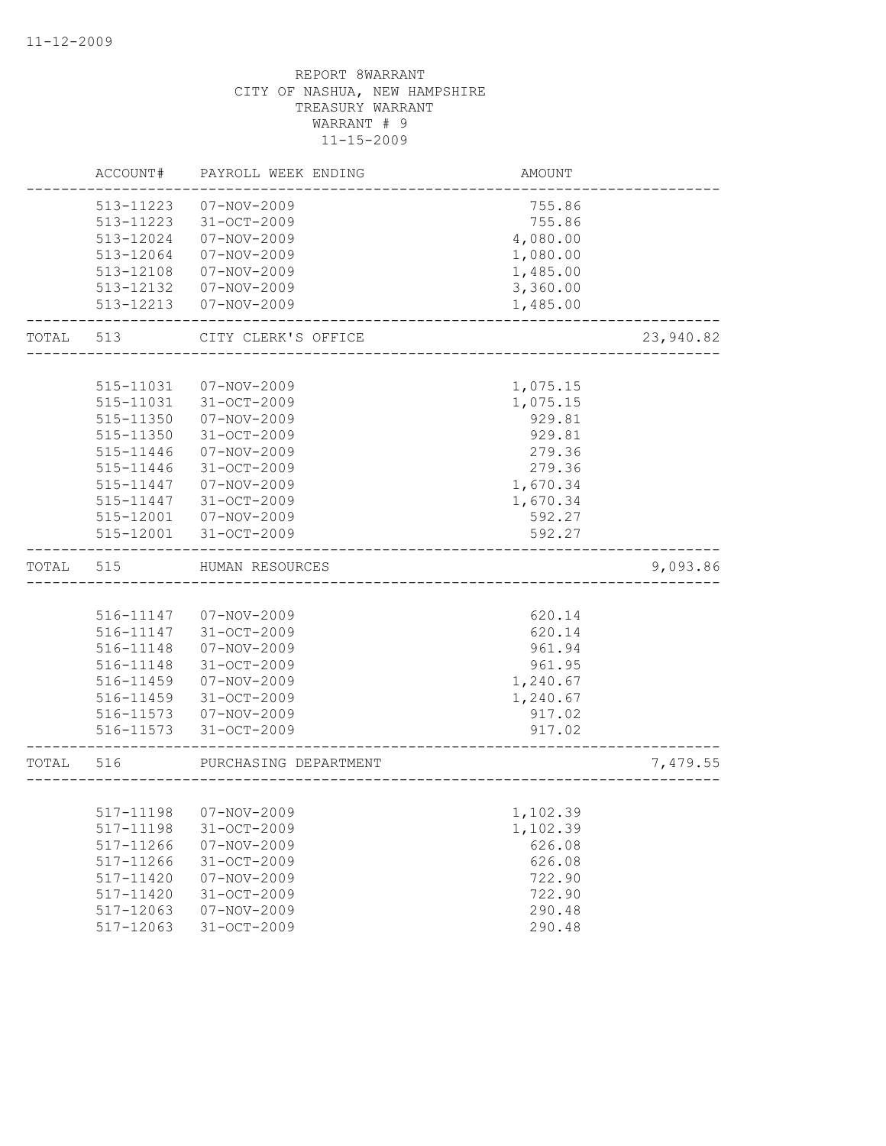|           | ACCOUNT#      | PAYROLL WEEK ENDING    | AMOUNT   |           |
|-----------|---------------|------------------------|----------|-----------|
|           | 513-11223     | 07-NOV-2009            | 755.86   |           |
|           | 513-11223     | 31-OCT-2009            | 755.86   |           |
|           | 513-12024     | $07 - NOV - 2009$      | 4,080.00 |           |
|           | 513-12064     | 07-NOV-2009            | 1,080.00 |           |
|           | 513-12108     | 07-NOV-2009            | 1,485.00 |           |
|           | 513-12132     | 07-NOV-2009            | 3,360.00 |           |
|           | 513-12213     | 07-NOV-2009            | 1,485.00 |           |
| TOTAL 513 |               | CITY CLERK'S OFFICE    |          | 23,940.82 |
|           |               |                        |          |           |
|           | 515-11031     | 07-NOV-2009            | 1,075.15 |           |
|           | 515-11031     | 31-OCT-2009            | 1,075.15 |           |
|           | 515-11350     | 07-NOV-2009            | 929.81   |           |
|           | 515-11350     | 31-OCT-2009            | 929.81   |           |
|           | 515-11446     | $07 - NOV - 2009$      | 279.36   |           |
|           | 515-11446     | 31-OCT-2009            | 279.36   |           |
|           | 515-11447     | $07 - NOV - 2009$      | 1,670.34 |           |
|           | 515-11447     | 31-OCT-2009            | 1,670.34 |           |
|           | 515-12001     | 07-NOV-2009            | 592.27   |           |
|           | 515-12001     | 31-OCT-2009            | 592.27   |           |
| TOTAL     | 515           | HUMAN RESOURCES        |          | 9,093.86  |
|           |               |                        |          |           |
|           |               | 516-11147  07-NOV-2009 | 620.14   |           |
|           | 516-11147     | 31-OCT-2009            | 620.14   |           |
|           | 516-11148     | 07-NOV-2009            | 961.94   |           |
|           | 516-11148     | 31-OCT-2009            | 961.95   |           |
|           | 516-11459     | 07-NOV-2009            | 1,240.67 |           |
|           | 516-11459     | 31-OCT-2009            | 1,240.67 |           |
|           |               | 516-11573  07-NOV-2009 | 917.02   |           |
|           |               | 516-11573 31-OCT-2009  | 917.02   |           |
| TOTAL     | 516           | PURCHASING DEPARTMENT  |          | 7,479.55  |
|           |               |                        |          |           |
|           |               | 517-11198  07-NOV-2009 | 1,102.39 |           |
|           | 517-11198     | 31-OCT-2009            | 1,102.39 |           |
|           | 517-11266     | $07 - NOV - 2009$      | 626.08   |           |
|           | 517-11266     | 31-OCT-2009            | 626.08   |           |
|           | 517-11420     | $07 - NOV - 2009$      | 722.90   |           |
|           | 517-11420     | 31-OCT-2009            | 722.90   |           |
|           | $517 - 12063$ | $07 - NOV - 2009$      | 290.48   |           |
|           | 517-12063     | 31-OCT-2009            | 290.48   |           |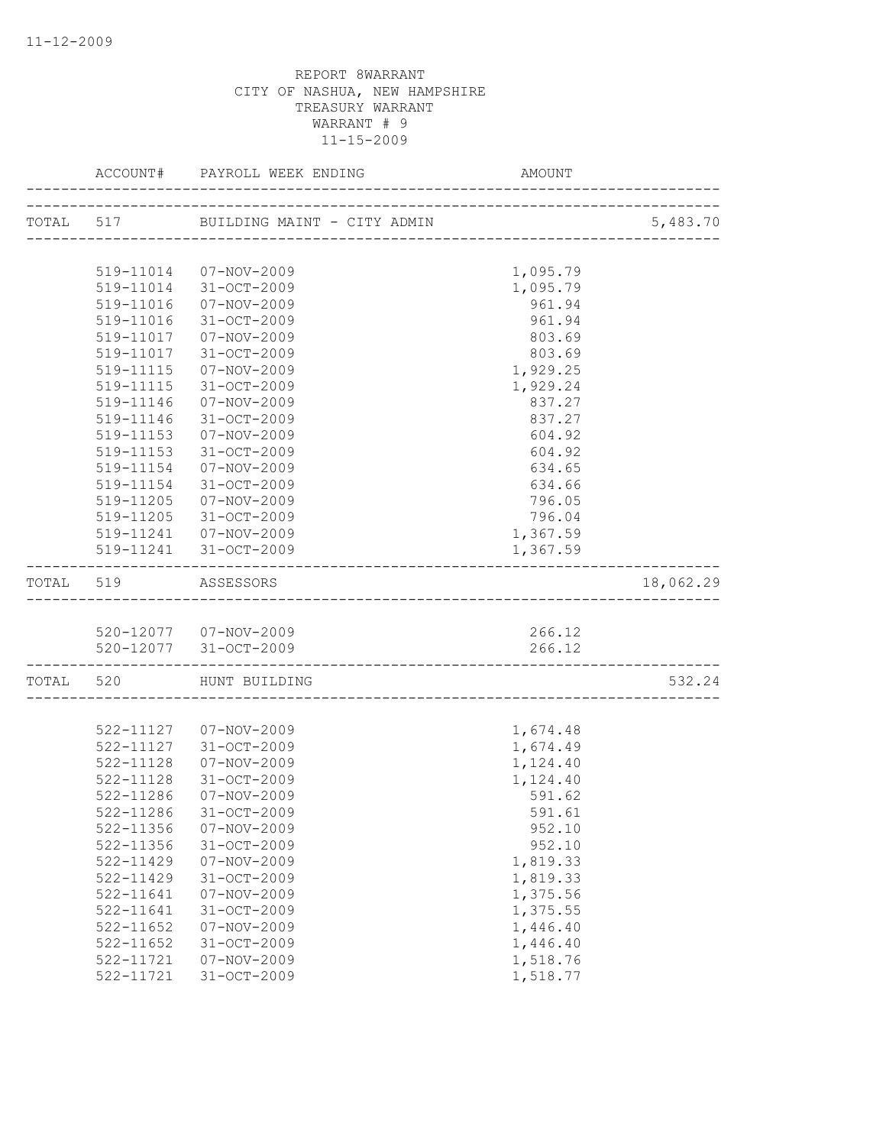|           |                             |                                                | AMOUNT               |           |
|-----------|-----------------------------|------------------------------------------------|----------------------|-----------|
|           |                             |                                                |                      | 5,483.70  |
|           |                             |                                                |                      |           |
|           |                             | 519-11014  07-NOV-2009                         | 1,095.79             |           |
|           |                             | 519-11014 31-OCT-2009                          | 1,095.79             |           |
|           |                             | 519-11016  07-NOV-2009                         | 961.94               |           |
|           | 519-11016                   | 31-OCT-2009                                    | 961.94               |           |
|           | 519-11017                   | 07-NOV-2009                                    | 803.69               |           |
|           | 519-11017                   | 31-OCT-2009                                    | 803.69               |           |
|           |                             | 519-11115  07-NOV-2009                         | 1,929.25             |           |
|           |                             | 519-11115 31-OCT-2009                          | 1,929.24             |           |
|           | 519-11146                   | $07 - NOV - 2009$                              | 837.27               |           |
|           | 519-11146                   | 31-OCT-2009                                    | 837.27               |           |
|           | 519-11153                   | 07-NOV-2009                                    | 604.92               |           |
|           | 519-11153                   | 31-OCT-2009                                    | 604.92               |           |
|           | 519-11154                   | 07-NOV-2009                                    | 634.65               |           |
|           | 519-11154                   | 31-OCT-2009                                    | 634.66               |           |
|           | 519-11205                   | $07 - NOV - 2009$                              | 796.05               |           |
|           | 519-11205                   | 31-OCT-2009                                    | 796.04               |           |
|           |                             | 519-11241  07-NOV-2009                         | 1,367.59             |           |
|           |                             | 519-11241 31-OCT-2009                          | 1,367.59             |           |
| TOTAL 519 |                             | ASSESSORS                                      |                      | 18,062.29 |
|           |                             |                                                |                      |           |
|           |                             | 520-12077 07-NOV-2009<br>520-12077 31-OCT-2009 | 266.12<br>266.12     |           |
|           | ___________________________ |                                                |                      |           |
|           |                             | TOTAL 520 HUNT BUILDING                        |                      | 532.24    |
|           |                             |                                                |                      |           |
|           |                             | 522-11127  07-NOV-2009                         | 1,674.48             |           |
|           |                             | 522-11127 31-OCT-2009                          | 1,674.49             |           |
|           | 522-11128                   | $07 - NOV - 2009$                              | 1,124.40             |           |
|           | 522-11128                   | 31-OCT-2009                                    | 1,124.40             |           |
|           | 522-11286                   | 07-NOV-2009                                    | 591.62               |           |
|           | 522-11286                   | 31-OCT-2009                                    | 591.61               |           |
|           | 522-11356                   | $07 - NOV - 2009$                              | 952.10               |           |
|           | $522 - 11356$               | 31-OCT-2009                                    | 952.10               |           |
|           | 522-11429                   | $07 - NOV - 2009$                              | 1,819.33             |           |
|           | 522-11429                   | 31-OCT-2009                                    | 1,819.33<br>1,375.56 |           |
|           | 522-11641<br>522-11641      | $07 - NOV - 2009$<br>$31 - OCT - 2009$         | 1,375.55             |           |
|           | 522-11652                   | 07-NOV-2009                                    | 1,446.40             |           |
|           | 522-11652                   | $31 - OCT - 2009$                              | 1,446.40             |           |
|           | 522-11721                   | $07 - NOV - 2009$                              | 1,518.76             |           |
|           | 522-11721                   | 31-OCT-2009                                    | 1,518.77             |           |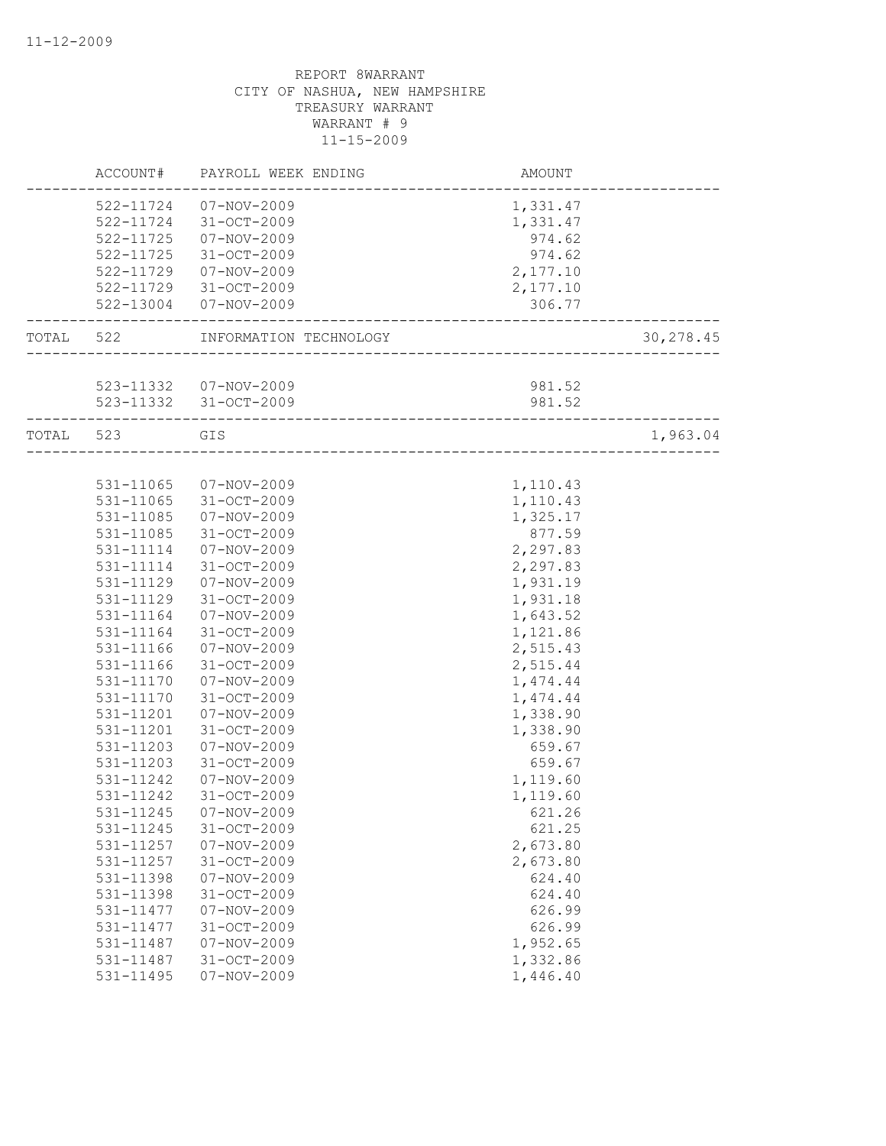|           | ACCOUNT#               | PAYROLL WEEK ENDING              | AMOUNT                           |            |
|-----------|------------------------|----------------------------------|----------------------------------|------------|
|           | 522-11724<br>522-11724 | $07 - NOV - 2009$<br>31-OCT-2009 | 1,331.47<br>1,331.47             |            |
|           | 522-11725              | $07 - NOV - 2009$                | 974.62                           |            |
|           | 522-11725              | 31-OCT-2009                      | 974.62                           |            |
|           | 522-11729              | $07 - NOV - 2009$                | 2,177.10                         |            |
|           | 522-11729              | 31-OCT-2009                      | 2,177.10                         |            |
|           | 522-13004              | 07-NOV-2009                      | 306.77                           |            |
| TOTAL 522 |                        | INFORMATION TECHNOLOGY           | -------------------------------- | 30, 278.45 |
|           |                        |                                  |                                  |            |
|           |                        | 523-11332  07-NOV-2009           | 981.52                           |            |
|           |                        | 523-11332 31-OCT-2009            | 981.52                           |            |
| TOTAL 523 |                        | GIS                              | _____________________________    | 1,963.04   |
|           |                        |                                  |                                  |            |
|           | 531-11065              | 07-NOV-2009                      | 1,110.43                         |            |
|           | 531-11065              | 31-OCT-2009                      | 1,110.43                         |            |
|           | 531-11085              | $07 - NOV - 2009$                | 1,325.17                         |            |
|           | 531-11085              | 31-OCT-2009                      | 877.59                           |            |
|           | 531-11114              | $07 - NOV - 2009$                | 2,297.83                         |            |
|           | 531-11114              | $31 - OCT - 2009$                | 2,297.83                         |            |
|           | 531-11129              | $07 - NOV - 2009$                | 1,931.19                         |            |
|           | 531-11129              | 31-OCT-2009                      | 1,931.18                         |            |
|           | 531-11164              | 07-NOV-2009                      | 1,643.52                         |            |
|           | 531-11164              | $31 - OCT - 2009$                | 1,121.86                         |            |
|           | 531-11166              | 07-NOV-2009                      | 2,515.43                         |            |
|           | 531-11166              | 31-OCT-2009                      | 2,515.44                         |            |
|           | 531-11170              | $07 - NOV - 2009$                | 1,474.44                         |            |
|           | 531-11170              | $31 - OCT - 2009$                | 1,474.44                         |            |
|           | 531-11201              | 07-NOV-2009                      | 1,338.90                         |            |
|           | 531-11201              | $31 - OCT - 2009$                | 1,338.90                         |            |
|           | 531-11203              | $07 - NOV - 2009$                | 659.67                           |            |
|           | 531-11203              | 31-OCT-2009                      | 659.67                           |            |
|           | 531-11242              | $07 - NOV - 2009$                | 1,119.60                         |            |
|           | 531-11242              | $31 - OCT - 2009$                | 1,119.60                         |            |
|           | 531-11245              | $07 - NOV - 2009$                | 621.26                           |            |
|           | 531-11245              | 31-OCT-2009                      | 621.25                           |            |
|           | 531-11257              | $07 - NOV - 2009$                | 2,673.80                         |            |
|           | 531-11257              | $31 - OCT - 2009$                | 2,673.80                         |            |
|           | 531-11398              | $07 - NOV - 2009$                | 624.40                           |            |
|           | 531-11398              | 31-OCT-2009                      | 624.40                           |            |
|           | 531-11477              | $07 - NOV - 2009$                | 626.99                           |            |
|           | 531-11477              | 31-OCT-2009                      | 626.99                           |            |
|           | 531-11487              | $07 - NOV - 2009$                | 1,952.65                         |            |
|           | 531-11487              | 31-OCT-2009                      | 1,332.86                         |            |
|           | 531-11495              | $07 - NOV - 2009$                | 1,446.40                         |            |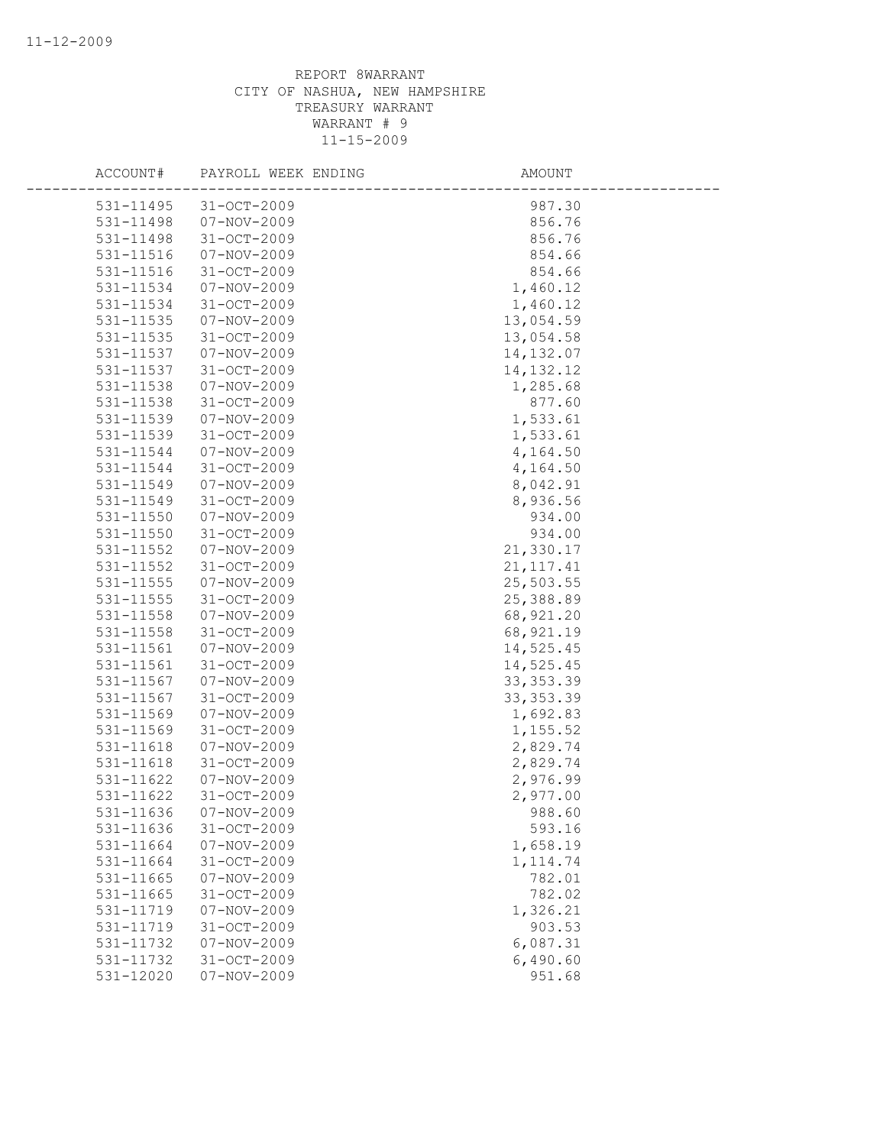| ACCOUNT#               | PAYROLL WEEK ENDING                    | AMOUNT             |
|------------------------|----------------------------------------|--------------------|
| 531-11495              | $31 - OCT - 2009$                      | 987.30             |
| 531-11498              | 07-NOV-2009                            | 856.76             |
| 531-11498              | $31 - OCT - 2009$                      | 856.76             |
| 531-11516              | $07 - NOV - 2009$                      | 854.66             |
| 531-11516              | 31-OCT-2009                            | 854.66             |
| 531-11534              | 07-NOV-2009                            | 1,460.12           |
| 531-11534              | $31 - OCT - 2009$                      | 1,460.12           |
| $531 - 11535$          | $07 - NOV - 2009$                      | 13,054.59          |
| 531-11535              | 31-OCT-2009                            | 13,054.58          |
| 531-11537              | 07-NOV-2009                            | 14, 132.07         |
| 531-11537              | 31-OCT-2009                            | 14, 132. 12        |
| 531-11538              | 07-NOV-2009                            | 1,285.68           |
| 531-11538              | 31-OCT-2009                            | 877.60             |
| 531-11539              | $07 - NOV - 2009$                      | 1,533.61           |
| 531-11539              | $31 - OCT - 2009$                      | 1,533.61           |
| 531-11544              | 07-NOV-2009                            | 4,164.50           |
| 531-11544              | $31 - OCT - 2009$                      | 4,164.50           |
| 531-11549              | $07 - NOV - 2009$                      | 8,042.91           |
| 531-11549              | $31 - OCT - 2009$                      | 8,936.56           |
| $531 - 11550$          | $07 - NOV - 2009$                      | 934.00             |
| 531-11550              | $31 - OCT - 2009$                      | 934.00             |
| 531-11552              | $07 - NOV - 2009$                      | 21,330.17          |
| 531-11552              | 31-OCT-2009                            | 21, 117.41         |
| 531-11555              | $07 - NOV - 2009$                      | 25,503.55          |
| 531-11555              | $31 - OCT - 2009$                      | 25,388.89          |
| $531 - 11558$          | 07-NOV-2009                            | 68,921.20          |
| 531-11558              | 31-OCT-2009                            | 68, 921.19         |
| 531-11561              | $07 - NOV - 2009$                      | 14,525.45          |
| 531-11561              | 31-OCT-2009                            | 14,525.45          |
| 531-11567              | 07-NOV-2009                            | 33, 353.39         |
| 531-11567              | 31-OCT-2009                            | 33, 353.39         |
| 531-11569              | $07 - NOV - 2009$                      | 1,692.83           |
| 531-11569              | 31-OCT-2009                            | 1,155.52           |
| 531-11618              | 07-NOV-2009                            | 2,829.74           |
| 531-11618              | $31 - OCT - 2009$                      | 2,829.74           |
| 531-11622              | $07 - NOV - 2009$<br>$31 - OCT - 2009$ | 2,976.99           |
| 531-11622              | $07 - NOV - 2009$                      | 2,977.00<br>988.60 |
| 531-11636              |                                        |                    |
| 531-11636<br>531-11664 | 31-OCT-2009<br>$07 - NOV - 2009$       | 593.16<br>1,658.19 |
| 531-11664              | 31-OCT-2009                            | 1, 114.74          |
| 531-11665              | $07 - NOV - 2009$                      | 782.01             |
| 531-11665              | 31-OCT-2009                            | 782.02             |
| 531-11719              | $07 - NOV - 2009$                      | 1,326.21           |
| 531-11719              | 31-OCT-2009                            | 903.53             |
| 531-11732              | $07 - NOV - 2009$                      | 6,087.31           |
| 531-11732              | 31-OCT-2009                            | 6,490.60           |
| 531-12020              | $07 - NOV - 2009$                      | 951.68             |
|                        |                                        |                    |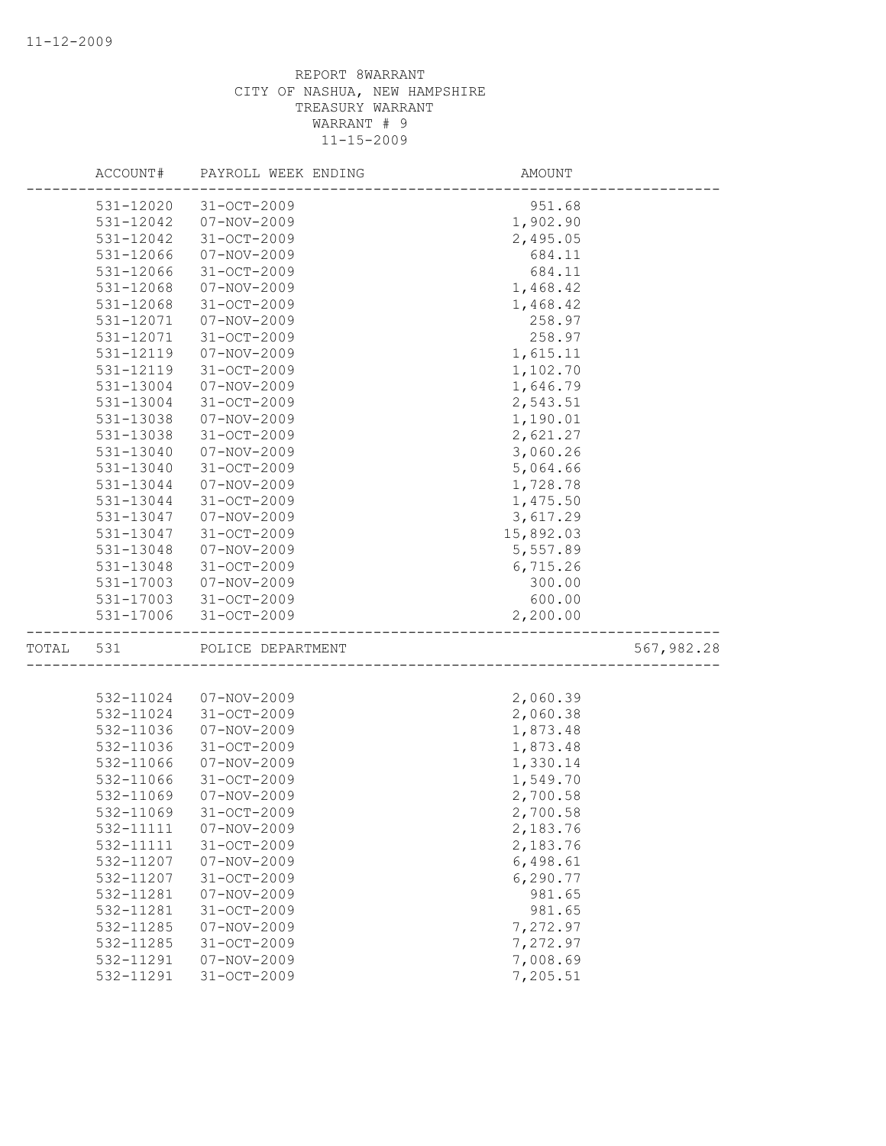|       | ACCOUNT#  | PAYROLL WEEK ENDING | AMOUNT    |            |
|-------|-----------|---------------------|-----------|------------|
|       | 531-12020 | $31 - OCT - 2009$   | 951.68    |            |
|       | 531-12042 | $07 - NOV - 2009$   | 1,902.90  |            |
|       | 531-12042 | $31 - OCT - 2009$   | 2,495.05  |            |
|       | 531-12066 | $07 - NOV - 2009$   | 684.11    |            |
|       | 531-12066 | 31-OCT-2009         | 684.11    |            |
|       | 531-12068 | 07-NOV-2009         | 1,468.42  |            |
|       | 531-12068 | 31-OCT-2009         | 1,468.42  |            |
|       | 531-12071 | 07-NOV-2009         | 258.97    |            |
|       | 531-12071 | 31-OCT-2009         | 258.97    |            |
|       | 531-12119 | 07-NOV-2009         | 1,615.11  |            |
|       | 531-12119 | $31 - OCT - 2009$   | 1,102.70  |            |
|       | 531-13004 | 07-NOV-2009         | 1,646.79  |            |
|       | 531-13004 | $31 - OCT - 2009$   | 2,543.51  |            |
|       | 531-13038 | $07 - NOV - 2009$   | 1,190.01  |            |
|       | 531-13038 | $31 - OCT - 2009$   | 2,621.27  |            |
|       | 531-13040 | 07-NOV-2009         | 3,060.26  |            |
|       | 531-13040 | $31 - OCT - 2009$   | 5,064.66  |            |
|       | 531-13044 | $07 - NOV - 2009$   | 1,728.78  |            |
|       | 531-13044 | 31-OCT-2009         | 1,475.50  |            |
|       | 531-13047 | 07-NOV-2009         | 3,617.29  |            |
|       | 531-13047 | $31 - OCT - 2009$   | 15,892.03 |            |
|       | 531-13048 | 07-NOV-2009         | 5,557.89  |            |
|       | 531-13048 | 31-OCT-2009         | 6,715.26  |            |
|       | 531-17003 | $07 - NOV - 2009$   | 300.00    |            |
|       | 531-17003 | 31-OCT-2009         | 600.00    |            |
|       | 531-17006 | 31-OCT-2009         | 2,200.00  |            |
| TOTAL | 531       | POLICE DEPARTMENT   |           | 567,982.28 |
|       |           |                     |           |            |
|       | 532-11024 | 07-NOV-2009         | 2,060.39  |            |
|       | 532-11024 | 31-OCT-2009         | 2,060.38  |            |
|       | 532-11036 | 07-NOV-2009         | 1,873.48  |            |
|       | 532-11036 | $31 - OCT - 2009$   | 1,873.48  |            |
|       | 532-11066 | $07 - NOV - 2009$   | 1,330.14  |            |
|       | 532-11066 | 31-OCT-2009         | 1,549.70  |            |
|       | 532-11069 | 07-NOV-2009         | 2,700.58  |            |
|       | 532-11069 | 31-OCT-2009         | 2,700.58  |            |
|       | 532-11111 | $07 - NOV - 2009$   | 2,183.76  |            |
|       | 532-11111 | 31-OCT-2009         | 2,183.76  |            |
|       | 532-11207 | $07 - NOV - 2009$   | 6,498.61  |            |
|       | 532-11207 | 31-OCT-2009         | 6,290.77  |            |
|       | 532-11281 | $07 - NOV - 2009$   | 981.65    |            |
|       | 532-11281 | 31-OCT-2009         | 981.65    |            |
|       | 532-11285 | $07 - NOV - 2009$   | 7,272.97  |            |
|       | 532-11285 | 31-OCT-2009         | 7,272.97  |            |
|       | 532-11291 | $07 - NOV - 2009$   | 7,008.69  |            |
|       | 532-11291 | $31 - OCT - 2009$   | 7,205.51  |            |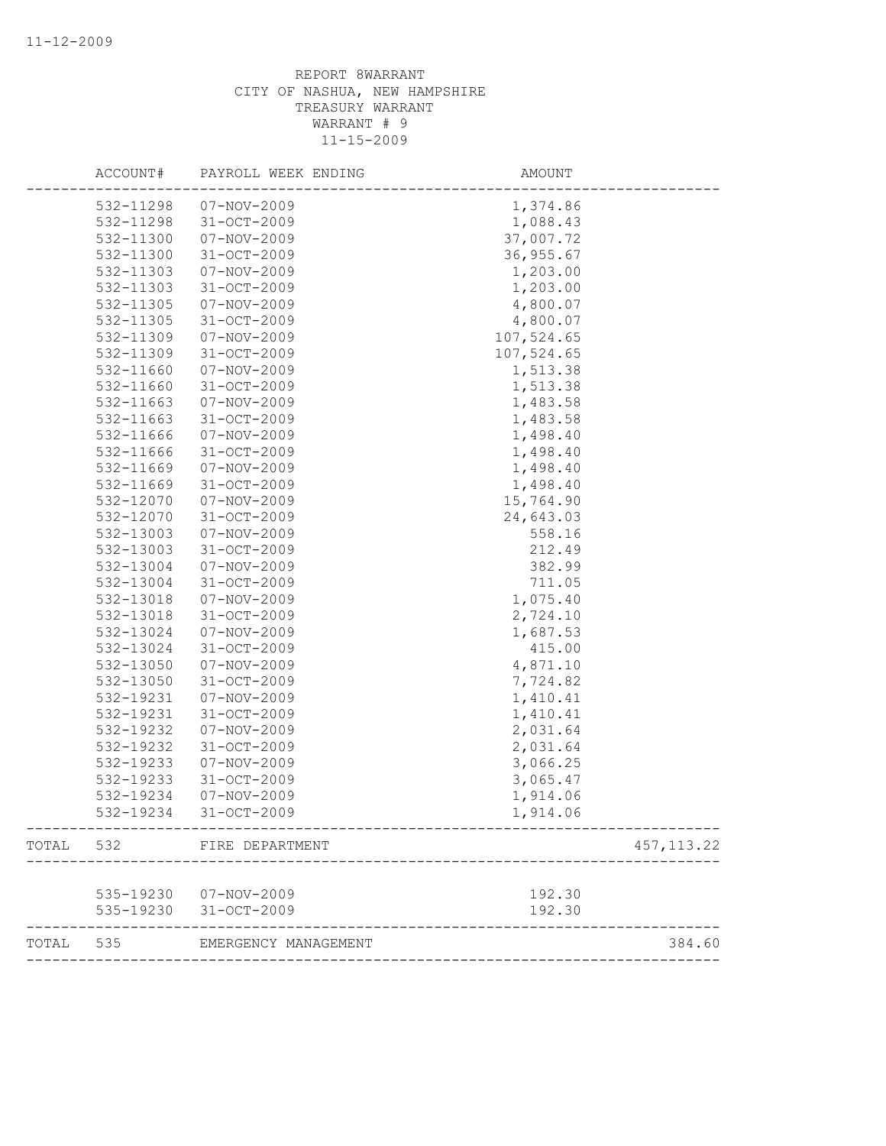|           | ACCOUNT#  | PAYROLL WEEK ENDING    | AMOUNT     |             |
|-----------|-----------|------------------------|------------|-------------|
|           | 532-11298 | 07-NOV-2009            | 1,374.86   |             |
|           | 532-11298 | $31 - OCT - 2009$      | 1,088.43   |             |
|           | 532-11300 | 07-NOV-2009            | 37,007.72  |             |
|           | 532-11300 | $31 - OCT - 2009$      | 36, 955.67 |             |
|           | 532-11303 | $07 - NOV - 2009$      | 1,203.00   |             |
|           | 532-11303 | $31 - OCT - 2009$      | 1,203.00   |             |
|           | 532-11305 | $07 - NOV - 2009$      | 4,800.07   |             |
|           | 532-11305 | $31 - OCT - 2009$      | 4,800.07   |             |
|           | 532-11309 | 07-NOV-2009            | 107,524.65 |             |
|           | 532-11309 | $31 - OCT - 2009$      | 107,524.65 |             |
|           | 532-11660 | 07-NOV-2009            | 1,513.38   |             |
|           | 532-11660 | $31 - OCT - 2009$      | 1,513.38   |             |
|           | 532-11663 | 07-NOV-2009            | 1,483.58   |             |
|           | 532-11663 | 31-OCT-2009            | 1,483.58   |             |
|           | 532-11666 | 07-NOV-2009            | 1,498.40   |             |
|           | 532-11666 | 31-OCT-2009            | 1,498.40   |             |
|           | 532-11669 | 07-NOV-2009            | 1,498.40   |             |
|           | 532-11669 | 31-OCT-2009            | 1,498.40   |             |
|           | 532-12070 | $07 - NOV - 2009$      | 15,764.90  |             |
|           | 532-12070 | $31 - OCT - 2009$      | 24,643.03  |             |
|           | 532-13003 | 07-NOV-2009            | 558.16     |             |
|           | 532-13003 | $31 - OCT - 2009$      | 212.49     |             |
|           | 532-13004 | 07-NOV-2009            | 382.99     |             |
|           | 532-13004 | $31 - OCT - 2009$      | 711.05     |             |
|           | 532-13018 | 07-NOV-2009            | 1,075.40   |             |
|           | 532-13018 | $31 - OCT - 2009$      | 2,724.10   |             |
|           | 532-13024 | 07-NOV-2009            | 1,687.53   |             |
|           | 532-13024 | 31-OCT-2009            | 415.00     |             |
|           | 532-13050 | 07-NOV-2009            | 4,871.10   |             |
|           | 532-13050 | $31 - OCT - 2009$      | 7,724.82   |             |
|           | 532-19231 | 07-NOV-2009            | 1,410.41   |             |
|           | 532-19231 | 31-OCT-2009            | 1,410.41   |             |
|           | 532-19232 | $07 - NOV - 2009$      | 2,031.64   |             |
|           | 532-19232 | $31 - OCT - 2009$      | 2,031.64   |             |
|           | 532-19233 | 07-NOV-2009            | 3,066.25   |             |
|           | 532-19233 | 31-OCT-2009            | 3,065.47   |             |
|           | 532-19234 | 07-NOV-2009            | 1,914.06   |             |
|           | 532-19234 | 31-OCT-2009            | 1,914.06   |             |
| TOTAL 532 |           | FIRE DEPARTMENT        |            | 457, 113.22 |
|           |           |                        |            |             |
|           |           | 535-19230  07-NOV-2009 | 192.30     |             |
|           |           | 535-19230 31-OCT-2009  | 192.30     |             |
| TOTAL 535 |           | EMERGENCY MANAGEMENT   |            | 384.60      |
|           |           |                        |            |             |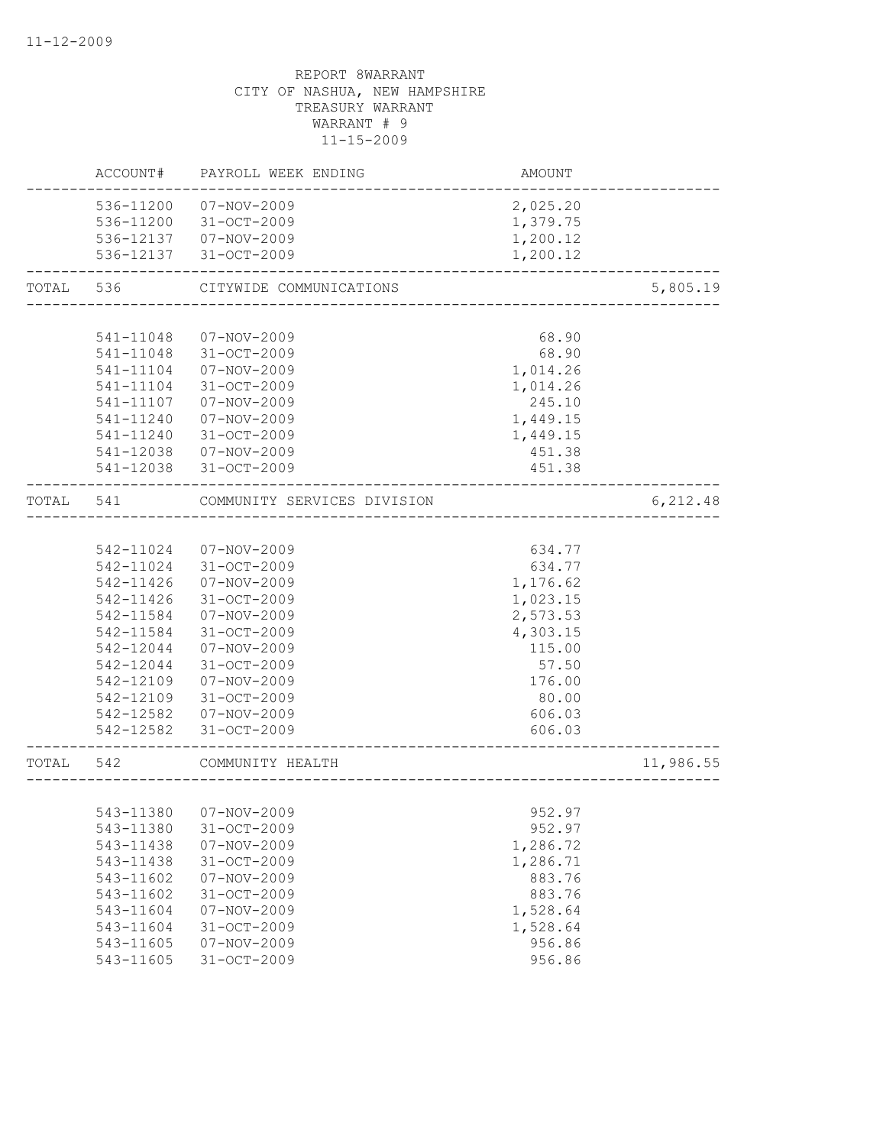|           | ACCOUNT#  | PAYROLL WEEK ENDING         | AMOUNT   |           |
|-----------|-----------|-----------------------------|----------|-----------|
|           | 536-11200 | 07-NOV-2009                 | 2,025.20 |           |
|           | 536-11200 | 31-OCT-2009                 | 1,379.75 |           |
|           |           | 536-12137  07-NOV-2009      | 1,200.12 |           |
|           |           | 536-12137 31-OCT-2009       | 1,200.12 |           |
| TOTAL     | 536       | CITYWIDE COMMUNICATIONS     |          | 5,805.19  |
|           |           |                             |          |           |
|           | 541-11048 | 07-NOV-2009                 | 68.90    |           |
|           | 541-11048 | 31-OCT-2009                 | 68.90    |           |
|           | 541-11104 | 07-NOV-2009                 | 1,014.26 |           |
|           | 541-11104 | $31 - OCT - 2009$           | 1,014.26 |           |
|           | 541-11107 | 07-NOV-2009                 | 245.10   |           |
|           | 541-11240 | 07-NOV-2009                 | 1,449.15 |           |
|           | 541-11240 | 31-OCT-2009                 | 1,449.15 |           |
|           | 541-12038 | 07-NOV-2009                 | 451.38   |           |
|           |           | 541-12038 31-OCT-2009       | 451.38   |           |
| TOTAL 541 |           | COMMUNITY SERVICES DIVISION |          | 6, 212.48 |
|           |           |                             |          |           |
|           | 542-11024 | 07-NOV-2009                 | 634.77   |           |
|           | 542-11024 | 31-OCT-2009                 | 634.77   |           |
|           | 542-11426 | 07-NOV-2009                 | 1,176.62 |           |
|           | 542-11426 | 31-OCT-2009                 | 1,023.15 |           |
|           | 542-11584 | 07-NOV-2009                 | 2,573.53 |           |
|           | 542-11584 | 31-OCT-2009                 | 4,303.15 |           |
|           | 542-12044 | $07 - NOV - 2009$           | 115.00   |           |
|           | 542-12044 | 31-OCT-2009                 | 57.50    |           |
|           | 542-12109 | 07-NOV-2009                 | 176.00   |           |
|           | 542-12109 | $31 - OCT - 2009$           | 80.00    |           |
|           |           | 542-12582  07-NOV-2009      | 606.03   |           |
|           |           | 542-12582 31-OCT-2009       | 606.03   |           |
| TOTAL 542 |           | COMMUNITY HEALTH            |          | 11,986.55 |
|           |           |                             |          |           |
|           |           | 543-11380  07-NOV-2009      | 952.97   |           |
|           | 543-11380 | 31-OCT-2009                 | 952.97   |           |
|           | 543-11438 | $07 - NOV - 2009$           | 1,286.72 |           |
|           | 543-11438 | $31 - OCT - 2009$           | 1,286.71 |           |
|           | 543-11602 | $07 - NOV - 2009$           | 883.76   |           |
|           | 543-11602 | 31-OCT-2009                 | 883.76   |           |
|           | 543-11604 | $07 - NOV - 2009$           | 1,528.64 |           |
|           | 543-11604 | 31-OCT-2009                 | 1,528.64 |           |
|           | 543-11605 | $07 - NOV - 2009$           | 956.86   |           |
|           | 543-11605 | 31-OCT-2009                 | 956.86   |           |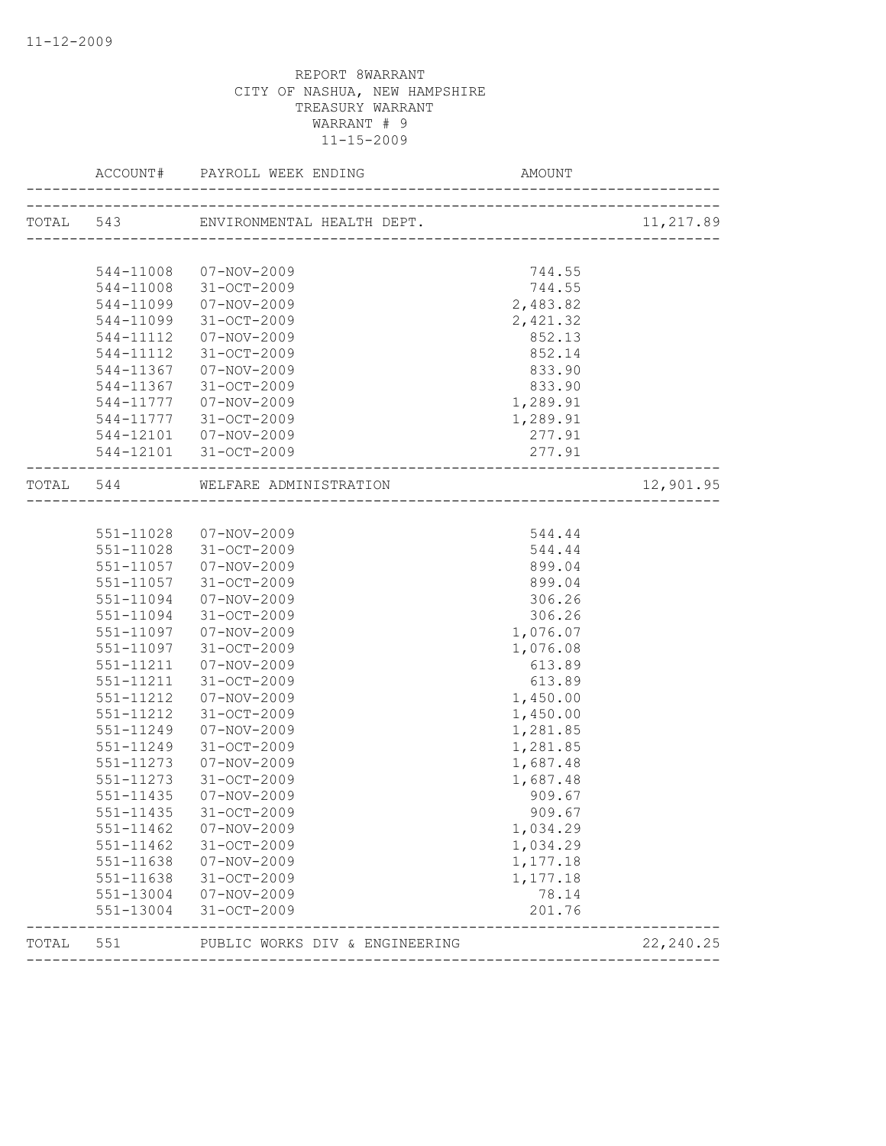|       |           |                                  |          | 11,217.89  |
|-------|-----------|----------------------------------|----------|------------|
|       |           |                                  |          |            |
|       |           | 544-11008 07-NOV-2009            | 744.55   |            |
|       |           | 544-11008 31-OCT-2009            | 744.55   |            |
|       | 544-11099 | 07-NOV-2009                      | 2,483.82 |            |
|       | 544-11099 | 31-OCT-2009                      | 2,421.32 |            |
|       | 544-11112 | 07-NOV-2009                      | 852.13   |            |
|       | 544-11112 | 31-OCT-2009                      | 852.14   |            |
|       |           | 544-11367 07-NOV-2009            | 833.90   |            |
|       |           | 544-11367 31-OCT-2009            | 833.90   |            |
|       | 544-11777 | 07-NOV-2009                      | 1,289.91 |            |
|       | 544-11777 | 31-OCT-2009                      | 1,289.91 |            |
|       |           | 544-12101  07-NOV-2009           | 277.91   |            |
|       |           | 544-12101 31-OCT-2009            | 277.91   |            |
|       |           | TOTAL 544 WELFARE ADMINISTRATION |          | 12,901.95  |
|       |           |                                  |          |            |
|       |           | 551-11028  07-NOV-2009           | 544.44   |            |
|       |           | 551-11028 31-OCT-2009            | 544.44   |            |
|       |           | 551-11057 07-NOV-2009            | 899.04   |            |
|       | 551-11057 | $31 - OCT - 2009$                | 899.04   |            |
|       | 551-11094 | 07-NOV-2009                      | 306.26   |            |
|       | 551-11094 | 31-OCT-2009                      | 306.26   |            |
|       | 551-11097 | 07-NOV-2009                      | 1,076.07 |            |
|       |           | 551-11097 31-OCT-2009            | 1,076.08 |            |
|       | 551-11211 | $07 - NOV - 2009$                | 613.89   |            |
|       | 551-11211 | 31-OCT-2009                      | 613.89   |            |
|       | 551-11212 | $07 - NOV - 2009$                | 1,450.00 |            |
|       | 551-11212 | $31 - OCT - 2009$                | 1,450.00 |            |
|       | 551-11249 | $07 - NOV - 2009$                | 1,281.85 |            |
|       | 551-11249 | 31-OCT-2009                      | 1,281.85 |            |
|       | 551-11273 | 07-NOV-2009                      | 1,687.48 |            |
|       | 551-11273 | $31 - OCT - 2009$                | 1,687.48 |            |
|       | 551-11435 | 07-NOV-2009                      | 909.67   |            |
|       | 551-11435 | 31-OCT-2009                      | 909.67   |            |
|       | 551-11462 | $07 - NOV - 2009$                | 1,034.29 |            |
|       | 551-11462 | 31-OCT-2009                      | 1,034.29 |            |
|       | 551-11638 | $07 - NOV - 2009$                | 1,177.18 |            |
|       | 551-11638 | 31-OCT-2009                      | 1,177.18 |            |
|       | 551-13004 | 07-NOV-2009                      | 78.14    |            |
|       | 551-13004 | 31-OCT-2009                      | 201.76   |            |
| TOTAL | 551       | PUBLIC WORKS DIV & ENGINEERING   |          | 22, 240.25 |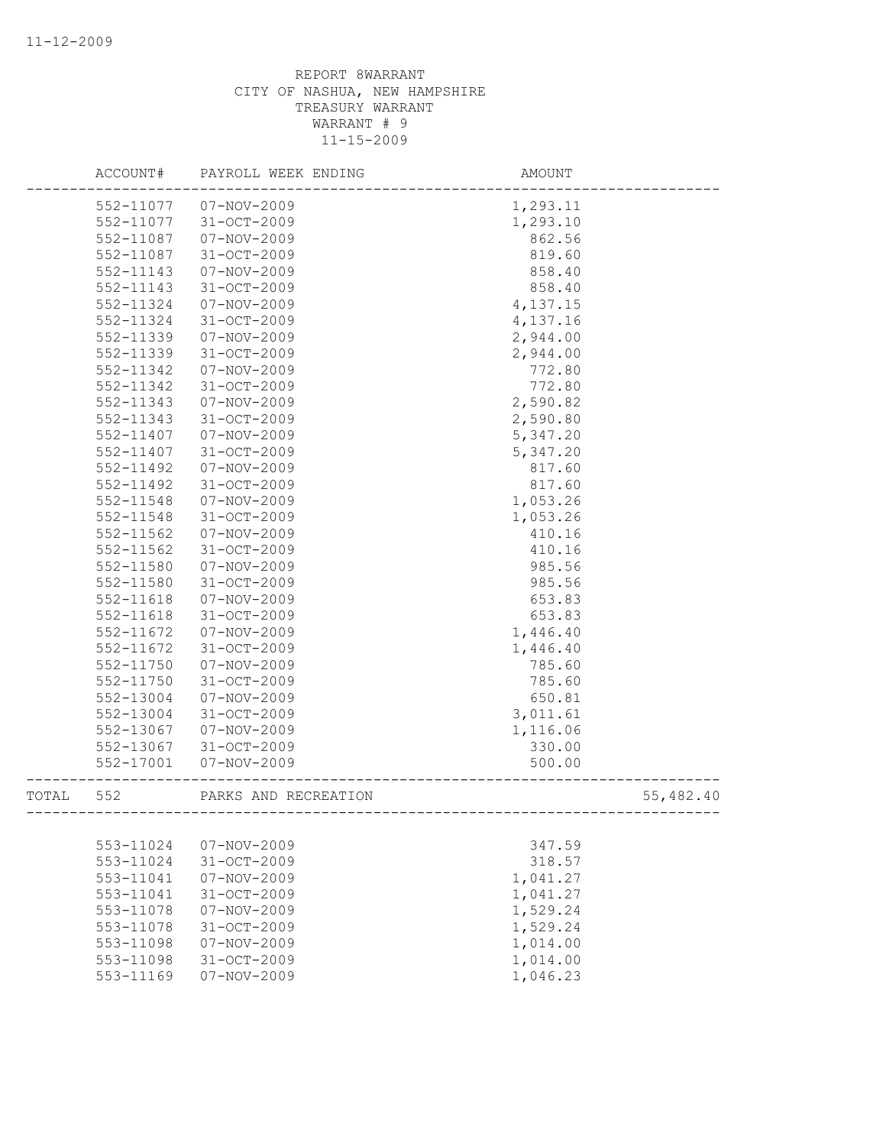|       | ACCOUNT#               | PAYROLL WEEK ENDING                    | AMOUNT               |           |
|-------|------------------------|----------------------------------------|----------------------|-----------|
|       | 552-11077              | 07-NOV-2009                            | 1,293.11             |           |
|       | 552-11077              | 31-OCT-2009                            | 1,293.10             |           |
|       | 552-11087              | 07-NOV-2009                            | 862.56               |           |
|       | 552-11087              | $31 - OCT - 2009$                      | 819.60               |           |
|       | 552-11143              | 07-NOV-2009                            | 858.40               |           |
|       | 552-11143              | 31-OCT-2009                            | 858.40               |           |
|       | 552-11324              | $07 - NOV - 2009$                      | 4,137.15             |           |
|       | 552-11324              | $31 - OCT - 2009$                      | 4,137.16             |           |
|       | 552-11339              | $07 - NOV - 2009$                      | 2,944.00             |           |
|       | 552-11339              | $31 - OCT - 2009$                      | 2,944.00             |           |
|       | 552-11342              | $07 - NOV - 2009$                      | 772.80               |           |
|       | 552-11342              | $31 - OCT - 2009$                      | 772.80               |           |
|       | 552-11343              | 07-NOV-2009                            | 2,590.82             |           |
|       | 552-11343              | 31-OCT-2009                            | 2,590.80             |           |
|       | 552-11407              | $07 - NOV - 2009$                      | 5,347.20             |           |
|       | 552-11407              | 31-OCT-2009                            | 5,347.20             |           |
|       | 552-11492              | 07-NOV-2009                            | 817.60               |           |
|       | 552-11492              | 31-OCT-2009                            | 817.60               |           |
|       | 552-11548              | $07 - NOV - 2009$                      | 1,053.26             |           |
|       | 552-11548              | $31 - OCT - 2009$                      | 1,053.26             |           |
|       | 552-11562              | 07-NOV-2009                            | 410.16               |           |
|       | 552-11562              | $31 - OCT - 2009$                      | 410.16               |           |
|       | 552-11580              | $07 - NOV - 2009$                      | 985.56               |           |
|       | 552-11580              | 31-OCT-2009                            | 985.56               |           |
|       | 552-11618              | 07-NOV-2009                            | 653.83               |           |
|       | 552-11618              | $31 - OCT - 2009$                      | 653.83               |           |
|       | 552-11672              | 07-NOV-2009                            | 1,446.40             |           |
|       | 552-11672              | 31-OCT-2009                            | 1,446.40             |           |
|       | 552-11750              | $07 - NOV - 2009$                      | 785.60               |           |
|       | 552-11750              | $31 - OCT - 2009$                      | 785.60               |           |
|       | 552-13004              | 07-NOV-2009                            | 650.81               |           |
|       | 552-13004              | 31-OCT-2009                            | 3,011.61             |           |
|       | 552-13067              | $07 - NOV - 2009$                      | 1,116.06             |           |
|       | 552-13067              | 31-OCT-2009                            | 330.00               |           |
|       | 552-17001              | $07 - NOV - 2009$                      | 500.00               |           |
| TOTAL | 552                    | PARKS AND RECREATION                   |                      | 55,482.40 |
|       | 553-11024              |                                        |                      |           |
|       | 553-11024              | 07-NOV-2009<br>31-OCT-2009             | 347.59<br>318.57     |           |
|       |                        | $07 - NOV - 2009$                      |                      |           |
|       | 553-11041<br>553-11041 | $31 - OCT - 2009$                      | 1,041.27             |           |
|       | 553-11078              | $07 - NOV - 2009$                      | 1,041.27             |           |
|       |                        | 31-OCT-2009                            | 1,529.24<br>1,529.24 |           |
|       | 553-11078              |                                        |                      |           |
|       | 553-11098<br>553-11098 | $07 - NOV - 2009$<br>$31 - OCT - 2009$ | 1,014.00             |           |
|       | 553-11169              | $07 - NOV - 2009$                      | 1,014.00<br>1,046.23 |           |
|       |                        |                                        |                      |           |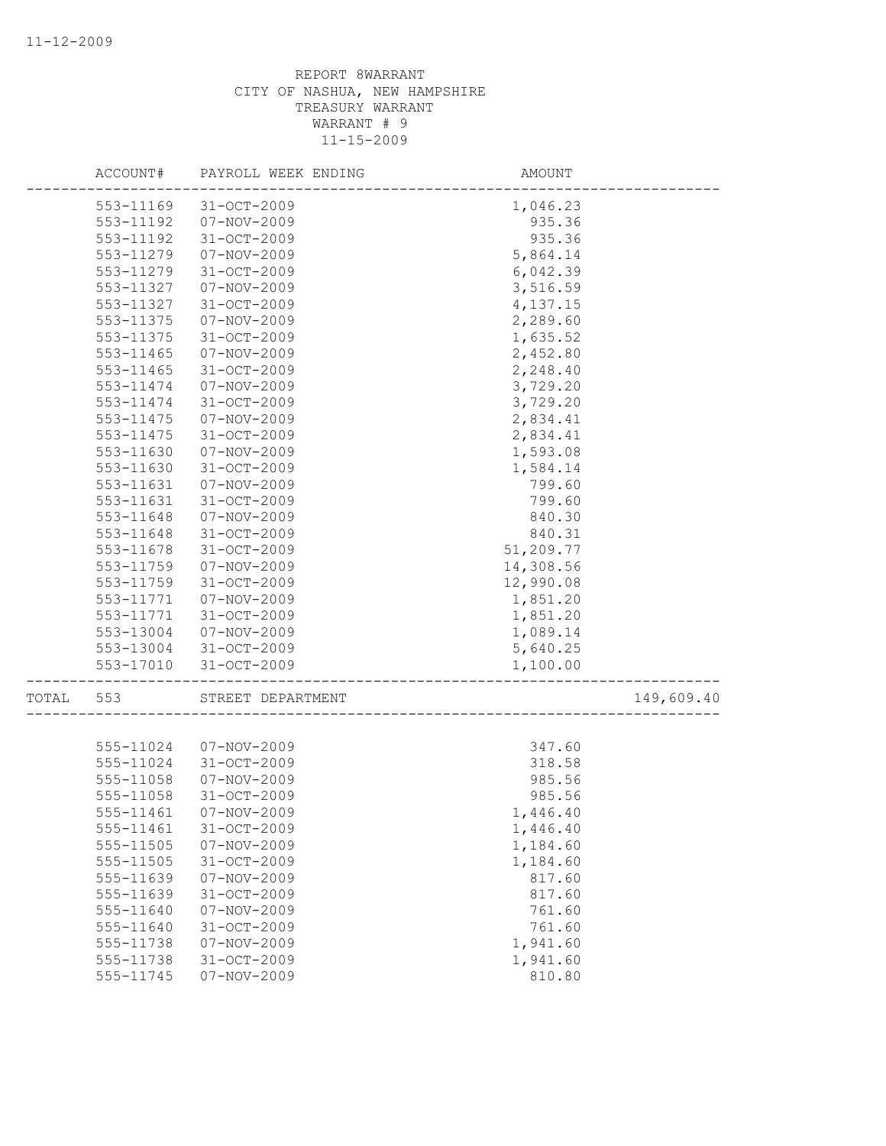|       |           | ACCOUNT# PAYROLL WEEK ENDING | AMOUNT    |            |
|-------|-----------|------------------------------|-----------|------------|
|       | 553-11169 | $31 - OCT - 2009$            | 1,046.23  |            |
|       | 553-11192 | $07 - NOV - 2009$            | 935.36    |            |
|       | 553-11192 | $31 - OCT - 2009$            | 935.36    |            |
|       | 553-11279 | 07-NOV-2009                  | 5,864.14  |            |
|       | 553-11279 | 31-OCT-2009                  | 6,042.39  |            |
|       | 553-11327 | $07 - NOV - 2009$            | 3,516.59  |            |
|       | 553-11327 | $31 - OCT - 2009$            | 4,137.15  |            |
|       | 553-11375 | $07 - NOV - 2009$            | 2,289.60  |            |
|       | 553-11375 | 31-OCT-2009                  | 1,635.52  |            |
|       | 553-11465 | 07-NOV-2009                  | 2,452.80  |            |
|       | 553-11465 | $31 - OCT - 2009$            | 2,248.40  |            |
|       | 553-11474 | 07-NOV-2009                  | 3,729.20  |            |
|       | 553-11474 | $31 - OCT - 2009$            | 3,729.20  |            |
|       | 553-11475 | 07-NOV-2009                  | 2,834.41  |            |
|       | 553-11475 | 31-OCT-2009                  | 2,834.41  |            |
|       | 553-11630 | $07 - NOV - 2009$            | 1,593.08  |            |
|       | 553-11630 | 31-OCT-2009                  | 1,584.14  |            |
|       | 553-11631 | 07-NOV-2009                  | 799.60    |            |
|       | 553-11631 | 31-OCT-2009                  | 799.60    |            |
|       | 553-11648 | 07-NOV-2009                  | 840.30    |            |
|       | 553-11648 | $31 - OCT - 2009$            | 840.31    |            |
|       | 553-11678 | $31 - OCT - 2009$            | 51,209.77 |            |
|       | 553-11759 | 07-NOV-2009                  | 14,308.56 |            |
|       | 553-11759 | 31-OCT-2009                  | 12,990.08 |            |
|       | 553-11771 | 07-NOV-2009                  | 1,851.20  |            |
|       | 553-11771 | 31-OCT-2009                  | 1,851.20  |            |
|       | 553-13004 | 07-NOV-2009                  | 1,089.14  |            |
|       | 553-13004 | 31-OCT-2009                  | 5,640.25  |            |
|       | 553-17010 | 31-OCT-2009                  | 1,100.00  |            |
| TOTAL | 553       | STREET DEPARTMENT            |           | 149,609.40 |
|       |           |                              |           |            |
|       | 555-11024 | 07-NOV-2009                  | 347.60    |            |
|       | 555-11024 | 31-OCT-2009                  | 318.58    |            |
|       | 555-11058 | 07-NOV-2009                  | 985.56    |            |
|       | 555-11058 | $31 - OCT - 2009$            | 985.56    |            |
|       |           | 555-11461 07-NOV-2009        | 1,446.40  |            |
|       | 555-11461 | 31-OCT-2009                  | 1,446.40  |            |
|       | 555-11505 | $07 - NOV - 2009$            | 1,184.60  |            |
|       | 555-11505 | $31 - OCT - 2009$            | 1,184.60  |            |
|       | 555-11639 | $07 - NOV - 2009$            | 817.60    |            |
|       | 555-11639 | 31-OCT-2009                  | 817.60    |            |
|       | 555-11640 | $07 - NOV - 2009$            | 761.60    |            |
|       | 555-11640 | $31 - OCT - 2009$            | 761.60    |            |
|       | 555-11738 | $07 - NOV - 2009$            | 1,941.60  |            |
|       | 555-11738 | 31-OCT-2009                  | 1,941.60  |            |
|       | 555-11745 | $07 - NOV - 2009$            | 810.80    |            |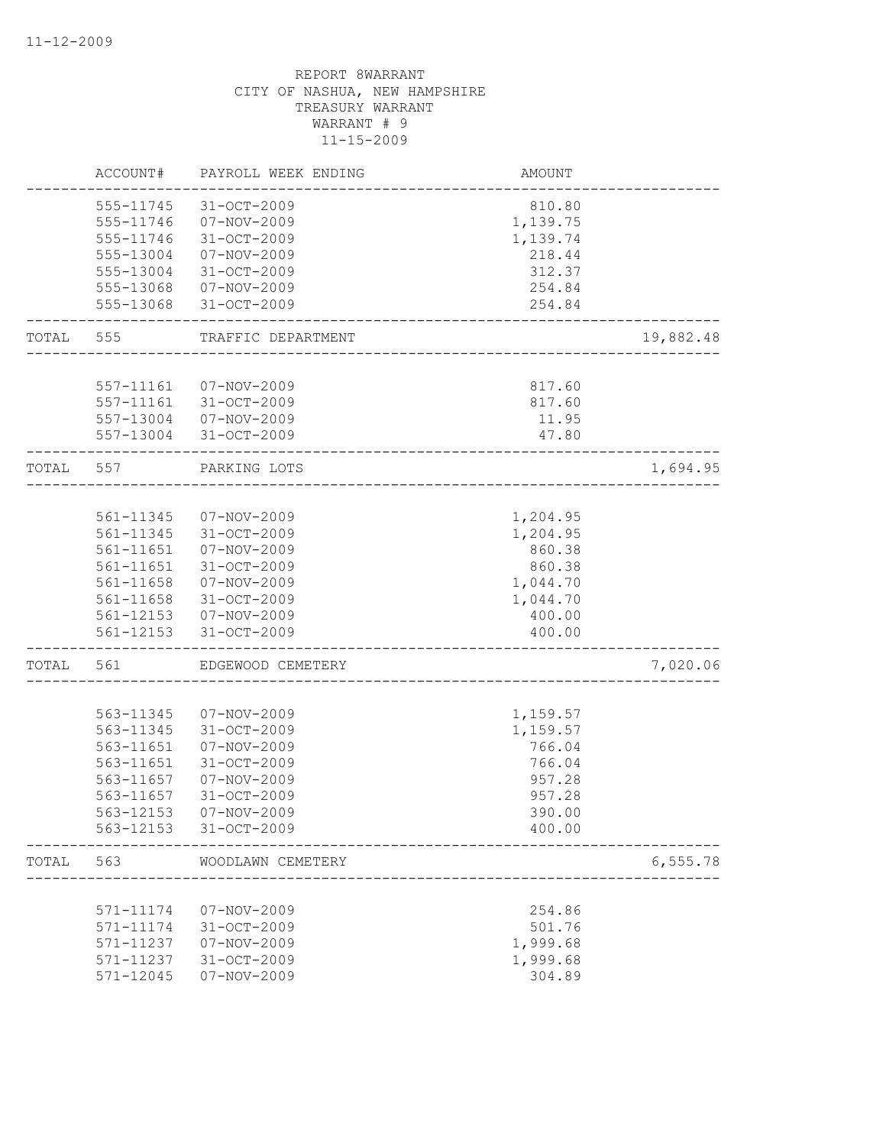|           | ACCOUNT#  | PAYROLL WEEK ENDING   | AMOUNT   |           |
|-----------|-----------|-----------------------|----------|-----------|
|           | 555-11745 | 31-OCT-2009           | 810.80   |           |
|           | 555-11746 | 07-NOV-2009           | 1,139.75 |           |
|           | 555-11746 | 31-OCT-2009           | 1,139.74 |           |
|           | 555-13004 | $07 - NOV - 2009$     | 218.44   |           |
|           | 555-13004 | 31-OCT-2009           | 312.37   |           |
|           | 555-13068 | 07-NOV-2009           | 254.84   |           |
|           | 555-13068 | 31-OCT-2009           | 254.84   |           |
| TOTAL     | 555       | TRAFFIC DEPARTMENT    |          | 19,882.48 |
|           |           |                       |          |           |
|           | 557-11161 | 07-NOV-2009           | 817.60   |           |
|           |           | 557-11161 31-OCT-2009 | 817.60   |           |
|           |           | 557-13004 07-NOV-2009 | 11.95    |           |
|           |           | 557-13004 31-OCT-2009 | 47.80    |           |
| TOTAL 557 |           | PARKING LOTS          |          | 1,694.95  |
|           |           |                       |          |           |
|           | 561-11345 | 07-NOV-2009           | 1,204.95 |           |
|           |           | 561-11345 31-OCT-2009 | 1,204.95 |           |
|           | 561-11651 | 07-NOV-2009           | 860.38   |           |
|           | 561-11651 | $31 - OCT - 2009$     | 860.38   |           |
|           | 561-11658 | $07 - NOV - 2009$     | 1,044.70 |           |
|           | 561-11658 | 31-OCT-2009           | 1,044.70 |           |
|           | 561-12153 | 07-NOV-2009           | 400.00   |           |
|           | 561-12153 | 31-OCT-2009           | 400.00   |           |
| TOTAL     | 561       | EDGEWOOD CEMETERY     |          | 7,020.06  |
|           |           |                       |          |           |
|           | 563-11345 | 07-NOV-2009           | 1,159.57 |           |
|           | 563-11345 | $31 - OCT - 2009$     | 1,159.57 |           |
|           | 563-11651 | $07 - NOV - 2009$     | 766.04   |           |
|           | 563-11651 | 31-OCT-2009           | 766.04   |           |
|           | 563-11657 | $07 - NOV - 2009$     | 957.28   |           |
|           | 563-11657 | $31 - OCT - 2009$     | 957.28   |           |
|           | 563-12153 | 07-NOV-2009           | 390.00   |           |
|           |           | 563-12153 31-OCT-2009 | 400.00   |           |
| TOTAL     | 563       | WOODLAWN CEMETERY     |          | 6, 555.78 |
|           |           |                       |          |           |
|           | 571-11174 | $07 - NOV - 2009$     | 254.86   |           |
|           | 571-11174 | $31 - OCT - 2009$     | 501.76   |           |
|           | 571-11237 | 07-NOV-2009           | 1,999.68 |           |
|           | 571-11237 | 31-OCT-2009           | 1,999.68 |           |
|           | 571-12045 | $07 - NOV - 2009$     | 304.89   |           |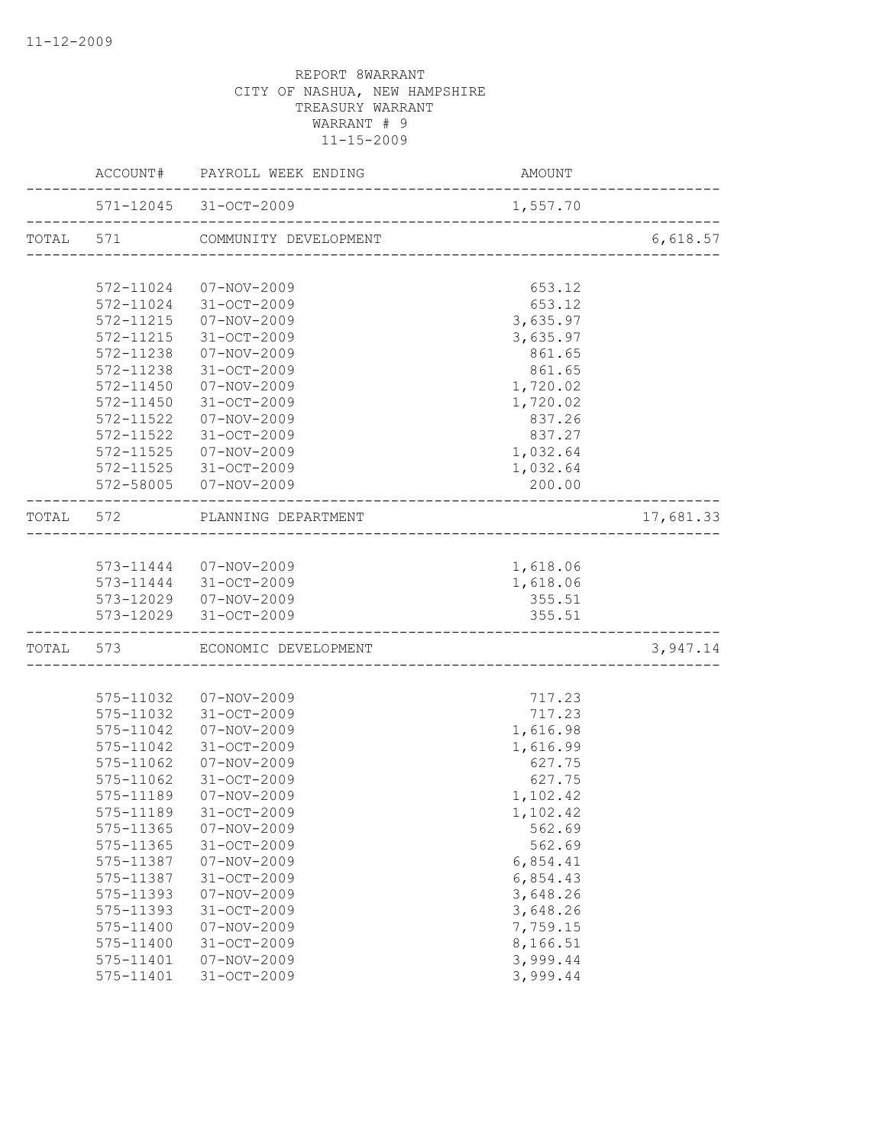|                           | ACCOUNT# PAYROLL WEEK ENDING    | AMOUNT                                         |           |
|---------------------------|---------------------------------|------------------------------------------------|-----------|
|                           | 571-12045 31-OCT-2009           | 1,557.70<br>. _ _ _ _ _ _ _ _ _ _ _ _ _ _ _ _  |           |
|                           | TOTAL 571 COMMUNITY DEVELOPMENT |                                                | 6,618.57  |
|                           |                                 |                                                |           |
|                           | 572-11024 07-NOV-2009           | 653.12                                         |           |
|                           | 572-11024 31-OCT-2009           | 653.12                                         |           |
|                           | 572-11215  07-NOV-2009          | 3,635.97                                       |           |
|                           | 572-11215 31-OCT-2009           | 3,635.97                                       |           |
|                           | 572-11238  07-NOV-2009          | 861.65                                         |           |
|                           | 572-11238 31-OCT-2009           | 861.65                                         |           |
|                           | 572-11450  07-NOV-2009          | 1,720.02                                       |           |
| 572-11450                 | 31-OCT-2009                     | 1,720.02                                       |           |
| 572-11522                 | 07-NOV-2009                     | 837.26                                         |           |
| 572-11522                 | 31-OCT-2009                     | 837.27                                         |           |
| 572-11525                 | 07-NOV-2009                     | 1,032.64                                       |           |
|                           | 572-11525 31-OCT-2009           | 1,032.64                                       |           |
|                           | 572-58005 07-NOV-2009           | 200.00                                         |           |
|                           | TOTAL 572 PLANNING DEPARTMENT   |                                                | 17,681.33 |
|                           |                                 |                                                |           |
|                           | 573-11444  07-NOV-2009          | 1,618.06                                       |           |
|                           | 573-11444 31-OCT-2009           | 1,618.06                                       |           |
|                           | 573-12029  07-NOV-2009          | 355.51                                         |           |
| _________________________ | 573-12029 31-OCT-2009           | 355.51<br>.___________________________________ |           |
|                           | TOTAL 573 ECONOMIC DEVELOPMENT  |                                                | 3,947.14  |
|                           |                                 |                                                |           |
|                           | 575-11032  07-NOV-2009          | 717.23                                         |           |
|                           | 575-11032 31-OCT-2009           | 717.23                                         |           |
| 575-11042                 | $07 - NOV - 2009$               | 1,616.98                                       |           |
| 575-11042                 | 31-OCT-2009                     | 1,616.99                                       |           |
| 575-11062                 | 07-NOV-2009                     | 627.75                                         |           |
|                           | 575-11062 31-OCT-2009           | 627.75                                         |           |
|                           | 575-11189  07-NOV-2009          | 1,102.42                                       |           |
| 575-11189                 | 31-OCT-2009                     | 1,102.42                                       |           |
| 575-11365                 | $07 - NOV - 2009$               | 562.69                                         |           |
| 575-11365                 | 31-OCT-2009                     | 562.69                                         |           |
| 575-11387                 | $07 - NOV - 2009$               | 6,854.41                                       |           |
| 575-11387                 | 31-OCT-2009                     | 6,854.43                                       |           |
| 575-11393                 | $07 - NOV - 2009$               | 3,648.26                                       |           |
| 575-11393                 | 31-OCT-2009                     | 3,648.26                                       |           |
| 575-11400                 | 07-NOV-2009                     | 7,759.15                                       |           |
| 575-11400                 | 31-OCT-2009                     | 8,166.51                                       |           |
| 575-11401                 | $07 - NOV - 2009$               | 3,999.44                                       |           |
| 575-11401                 | 31-OCT-2009                     | 3,999.44                                       |           |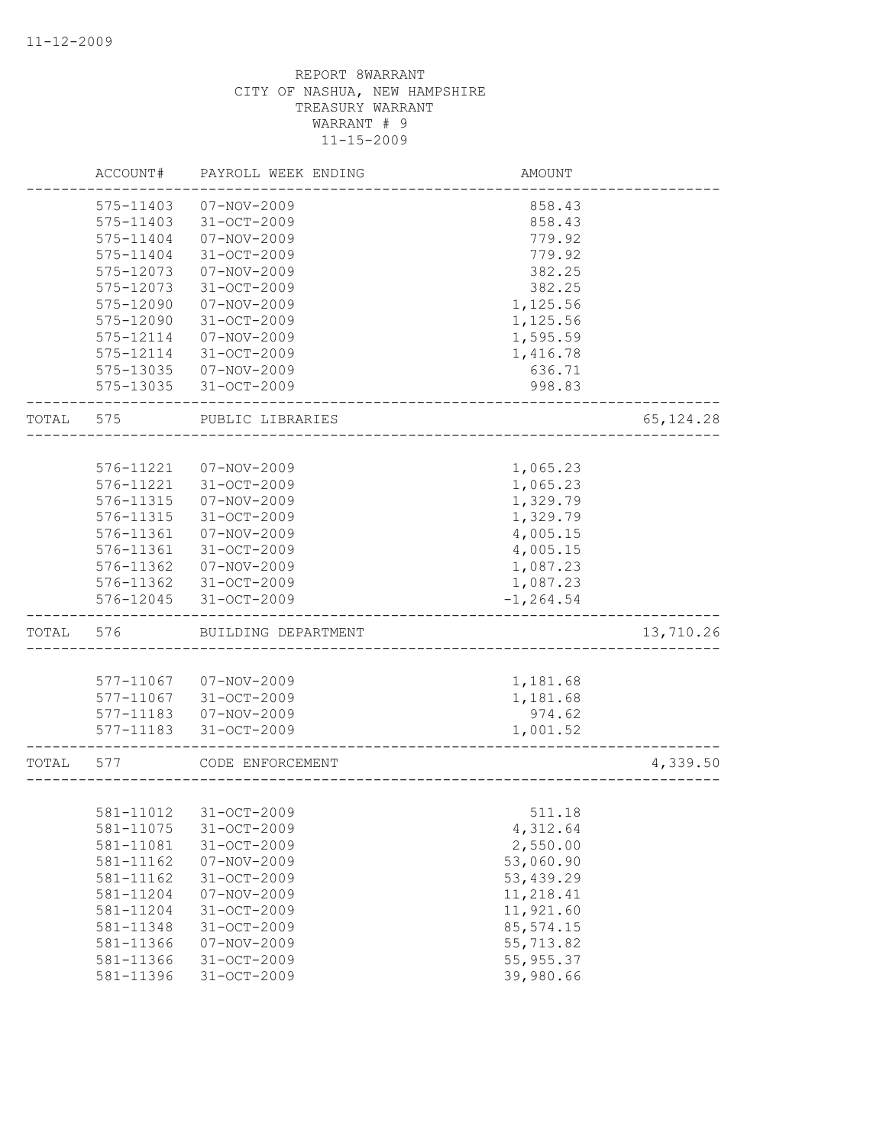|       | ACCOUNT#  | PAYROLL WEEK ENDING   | AMOUNT       |            |
|-------|-----------|-----------------------|--------------|------------|
|       | 575-11403 | 07-NOV-2009           | 858.43       |            |
|       | 575-11403 | 31-OCT-2009           | 858.43       |            |
|       | 575-11404 | $07 - NOV - 2009$     | 779.92       |            |
|       | 575-11404 | $31 - OCT - 2009$     | 779.92       |            |
|       | 575-12073 | $07 - NOV - 2009$     | 382.25       |            |
|       | 575-12073 | 31-OCT-2009           | 382.25       |            |
|       | 575-12090 | $07 - NOV - 2009$     | 1,125.56     |            |
|       | 575-12090 | $31 - OCT - 2009$     | 1,125.56     |            |
|       | 575-12114 | $07 - NOV - 2009$     | 1,595.59     |            |
|       | 575-12114 | $31 - OCT - 2009$     | 1,416.78     |            |
|       | 575-13035 | $07 - NOV - 2009$     | 636.71       |            |
|       | 575-13035 | 31-OCT-2009           | 998.83       |            |
| TOTAL | 575       | PUBLIC LIBRARIES      |              | 65, 124.28 |
|       |           |                       |              |            |
|       | 576-11221 | 07-NOV-2009           | 1,065.23     |            |
|       | 576-11221 | 31-OCT-2009           | 1,065.23     |            |
|       | 576-11315 | $07 - NOV - 2009$     | 1,329.79     |            |
|       | 576-11315 | 31-OCT-2009           | 1,329.79     |            |
|       | 576-11361 | $07 - NOV - 2009$     | 4,005.15     |            |
|       | 576-11361 | 31-OCT-2009           | 4,005.15     |            |
|       | 576-11362 | $07 - NOV - 2009$     | 1,087.23     |            |
|       | 576-11362 | $31 - OCT - 2009$     | 1,087.23     |            |
|       | 576-12045 | 31-OCT-2009           | $-1, 264.54$ |            |
| TOTAL | 576       | BUILDING DEPARTMENT   |              | 13,710.26  |
|       |           |                       |              |            |
|       | 577-11067 | 07-NOV-2009           | 1,181.68     |            |
|       | 577-11067 | $31 - OCT - 2009$     | 1,181.68     |            |
|       | 577-11183 | $07 - NOV - 2009$     | 974.62       |            |
|       | 577-11183 | $31 - OCT - 2009$     | 1,001.52     |            |
| TOTAL | 577       | CODE ENFORCEMENT      |              | 4,339.50   |
|       |           |                       |              |            |
|       |           | 581-11012 31-OCT-2009 | 511.18       |            |
|       | 581-11075 | 31-OCT-2009           | 4,312.64     |            |
|       | 581-11081 | 31-OCT-2009           | 2,550.00     |            |
|       | 581-11162 | $07 - NOV - 2009$     | 53,060.90    |            |
|       | 581-11162 | $31 - OCT - 2009$     | 53, 439.29   |            |
|       | 581-11204 | $07 - NOV - 2009$     | 11,218.41    |            |
|       | 581-11204 | 31-OCT-2009           | 11,921.60    |            |
|       | 581-11348 | 31-OCT-2009           | 85, 574.15   |            |
|       | 581-11366 | 07-NOV-2009           | 55,713.82    |            |
|       | 581-11366 | 31-OCT-2009           | 55, 955.37   |            |
|       | 581-11396 | 31-OCT-2009           | 39,980.66    |            |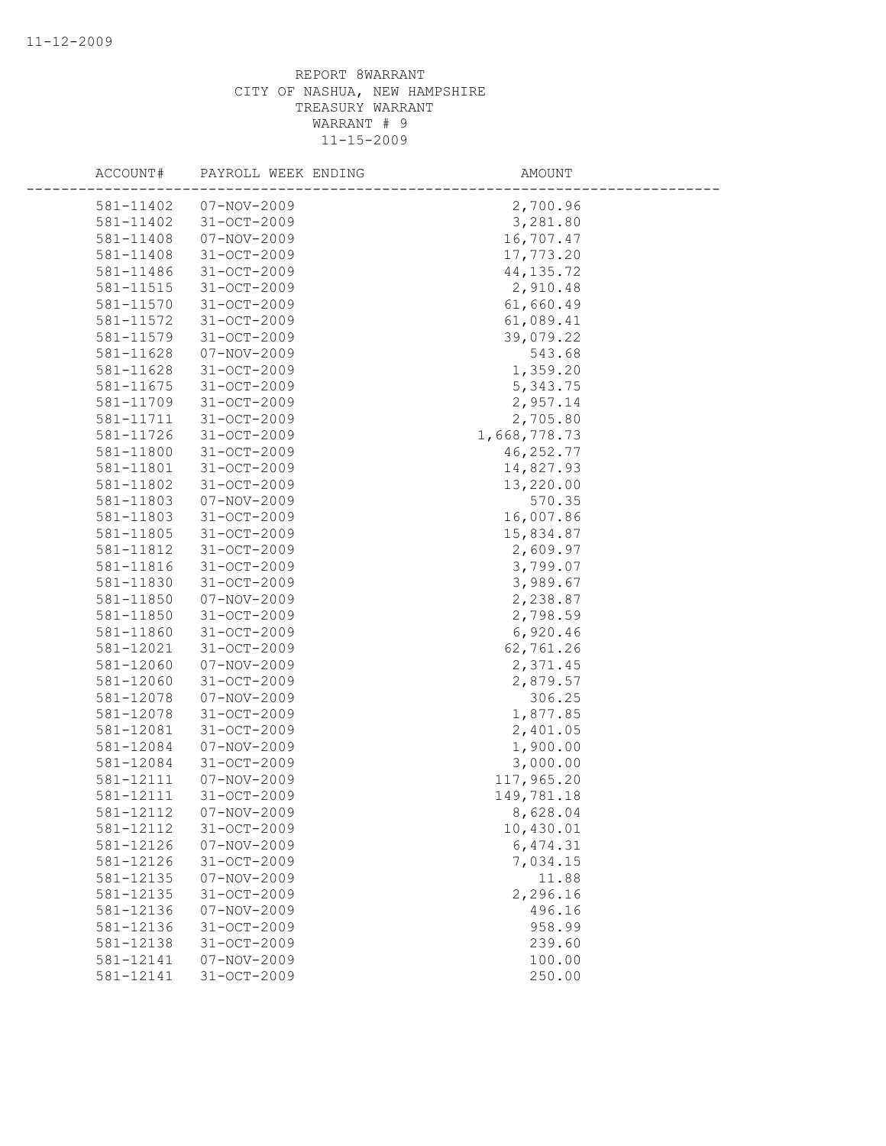| ACCOUNT#  | PAYROLL WEEK ENDING | AMOUNT       |  |
|-----------|---------------------|--------------|--|
| 581-11402 | $07 - NOV - 2009$   | 2,700.96     |  |
| 581-11402 | $31 - OCT - 2009$   | 3,281.80     |  |
| 581-11408 | 07-NOV-2009         | 16,707.47    |  |
| 581-11408 | 31-OCT-2009         | 17,773.20    |  |
| 581-11486 | 31-OCT-2009         | 44, 135.72   |  |
| 581-11515 | 31-OCT-2009         | 2,910.48     |  |
| 581-11570 | 31-OCT-2009         | 61,660.49    |  |
| 581-11572 | 31-OCT-2009         | 61,089.41    |  |
| 581-11579 | 31-OCT-2009         | 39,079.22    |  |
| 581-11628 | $07 - NOV - 2009$   | 543.68       |  |
| 581-11628 | 31-OCT-2009         | 1,359.20     |  |
| 581-11675 | 31-OCT-2009         | 5,343.75     |  |
| 581-11709 | 31-OCT-2009         | 2,957.14     |  |
| 581-11711 | 31-OCT-2009         | 2,705.80     |  |
| 581-11726 | 31-OCT-2009         | 1,668,778.73 |  |
| 581-11800 | 31-OCT-2009         | 46, 252.77   |  |
| 581-11801 | 31-OCT-2009         | 14,827.93    |  |
| 581-11802 | 31-OCT-2009         | 13,220.00    |  |
| 581-11803 | $07 - NOV - 2009$   | 570.35       |  |
| 581-11803 | 31-OCT-2009         | 16,007.86    |  |
| 581-11805 | 31-OCT-2009         | 15,834.87    |  |
| 581-11812 | 31-OCT-2009         | 2,609.97     |  |
| 581-11816 | 31-OCT-2009         | 3,799.07     |  |
| 581-11830 | 31-OCT-2009         | 3,989.67     |  |
| 581-11850 | 07-NOV-2009         | 2,238.87     |  |
| 581-11850 | $31 - OCT - 2009$   | 2,798.59     |  |
| 581-11860 | 31-OCT-2009         | 6,920.46     |  |
| 581-12021 | 31-OCT-2009         | 62,761.26    |  |
| 581-12060 | 07-NOV-2009         | 2,371.45     |  |
| 581-12060 | $31 - OCT - 2009$   | 2,879.57     |  |
| 581-12078 | $07 - NOV - 2009$   | 306.25       |  |
| 581-12078 | 31-OCT-2009         | 1,877.85     |  |
| 581-12081 | 31-OCT-2009         | 2,401.05     |  |
| 581-12084 | $07 - NOV - 2009$   | 1,900.00     |  |
| 581-12084 | $31 - OCT - 2009$   | 3,000.00     |  |
| 581-12111 | 07-NOV-2009         | 117,965.20   |  |
| 581-12111 | $31 - OCT - 2009$   | 149,781.18   |  |
| 581-12112 | $07 - NOV - 2009$   | 8,628.04     |  |
| 581-12112 | 31-OCT-2009         | 10,430.01    |  |
| 581-12126 | $07 - NOV - 2009$   | 6,474.31     |  |
| 581-12126 | 31-OCT-2009         | 7,034.15     |  |
| 581-12135 | 07-NOV-2009         | 11.88        |  |
| 581-12135 | 31-OCT-2009         | 2,296.16     |  |
| 581-12136 | $07 - NOV - 2009$   | 496.16       |  |
| 581-12136 | 31-OCT-2009         | 958.99       |  |
| 581-12138 | $31 - OCT - 2009$   | 239.60       |  |
| 581-12141 | $07 - NOV - 2009$   | 100.00       |  |
| 581-12141 | 31-OCT-2009         | 250.00       |  |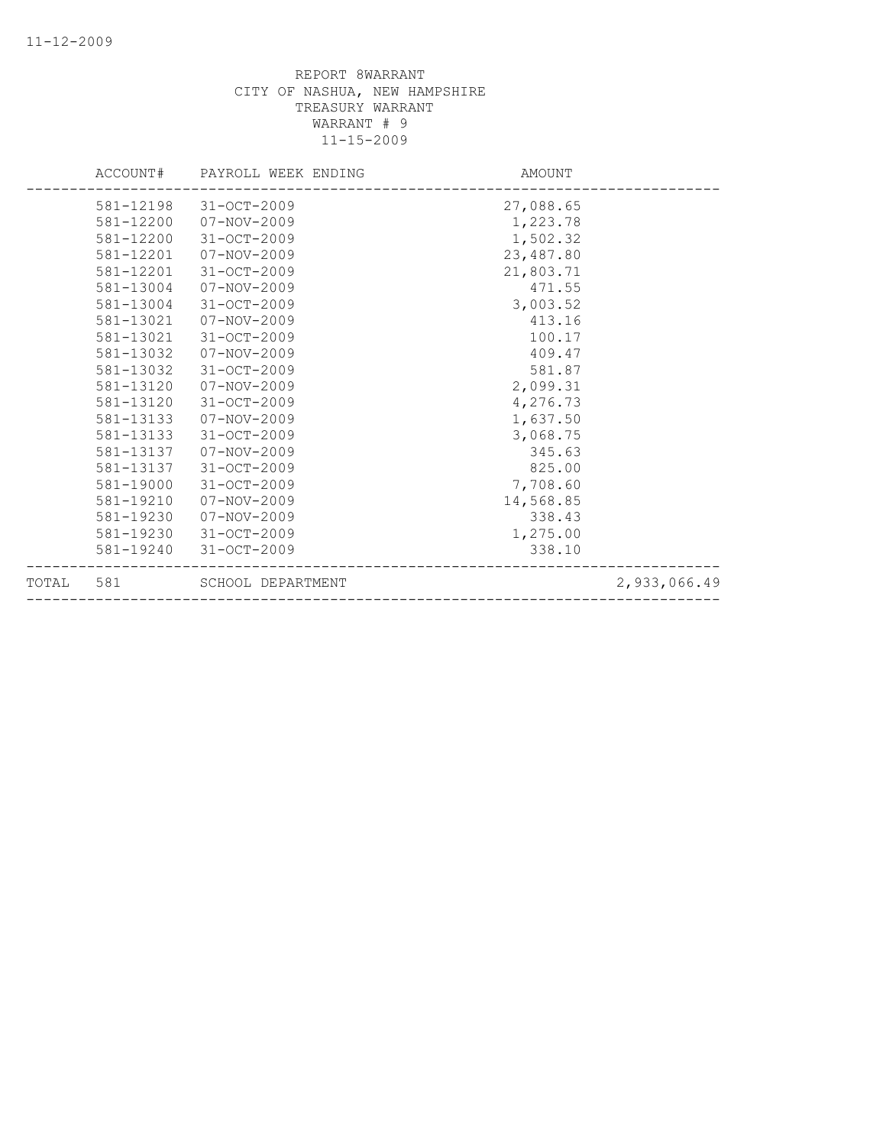|           | ACCOUNT# PAYROLL WEEK ENDING | AMOUNT    |              |
|-----------|------------------------------|-----------|--------------|
| 581-12198 | 31-OCT-2009                  | 27,088.65 |              |
|           | 581-12200  07-NOV-2009       | 1,223.78  |              |
| 581-12200 | 31-OCT-2009                  | 1,502.32  |              |
| 581-12201 | 07-NOV-2009                  | 23,487.80 |              |
| 581-12201 | 31-OCT-2009                  | 21,803.71 |              |
| 581-13004 | 07-NOV-2009                  | 471.55    |              |
| 581-13004 | 31-OCT-2009                  | 3,003.52  |              |
| 581-13021 | 07-NOV-2009                  | 413.16    |              |
| 581-13021 | $31 - OCT - 2009$            | 100.17    |              |
| 581-13032 | 07-NOV-2009                  | 409.47    |              |
| 581-13032 | $31 - OCT - 2009$            | 581.87    |              |
| 581-13120 | 07-NOV-2009                  | 2,099.31  |              |
| 581-13120 | 31-OCT-2009                  | 4,276.73  |              |
| 581-13133 | 07-NOV-2009                  | 1,637.50  |              |
| 581-13133 | 31-OCT-2009                  | 3,068.75  |              |
| 581-13137 | 07-NOV-2009                  | 345.63    |              |
| 581-13137 | 31-OCT-2009                  | 825.00    |              |
| 581-19000 | $31 - OCT - 2009$            | 7,708.60  |              |
| 581-19210 | 07-NOV-2009                  | 14,568.85 |              |
| 581-19230 | 07-NOV-2009                  | 338.43    |              |
| 581-19230 | 31-OCT-2009                  | 1,275.00  |              |
| 581-19240 | 31-OCT-2009                  | 338.10    |              |
| TOTAL 581 | SCHOOL DEPARTMENT            |           | 2,933,066.49 |
|           |                              |           |              |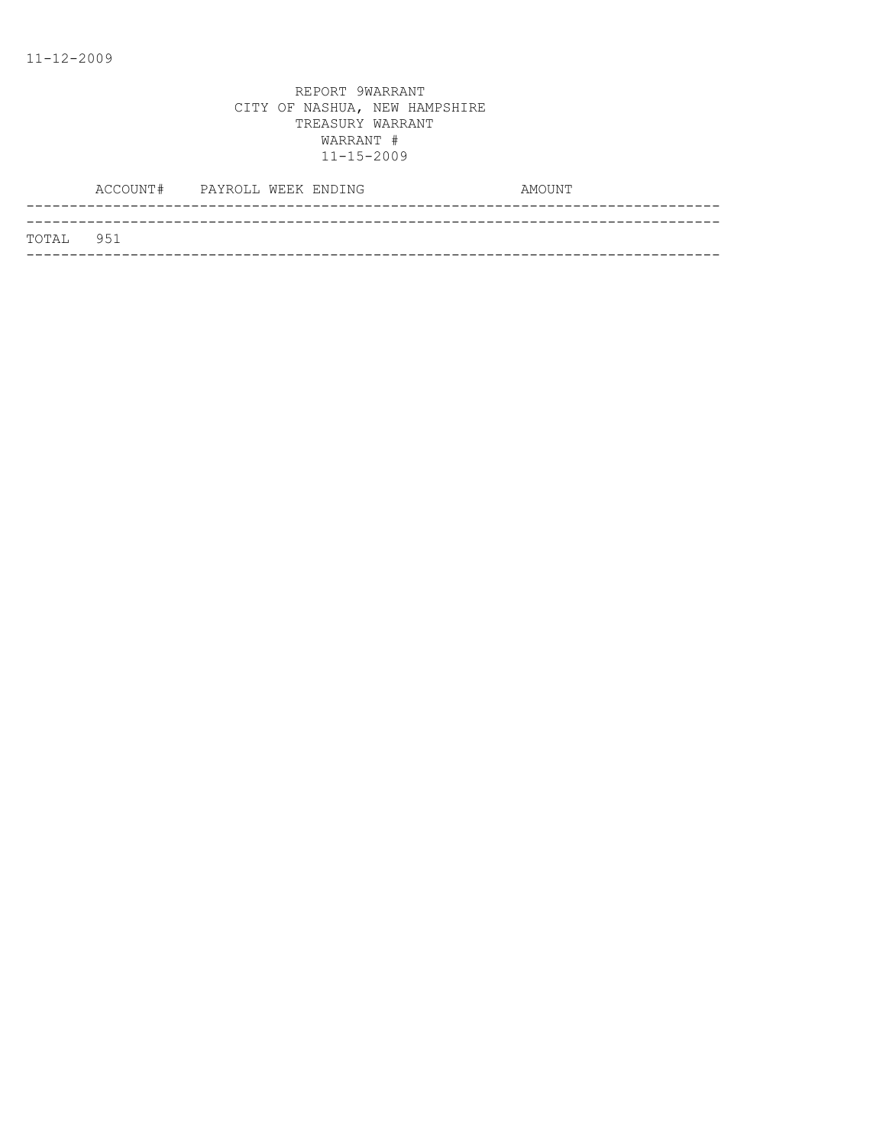|           | ACCOUNT# PAYROLL WEEK ENDING |  | AMOUNT |
|-----------|------------------------------|--|--------|
|           |                              |  |        |
| TOTAL 951 |                              |  |        |
|           |                              |  |        |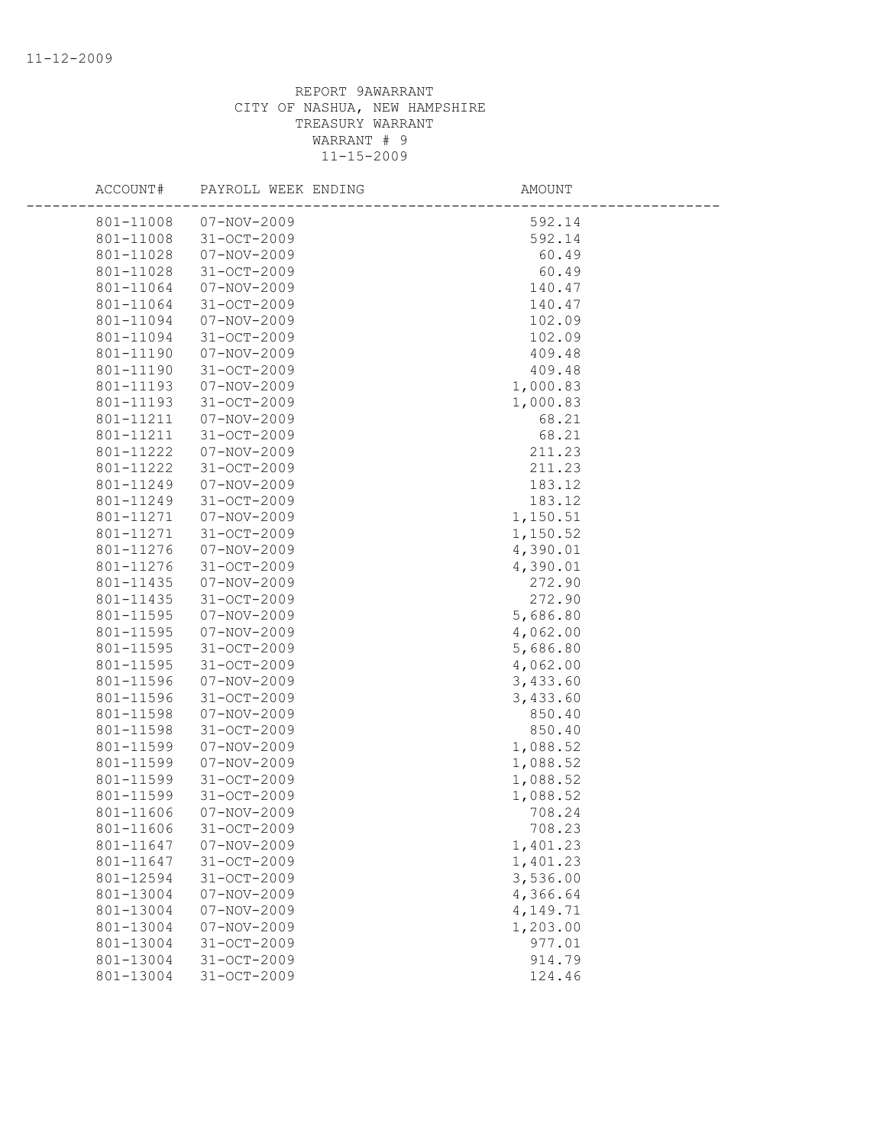| ACCOUNT# |                                | PAYROLL WEEK ENDING | <b>AMOUNT</b> |
|----------|--------------------------------|---------------------|---------------|
|          | 801-11008<br>07-NOV-2009       |                     | 592.14        |
|          | 31-OCT-2009<br>801-11008       |                     | 592.14        |
|          | 801-11028<br>07-NOV-2009       |                     | 60.49         |
|          | 31-OCT-2009<br>801-11028       |                     | 60.49         |
|          | 801-11064<br>07-NOV-2009       |                     | 140.47        |
|          | 801-11064<br>31-OCT-2009       |                     | 140.47        |
|          | 801-11094<br>07-NOV-2009       |                     | 102.09        |
|          | 31-OCT-2009<br>801-11094       |                     | 102.09        |
|          | 801-11190<br>07-NOV-2009       |                     | 409.48        |
|          | 801-11190<br>31-OCT-2009       |                     | 409.48        |
|          | 801-11193<br>07-NOV-2009       |                     | 1,000.83      |
|          | 801-11193<br>31-OCT-2009       |                     | 1,000.83      |
|          | 801-11211<br>07-NOV-2009       |                     | 68.21         |
|          | 801-11211<br>31-OCT-2009       |                     | 68.21         |
|          | 801-11222<br>07-NOV-2009       |                     | 211.23        |
|          | 801-11222<br>31-OCT-2009       |                     | 211.23        |
|          | 801-11249<br>07-NOV-2009       |                     | 183.12        |
|          | 801-11249<br>31-OCT-2009       |                     | 183.12        |
|          | 801-11271<br>07-NOV-2009       |                     | 1,150.51      |
|          | 801-11271<br>31-OCT-2009       |                     | 1,150.52      |
|          | 07-NOV-2009<br>801-11276       |                     | 4,390.01      |
|          | 31-OCT-2009<br>801-11276       |                     | 4,390.01      |
|          | 801-11435<br>07-NOV-2009       |                     | 272.90        |
|          | 801-11435<br>31-OCT-2009       |                     | 272.90        |
|          | 801-11595<br>07-NOV-2009       |                     | 5,686.80      |
|          | 801-11595<br>07-NOV-2009       |                     | 4,062.00      |
|          | 801-11595<br>31-OCT-2009       |                     | 5,686.80      |
|          | 801-11595<br>31-OCT-2009       |                     | 4,062.00      |
|          | 801-11596<br>07-NOV-2009       |                     | 3,433.60      |
|          | 801-11596<br>31-OCT-2009       |                     | 3,433.60      |
|          | 801-11598<br>$07 - NOV - 2009$ |                     | 850.40        |
|          | 31-OCT-2009<br>801-11598       |                     | 850.40        |
|          | 801-11599<br>$07 - NOV - 2009$ |                     | 1,088.52      |
|          | 801-11599<br>07-NOV-2009       |                     | 1,088.52      |
|          | 801-11599<br>31-OCT-2009       |                     | 1,088.52      |
|          | 801-11599<br>$31 - OCT - 2009$ |                     | 1,088.52      |
|          | 801-11606<br>$07 - NOV - 2009$ |                     | 708.24        |
|          | 801-11606<br>$31 - OCT - 2009$ |                     | 708.23        |
|          | 801-11647<br>$07 - NOV - 2009$ |                     | 1,401.23      |
|          | 801-11647<br>31-OCT-2009       |                     | 1,401.23      |
|          | 801-12594<br>31-OCT-2009       |                     | 3,536.00      |
|          | 801-13004<br>$07 - NOV - 2009$ |                     | 4,366.64      |
|          | 801-13004<br>$07 - NOV - 2009$ |                     | 4,149.71      |
|          | 801-13004<br>$07 - NOV - 2009$ |                     | 1,203.00      |
|          | 31-OCT-2009<br>801-13004       |                     | 977.01        |
|          | 801-13004<br>31-OCT-2009       |                     | 914.79        |
|          | 801-13004<br>31-OCT-2009       |                     | 124.46        |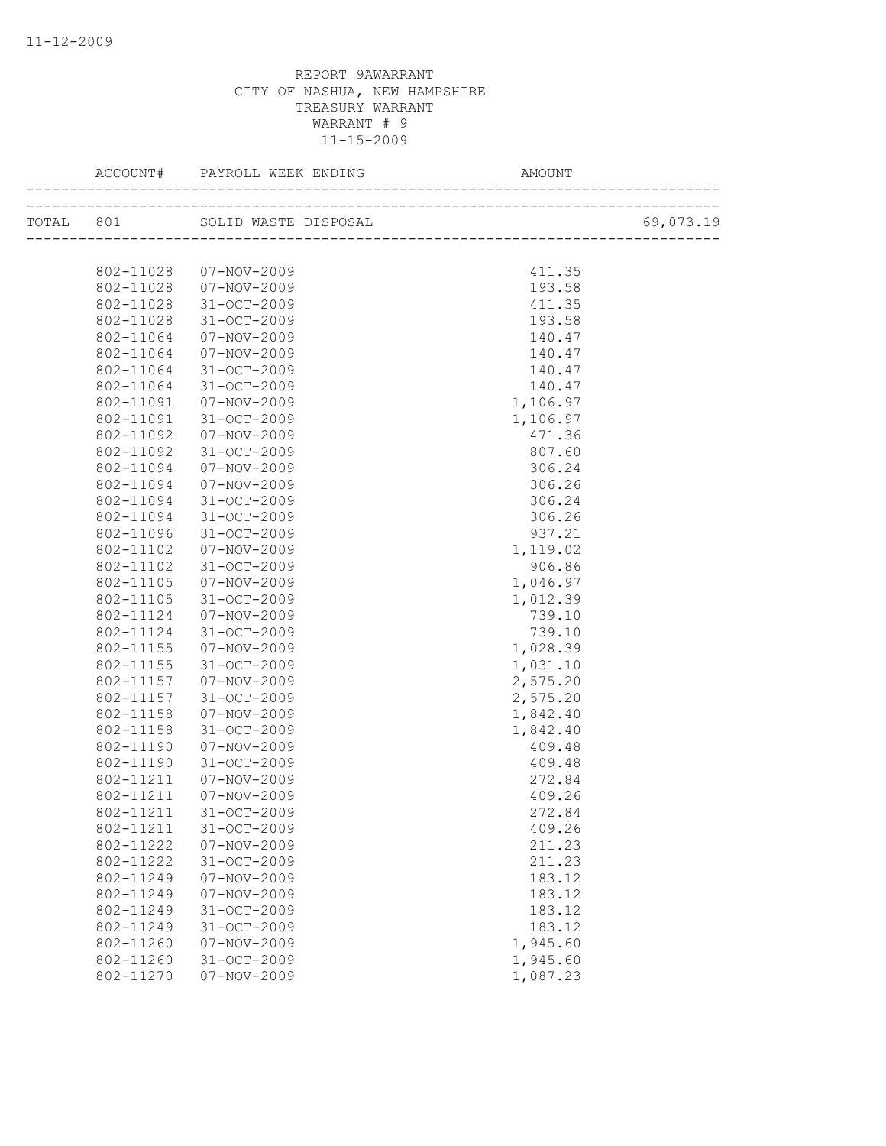|           | TOTAL 801 SOLID WASTE DISPOSAL |          | 69,073.19 |
|-----------|--------------------------------|----------|-----------|
|           |                                |          |           |
| 802-11028 | 07-NOV-2009                    | 411.35   |           |
| 802-11028 | $07 - NOV - 2009$              | 193.58   |           |
| 802-11028 | 31-OCT-2009                    | 411.35   |           |
| 802-11028 | 31-OCT-2009                    | 193.58   |           |
| 802-11064 | 07-NOV-2009                    | 140.47   |           |
| 802-11064 | 07-NOV-2009                    | 140.47   |           |
| 802-11064 | 31-OCT-2009                    | 140.47   |           |
| 802-11064 | 31-OCT-2009                    | 140.47   |           |
| 802-11091 | 07-NOV-2009                    | 1,106.97 |           |
| 802-11091 | 31-OCT-2009                    | 1,106.97 |           |
| 802-11092 | $07 - NOV - 2009$              | 471.36   |           |
| 802-11092 | 31-OCT-2009                    | 807.60   |           |
| 802-11094 | $07 - NOV - 2009$              | 306.24   |           |
| 802-11094 | 07-NOV-2009                    | 306.26   |           |
| 802-11094 | 31-OCT-2009                    | 306.24   |           |
| 802-11094 | 31-OCT-2009                    | 306.26   |           |
| 802-11096 | 31-OCT-2009                    | 937.21   |           |
| 802-11102 | 07-NOV-2009                    | 1,119.02 |           |
| 802-11102 | 31-OCT-2009                    | 906.86   |           |
| 802-11105 | 07-NOV-2009                    | 1,046.97 |           |
| 802-11105 | 31-OCT-2009                    | 1,012.39 |           |
| 802-11124 | 07-NOV-2009                    | 739.10   |           |
| 802-11124 | $31 - OCT - 2009$              | 739.10   |           |
| 802-11155 | 07-NOV-2009                    | 1,028.39 |           |
| 802-11155 | $31 - OCT - 2009$              | 1,031.10 |           |
| 802-11157 | 07-NOV-2009                    | 2,575.20 |           |
| 802-11157 | 31-OCT-2009                    | 2,575.20 |           |
| 802-11158 | 07-NOV-2009                    | 1,842.40 |           |
| 802-11158 | 31-OCT-2009                    | 1,842.40 |           |
| 802-11190 | $07 - NOV - 2009$              | 409.48   |           |
| 802-11190 | 31-OCT-2009                    | 409.48   |           |
| 802-11211 | 07-NOV-2009                    | 272.84   |           |
| 802-11211 | 07-NOV-2009                    | 409.26   |           |
| 802-11211 | 31-OCT-2009                    | 272.84   |           |
| 802-11211 | 31-OCT-2009                    | 409.26   |           |
| 802-11222 | $07 - NOV - 2009$              | 211.23   |           |
| 802-11222 | 31-OCT-2009                    | 211.23   |           |
| 802-11249 | $07 - NOV - 2009$              | 183.12   |           |
| 802-11249 | $07 - NOV - 2009$              | 183.12   |           |
| 802-11249 | 31-OCT-2009                    | 183.12   |           |
| 802-11249 | 31-OCT-2009                    | 183.12   |           |
| 802-11260 | $07 - NOV - 2009$              | 1,945.60 |           |
| 802-11260 | 31-OCT-2009                    | 1,945.60 |           |
| 802-11270 | $07 - NOV - 2009$              | 1,087.23 |           |